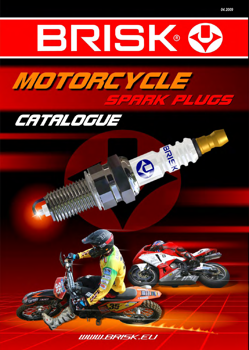





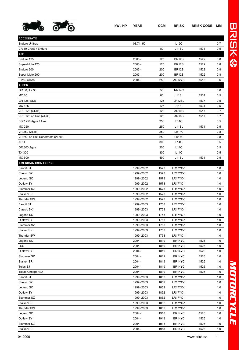

| г |
|---|
|   |
| ø |
|   |

| <b>ACCOSSATO</b>                  |             |      |                    |      |            |
|-----------------------------------|-------------|------|--------------------|------|------------|
| <b>Enduro Unitrac</b>             | 03.74-50    |      | L15C               |      | 0,7        |
| CR 80 Cross / Enduro              |             | 80   | L11SL              | 1531 | 0,5        |
| <b>AJP</b>                        |             |      |                    |      |            |
| Enduro 125                        | $2003 -$    | 125  | <b>BR12S</b>       | 1522 | 0,8        |
| Super-Moto 125                    | $2003 -$    | 125  | <b>BR12S</b>       | 1522 | 0,8        |
| Enduro 200                        | $2003 -$    | 200  | <b>BR12S</b>       | 1522 | 0,8        |
| Super-Moto 200                    | $2003 -$    | 200  | <b>BR12S</b>       | 1522 | 0,8        |
| P 250 Cross                       | $2004 -$    | 250  | AR12YS             | 1518 | 0,6        |
| <b>ALFER</b>                      |             |      |                    |      |            |
| GR 30, TX 30                      |             | 50   | <b>NR14C</b>       |      | 0,6        |
| <b>MC 80</b>                      |             | 80   | L <sub>11</sub> SL | 1531 | 0,5        |
| <b>GR 125 ISDE</b>                |             | 125  | LR12SL             | 1537 | 0,5        |
| <b>MC 125</b>                     |             | 125  | L <sub>11</sub> SL | 1531 | 0,5        |
| <b>VRE 125 (4Takt)</b>            |             | 125  | <b>AR10S</b>       | 1517 | 0,7        |
| VRE 125 no limit (4Takt)          |             | 125  | <b>AR10S</b>       | 1517 | 0,7        |
| EGR 250 Agua / Aire               |             | 250  | <b>L14C</b>        |      | 0,5        |
| MC 250                            |             | 250  | L <sub>11</sub> SL | 1531 | 0,5        |
| VR 250 (2Takt)                    |             | 250  | LR14C              |      | 0,8        |
| VR 250 no limit Supermoto (2Takt) |             | 250  | LR14C              |      | 0,8        |
| <b>AR-1</b>                       |             | 300  | <b>L14C</b>        |      | 0,5        |
| GR 300 Agua                       |             | 300  | <b>L14C</b>        |      | 0,5        |
| TX-300                            |             | 300  | <b>L14C</b>        |      | 0,5        |
| <b>MC 500</b>                     |             | 490  | L <sub>11</sub> SL | 1531 | 0,5        |
| <b>AMERICAN IRON HORSE</b>        |             |      |                    |      |            |
| <b>Bandit ST</b>                  | 1999 - 2002 | 1573 | <b>LR17YC-1</b>    |      | 1,0        |
| Classic SX                        | 1999 - 2002 | 1573 | <b>LR17YC-1</b>    |      | 1,0        |
| Legend SC                         | 1999 - 2002 | 1573 | <b>LR17YC-1</b>    |      | 1,0        |
| Outlaw SY                         | 1999 - 2002 | 1573 | <b>LR17YC-1</b>    |      | 1,0        |
| Slammer SZ                        | 1999 - 2002 | 1573 | <b>LR17YC-1</b>    |      | 1,0        |
| Stalker SR                        | 1999 - 2002 | 1573 | <b>LR17YC-1</b>    |      | 1,0        |
| Thunder SW                        | 1999 - 2002 | 1573 | <b>LR17YC-1</b>    |      | 1,0        |
| <b>Bandit ST</b>                  | 1999 - 2003 | 1753 | <b>LR17YC-1</b>    |      | 1,0        |
| Classic SX                        | 1999 - 2003 | 1753 | <b>LR17YC-1</b>    |      | 1,0        |
| Legend SC                         | 1999 - 2003 | 1753 | <b>LR17YC-1</b>    |      | 1,0        |
| Outlaw SY                         | 1999 - 2003 | 1753 | <b>LR17YC-1</b>    |      | 1,0        |
| Slammer SZ                        | 1999 - 2003 | 1753 | <b>LR17YC-1</b>    |      | 1,0        |
| Stalker SR                        | 1999 - 2003 | 1753 | <b>LR17YC-1</b>    |      | 1,0        |
| Thunder SW                        | 1999 - 2003 | 1753 | <b>LR17YC-1</b>    |      | 1,0        |
| Legend SC                         | $2004 -$    | 1819 | BR14YC             | 1526 | 1,0        |
| <b>LSC</b>                        | $2004 -$    | 1819 | BR14YC             | 1526 | 1,0        |
| Outlaw SY                         | $2004 -$    | 1819 | BR14YC             | 1526 | 1,0        |
| Slammer SZ                        | $2004 -$    | 1819 | BR14YC             | 1526 | 1,0        |
| Stalker SR                        | $2004 -$    | 1819 | BR14YC             | 1526 | 1,0        |
| Tejas SJ                          | $2004 -$    | 1819 | BR14YC             | 1526 | 1,0        |
| <b>Texas Chopper SX</b>           | 2004 -      | 1819 | BR14YC             | 1526 | 1,0        |
| <b>Bandit ST</b>                  | 1999 - 2003 | 1852 | <b>LR17YC-1</b>    |      | 1,0        |
| Classic SX                        | 1999 - 2003 | 1852 | LR17YC-1           |      | 1,0        |
| Legend SC                         | 1999 - 2003 | 1852 | <b>LR17YC-1</b>    |      | 1,0        |
| Outlaw SY                         | 1999 - 2003 | 1852 | <b>LR17YC-1</b>    |      |            |
| Slammer SZ                        | 1999 - 2003 | 1852 | <b>LR17YC-1</b>    |      | 1,0<br>1,0 |
| Stalker SR                        | 1999 - 2003 | 1852 | <b>LR17YC-1</b>    |      | 1,0        |
| Thunder SW                        | 1999 - 2003 | 1852 | <b>LR17YC-1</b>    |      |            |
| Legend SC                         |             |      |                    |      | 1,0        |
|                                   | $2004 -$    | 1918 | BR14YC             | 1526 | 1,0        |
| Outlaw SY                         | 2004 -      | 1918 | BR14YC             | 1526 | 1,0        |

Slammer SZ 2004 - 1918 BR14YC 1526 1,0 Stalker SR 2004 - 1918 BR14YC 1526 1,0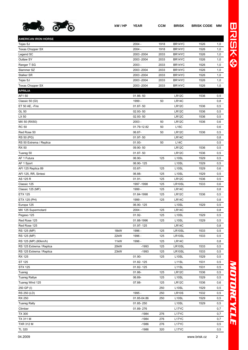

| <b>AMERICAN IRON HORSE</b> |      |                        |      |                                          |              |     |
|----------------------------|------|------------------------|------|------------------------------------------|--------------|-----|
| Tejas SJ                   |      | $2004 -$               | 1918 | BR14YC                                   | 1526         | 1,0 |
| <b>Texas Chopper SX</b>    |      | $2004 -$               | 1918 | BR14YC                                   | 1526         | 1,0 |
| Legend SC                  |      | 2003 - 2004            | 2033 | BR14YC                                   | 1526         | 1,0 |
| Outlaw SY                  |      | 2003 - 2004            | 2033 | BR14YC                                   | 1526         | 1,0 |
| Ranger T SG                |      | 2003 -                 | 2033 | BR14YC                                   | 1526         | 1,0 |
| Slammer SZ                 |      | 2003 - 2004            | 2033 | BR14YC                                   | 1526         | 1,0 |
| Stalker SR                 |      | 2003 - 2004            | 2033 | BR14YC                                   | 1526         | 1,0 |
| Tejas SJ                   |      | 2003 - 2004            | 2033 | BR14YC                                   | 1526         | 1,0 |
| Texas Chopper SX           |      | 2003 - 2004            | 2033 | BR14YC                                   | 1526         | 1,0 |
| <b>APRILIA</b>             |      |                        |      |                                          |              |     |
| AF150                      |      | 01.86-50               |      | <b>LR12C</b>                             | 1536         | 0,5 |
| Classic 50 (GI)            |      | 1999 -                 | 50   | LR14C                                    |              | 0,8 |
| ET 50 AE, -Fire            |      | $01.87 - 50$           |      | LR12C                                    | 1536         | 0,5 |
| GL 50                      |      | 02.93-50               |      | LR12C                                    | 1536         | 0,5 |
| LX 50                      |      | 02.93-50               |      | LR12C                                    | 1536         | 0,5 |
| MX 50 (RX50)               |      | $2003 -$               | 50   | LR12C                                    | 1536         | 0,6 |
| <b>RC 50</b>               |      | 01.79-12.82            | 50   | L15C                                     |              | 0,6 |
| Red Rose 50                |      | 06.87-                 | 50   | LR12C                                    | 1536         | 0,5 |
| RS 50 (PG)                 |      | $01.97 - 50$           |      | LR14C                                    |              | 0,8 |
| RS 50 Extrema / Replica    |      | 01.93-                 | 50   | <b>L14C</b>                              |              | 0,5 |
| <b>RX 50</b>               |      | 09.90-50               |      | LR12C                                    | 1536         | 0,5 |
| Tuareg 50                  |      | $01.87 - 50$           |      | LR12C                                    | 1536         | 0,5 |
| AF 1 Futura                |      | 06.90-                 | 125  | L <sub>10</sub> SL                       | 1529         | 0,5 |
| AF 1 Sport                 |      | 06.90-125              |      | L <sub>10</sub> SL                       | 1529         | 0,5 |
| AFI 125 Replica 89         |      | 03.87-                 | 125  | L <sub>10</sub> SL                       | 1529         | 0,6 |
| AFI 125, RR, Sintesi       |      | 06.88-                 | 125  | L <sub>10</sub> SL                       | 1529         | 0,5 |
| AS 125 R                   |      | $01.91 -$              | 125  | LR12C                                    | 1536         | 0,5 |
| Classic 125                |      | 1997 - 1998            | 125  | LR10SL                                   | 1533         | 0,6 |
| Classic 125 (MF)           |      | 1999 -                 | 125  | LR14C                                    |              | 0,8 |
| <b>ETX 125</b>             |      | 01.84-1998             | 125  | LR12C                                    | 1536         | 0,5 |
| ETX 125 (PH)               |      | 1999 -                 | 125  | LR14C                                    |              | 0,8 |
| Europa 125                 |      | 06.90-125              |      | L10SL                                    | 1529         | 0,5 |
| MX 125 Supermotard         |      | 2004 -                 | 125  | LR14C                                    |              | 0,8 |
| Pegaso 125                 |      | 01.92-                 | 125  | L <sub>10</sub> SL                       | 1529         | 0,5 |
| Red Rose 125               |      | 01.88-1996             | 125  | L10SL                                    | 1529         | 0,5 |
| Red Rose 125               |      | 01.97-125              |      | LR <sub>14</sub> C                       |              | 0,8 |
| RS 125 (MP)                | 18kW | 1996 -                 | 125  | LR10SL                                   | 1533         | 0,5 |
| RS 125 (MP)                | 22kW | 1996 -                 | 125  | LR10SL                                   | 1533         | 0,5 |
| RS 125 (MP) (80km/h)       | 11kW | 1996 -                 | 125  | LR14C                                    |              | 0,8 |
| RS 125 Extrema / Replica   | 20kW | $-1993$                | 125  | LR10SL                                   | 1533         | 0,5 |
| RS 125 Extrema / Replica   | 23kW | $-1993$                | 125  | LR10SL                                   | 1533         | 0,5 |
| RX 125                     |      | 01.90-                 | 125  | L <sub>10</sub> SL                       | 1529         | 0,5 |
| ST 125                     |      | 01.82-125              |      | L11SL                                    | 1531         | 0,5 |
| <b>STX 125</b>             |      | 01.82-125              |      | L <sub>11</sub> SL                       | 1531         | 0,5 |
| Tuareg                     |      | 01.86-                 | 125  | LR12C                                    | 1536         | 0,5 |
| <b>Tuareg Rallye</b>       |      | 06.89-                 | 125  | L10SL                                    | 1529         | 0,5 |
| Tuareg Wind 125            |      | 07.88-                 | 125  | LR12C                                    | 1536         | 0,6 |
| 250 GP (I)                 |      |                        | 250  | L <sub>10</sub> SL                       | 1529         | 0,5 |
| RS 250 (LD)                |      | 1995 -                 | 250  | <b>LR10S</b>                             | 1532         | 0,5 |
| <b>RX 250</b>              |      |                        |      |                                          |              |     |
|                            |      | 01.85-04.86            | 250  | L <sub>10</sub> SL<br>L <sub>10</sub> SL | 1529<br>1529 | 0,5 |
| <b>Tuareg Rally</b>        |      | 01.85-250<br>01.89-276 |      | L17YC                                    |              | 0,5 |
| Climber                    |      |                        |      |                                          |              | 0,7 |
| <b>TX 300</b>              |      | $-1984$                | 276  | L17YC                                    |              | 0,7 |
| TX 311 M                   |      | $-1984$                | 276  | L17YC                                    |              | 0,7 |
| <b>TXR 312 M</b>           |      | $-1986$                | 276  | L17YC                                    |              | 0,5 |

TL 320 -1986 320 L17YC 0,5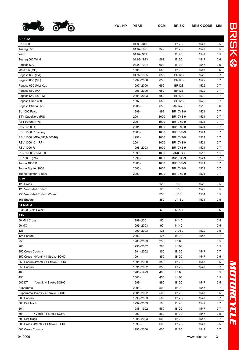

**APRILIA**

| Tuareg 350                         | 01.87-1991  | 349  | <b>B12C</b>        | 1547 | 0,5 |
|------------------------------------|-------------|------|--------------------|------|-----|
| Wind                               | 01.87-349   |      | <b>B12C</b>        | 1547 | 0,5 |
| Tuareg 600 Wind                    | 01.88-1993  | 562  | <b>B12C</b>        | 1547 | 0,6 |
| Pegaso 600                         | 03.90-1994  | 600  | <b>B12C</b>        | 1547 | 0,6 |
| Moto 6.5 (MH)                      | 1995 -      | 650  | <b>B12C</b>        | 1547 | 0,6 |
| Pegaso 650 (GA)                    | 04.92-1995  | 650  | <b>BR12S</b>       | 1522 | 0,7 |
| Pegaso 650 (ML)                    | 1997 - 2000 | 650  | <b>BR12S</b>       | 1522 | 0,7 |
| Pegaso 650 (ML) Kat.               | 1997 - 2000 | 650  | <b>BR12S</b>       | 1522 | 0,7 |
| Pegaso 650 (MX)                    | 1996 -2000  | 650  | <b>BR12S</b>       | 1522 | 0,7 |
| Pegaso 650 i.e. (RW)               | 2001-2003   | 650  | <b>BR12S</b>       | 1522 | 0,7 |
| Pegaso Cube 650                    | 1997 -      | 650  | <b>BR12S</b>       | 1522 | 0,7 |
| Pegaso Strada 650                  | $2005 -$    | 650  | AR14YS             | 1519 | 0,6 |
| SL 1000 Falco                      | 1999 -      | 998  | <b>BR10YS-9</b>    | 1521 | 0,7 |
| ETV CapoNord (PS)                  | $2001 -$    | 1000 | <b>BR10YS-9</b>    | 1521 | 0,7 |
| RST Futura (PW)                    | $2001 -$    | 1000 | <b>BR10YS-9</b>    | 1521 | 0,7 |
| <b>RSV 1000 R</b>                  | $2004 -$    | 1000 | <b>BR10YS-9</b>    | 1521 | 0,7 |
| RSV 1000 R Factory                 | $2003 -$    | 1000 | <b>BR10YS-9</b>    | 1521 | 0,7 |
| RSV 1000 (MEA; ME; ME0010)         | 1998 -      | 1000 | <b>BR10YS-9</b>    | 1521 | 0,7 |
| RSV 1000 01 (RP)                   | $2001 -$    | 1000 | <b>BR10YS-9</b>    | 1521 | 0,7 |
| <b>RSV 1000 R</b>                  | 1998 - 2003 | 1000 | <b>BR10YS-9</b>    | 1521 | 0,7 |
| <b>RSV 1000 SP (MED)</b>           | 1999 -      | 1000 | AR08GS             | 1515 | 1,1 |
| SL 1000 (PA)                       | 1999 -      | 1000 | <b>BR10YS-9</b>    | 1521 | 0,7 |
| <b>Tuono 1000 R</b>                | $2006 -$    | 1000 | <b>BR10YS-9</b>    | 1521 | 0,7 |
| Tuono Fighter 1000                 | 2003 -      | 1000 | <b>BR10YS-9</b>    | 1521 | 0,7 |
| Tuono Fighter R 1000               | $2003 -$    | 1000 | <b>BR10YS-9</b>    | 1521 | 0,7 |
| ARM                                |             |      |                    |      |     |
| 125 Cross                          |             | 125  | L <sub>10</sub> SL | 1529 | 0,5 |
| 125 Velocidad Enduro               |             | 125  | L <sub>10SL</sub>  | 1529 | 0,5 |
| 250 Velocidad Enduro / Cross       |             | 250  | L <sub>11</sub> SL | 1531 | 0,5 |
| 365 Enduro                         |             | 350  | L <sub>11</sub> SL | 1531 | 0,5 |
| <b>AT MOTO</b>                     |             |      |                    |      |     |
| S 3800 (Velo Solex)                |             | 50   | <b>N15C</b>        |      | 0,6 |
| ATK                                |             |      |                    |      |     |
| 50 Mini Cross                      | 1999 - 2001 | 50   | <b>N14C</b>        |      | 0,5 |
| 90 MX                              | 1999 - 2003 | 90   | <b>N14C</b>        |      | 0,5 |
| 125                                | 1999 - 2003 | 125  | L <sub>10</sub> SL | 1529 | 0,5 |
| 125 Enduro                         | $2003 -$    | 125  | <b>B12C</b>        | 1547 | 0,7 |
| 250                                | 1988 - 2003 | 250  | L14C               |      | 0,5 |
| 260                                | 1995 - 2002 | 260  | <b>L14C</b>        |      | 0,5 |
| 350 Cross Country                  | 1991 - 2002 | 350  | <b>B12C</b>        | 1547 | 0,7 |
| 350 Cross 4Ventil / 4 Stroke SOHC  | 1991 -      | 350  | <b>B12C</b>        | 1547 | 0,5 |
| 350 Enduro 4Ventil / 4 Stroke SOHC | 1991-2000   | 350  | <b>B12C</b>        | 1547 | 0,5 |
| 350 Enduro                         | 1991-2002   | 350  | <b>B12C</b>        | 1547 | 0,7 |
| 406                                | 1988-1999   | 400  | <b>L14C</b>        |      | 0,5 |
| 450                                | $2003 -$    | 450  | <b>L14C</b>        |      | 0,5 |
| 500 DT<br>4Ventil / 4 Stroke SOHC  | 1999 -      | 490  | <b>B12C</b>        | 1547 | 0,5 |
| Supermoto                          | $2001 -$    | 500  | <b>B12C</b>        | 1547 | 0,7 |
| Supermoto 4Ventil / 4 Stroke SOHC  | 2001-2002   | 500  | <b>B12C</b>        | 1547 | 0,5 |
| 500 Enduro                         | 1998 - 2003 | 500  | <b>B12C</b>        | 1547 | 0,7 |
| 500 Dirt Track                     | 1999 - 2003 | 500  | <b>B12C</b>        | 1547 | 0,7 |
| 604                                | 1988 - 1992 | 560  | <b>B12C</b>        | 1547 | 0,7 |
| 4Ventil / 4 Stroke SOHC<br>604     | 1993 -      | 560  | <b>B12C</b>        | 1547 | 0,5 |
| 600 Dirt Track                     | 1998 - 2003 | 600  | <b>B12C</b>        | 1547 | 0,7 |
|                                    |             |      |                    |      |     |

605 Cross 4Ventil / 4 Stroke SOHC 1993 - 600 B12C 1547 0,5 605 Cross Country 1993 -2000 600 B12C 1547 0,7

EXT 350 01.85- 349 B12C 1547 0,5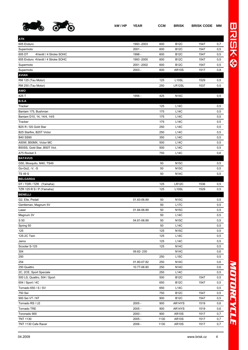

| <b>ATK</b>                         |             |      |                    |      |     |
|------------------------------------|-------------|------|--------------------|------|-----|
| 605 Enduro                         | 1993 - 2003 | 600  | <b>B12C</b>        | 1547 | 0,7 |
| Supermoto                          | $2001 -$    | 600  | <b>B12C</b>        | 1547 | 0,5 |
| 605 DT<br>4Ventil / 4 Stroke SOHC  | 1998 -      | 600  | <b>B12C</b>        | 1547 | 0,5 |
| 605 Enduro 4Ventil / 4 Stroke SOHC | 1993 - 2000 | 600  | <b>B12C</b>        | 1547 | 0,5 |
| Supermoto                          | 2001-2002   | 600  | <b>B12C</b>        | 1547 | 0,5 |
| Supermoto                          | $2003 -$    | 600  | <b>AR10S</b>       | 1517 | 0,8 |
| <b>AVIAN</b>                       |             |      |                    |      |     |
| RM 125 (Tau Motor)                 |             | 125  | L <sub>10</sub> SL | 1529 | 0,5 |
| RM 250 (Tau Motor)                 |             | 250  | LR12SL             | 1537 | 0,5 |
| AWO                                |             |      |                    |      |     |
| 425 T                              | 1956 -      | 425  | <b>N14C</b>        |      | 0,5 |
| <b>B.S.A</b>                       |             |      |                    |      |     |
| Tracker                            |             | 125  | <b>L14C</b>        |      | 0,5 |
| Bantam 175, Bushman                |             | 175  | <b>L14C</b>        |      | 0,5 |
| Bantam D10, 14, 14/4, 14/5         |             | 175  | <b>L14C</b>        |      | 0,5 |
| Tracker                            |             | 175  | <b>L14C</b>        |      | 0,5 |
| B25 R / SS Gold Star               |             | 250  | L14C               |      | 0,5 |
| B25 Starfire, B25T Victor          |             | 250  | L14C               |      | 0,5 |
| <b>B40 SS90</b>                    |             | 350  | <b>L14C</b>        |      | 0,5 |
| A50W, B50MX, Victor MC             |             | 500  | <b>L14C</b>        |      | 0,5 |
| B50SS, Gold Star, B50T Vict.       |             | 500  | L14C               |      | 0,5 |
| A75 Rocket 3                       |             | 750  | <b>L14C</b>        |      | 0,6 |
| <b>BATAVUS</b>                     |             |      |                    |      |     |
| G50, Mosquito, M40, TS49           |             | 50   | <b>N15C</b>        |      | 0,5 |
| Go-Go2, -V, -S                     |             | 50   | <b>N15C</b>        |      | 0,5 |
| <b>TS 49 S</b>                     |             | 50   | N14C               |      | 0,5 |
| <b>BELGARDA</b>                    |             |      |                    |      |     |
|                                    |             |      |                    |      |     |
| DT / TDR / TZR (Yamaha)            |             | 125  | LR12C              | 1536 | 0,5 |
| TZR 125 R S / P (Yamaha)           |             | 125  | L <sub>10</sub> SL | 1529 | 0,5 |
| <b>BENELLI</b>                     |             |      |                    |      |     |
| G2, Elle, Pedali                   | 01.83-06.89 | 50   | <b>N15C</b>        |      | 0,5 |
| Gentleman, Magnum 5V               |             | 50   | <b>L17C</b>        |      | 0,5 |
| Laser                              | 01.84-06.89 | 50   | <b>N15C</b>        |      | 0,5 |
| Magnum 3V                          |             | 50   | <b>L14C</b>        |      | 0,5 |
| S 50                               | 04.81-06.89 | 50   | <b>N15C</b>        |      | 0,5 |
| Spring 50                          |             | 50   | <b>L14C</b>        |      | 0,5 |
| 125                                |             | 125  | <b>N15C</b>        |      | 0,5 |
| 125-2C Twin                        |             | 125  | <b>L14C</b>        |      | 0,5 |
| Jarno                              |             | 125  | L14C               |      | 0,5 |
| Scooter S-125                      |             | 125  | <b>N14C</b>        |      | 0,5 |
| 304                                | 09.82-230   |      | <b>N14C</b>        |      | 0,6 |
| 250                                |             | 250  | L15C               |      | 0,5 |
| 254                                | 01.80-07.82 | 250  | <b>N14C</b>        |      | 0,6 |
| 250 Quattro                        | 10.77-06.80 | 250  | <b>N14C</b>        |      | 0,6 |
| 2C, 2CE, Sport Speciale            |             | 250  | L14C               |      | 0,5 |
| 500 LS, Quattro, 504 / Sport       |             | 500  | <b>B12C</b>        | 1547 | 0,5 |
| 654 / Sport / 4C                   |             | 650  | <b>B12C</b>        | 1547 | 0,5 |
| Tornado 650 / S / SV               |             | 650  | L14C               |      | 0,5 |
| 750 Sei                            |             | 750  | <b>B12C</b>        | 1547 | 0,5 |
| 900 Sei VT / NT                    |             | 900  | <b>B12C</b>        | 1547 | 0,5 |
| Tornado RS / LE                    | $2005 -$    | 900  | AR14YS             | 1519 | 0,6 |
| Tornado TRE                        | $2005 -$    | 900  | AR14YS             | 1519 | 0,6 |
| Toronado 900                       | $2000 -$    | 900  | <b>AR10S</b>       | 1517 | 0,7 |
| <b>TNT 1130</b>                    | $2005 -$    | 1130 | <b>AR10S</b>       | 1517 | 0,7 |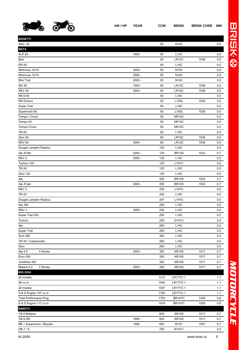

| <b>BENETTI</b>           |          |      |                    |      |                |
|--------------------------|----------|------|--------------------|------|----------------|
| Stilo / Al               |          | 50   | <b>N15C</b>        |      | 0,5            |
| <b>BETA</b>              |          |      |                    |      |                |
| <b>ALP 50</b>            | 1993 -   | 50   | L14C               |      | 0,5            |
| Bad                      |          | 50   | LR12C              | 1536 | 0,5            |
| <b>KR-50</b>             |          | 50   | <b>L15C</b>        |      | 0,5            |
| Minicross 10/10          | $2000 -$ | 50   | <b>N14C</b>        |      | 0,5            |
| Minicross 12/15          | $2000 -$ | 50   | <b>N14C</b>        |      | 0,5            |
| Mini Trail               | $2000 -$ | 50   | <b>N14C</b>        |      | 0,5            |
| MX 50                    | 1993 -   | 50   | LR12C              | 1536 | 0,5            |
| <b>REV 50</b>            | $2004 -$ | 50   | LR12C              | 1536 | 0,5            |
| RK 6-50                  |          | 50   | <b>L14C</b>        |      | 0,5            |
| <b>RR</b> Enduro         |          | 50   | L <sub>10</sub> SL | 1529 | 0,5            |
| Super Trail              |          | 50   | L14C               |      | 0,5            |
| Supermoto 50             |          | 50   | L10SL              | 1529 | 0,5            |
| Tempo / Crono            |          | 50   | NR14C              |      | 0,5            |
| Tempo 50                 |          | 50   | NR14C              |      | 0,5            |
| Tempo Crono              |          | 50   | NR <sub>14</sub> C |      | 0,5            |
| <b>TR-50</b>             |          | 50   | L15C               |      | $\mathtt{0,5}$ |
| Zero 50                  |          | 50   | LR12C              | 1536 | 0,5            |
| <b>REV 80</b>            | $2004 -$ | 80   | LR12C              | 1536 | 0,5            |
| Dougie Lampkin Replica   |          | 124  | L14C               |      | 0,5            |
| Alp 4Takt                | $2000 -$ | 125  | <b>BR12S</b>       | 1522 | 0,7            |
| REV <sub>3</sub>         | $2000 -$ | 125  | L14C               |      | 0,5            |
| Techno 125               |          | 125  | L14YC              |      | 0,6            |
| <b>TR-34</b>             |          | 125  | <b>L14C</b>        |      | 0,5            |
| Zero 125                 |          | 125  | L14C               |      | 0,5            |
| Alp                      |          | 200  | <b>BR12S</b>       | 1522 | 0,7            |
| Alp 4Takt                | $2000 -$ | 200  | <b>BR12S</b>       | 1522 | 0,7            |
| REV <sub>3</sub>         |          | 200  | L14YC              |      | 0,5            |
| TR-33                    |          | 240  | L15C               |      | 0,5            |
| Dougie Lampkin Replica   |          | 247  | L14YC              |      | 0,5            |
| Alp 250                  |          | 250  | <b>L14C</b>        |      | 0,5            |
| REV <sub>3</sub>         | $2000 -$ | 250  | L14C               |      | 0,5            |
| Super Trail 250          |          | 250  | L14C               |      | 0,5            |
| Techno                   |          | 250  | D14YC              |      | 0,5            |
| Alp                      |          | 260  | L14C               |      | 0,5            |
| Super Trail              |          | 260  | L14C               |      | 0,5            |
| <b>Synt 260</b>          |          | 260  | L14C               |      | 0,5            |
| TR-34 / Campionato       |          | 260  | L14C               |      | 0,5            |
| Zero                     |          | 260  | L14C               |      | 0,5            |
| Alp 4.0<br>4 Stroke      | $2003 -$ | 350  | <b>AR10S</b>       | 1517 | 0,7            |
| Euro 350                 |          | 350  | <b>AR10S</b>       | 1517 | 0,7            |
| Jonathan 350             |          | 350  | <b>AR10S</b>       | 1517 | 0,7            |
| Motard 4.0<br>4 Stroke   | $2003 -$ | 350  | <b>AR10S</b>       | 1517 | 0,7            |
| <b>BIG DOG</b>           |          |      |                    |      |                |
| all models               |          | 1310 | <b>LR17YC-1</b>    |      | 1,1            |
| 88 cu in                 |          | 1440 | <b>LR17YC-1</b>    |      | 1,1            |
| all models               |          | 1507 | <b>LR17YC-1</b>    |      | 1,1            |
| S & S Engine 107 cu in   |          | 1750 | <b>LR17YC-1</b>    |      | 1,1            |
| Total Performance Eng.   |          | 1750 | BR14YC             | 1526 | 0,8            |
| S & S Engine 117 cu in   |          | 1918 | BR14YC             | 1526 | 0,8            |
| <b>BIMOTA</b>            |          |      |                    |      |                |
| YB-9 Bellaria            |          | 600  | <b>AR10S</b>       | 1517 | 0,7            |
| YB-9 SR                  | 1995 -   | 600  | <b>AR10S</b>       | 1517 | 0,7            |
| BB 1 Supermono / Biposto | 1995 -   | 650  | <b>B12C</b>        | 1547 | 0,7            |
| DB-1/S                   |          | 750  | N <sub>14</sub> YC |      | 0,5            |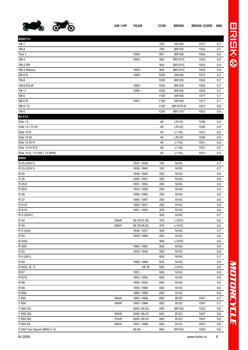

| <b>BIMOTA</b>               |      |              |      |                    |      |     |
|-----------------------------|------|--------------|------|--------------------|------|-----|
| SB <sub>7</sub>             |      |              | 750  | <b>AR10S</b>       | 1517 | 0,7 |
| $YB-4$                      |      |              | 750  | <b>BR12S</b>       | 1522 | 0,7 |
| Tesi 1                      |      | 1992 -       | 851  | <b>BR10S</b>       | 1520 | 0,6 |
| DB-2                        |      | 1992 -       | 900  | BR12YC             | 1523 | 0,9 |
| DB-2 SR                     |      |              | 900  | BR12YC             | 1523 | 0,9 |
| DB-3 Mantra                 |      | 1995 -       | 904  | BR12YC             | 1523 | 0,9 |
| SB <sub>8</sub> R           |      | 1999 -       | 1000 | <b>AR10S</b>       | 1517 | 0,7 |
| YB-6                        |      |              | 1000 | <b>BR12S</b>       | 1522 | 0,7 |
| YB-8 EXUP                   |      | 1995 -       | 1000 | <b>BR12S</b>       | 1522 | 0,7 |
| <b>YB 11</b>                |      | 1996 -       | 1002 | <b>BR12S</b>       | 1522 | 0,7 |
| SB <sub>6</sub>             |      |              | 1100 | <b>AR10S</b>       | 1517 | 0,7 |
| SB <sub>6</sub> R           |      | 1997 -       | 1100 | <b>AR10S</b>       | 1517 | 0,7 |
| SB-5 / S                    |      |              | 1150 | <b>BR10YS-9</b>    | 1521 | 0,9 |
| $YB-5$                      |      |              | 1200 | BR12YC             | 1523 | 0,9 |
| <b>BLATA</b>                |      |              |      |                    |      |     |
| Elite 13                    |      |              | 40   | LR12C              | 1536 | 0,5 |
| Elite 13 / 13 W             |      |              | 40   | LR12C              | 1536 | 0,8 |
| Elite 13 R                  |      |              | 40   | L <sub>11</sub> SL | 1531 | 0,5 |
| Elite 13 W                  |      |              | 40   | LR12C              | 1536 | 0,5 |
| Elite 13 W R                |      |              | 40   | L11SL              | 1531 | 0,5 |
| Elite 13 W R S              |      |              | 40   | L11SL              | 1531 | 0,5 |
| Elite 13 S / 13 WR / 13 WRS |      |              | 40   | L <sub>11</sub> SL | 1531 | 0,5 |
| <b>BMW</b>                  |      |              |      |                    |      |     |
| R 20 (220/1)                |      | 1937-1938    | 192  | <b>N15C</b>        |      | 0,7 |
| R 23 (223/1)                |      | 1938 - 1940  | 192  | <b>N15C</b>        |      | 0,7 |
| R 24                        |      | 1948 - 1950  | 250  | <b>N14C</b>        |      | 0,6 |
| R 25                        |      | 1950 - 1951  | 250  | <b>N14C</b>        |      | 0,6 |
| R 25/2                      |      | 1951 - 1953  | 250  | <b>N14C</b>        |      | 0,6 |
| R 25/3                      |      | 1953 - 1956  | 250  | <b>N14C</b>        |      | 0,6 |
| R 26                        |      | 1956 - 1960  | 250  | <b>N14C</b>        |      | 0,6 |
| R 27                        |      | 1960 - 1967  | 250  | <b>N14C</b>        |      | 0,6 |
| R 51/2                      |      | 1950 - 1951  | 250  | <b>N14C</b>        |      | 0,6 |
| R 51/3                      |      | 1951 - 1954  | 250  | <b>N14C</b>        |      | 0,6 |
| R 3 (203/1)                 |      |              | 305  | <b>N15C</b>        |      | 0,7 |
| R 45                        | 20kW | 06.78-07.85  | 475  | L15YC              |      | 0,6 |
| R 45                        | 26kW | 06.78-06.83  | 475  | L14YC              |      | 0,6 |
| R 5 (254)                   |      | 1936 - 1937  | 494  | <b>N14C</b>        |      | 0,7 |
| R 50                        |      | 1955 - 1969  | 500  | <b>N14C</b>        |      | 0,6 |
| R 50/5                      |      |              | 500  | L14YC              |      | 0,6 |
| <b>R50S</b>                 |      | 1960 - 1962  | 500  | <b>N14C</b>        |      | 0,6 |
| R 52                        |      | 1928 - 1929  | 500  | <b>N15C</b>        |      | 0,6 |
| R 6 (261)                   |      |              | 600  | <b>N15C</b>        |      | 0,7 |
| R 60                        |      | 1956 - 1969  | 600  | <b>N14C</b>        |      | 0,6 |
| R 60/5, /6, /7              |      | $-06.78$     | 600  | L14YC              |      | 0,6 |
| R 67                        |      | 1951 -       | 600  | <b>N14C</b>        |      | 0,6 |
| R 67/2                      |      | 1952 - 1954  | 600  | <b>N14C</b>        |      | 0,6 |
| R 68                        |      | 1952 - 1954  | 600  | <b>N14C</b>        |      | 0,6 |
| R 69                        |      | 1955 - 1960  | 600  | <b>N14C</b>        |      | 0,6 |
| R 69S                       |      | 1960 - 1969  | 600  | <b>N14C</b>        |      | 0,6 |
| F 650                       | 25kW | 1993 - 1999  | 650  | <b>B12C</b>        | 1547 | 0,7 |
| F 650                       | 35kW | 1993 - 1999  | 650  | <b>B12C</b>        | 1547 | 0,7 |
| F 650 CS                    |      | 2002 - 08.03 | 650  | <b>BR12S</b>       | 1522 | 0,6 |
| F 650 GS                    | 25kW | 2000 - 08.03 | 650  | <b>B12C</b>        | 1547 | 0,6 |
| F 650 GS                    | 37kW | 2000 - 08.03 | 650  | <b>B12C</b>        | 1547 | 0,6 |
| F 650 ST                    | 35kW | 1997 - 1999  | 650  | <b>B12C</b>        | 1547 | 0,6 |
| F 650 Twin Spark (BMS-C II) |      | 09.04-       | 650  | <b>BR12S</b>       | 1522 | 0,6 |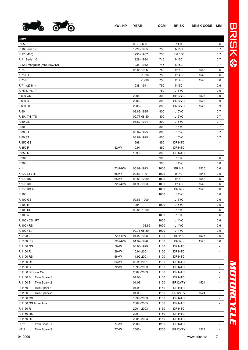

| <b>BMW</b>                      |         |             |      |                    |      |                          |
|---------------------------------|---------|-------------|------|--------------------|------|--------------------------|
| R 65                            |         | 06.78-650   |      | L14YC              |      | 0,6                      |
| R 16 Serie 1-5                  |         | 1929 - 1935 | 736  | <b>N15C</b>        |      | 0,7                      |
| R 17 (M60)                      |         | 1935 - 1937 | 736  | <b>R+L15C</b>      |      | 0,7                      |
| R 11 Serie 1-5                  |         | 1929 - 1934 | 745  | <b>N15C</b>        |      | 0,7                      |
| R 12 2-Vergaser (M56S6&212)     |         | 1935 - 1942 | 745  | <b>N15C</b>        |      | 0,7                      |
| K 75                            |         | 06.85-1996  | 750  | <b>B14C</b>        | 1548 | 0,6                      |
| <b>K75 RT</b>                   |         | $-1996$     | 750  | <b>B14C</b>        | 1548 | 0,6                      |
| K75S                            |         | $-1996$     | 750  | <b>B14C</b>        | 1548 | 0,6                      |
| R 71 (271/1)                    |         | 1938 - 1941 | 750  | <b>N15C</b>        |      | 0,6                      |
| R 75/5, / 6, / 7                |         |             | 750  | L <sub>15</sub> YC |      | 0,6                      |
| F 800 GS                        |         | $2006 -$    | 800  | BR12YC             | 1523 | 0,9                      |
| F 800 S                         |         | $2006 -$    | 800  | BR12YC             | 1523 | 0,9                      |
| F 800 ST                        |         | $2006 -$    | 800  | BR12YC             | 1523 | 0,9                      |
| R 80                            |         | 08.82-1995  | 800  | L15YC              |      | 0,7                      |
| R 80 / 7N / 7S                  |         | 09.77-08.80 | 800  | L <sub>15</sub> YC |      | 0,7                      |
| <b>R 80 GS</b>                  |         | 08.82-1994  | 800  | L <sub>15</sub> YC |      | 0,7                      |
| R 80 R                          |         |             | 800  | L <sub>15</sub> YC |      | 0,7                      |
| <b>R 80 RT</b>                  |         | 08.82-1995  | 800  | L15YC              |      | 0,7                      |
| <b>R 80 ST</b>                  |         | 08.82-1995  | 800  | L <sub>15</sub> YC |      | 0,7                      |
| R 850 GS                        |         | 1998 -      | 850  | DR14TC             |      | $\sim$                   |
| R 850 R                         | 52kW    | 10.94-      | 850  | DR14TC             |      |                          |
| R 850 RT                        |         | 1999 -      | 850  | DR14TC             |      |                          |
| R 90/6                          |         |             | 900  | L <sub>15</sub> YC |      | 0,6                      |
| R 90/S                          |         |             | 900  | L14YC              |      | 0,6                      |
| K 1                             | 72-74kW | 05.89-1993  | 1000 | <b>BR14S</b>       | 1525 | 0,6                      |
| K 100 LT / RT                   | 65kW    | 09.83-11.91 | 1000 | <b>B14C</b>        | 1548 | 0,5                      |
| K 100 RS                        | 65kW    | 09.83-12.89 | 1000 | <b>B14C</b>        | 1548 | 0,6                      |
| K 100 RS                        | 72-74kW | 01.90-1993  | 1000 | <b>B14C</b>        | 1548 | 0,6                      |
| K 100 RS 4V                     |         |             | 1000 | <b>BR14S</b>       | 1525 | 0,6                      |
| R 100                           |         |             | 1000 | L14YC              |      | 0,6                      |
| R 100 GS                        |         | 09.86-1000  |      | L <sub>15</sub> YC |      | 0,6                      |
| R 100 R                         |         | 1994 -      | 1000 | L <sub>15</sub> YC |      | 0,6                      |
| R 100 RS                        |         | 09.86-1000  |      | L <sub>15</sub> YC |      | 0,6                      |
| R 100 /7                        |         |             | 1000 | L <sub>15</sub> YC |      | 0,6                      |
| R 100 / CS / RT                 |         |             | 1000 | L14YC              |      | 0,6                      |
| R 100 / RS                      |         | $-08.86$    | 1000 | L14YC              |      | 0,6                      |
| R 100 / S / T                   |         | 09.76-08.80 | 1000 | L14YC              |      | 0,6                      |
| K 1100 LT                       | 72-74kW | 01.92-1998  | 1100 | <b>BR14S</b>       | 1525 | 0,6                      |
| K 1100 RS                       | 72-74kW | 01.92-1996  | 1100 | <b>BR14S</b>       | 1525 | 0,6                      |
| R 1100 GS                       | 59kW    | 08.93-1999  | 1100 | DR14TC             |      | $\sim$                   |
| R 1100 R                        | 59kW    | 10.94-2001  | 1100 | DR14TC             |      | $\overline{\phantom{a}}$ |
| R 1100 RS                       | 66kW    | 11.92-2001  | 1100 | DR14TC             |      | $\blacksquare$           |
| R 1100 RT                       | 66kW    | 09.95-2001  | 1100 | DR14TC             |      | $\overline{\phantom{a}}$ |
| R 1100 S                        | 72kW    | 1998 - 2003 | 1100 | DR14TC             |      | ۰                        |
| R 1100 S Boxer Cup              |         | 2002 - 2003 | 1100 | DR14TC             |      | ٠                        |
| R 1100 S<br>Twin Spark-1        |         | $01.03 -$   | 1100 | DR14TC             |      | $\sim$                   |
| R 1100 S<br>Twin Spark-2        |         | $01.03 -$   | 1100 | BR12YPY            | 1524 | ٠                        |
| R 1150<br>Twin Spark-1          |         | $01.03 -$   | 1150 | DR14TC             |      | $\overline{\phantom{a}}$ |
| R 1150<br>Twin Spark-2          |         | 01.03-      | 1150 | BR12YPY            | 1524 | $\overline{\phantom{a}}$ |
| R 1150 GS                       |         | 1999 - 2003 | 1150 | DR14TC             |      | $\overline{a}$           |
| R 1150 GS Adventure             |         | 2002 - 2005 | 1150 | DR14TC             |      | ٠                        |
| R 1150 R                        |         | 2001-2003   | 1150 | DR14TC             |      | $\overline{\phantom{a}}$ |
| R 1150 RS                       |         | $2001 -$    | 1150 | DR14TC             |      | $\blacksquare$           |
| R 1150 RT                       |         | 2001-2003   | 1150 | DR14TC             |      | $\blacksquare$           |
| HP <sub>2</sub><br>Twin Spark-1 | 77kW    | $2005 -$    | 1200 | DR14TC             |      | $\blacksquare$           |
| HP <sub>2</sub><br>Twin Spark-2 | 77kW    | $2005 -$    | 1200 | BR12YPY            | 1524 | $\sim$                   |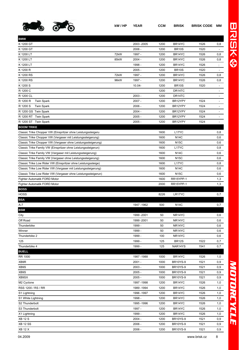

| <b>BMW</b>                                                    |      |             |      |                     |      |                          |
|---------------------------------------------------------------|------|-------------|------|---------------------|------|--------------------------|
| K 1200 GT                                                     |      | 2003 - 2005 | 1200 | BR14YC              | 1526 | 0,8                      |
| K 1200 GT                                                     |      | $2006 -$    | 1200 | <b>BR10S</b>        | 1520 | $\overline{\phantom{a}}$ |
| K 1200 LT                                                     | 72kW | 1997 -      | 1200 | BR14YC              | 1526 | 0,8                      |
| K 1200 LT                                                     | 85kW | $2004 -$    | 1200 | BR <sub>14</sub> YC | 1526 | 0,8                      |
| K 1200 LT                                                     |      | 1998 -      | 1200 | BR <sub>14</sub> YC | 1526 | $\ddot{\phantom{a}}$     |
| K 1200 R                                                      |      | $2005 -$    | 1200 | <b>BR10S</b>        | 1520 |                          |
| K 1200 RS                                                     | 72kW | 1997 -      | 1200 | BR <sub>14</sub> YC | 1526 | 0,8                      |
| K 1200 RS                                                     | 96kW | 1997 -      | 1200 | BR14YC              | 1526 | 0,8                      |
| K 1200 S                                                      |      | $10.04 -$   | 1200 | <b>BR10S</b>        | 1520 | $\overline{\phantom{a}}$ |
| R 1200 C                                                      |      |             | 1200 | DR14TC              |      | -                        |
| R 1200 CL                                                     |      | $2003 -$    | 1200 | DR14TC              |      | $\overline{\phantom{a}}$ |
| R 1200 R<br><b>Twin Spark</b>                                 |      | $2007 -$    | 1200 | BR12YPY             | 1524 | $\overline{\phantom{a}}$ |
| R 1200 S<br><b>Twin Spark</b>                                 |      | $2006 -$    | 1200 | BR12YPY             | 1524 | $\overline{\phantom{a}}$ |
| R 1200 GS Twin Spark                                          |      | $2004 -$    | 1200 | BR12YPY             | 1524 | $\overline{\phantom{a}}$ |
| R 1200 RT Twin Spark                                          |      | $2005 -$    | 1200 | BR12YPY             | 1524 | $\overline{\phantom{a}}$ |
| R 1200 ST Twin Spark                                          |      | $2005 -$    | 1200 | BR12YPY             | 1524 |                          |
| <b>BOOM TRIKE</b>                                             |      |             |      |                     |      |                          |
| Classic Trike Chopper VW (Einspritzer ohne Leistungssteigeru  |      |             | 1600 | L <sub>17</sub> YC  |      | 0,8                      |
| Classic Trike Chopper VW (Vergaser mit Leistungssteigerung)   |      |             | 1600 | <b>N14C</b>         |      | 0,6                      |
| Classic Trike Chopper VW (Vergaser ohne Leistungssteigerung)  |      |             | 1600 | <b>N15C</b>         |      | 0,6                      |
| Classic Trike Family VW (Einspritzer ohne Leistungssteigerun) |      |             | 1600 | L17YC               |      | 0,8                      |
| Classic Trike Family VW (Vergaser mit Leistungssteigerung)    |      |             | 1600 | <b>N14C</b>         |      | 0,6                      |
| Classic Trike Family VW (Vergaser ohne Leistungssteigerung)   |      |             | 1600 | <b>N15C</b>         |      | 0,6                      |
| Classic Trike Low Rider VW (Einspritzer ohne Leistungssteige) |      |             | 1600 | L17YC               |      | 0,8                      |
| Classic Trike Low Rider VW (Vergaser mit Leistungssteigerung) |      |             | 1600 | <b>N14C</b>         |      | 0,6                      |
| Classic Trike Low Rider VW (Vergaser ohne Leistungssteigerun) |      |             | 1600 | <b>N15C</b>         |      | 0,6                      |
| Fighter Automatik FORD Motor                                  |      |             | 1600 | RR15YPP-1           |      | 1,3                      |
| Fighter Automatik FORD Motor                                  |      |             | 2000 | RR15YPP-1           |      | 1,3                      |
| <b>BOSS</b>                                                   |      |             |      |                     |      |                          |
| <b>HOSS</b>                                                   |      |             | 8226 | LR17YC              |      | 0,7                      |
| <b>BSA</b>                                                    |      |             |      |                     |      |                          |
| $A-7$                                                         |      | 1947 - 1962 | 500  | <b>N14C</b>         |      | 0,7                      |
| <b>BSM</b>                                                    |      |             |      |                     |      |                          |
| City                                                          |      | 1999 - 2001 | 50   | NR <sub>14</sub> YC |      | 0,6                      |
| Off Road                                                      |      | 1999 - 2001 | 50   | NR14YC              |      | 0,6                      |
| Thunderbike                                                   |      | 1999 -      | 50   | NR14YC              |      | 0,6                      |
| Winner                                                        |      | 1999 -      | 50   | NR14YC              |      | 0,6                      |
| Thunderbike 2                                                 |      | 1999 -      | 100  | NR14YC              |      | 0,6                      |
| 125                                                           |      | 1999 -      | 125  | <b>BR12S</b>        | 1522 | 0,7                      |
| Thunderbike 4                                                 |      | 1999 -      | 125  | NAR14YS             | 1541 | 0,7                      |
| <b>BUELL</b>                                                  |      |             |      |                     |      |                          |
| RR 1000                                                       |      | 1987 - 1988 | 1000 | BR14YC              | 1526 | 1,0                      |
| XB9R                                                          |      | $2001 -$    | 1000 | <b>BR10YS-9</b>     | 1521 | 0,9                      |
| XB9S                                                          |      | $2003 -$    | 1000 | <b>BR10YS-9</b>     | 1521 | 0,9                      |
| XB9S                                                          |      | $2005 -$    | 1000 | <b>BR10YS-9</b>     | 1521 | 0,9                      |
| XB9SX                                                         |      | $2005 -$    | 1000 | <b>BR10YS-9</b>     | 1521 | 0,9                      |
| M <sub>2</sub> Cyclone                                        |      | 1997-1998   | 1200 | BR14YC              | 1526 | 1,0                      |
| RSS 1200 / RS / RR                                            |      | 1989 - 1994 | 1200 | BR14YC              | 1526 | 1,0                      |
| S1 Lightning                                                  |      | 1996 - 1997 | 1200 | BR14YC              | 1526 | 1,0                      |
| S1 White Lightning                                            |      | 1998 -      | 1200 | BR14YC              | 1526 | 1,0                      |
| S2 Thunderbolt                                                |      | 1995 - 1996 | 1200 | BR14YC              | 1526 | 1,0                      |
| S3 Thunderbolt                                                |      | 1997 -      | 1200 | BR14YC              | 1526 | 1,0                      |
| X1 Lightning                                                  |      | 1999 -      | 1200 | BR14YC              | 1526 | 1,0                      |
| <b>XB 12 S</b>                                                |      | $2004 -$    | 1200 | <b>BR10YS-9</b>     | 1521 | 0,9                      |
| <b>XB 12 SS</b>                                               |      | 2006 -      | 1200 | <b>BR10YS-9</b>     | 1521 | 0,9                      |
|                                                               |      |             |      |                     |      |                          |

XB 12 X 2006 - 1200 BR10YS-9 1521 0,9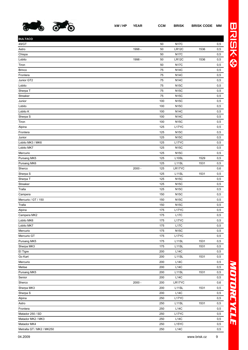

| <b>BULTACO</b>            |          |     |              |      |       |
|---------------------------|----------|-----|--------------|------|-------|
| 49/GT                     |          | 50  | <b>N17C</b>  |      | 0,5   |
| Astro                     | 1998 -   | 50  | LR12C        | 1536 | 0,5   |
| Chispa                    |          | 50  | <b>N17C</b>  |      | 0,5   |
| Lobito                    | 1998 -   | 50  | <b>LR12C</b> | 1536 | 0,5   |
| Tiron                     |          | 50  | <b>N17C</b>  |      | 0,5   |
| <b>Brinco</b>             |          | 75  | <b>N14C</b>  |      | 0,5   |
| Frontera                  |          | 75  | <b>N14C</b>  |      | 0,5   |
| Junior GT2                |          | 75  | <b>N14C</b>  |      | 0,5   |
| Lobito                    |          | 75  | <b>N15C</b>  |      | 0,5   |
| Sherpa T                  |          | 75  | <b>N15C</b>  |      | 0,5   |
| Streaker                  |          | 75  | <b>N15C</b>  |      | 0,5   |
| Junior                    |          | 100 | <b>N15C</b>  |      | 0,5   |
| Lobito                    |          | 100 | <b>N15C</b>  |      | 0,5   |
| Lobito K                  |          | 100 | <b>N14C</b>  |      | 0,5   |
| Sherpa S                  |          | 100 | <b>N14C</b>  |      | $0,5$ |
| Tiron                     |          | 100 | <b>N15C</b>  |      | 0,5   |
| Alpina                    |          | 125 | L17YC        |      | 0,5   |
| Frontera                  |          | 125 | <b>N15C</b>  |      | 0,5   |
| Junior                    |          | 125 | <b>N15C</b>  |      | 0,5   |
| Lobito MK3 / MK6          |          | 125 | L17YC        |      | 0,5   |
| Lobito MK7                |          | 125 | <b>N15C</b>  |      | 0,5   |
| Mercurio                  |          | 125 | <b>N15C</b>  |      | 0,5   |
| Pursang MK5               |          | 125 | L10SL        | 1529 | 0,5   |
| Pursang MK6               |          | 125 | L11SL        | 1531 | 0,5   |
| Sherco                    | $2000 -$ | 125 | LR17YC       |      | 0,6   |
| Sherpa <sub>S</sub>       |          | 125 | L11SL        | 1531 | 0,5   |
| Sherpa T                  |          | 125 | <b>N15C</b>  |      | 0,5   |
| Streaker                  |          | 125 | <b>N15C</b>  |      | 0,5   |
| Tralla                    |          | 125 | <b>N15C</b>  |      | 0,5   |
| Campera                   |          | 150 | <b>N15C</b>  |      | 0,5   |
| Mercurio / GT / 150       |          | 150 | <b>N15C</b>  |      | 0,5   |
| Tralla                    |          | 150 | <b>N15C</b>  |      | 0,5   |
| Alpina                    |          | 175 | L17YC        |      | 0,5   |
| Campera MK2               |          | 175 | L17C         |      | 0,5   |
| Lobito MK6                |          | 175 | L17YC        |      | 0,5   |
| Lobito MK7                |          | 175 | <b>L17C</b>  |      | 0,5   |
| Mercurio                  |          | 175 | <b>N15C</b>  |      | 0,5   |
| Mercurio GT               |          | 175 | L17YC        |      | 0,5   |
| Pursang MK5               |          | 175 | L11SL        | 1531 | 0,5   |
| Sherpa MK3                |          | 175 | L11SL        | 1531 | 0,5   |
| El Tigre                  |          | 200 | L14C         |      | 0,5   |
| Go Kart                   |          | 200 | L11SL        | 1531 | 0,5   |
| Mercurio                  |          | 200 | L14C         |      | 0,5   |
| Metise                    |          | 200 | L14C         |      | 0,5   |
| Pursang MK5               |          | 200 | L11SL        | 1531 | 0,5   |
| Senior                    |          | 200 | L14C         |      | 0,5   |
| Sherco                    | $2000 -$ | 200 | LR17YC       |      | 0,6   |
| Sherpa MK3                |          | 200 | L11SL        | 1531 | 0,5   |
| Sherpa S                  |          | 200 | L14C         |      | 0,5   |
| Alpina                    |          | 250 | L17YC        |      | 0,5   |
| Astro                     |          | 250 | L11SL        | 1531 | 0,5   |
| Frontera                  |          | 250 | L14C         |      | 0,5   |
| Matador 250 / SD          |          | 250 | L17YC        |      | 0,5   |
| Matador MK2 / MK3         |          | 250 | L14C         |      | 0,5   |
| Matador MK4               |          | 250 | L15YC        |      | 0,5   |
| Metralla GT / MK2 / MK250 |          | 250 | L14C         |      | 0,5   |

## *MOTORCYCLE* MOTORCYCLE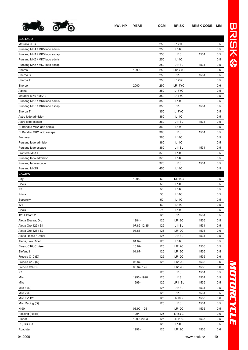

Sherco 2000 - 290 LR17YC 0,6 Alpina 350 L17YC 0,5 Matador MK9 / MK10 0.5 Pursang MK5 / MK6 lado admis 0,5

RL, SS, SX 125 L14C 0,5 Roadster 1998 - 125 LR12C 1536 0,6

**BULTACO**

| kW/HP YEAR | CCM | BRISK | <b>BRISK CODE MM</b> |  |
|------------|-----|-------|----------------------|--|
|            |     |       |                      |  |

| $\bullet$                    | kW/HP | <b>YEAR</b> | <b>CCM</b> | <b>BRISK</b>       | <b>BRISK CODE</b> | ΜМ  | $\sf U$                |
|------------------------------|-------|-------------|------------|--------------------|-------------------|-----|------------------------|
|                              |       |             |            |                    |                   |     | $\frac{\lambda}{\tau}$ |
| <b>BULTACO</b>               |       |             |            |                    |                   |     |                        |
| Metralla GTS                 |       |             | 250        | L <sub>17</sub> YC |                   | 0,5 |                        |
| Pursang MK4 / MK5 lado admis |       |             | 250        | L14C               |                   | 0,5 |                        |
| Pursang MK4 / MK5 lado escap |       |             | 250        | L <sub>11</sub> SL | 1531              | 0,5 | $\circ$                |
| Pursang MK6 / MK7 lado admis |       |             | 250        | L14C               |                   | 0,5 |                        |
| Pursang MK6 / MK7 lado escap |       |             | 250        | L <sub>11</sub> SL | 1531              | 0,5 |                        |
| Sherco                       |       | 1999 -      | 250        | LR17YC             |                   | 0,6 |                        |
| Sherpa S                     |       |             | 250        | L <sub>11</sub> SL | 1531              | 0,5 |                        |
| Sherpa T                     |       |             | 250        | L <sub>17</sub> YC |                   | 0,5 |                        |

| Pursang MK5 / MK6 lado escap |             | 350 | L11SL              | 1531 | 0,5 |
|------------------------------|-------------|-----|--------------------|------|-----|
| Sherpa T                     |             | 350 | L17YC              |      | 0,5 |
| Astro lado admision          |             | 360 | <b>L14C</b>        |      | 0,5 |
| Astro lado escape            |             | 360 | L11SL              | 1531 | 0,5 |
| El Bandito MK2 lado admis.   |             | 360 | L14C               |      | 0,5 |
| El Bandito MK2 lado escape   |             | 360 | L11SL              | 1531 | 0,5 |
| Frontera                     |             | 360 | L14C               |      | 0,5 |
| Pursang lado admision        |             | 360 | L14C               |      | 0,5 |
| Pursang lado escape          |             | 360 | L <sub>11</sub> SL | 1531 | 0,5 |
| Frontera MK11                |             | 370 | L14C               |      | 0,5 |
| Pursang lado admision        |             | 370 | <b>L14C</b>        |      | 0,5 |
| Pursang lado escape          |             | 370 | L11SL              | 1531 | 0,5 |
| Pursang MK15                 |             | 450 | L14C               |      | 0,5 |
| <b>CAGIVA</b>                |             |     |                    |      |     |
| City                         | 1998 -      | 50  | <b>NR14C</b>       |      | 0,5 |
| Cocis                        |             | 50  | <b>L14C</b>        |      | 0,5 |
| K3                           |             | 50  | L14C               |      | 0,5 |
| Prima                        |             | 50  | L14C               |      | 0,5 |
| Supercity                    |             | 50  | L14C               |      | 0,5 |
| W4                           |             | 50  | <b>L14C</b>        |      | 0,5 |
| Cocis                        |             | 75  | L14C               |      | 0,5 |
| 125 Elefant 2                |             | 125 | L11SL              | 1531 | 0,5 |
| Aletta Electra, Oro          | 1984 -      | 125 | LR <sub>12</sub> C | 1536 | 0,5 |
| Aletta Oro 125 / S1          | 07.85-12.85 | 125 | L <sub>11</sub> SL | 1531 | 0,5 |
| Aletta Oro 125 / S2          | 01.86-      | 125 | <b>LR12C</b>       | 1536 | 0,6 |
| Aletta Rossa / Dakar         |             | 125 | L11SL              | 1531 | 0,5 |
| Aletta, Low Rider            | $01.82 -$   | 125 | L14C               |      | 0,5 |
| Blues, C10, Cruiser          | 10.87-      | 125 | LR12C              | 1536 | 0,5 |
| Elefant 3                    | $01.87 -$   | 125 | <b>LR12C</b>       | 1536 | 0,5 |
| Freccia C10 (D)              |             | 125 | LR12C              | 1536 | 0,6 |
| Freccia C12 (D)              | 06.87-      | 125 | LR12C              | 1536 | 0,6 |
| Freccia C9 (D)               | 06.87-125   |     | LR12C              | 1536 | 0,6 |
| K7                           |             | 125 | L11SL              | 1531 | 0,5 |
| Mito                         | 1995 - 1998 | 125 | L11SL              | 1531 | 0,5 |
| Mito                         | 1999 -      | 125 | LR11SL             | 1535 | 0,5 |
| Mito $1(D)$                  |             | 125 | L11SL              | 1531 | 0,5 |
| Mito $2(D)$                  |             | 125 | L11SL              | 1531 | 0,5 |
| Mito EV 125                  |             | 125 | LR10SL             | 1533 | 0,6 |
| Mito Racing (D)              |             | 125 | L <sub>11</sub> SL | 1531 | 0,5 |
| N 90                         | 03.90-125   |     | <b>LR12C</b>       | 1536 | 0,5 |
| Passing (Roller)             | 1994 -      | 125 | N <sub>15</sub> YC |      | 0,6 |
| Planet                       | 1999 - 2003 | 125 | LR11SL             | 1535 | 0,5 |

## *MOTORCYCLE*

| 04.2009 |  |
|---------|--|
|         |  |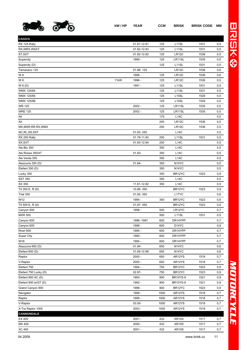

**CAGIVA**

| Tamanaco 125          |      | 01.88-125   |      | LR <sub>12</sub> C             | 1536 | 0,6  |
|-----------------------|------|-------------|------|--------------------------------|------|------|
| W 8                   |      | 1998 -      | 125  | <b>LR12C</b>                   | 1536 | 0,6  |
| W 8                   | 11kW | 1996 -      | 125  | LR <sub>12</sub> C             | 1536 | 0,5  |
| W 8 (D)               |      | 1991 -      | 125  | L <sub>11</sub> SL             | 1531 | 0,5  |
| WMX 125/84            |      |             | 125  | L <sub>11</sub> SL             | 1531 | 0,5  |
| WMX 125/85            |      |             | 125  | L <sub>10</sub> SL             | 1529 | 0,5  |
| WMX 125/88            |      |             | 125  | L <sub>10</sub> SL             | 1529 | 0,5  |
| WR 125                |      | $2002 -$    | 125  | LR11SL                         | 1535 | 0,5  |
| <b>WRE 125</b>        |      | $2002 -$    | 125  | LR11SL                         | 1535 | 0,5  |
| All                   |      |             | 175  | <b>L14C</b>                    |      | 0,5  |
| All                   |      |             | 200  | LR12C                          | 1536 | 0,5  |
| MX, MXR, RR, RX, WMX  |      |             | 250  | LR <sub>12</sub> C             | 1536 | 0,5  |
| NC, RL, SS, SST       |      | 01.83-250   |      | <b>L14C</b>                    |      | 0,5  |
| RX 250 Rally          |      | 01.79-11.83 | 250  | L <sub>11</sub> SL             | 1531 | 0,5  |
| SX,SXT                |      | 01.83-12.84 | 250  | L14C                           |      | 0,5  |
| Ala Blu 350           |      |             | 350  | L14C                           |      | 0,5  |
| Ala Rossa 350/4T      |      | 01.83-      | 350  | L14C                           |      | 0,5  |
| Ala Verde 350         |      |             | 350  | L14C                           |      | 0,5  |
| Alazzurra 350 (D)     |      | 01.84-      | 350  | N <sub>14</sub> YC             |      | 0,5  |
| Elefant 350 (D)       |      |             | 350  | N <sub>14</sub> YC             |      | 0,5  |
| Lucky 350             |      |             | 350  | BR12YC                         | 1523 | 0, 9 |
| <b>SST 350</b>        |      |             | 350  | L14C                           |      | 0,5  |
| SX 350                |      | 11.81-12.82 | 350  | L14C                           |      | 0,5  |
| T4 350 E, R (D)       |      | 10.86-350   |      | BR12YC                         | 1523 | 0,9  |
| Trial 350             |      | 01.82-350   |      | L17YC                          |      | 0,6  |
| W12                   |      | 1994 -      | 350  | BR <sub>12</sub> YC            | 1523 | 0,9  |
| T4 500 E, R (D)       |      | 01.87-450   |      | BR <sub>12</sub> YC            | 1523 | 0,9  |
| Canyon 500            |      | 1998 -      | 500  | LR12YC                         |      | 0,7  |
| <b>MXR 500</b>        |      |             | 500  | L <sub>11</sub> SL             | 1531 | 0,5  |
| Canyon 600            |      | 1996 - 1997 | 600  | DR14YPP                        |      | 0,7  |
| Canyon 600            |      | 1998 -      | 600  | D <sub>14</sub> YC             |      | 0,8  |
| River <sub>600</sub>  |      | 1995 -      | 600  | DR14YPP                        |      | 0,7  |
| <b>Super City</b>     |      | 1995 -      | 600  | DR14YPP                        |      | 0,7  |
| W16                   |      | 1994 -      | 600  | DR14YPP                        |      | 0,7  |
| Alazzurra 650 (D)     |      | 01.84-      | 650  | N <sub>14</sub> Y <sub>C</sub> |      | 0,6  |
| Elefant 650 (D)       |      | 01.85-12.88 | 650  | N <sub>14</sub> YC             |      | 0,6  |
| Raptor                |      | $2000 -$    | 650  | AR12YS                         | 1518 | 0,7  |
| V-Raptor              |      | $2000 -$    | 650  | AR12YS                         | 1518 | 0,7  |
| Elefant 750           |      | 1994 -      | 750  | BR <sub>12</sub> YC            | 1523 | 0,9  |
| Elefant 750 Lucky (D) |      | $02.87 -$   | 750  | BR12YC                         | 1523 | 0,9  |
| Elefant 900 AC (D)    |      | 1993 -      | 900  | <b>BR10YS-9</b>                | 1521 | 0,9  |
| Elefant 900 ie/GT (D) |      | 1992 -      | 900  | <b>BR10YS-9</b>                | 1521 | 0,9  |
| Grand Canyon 900      |      | 1998 -      | 900  | BR12YC                         | 1523 | 0,9  |
| Navigator             |      | 1999 -      | 1000 | AR12YS                         | 1518 | 0,7  |
| Raptor                |      | 1999 -      | 1000 | AR12YS                         | 1518 | 0,7  |
| V-Raptor              |      | 03.00-      | 1000 | AR12YS                         | 1518 | 0,7  |
| X-Tra Raptor 1000     |      | $2003 -$    | 1000 | AR12YS                         | 1518 | 0,7  |
| <b>CANNONDALE</b>     |      |             |      |                                |      |      |
| EX 400                |      | $2001 -$    | 432  | <b>AR10S</b>                   | 1517 | 0,7  |

MX 400 2000 - 432 AR10S 1517 0,7 XC 400 2001 - 432 AR10S 1517 0,7

RX 125 Rally 01.81-12.81 125 L11SL 1531 0,5 RX,WRX,WSXT 01.82-12.83 125 L11SL 1531 0,5 ST,SXT 01.82-12.82 125 LR12C 1536 0,5 Supercity 1999 - 125 LR11SL 1535 0,5 Supercity (D) 125 L11SL 1531 0,5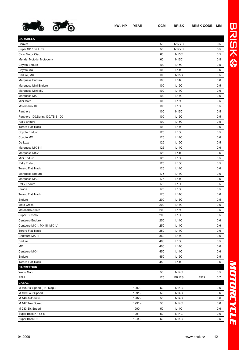

| kW/HP YEAR | <b>CCM</b> | <b>BRISK</b> | <b>BRISK CODE MM</b> |  |
|------------|------------|--------------|----------------------|--|
|            |            |              |                      |  |

| <b>CARABELA</b>                    |        |     |                    |      |         |
|------------------------------------|--------|-----|--------------------|------|---------|
| Carrera                            |        | 50  | N <sub>17</sub> YC |      | 0,5     |
| Super SP / De Luxe                 |        | 50  | N17YC              |      | 0,5     |
| Ciclo Motor Ciao                   |        | 60  | <b>N15C</b>        |      | 0,5     |
| Merida, Mototic, Motopony          |        | 60  | <b>N15C</b>        |      | 0,5     |
| Coyote Enduro                      |        | 100 | L15C               |      | 0,5     |
| Coyote MX                          |        | 100 | L14C               |      | 0,6     |
| Enduro, MX                         |        | 100 | <b>N15C</b>        |      | 0,5     |
| Marquesa Enduro                    |        | 100 | <b>L14C</b>        |      | 0,6     |
| Marquesa Mini Enduro               |        | 100 | L15C               |      | 0,5     |
| Marquesa Mini MX                   |        | 100 | L14C               |      | 0,6     |
| Marquesa MX                        |        | 100 | L14C               |      | 0,6     |
| Mini Moto                          |        | 100 | L15C               |      | 0,5     |
| Motorcarro 100                     |        | 100 | L15C               |      | 0,5     |
| Panthera                           |        | 100 | <b>N15C</b>        |      | 0,5     |
| Panthera 100, Sprint 100, TS-3 100 |        | 100 | L15C               |      | $0,\!5$ |
| Rally Enduro                       |        | 100 | L15C               |      | 0,5     |
| <b>Torero Flat Track</b>           |        | 100 | <b>L14C</b>        |      | 0,6     |
| Coyote Enduro                      |        | 125 | L15C               |      | 0,5     |
| Coyote MX                          |        | 125 | <b>L14C</b>        |      | 0,6     |
| De Luxe                            |        | 125 | L15C               |      | 0,5     |
| Marquesa MX 111                    |        | 125 | L14C               |      | 0,6     |
| Marquesa MXV                       |        | 125 | L14C               |      | 0,6     |
| Mini Enduro                        |        | 125 | L15C               |      | 0,5     |
| <b>Rally Enduro</b>                |        | 125 | L15C               |      | 0,5     |
|                                    |        |     |                    |      |         |
| <b>Torero Flat Track</b>           |        | 125 | <b>L14C</b>        |      | 0,6     |
| Marquesa Enduro                    |        | 175 | <b>L14C</b>        |      | 0,6     |
| Marquesa MK-II                     |        | 175 | L14C               |      | 0,6     |
| Rally Enduro                       |        | 175 | L15C               |      | 0,5     |
| Strada                             |        | 175 | L15C               |      | 0,5     |
| <b>Torero Flat Track</b>           |        | 175 | L14C               |      | 0,6     |
| Enduro                             |        | 200 | L15C               |      | 0,5     |
| Moto Cross                         |        | 200 | L14C               |      | 0,6     |
| Motocarro Ariete                   |        | 200 | L15C               |      | 0,5     |
| Super Turismo                      |        | 200 | L15C               |      | 0,5     |
| Centauro Enduro                    |        | 250 | L14C               |      | 0,6     |
| Centauro MX-II, MX-III, MX-IV      |        | 250 | <b>L14C</b>        |      | 0,6     |
| <b>Torero Flat Track</b>           |        | 250 | L14C               |      | 0,6     |
| Centauro MX-III                    |        | 360 | L14C               |      | 0,6     |
| Enduro                             |        | 400 | L15C               |      | 0,5     |
| МX                                 |        | 400 | L14C               |      | 0,6     |
| Centauro MX-II                     |        | 450 | L14C               |      | 0,6     |
| Enduro                             |        | 450 | L15C               |      | 0,5     |
| <b>Torero Flat Track</b>           |        | 450 | <b>L14C</b>        |      | 0,6     |
| <b>CARREFOUR</b>                   |        |     |                    |      |         |
| Web / Gap                          |        | 50  | <b>N14C</b>        |      | 0,5     |
| PFM                                |        | 125 | <b>BR12S</b>       | 1522 | 0,7     |
| <b>CASAL</b>                       |        |     |                    |      |         |
| M 105 Six Speed (RZ, Mag.)         | 1992 - | 50  | <b>N14C</b>        |      | 0,6     |
| M 109 Four Speed                   | 1991 - | 50  | <b>N14C</b>        |      | 0,6     |
| M 140 Automatic                    | 1982 - | 50  | N14C               |      | 0,6     |
| M 147 Two Speed                    | 1991 - | 50  | <b>N14C</b>        |      | 0,6     |
| M 233 Six Speed                    | 1990 - | 50  | <b>L14C</b>        |      | 0,6     |
| Super Boss K 168-8                 | 1991 - | 50  | <b>N14C</b>        |      | 0,6     |
| Super Boss RE                      | 10.99- | 50  | <b>N14C</b>        |      | 0,5     |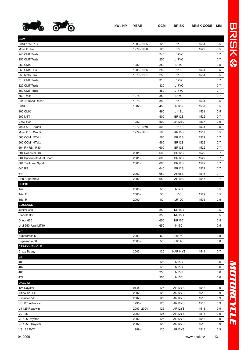

| <b>CCM</b>               |             |            |                    |      |     |
|--------------------------|-------------|------------|--------------------|------|-----|
| CMX 125 L / C            | 1983 - 1985 | 125        | L <sub>11</sub> SL | 1531 | 0,5 |
| Moto X Hiro              | 1979 - 1980 | 125        | L <sub>10</sub> SL | 1529 | 0,5 |
| 240 CMT Trails           |             | 240        | L17YC              |      | 0,7 |
| 250 CMT Trails           |             | 250        | L17YC              |      | 0,7 |
| 250 CMX                  | 1982 -      | 250        | <b>L14C</b>        |      | 0,5 |
| 250 CMX I / C            | 1983 - 1985 | 250        | L <sub>11</sub> SL | 1531 | 0,5 |
| 250 Moto Hiro            | 1979 - 1981 | 250        | L11SL              | 1531 | 0,5 |
| 310 CMT Trails           |             | 310        | L17YC              |      | 0,7 |
| 320 CMT Trails           |             | 320        | L17YC              |      | 0,7 |
| 350 CMT Trails           |             | 350        | L17YC              |      | 0,7 |
| 350 Trails               | 1978 -      | 350        | L15C               |      | 0,7 |
| CM 36 Road Racer         | 1978 -      | 350        | L <sub>11</sub> SL | 1531 | 0,5 |
| <b>CMX</b>               | 1982 -      | 450        | LR12SL             | 1537 | 0,5 |
| 490 CMX                  |             | 490        | L <sub>11</sub> SL | 1531 | 0,5 |
| 500 MTT                  |             | 500        | <b>BR12S</b>       | 1522 | 0,7 |
| <b>CMX 500</b>           | 1982 -      | 500        | LR12SL             | 1537 | 0,5 |
| Moto X<br>2Ventil        | 1972 - 1979 | 500        | L <sub>11</sub> SL | 1531 | 0,5 |
| Moto X<br>4Ventil        | 1979 - 1981 | 500        | <b>AR10S</b>       | 1517 | 0,5 |
| 560 CCM 2Takt            |             | 560        | <b>BR12S</b>       | 1522 | 0,7 |
| 560 CCM 4Takt            |             | 560        | <b>BR12S</b>       | 1522 | 0,7 |
| 604 R / RS / R30         |             | 600        | <b>BR12S</b>       | 1522 | 0,7 |
| 604 Roadster RS          | $2001 -$    | 600        | <b>BR12S</b>       | 1522 | 0,7 |
| 604 Supermoto dual Sport | $2001 -$    | 600        | <b>BR12S</b>       | 1522 | 0,7 |
| 604 Trail dual Sport     | $2001 -$    | 600        | <b>BR12S</b>       | 1522 | 0,7 |
| 640 RS                   |             | 640        | <b>BR12S</b>       | 1522 | 0,7 |
| 644                      | $2002 -$    | 650        | <b>AR08S</b>       | 1516 | 0,7 |
| R30 Supermoto            | $2002 -$    | 650        | <b>AR10S</b>       | 1517 | 0,7 |
| <b>CLIPIC</b>            |             |            |                    |      |     |
| Trial                    | $2000 -$    | 50         | <b>N14C</b>        |      | 0,5 |
| Trial E                  | $2000 -$    | 50         | L <sub>10</sub> SL | 1529 | 0,5 |
| Trial R                  | $2000 -$    | 80         | LR12C              | 1536 | 0,5 |
| <b>COSSACK</b>           |             |            |                    |      |     |
| Jupiter 350              |             | 350        | <b>NR15C</b>       |      | 0,5 |
| Planeta 350              |             | 350        | <b>NR15C</b>       |      | 0,5 |
| Dnepr 650                |             | 650        | <b>NR15C</b>       |      | 0,5 |
| Ural 650, Ural MT10      |             | 650        | <b>N15C</b>        |      | 0,5 |
| <b>CPI</b>               |             |            |                    |      |     |
| Supercross 50            | $2003 -$    | 50         | LR14C              |      | 0,8 |
| Supermoto 50             | $2003 -$    | 50         | LR14C              |      | 0,8 |
| <b>CRAZY-VEHICLE</b>     |             |            |                    |      |     |
| Crazy Buggy              | $2003 -$    | 125        | NAR14YS            | 1541 | 0,7 |
|                          |             |            |                    |      |     |
| ${\tt CZ}$               |             |            |                    |      |     |
| 488                      |             | 125<br>175 | <b>N15C</b>        |      | 0,6 |
| 487                      |             |            | <b>N15C</b>        |      | 0,6 |
| 485                      |             | 250        | <b>N15C</b>        |      | 0,6 |
| 472                      |             | 350        | <b>N15C</b>        |      | 0,6 |
| <b>DAELIM</b>            |             |            |                    |      |     |
| 125 Daystar              | $01.00 -$   | 125        | AR12YS             | 1518 | 0,9 |
| Altino 125 ES            | $2002 -$    | 125        | AR12YS             | 1518 | 0,9 |
| <b>Evolution VS</b>      | $2002 -$    | 125        | AR12YS             | 1518 | 0,9 |
| VC 125 Advance           | 1995 -      | 125        | AR12YS             | 1518 | 0,9 |
| VJ 125 Roadwin           | 2003-2004   | 125        | AR12YS             | 1518 | 0,9 |
| <b>VL 125</b>            | $2000 -$    | 125        | AR12YS             | 1518 | 0,9 |
| VL 125 Daystar           | $2002 -$    | 125        | AR12YS             | 1518 | 0,9 |
| VL 125 L Daystar         | $2002 -$    | 125        | AR12YS             | 1518 | 0,9 |

VS 125 EVO 1999 - 125 AR12YS 1518 0,9

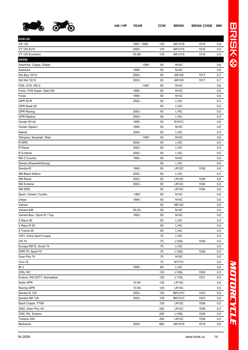

| <b>DAELIM</b>               |             |     |                    |      |            |
|-----------------------------|-------------|-----|--------------------|------|------------|
| <b>VS 125</b>               | 1997 - 1998 | 125 | AR12YS             | 1518 | 0,9        |
| <b>VT 125 EVO</b>           | $2000 -$    | 125 | AR12YS             | 1518 | 0,9        |
| VT 125 Evolution            | 03.98-      | 125 | AR12YS             | 1518 | 0,9        |
| <b>DERBI</b>                |             |     |                    |      |            |
| Antorcha, Coppa, Diablo     | $-1991$     | 50  | <b>N14C</b>        |      | 0,6        |
| Aventura                    | 1995 -      | 50  | <b>N14C</b>        |      | 0,6        |
| Dirt Boy 10/10              | $2003 -$    | 50  | <b>AR10S</b>       | 1517 | 0,7        |
| Dirt Kid 10/12              | $2003 -$    | 50  | <b>AR10S</b>       | 1517 | 0,7        |
| FDS, GTS, RD-2              | $-1991$     | 50  | <b>N14C</b>        |      | 0,6        |
| Fenix, FDS Super, Start DS  | 1992 -      | 50  | <b>N14C</b>        |      | 0,6        |
| Furax                       | 1995 -      | 50  | <b>N14C</b>        |      | 0,6        |
| <b>GPR 50 R</b>             | $2002 -$    | 50  | <b>L14C</b>        |      | 0,5        |
| GPR Nude 50                 |             | 50  | <b>L14C</b>        |      | 0,5        |
| <b>GPR Racing</b>           | $2002 -$    | 50  | <b>L14C</b>        |      | 0,5        |
| <b>GPR Replica</b>          | $2003 -$    | 50  | <b>L14C</b>        |      | 0,5        |
| Hunter (D+A)                | 1995 -      | 50  | N <sub>14</sub> YC |      | 0,6        |
| Hunter (Spain)              | 1995 -      | 50  | <b>N14C</b>        |      | 0,6        |
| Naked                       | $2004 -$    | 50  | L14C               |      | 0,5        |
| Olimpica, Savanah, Start    | $-1991$     | 50  | <b>N14C</b>        |      | 0,6        |
| R DRD                       | $2002 -$    | 50  | L14C               |      | 0,5        |
| R Racer                     | $2002 -$    | 50  | L14C               |      | 0,5        |
| R X-treme                   | $2002 -$    | 50  | <b>L14C</b>        |      | 0,5        |
| RD-2 Country                | 1992 -      | 50  | <b>N14C</b>        |      | 0,6        |
| Senda (Wasserkühlung)       |             | 50  | L14C               |      | 0,6        |
| Sendra-R                    | 1995 -      | 50  | LR12C              | 1536 | 0,6        |
| <b>SM Black Edition</b>     | $2002 -$    | 50  | L14C               |      | 0,5        |
| <b>SM Racer</b>             | $2002 -$    | 50  | LR12C              | 1536 | 0,6        |
| SM X-treme                  | $2002 -$    | 50  | LR12C              | 1536 | 0,6        |
| <b>SM DRD</b>               |             | 50  | LR12C              | 1536 | 0,6        |
| Sport, Variant, Yumbo       | $-1991$     | 50  | <b>N14C</b>        |      | 0,6        |
| Urban                       | 1995 -      | 50  | <b>N14C</b>        |      | 0,6        |
| Vamos                       |             | 50  | <b>NR14C</b>       |      | 0,6        |
| Variant AIR                 | 05.03-      | 50  | <b>N14C</b>        |      | 0,5        |
| Variant Box / Sport R / Top | 1992 -      | 50  | <b>N14C</b>        |      | 0,6        |
| X Race 50                   |             | 50  | <b>L14C</b>        |      | 0,5        |
| X Race R 50                 |             | 50  | L14C               |      | 0,5        |
| X Treme 50                  |             | 50  | L14C               |      | 0,5        |
| 1001, Extra Sport Coppa     |             | 75  | L14C               |      | 0,5        |
| <b>CR 74</b>                |             | 75  | L10SL              | 1529 | 0,5        |
| Europa RD15, Scoot 74       |             | 75  | L14C               |      | 0,5        |
| GPR-75, Sport-75            |             | 75  | L10SL              | 1529 | 0,5        |
| Gran Prix 74                |             | 75  | <b>N15C</b>        |      | 0,5        |
| Vivo-75                     |             | 75  | N <sub>17</sub> YC |      | 0,6        |
| BI <sub>3</sub>             | 1995 -      | 80  | L14C               |      | 0,6        |
| CRS, RC                     |             | 125 | L10SL              | 1529 | 0,5        |
| Enduro, RS125TT, Karmathan  |             | 125 | L11SL              | 1531 | 0,5        |
| Nude GPR                    | $10.04 -$   | 125 | LR14C              |      |            |
| Racing GPR                  | $10.04 -$   | 125 | LR14C              |      | 0,6        |
| Sendra R 125                | $2002 -$    | 125 | BR12YC             | 1523 | 0,6<br>0,9 |
|                             |             |     |                    |      |            |
| Sendra SM 125               | $2002 -$    | 125 | BR12YC             | 1523 | 0,9        |
| Sport Coppa, TTS9           |             | 125 | LR12C              | 1536 | 0,5        |
| 2002, Gran Prix, 6V         |             | 200 | LR12C              | 1536 | 0,5        |
| CRX, RC, Enduro             |             | 250 | L <sub>10</sub> SL | 1529 | 0,5        |
| Turismo 250                 |             | 250 | LR12C              | 1536 | 0,5        |
| Mulhacen                    | $2005 -$    | 660 | AR14YS             | 1519 | 0,6        |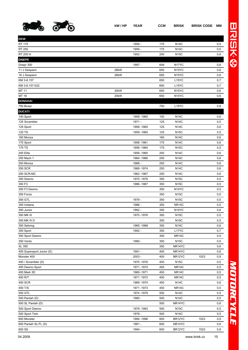

| <b>DKW</b>                |      |             |     |                    |      |     |
|---------------------------|------|-------------|-----|--------------------|------|-----|
| RT 175                    |      | 1959 -      | 175 | <b>N14C</b>        |      | 0,5 |
| RT 250                    |      | 1959 -      | 175 | <b>N14C</b>        |      | 0,5 |
| RT 200 H                  |      | 1952 -      | 200 | <b>N15C</b>        |      | 0,6 |
| <b>DNEPR</b>              |      |             |     |                    |      |     |
| Dnepr 300                 |      | 1997 -      | 649 | N17YC              |      | 0,6 |
| 11 J Gespann              | 28kW |             | 650 | N <sub>15</sub> YC |      | 0,6 |
| 16 J Gespann              | 28kW |             | 650 | N <sub>15</sub> YC |      | 0,6 |
| KM 3-8.157                |      |             | 650 | L15YC              |      | 0,7 |
| KM 3-8.157-022            |      |             | 650 | L <sub>15</sub> YC |      | 0,7 |
| MT 11                     | 20kW |             | 650 | N <sub>15</sub> YC |      | 0,6 |
| MT 16                     | 20kW |             | 650 | N <sub>15</sub> YC |      | 0,6 |
| <b>DONGHAI</b>            |      |             |     |                    |      |     |
| 750 Boxer                 |      |             | 750 | L <sub>15</sub> YC |      | 0,8 |
| <b>DUCATI</b>             |      |             |     |                    |      |     |
| 100 Sport                 |      | 1958 - 1960 | 100 | <b>N14C</b>        |      | 0,6 |
| 125 Scrambler             |      | 1971 -      | 125 | <b>N14C</b>        |      | 0,5 |
| 125 Sport                 |      | 1958 - 1965 | 125 | <b>N14C</b>        |      | 0,6 |
| 125 TS                    |      | 1959 - 1965 | 125 | <b>N15C</b>        |      | 0,5 |
| 160 Monza                 |      |             | 160 | <b>N14C</b>        |      | 0,6 |
| 175 Sport                 |      | 1958 - 1961 | 175 | <b>N14C</b>        |      | 0,6 |
| 175 TS                    |      | 1958 - 1960 | 175 | <b>N15C</b>        |      | 0,5 |
| 200 Elite                 |      | 1959 - 1965 | 200 | <b>N14C</b>        |      | 0,6 |
| 250 Mach 1                |      | 1964 - 1966 | 250 | <b>N14C</b>        |      | 0,6 |
| 250 Monza                 |      | 1968 -      | 250 | <b>N14C</b>        |      | 0,6 |
| 250 SCR                   |      | 1968-1974   | 250 | <b>N14C</b>        |      | 0,6 |
| 250 SCR-MC                |      | 1962 - 1967 | 250 | <b>N14C</b>        |      | 0,6 |
| 350 Desmo                 |      | 1970 - 1976 | 350 | <b>N15C</b>        |      | 0,5 |
| 350 F3                    |      | 1986 - 1987 | 350 | <b>N15C</b>        |      | 0,5 |
| 350 F3 Desmo              |      |             | 350 | N <sub>14</sub> YC |      | 0,5 |
| 350 Forza                 |      |             | 350 | <b>N15C</b>        |      | 0,5 |
| 350 GTL                   |      | 1979 -      | 350 | <b>N15C</b>        |      | 0,5 |
| 350 Indiana               |      | 1986 -      | 350 | <b>NR14C</b>       |      | 0,5 |
| 350 Junior                |      | 1992 -      | 350 | N <sub>14</sub> YC |      | 0,6 |
| 350 MK III                |      | 1970 - 1976 | 350 | <b>N15C</b>        |      | 0,5 |
| 350 MK III D              |      |             | 350 | <b>N15C</b>        |      | 0,5 |
| 350 Sebring               |      | 1965 - 1968 | 350 | <b>N14C</b>        |      | 0,6 |
| 350 Sport                 |      | 1992 -      | 350 | L17YC              |      | 0,7 |
| 350 Sport Desmo           |      |             | 350 | <b>NR14C</b>       |      | 0,5 |
| 350 Vento                 |      | 1980 -      | 350 | <b>N15C</b>        |      | 0,5 |
| <b>XL 350</b>             |      |             | 350 | NR14YC             |      | 0,6 |
| 400 Supersport Junior (D) |      | 1991 -      | 400 | NR14YC             |      | 0,6 |
| Monster 400               |      | $2003 -$    | 400 | BR12YC             | 1523 | 0,9 |
| 450 / Scrambler (D)       |      | 1970 - 1976 | 450 | <b>N15C</b>        |      | 0,5 |
| 450 Desmo Sport           |      | 1971-1974   | 450 | NR <sub>14</sub> C |      | 0,5 |
| 450 Mark 3D               |      | 1969 - 1971 | 450 | NR14C              |      | 0,5 |
| 450 R/T                   |      | 1971-1972   | 450 | NR <sub>14</sub> C |      | 0,5 |
| 450 SCR                   |      | 1969 - 1974 | 450 | <b>N14C</b>        |      | 0,6 |
| 450 T/S                   |      | 1971-1973   | 450 | NR <sub>14</sub> C |      | 0,5 |
| 500 GTL                   |      | 1974 - 1979 | 500 | <b>N14C</b>        |      | 0,5 |
| 500 Pantah (D)            |      | 1980 -      | 500 | <b>N14C</b>        |      | 0,5 |
| 500 SL Pantah (D)         |      |             | 500 | NR14YC             |      | 0,6 |
| 500 Sport Desmo           |      | 1979 - 1983 | 500 | <b>N15C</b>        |      | 0,5 |
| 500 Sport Twin            |      | 1978 -      | 500 | <b>N14C</b>        |      | 0,5 |
| 600 Monster               |      | 1994 - 1996 | 600 | BR12YC             | 1523 | 0,9 |
| 600 Pantah SL/TL (D)      |      | 1981 -      | 600 | NR14YC             |      | 0,6 |
| 600 SS                    |      | 1994 -      | 600 | BR12YC             | 1523 | 0,9 |

*MOTORCYCLE* MOTORCYCLE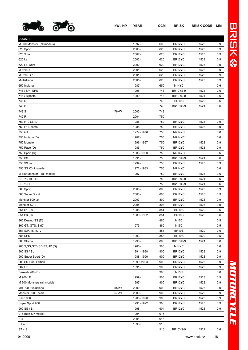

| <b>DUCATI</b>                  |      |             |     |                     |      |     |
|--------------------------------|------|-------------|-----|---------------------|------|-----|
| M 600 Monster (all models)     |      | 1997 -      | 600 | BR12YC              | 1523 | 0,9 |
| 620 Sport                      |      | $2003 -$    | 620 | BR12YC              | 1523 | 0,9 |
| 620 S i.e.                     |      | $2002 -$    | 620 | BR <sub>12</sub> YC | 1523 | 0,9 |
| 620 i.e.                       |      | $2002 -$    | 620 | BR <sub>12</sub> YC | 1523 | 0,9 |
| 620 i.e. Dark                  |      | $2002 -$    | 620 | BR12YC              | 1523 | 0,9 |
| M 620 i.e.                     |      | $2001 -$    | 620 | BR <sub>12</sub> YC | 1523 | 0,9 |
| M 620 S i.e.                   |      | $2001 -$    | 620 | BR <sub>12</sub> YC | 1523 | 0,9 |
| Multistrada                    |      | $2005 -$    | 620 | BR <sub>12</sub> YC | 1523 | 0,9 |
| 650 Indiana                    |      | 1987 -      | 650 | N <sub>14</sub> YC  |      | 0,6 |
| 748 / SP / SPS                 |      | 1995 -      | 748 | <b>BR10YS-9</b>     | 1521 | 0,6 |
| 748 / Biposto                  |      | 1999 -      | 748 | <b>BR10YS-9</b>     | 1521 | 0,6 |
| 748 R                          |      |             | 748 | <b>BR10S</b>        | 1520 | 0,6 |
| 748 S                          |      |             | 748 | <b>BR10YS-9</b>     | 1521 | 0,6 |
| 749 S                          | 76kW | $2003 -$    | 748 |                     |      |     |
| 749 R                          |      | $2004 -$    | 750 |                     |      |     |
| 750 F1 / LS (D)                |      | 1985 -      | 750 | BR <sub>12</sub> YC | 1523 | 0,9 |
| 750 F1 Desmo                   |      | 1988 -      | 750 | BR <sub>12</sub> YC | 1523 | 0,9 |
| 750 GT                         |      | 1974 - 1976 | 750 | NR14YC              |      | 0,6 |
| 750 Indiana (D)                |      | 1987 -      | 750 | NR <sub>14</sub> YC |      | 0,6 |
| 750 Monster                    |      | 1996 - 1997 | 750 | BR <sub>12</sub> YC | 1523 | 0,9 |
| 750 Paso (D)                   |      | 1986 -      | 750 | BR <sub>12</sub> YC | 1523 | 0,9 |
| 750 Sport (D)                  |      | 1988 - 1990 | 750 | NR <sub>14</sub> YC |      | 0,6 |
| 750 SS                         |      | 1991 -      | 750 | <b>BR10YS-9</b>     | 1521 | 0,6 |
| 750 SS i.e                     |      | 1999 -      | 750 | BR <sub>12</sub> YC | 1523 | 0,9 |
| 750 SS Königswelle             |      | 1972 - 1983 | 750 | NR <sub>14</sub> YC |      | 0,6 |
| M 750 Monster<br>(all models)  |      | 1997 -      | 750 | BR <sub>12</sub> YC | 1523 | 0,6 |
| SS 750 HF I.E.                 |      |             | 750 | <b>BR10YS-9</b>     | 1521 | 0,6 |
| SS 750 I.E.                    |      |             | 750 | <b>BR10YS-9</b>     | 1521 | 0,6 |
| 800 Sport                      |      | $2003 -$    | 800 | BR <sub>12</sub> YC | 1523 | 0,9 |
| 800 Super Sport                |      | $2003 -$    | 800 | BR12YC              | 1523 | 0,9 |
| Monster 800 i.e.               |      | $2003 -$    | 800 | BR <sub>12</sub> YC | 1523 | 0,9 |
| Monster S2R                    |      | $2005 -$    | 803 | BR <sub>12</sub> YC | 1523 | 0,9 |
| 851 S1 (D)                     |      | 1988        | 851 | <b>BR10S</b>        | 1520 | 0,6 |
| 851 S3 (D)                     |      | 1989 - 1992 | 851 | <b>BR10S</b>        | 1520 | 0,6 |
| 860 Desmo SS (D)               |      |             | 860 | <b>N15C</b>         |      | 0,5 |
| 860 GT, GTS, S(D)              |      | 1975 -      | 860 | <b>N15C</b>         |      | 0,5 |
| 851 S.P., II, III, IV          |      |             | 888 | <b>BR10S</b>        | 1520 | 0,6 |
| 888 SP5                        |      | 1993 -      | 888 | <b>BR10S</b>        | 1520 | 0,5 |
| 888 Strada                     |      | 1993 -      | 888 | <b>BR10YS-9</b>     | 1521 | 0,6 |
| 900 S, SS, GTS, SD, S2, HR (D) |      | 1980 -      | 900 | N <sub>14</sub> YC  |      |     |
| 900 SS / SL                    |      | 1991-1998   | 900 | BR12YC              | 1523 | 0,6 |
|                                |      |             |     |                     |      | 0,9 |
| 900 Super Sport (D)            |      | 1988 - 1990 | 900 | BR12YC              | 1523 | 0,9 |
| 900 SS Final Edition           |      | 1999 - 2003 | 900 | BR <sub>12</sub> YC | 1523 | 0,9 |
| 907 I.E.                       |      | 1991 -      | 900 | BR <sub>12</sub> YC | 1523 | 0,9 |
| Darmah 900 (D)                 |      |             | 900 | <b>N15C</b>         |      | 0,6 |
| M 900 I.E.                     |      | 1999 -      | 900 | BR <sub>12</sub> YC | 1523 | 0,9 |
| M 900 Monsters (all models)    |      | 1997 -      | 900 | BR <sub>12</sub> YC | 1523 | 0,9 |
| MH 900 Evoluzione              | 55kW | $2000 -$    | 900 | BR <sub>12</sub> YC | 1523 | 0,9 |
| Monster 900 Spezial            | 57kW | $2000 -$    | 900 | BR <sub>12</sub> YC | 1523 | 0,9 |
| Paso 906                       |      | 1988 - 1990 | 900 | BR <sub>12</sub> YC | 1523 | 0,9 |
| Super Sport 900                |      | 1991-1992   | 900 | BR <sub>12</sub> YC | 1523 | 0,9 |
| 900 SS I.E.                    |      | 1998 -      | 904 | BR <sub>12</sub> YC | 1523 | 0,9 |
| 916 (non SP model)             |      | 1994 -      | 916 |                     |      |     |
| S 4                            |      | $2001 -$    | 916 |                     |      |     |
| ST 4                           |      | 1998 -      | 916 |                     |      |     |

ST 4 S 916 BR10YS-9 1521 0,6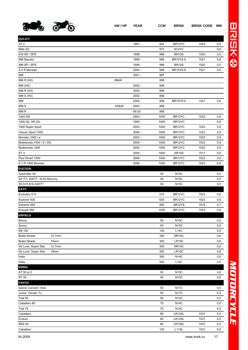

**DUCATI**

| ı |
|---|
|   |
| ۵ |
|   |

| ľ |
|---|
| I |
|   |
|   |
|   |
|   |
|   |
|   |
|   |
|   |
|   |
|   |

| ST 2                                    |                    | 1997 -   | 944  | BR <sub>12</sub> YC | 1523 | 0,9  |
|-----------------------------------------|--------------------|----------|------|---------------------|------|------|
| Mille (D)                               |                    |          | 972  | N <sub>14</sub> YC  |      | 0,6  |
| 916 SP / SPS                            |                    | 1998 -   | 996  | <b>BR10S</b>        | 1520 | 0,5  |
| 996 Biposto                             |                    | 1999 -   | 996  | <b>BR10YS-9</b>     | 1521 | 0,6  |
| 996 SP / SPS                            |                    | 1998 -   | 996  | <b>BR10S</b>        | 1520 | 0,5  |
| S 4 R Monster                           |                    | $2004 -$ | 996  | <b>BR10YS-9</b>     | 1521 | 0,6  |
| 998                                     |                    | $2001 -$ | 997  |                     |      |      |
| 996 R (H2)                              | 99kW               |          | 998  |                     |      |      |
| 998 (H2)                                |                    | $2002 -$ | 998  |                     |      |      |
| 998 R (H2)                              |                    | $2002 -$ | 998  |                     |      |      |
| 998 S (H2)                              |                    | $2002 -$ | 998  |                     |      |      |
| 999                                     |                    | $2005 -$ | 998  | <b>BR10YS-9</b>     | 1521 | 0,6  |
| 999 S                                   | 100 <sub>k</sub> W | $2003 -$ | 998  |                     |      |      |
| 999 R                                   |                    | 09.02-   | 998  |                     |      |      |
| 1000 DS                                 |                    | $2003 -$ | 1000 | BR12YC              | 1523 | 0,9  |
| 1000 S2, HR (D)                         |                    | 1985 -   | 1000 | NR14YC              |      | 0,6  |
| 1000 Super Sport                        |                    | 2003 -   | 1000 | BR <sub>12</sub> YC | 1523 | 0,9  |
| Classic Sport 1000                      |                    | $2006 -$ | 1000 | BR <sub>12</sub> YC | 1523 | 0,9  |
| Monster 1000 i.e.                       |                    | $2003 -$ | 1000 | BR <sub>12</sub> YC | 1523 | 0,9  |
| Multistrada 1000 / S / DS               |                    | $2005 -$ | 1000 | BR <sub>12</sub> YC | 1523 | 0,9  |
| Multistrada 1000                        |                    | $2002 -$ | 1000 | BR12YC              | 1523 | 0, 9 |
| ST 3                                    |                    | $2004 -$ | 1000 | <b>AR10S</b>        | 1517 | 0,6  |
| Paul Smart 1000                         |                    | $2006 -$ | 1000 | BR12YC              | 1523 | 0,9  |
| S 2 R 1000 Monster                      |                    | $2006 -$ | 1000 | BR <sub>12</sub> YC | 1523 | 0,9  |
| <b>DUCSON</b>                           |                    |          |      |                     |      |      |
| Automatic 49                            |                    |          | 50   | <b>N15C</b>         |      | 0,5  |
| S21TT, S30TT, XL50 Mercury              |                    |          | 50   | <b>N15C</b>         |      | 0,5  |
| S9,S15,S16,S20TT                        |                    |          | 50   | <b>N15C</b>         |      | 0,5  |
| EATV                                    |                    |          |      |                     |      |      |
| Evolution 510                           |                    |          | 510  | BR <sub>12</sub> YC | 1523 | 0,6  |
| Explorer 625                            |                    |          | 625  | BR <sub>12</sub> YC | 1523 | 0,9  |
| Extreme 950                             |                    |          | 950  | AR12YS              | 1518 | 0,7  |
| Energie 992                             |                    |          | 1000 | BR12YC              | 1523 | 0,6  |
| <b>ENFIELD</b>                          |                    |          |      |                     |      |      |
| Bonny                                   |                    |          | 50   | <b>N15C</b>         |      | 0,5  |
| Sunny                                   |                    |          | 50   | <b>N15C</b>         |      | 0,5  |
| KB 100                                  |                    |          | 100  | <b>L14C</b>         |      | 0,5  |
| <b>Bullet Strada</b><br>12,7mm          |                    |          | 350  | <b>NR15C</b>        |      | 0,6  |
| <b>Bullet Strada</b><br>19mm            |                    |          | 350  | LR15C               |      | 0,6  |
| De Luxe, Super Star<br>12,7mm           |                    |          | 350  | <b>NR15C</b>        |      | 0,6  |
| De Luxe, Super Star<br>19 <sub>mm</sub> |                    |          | 350  | LR15C               |      | 0,6  |
| India                                   |                    |          | 350  | <b>N14C</b>         |      | 0,5  |
| India                                   |                    |          | 500  | <b>L14C</b>         |      | 0,5  |
| <b>ERING</b>                            |                    |          |      |                     |      |      |
| AT 50 pt 2                              |                    |          | 50   | <b>N15C</b>         |      | 0,6  |
| RT 50                                   |                    |          | 50   | <b>N15C</b>         |      | 0,6  |
| <b>FANTIC</b>                           |                    |          |      |                     |      |      |
| Issimo Convert / Kick                   |                    |          | 50   | <b>N17C</b>         |      | 0,5  |
| Junior, Tender To                       |                    |          | 50   | <b>N17C</b>         |      | 0,5  |
| Trial 50                                |                    |          | 50   | <b>N14C</b>         |      | 0,5  |
| Caballero 80                            |                    |          | 75   | <b>N14C</b>         |      | 0,5  |
| Trial 75                                |                    |          | 75   | <b>N14C</b>         |      | 0,5  |
| Caballero                               |                    |          | 80   | LR12SL              | 1537 | 0,5  |
| Enduro                                  |                    |          | 80   | LR12SL              | 1537 | 0,5  |
|                                         |                    |          |      |                     |      |      |

RSX 80 80 LR12SL 1537 0,5 Caballero 125 L11SL 1531 0,5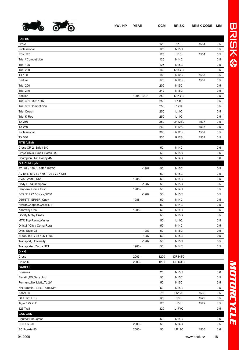

| <b>FANTIC</b>                         |             |      |                    |      |     |
|---------------------------------------|-------------|------|--------------------|------|-----|
| Cross                                 |             | 125  | L11SL              | 1531 | 0,5 |
| Professional                          |             | 125  | <b>N15C</b>        |      | 0,5 |
| <b>RSX 125</b>                        |             | 125  | L11SL              | 1531 | 0,5 |
| Trial / Competicion                   |             | 125  | <b>N14C</b>        |      | 0,5 |
| Trial 125                             |             | 125  | <b>N15C</b>        |      | 0,5 |
| Trial 200                             |             | 160  | N <sub>14</sub> YC |      | 0,5 |
| <b>TX 160</b>                         |             | 160  | LR12SL             | 1537 | 0,5 |
| Enduro                                |             | 175  | LR12SL             | 1537 | 0,5 |
| Trial 200                             |             | 200  | <b>N15C</b>        |      | 0,5 |
| Trial 240                             |             | 240  | <b>N15C</b>        |      | 0,5 |
| Section                               | 1995 - 1997 | 250  | D14YC              |      | 0,5 |
| Trial 301 / 305 / 307                 |             | 250  | L14C               |      | 0,5 |
| Trial 301 Competicion                 |             | 250  | L17YC              |      | 0,5 |
| <b>Trial Coach</b>                    |             | 250  | L14C               |      | 0,5 |
| Trial K-Roo                           |             | 250  | L14C               |      | 0,5 |
| <b>TX 250</b>                         |             | 250  | LR12SL             | 1537 | 0,5 |
| <b>TX 260</b>                         |             | 260  | LR12SL             | 1537 | 0,5 |
| Professional                          |             | 300  | LR12SL             | 1537 | 0,5 |
| <b>TX 330</b>                         |             | 330  | LR12SL             | 1537 | 0,5 |
| FITE (LEM)                            |             |      |                    |      |     |
| Cross CR-2, Safari BX                 |             | 50   | <b>N14C</b>        |      | 0,6 |
| Cross CR-3, Small, Safari BX          |             | 50   | <b>N15C</b>        |      | 0,6 |
| Champion H-Y, Sandy 4M                |             | 50   | <b>N14C</b>        |      | 0,6 |
| G.A.C. Mobyle                         |             |      |                    |      |     |
| 87 / 89 / 188 / 188E / 188TC          | $-1987$     | 50   | <b>N15C</b>        |      | 0,5 |
| AV49R / 51 / 69 / 70 / 70E / 72 / 83R |             | 50   | <b>N15C</b>        |      | 0,5 |
| AV87, AV90, D55                       | 1988 -      | 50   | <b>N14C</b>        |      | 0,5 |
| Cady / E14, Campera                   | $-1987$     | 50   | <b>N15C</b>        |      | 0,5 |
| Canpera, Coma First                   | 1988 -      | 50   | <b>N14C</b>        |      | 0,5 |
| D55 / E / 77 / Cross, SP50            | $-1987$     | 50   | <b>N15C</b>        |      | 0,5 |
| D55NTT, SP95R, Cady                   | 1988 -      | 50   | <b>N14C</b>        |      | 0,5 |
| Hawar, Chopper, Cross NTT             |             | 50   | <b>N14C</b>        |      | 0,5 |
| Kanowey, Onix                         | 1988 -      | 50   | <b>N14C</b>        |      | 0,5 |
| Liberty, Moby Cross                   |             | 50   | <b>N15C</b>        |      | 0,5 |
| MTR Top Racin, Winner                 |             | 50   | L14C               |      | 0,5 |
| Onix 2 / City / Coma, Rural           |             | 50   | <b>N14C</b>        |      | 0,5 |
| Onix, Stylo GT                        | $-1987$     | 50   | <b>N15C</b>        |      | 0,5 |
| SP90 / 90R / 94 / 95R / 96            | $-1987$     | 50   | <b>N15C</b>        |      | 0,5 |
| Transport, University                 | $-1987$     | 50   | <b>N15C</b>        |      | 0,5 |
| Transporter, Zarpa NTT                | 1988 -      | 50   | <b>N14C</b>        |      | 0,5 |
| $G + G$                               |             |      |                    |      |     |
| Cruso                                 | 2003 -      | 1200 | DR14TC             |      |     |
| Cruso S                               | $2003 -$    | 1200 | DR14TC             |      |     |
| <b>GARELLI</b>                        |             |      |                    |      |     |
| Bonanza                               |             | 25   | <b>N15C</b>        |      | 0,6 |
| Bimatic, ES, Gary Uno                 |             | 50   | <b>N15C</b>        |      | 0,5 |
| Formuno, Noi Matic, TL, 2V            |             | 50   | <b>N15C</b>        |      | 0,5 |
| Noi Bimatic, TL, ES, Team Mat         |             | 50   | <b>N15C</b>        |      | 0,5 |
| Sahel 80                              |             | 75   | LR12C              | 1536 | 0,5 |
| GTA 125 / ES                          |             | 125  | L10SL              | 1529 | 0,5 |
| Tiger 125 XLE                         |             | 125  | L10SL              | 1529 | 0,5 |
| 323 Trail                             |             | 320  | L17YC              |      | 0,5 |
| <b>GAS GAS</b>                        |             |      |                    |      |     |
| Contact, Enducross                    |             | 50   | <b>N14C</b>        |      | 0,6 |
|                                       |             |      |                    |      |     |

EC BOY 50 2000 - 50 N14C 2000 - 50 N14C 0,5 EC Rookie 50 2000 - 50 LR12C 1536 0,6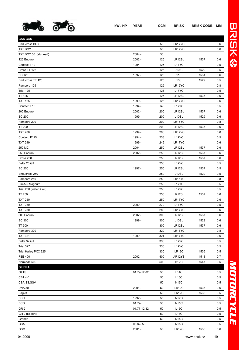

| <b>GAS GAS</b>            |             |     |                    |      |     |
|---------------------------|-------------|-----|--------------------|------|-----|
| Enducross BOY             |             | 50  | LR17YC             |      | 0,6 |
| <b>TXT BOY</b>            |             | 50  | LR17YC             |      | 0,6 |
| TXT BOY 50 (aluhead)      | $2004 -$    | 50  |                    |      |     |
| 125 Enduro                | $2002 -$    | 125 | LR12SL             | 1537 | 0,6 |
| Contact T 12              | 1994 -      | 125 | L17YC              |      | 0,5 |
| Cross TT 125              |             | 125 | L <sub>10</sub> SL | 1529 | 0,5 |
| <b>EC 125</b>             | 1997 -      | 125 | L <sub>11</sub> SL | 1531 | 0,6 |
| Enducross TT 125          |             | 125 | L10SL              | 1529 | 0,5 |
| Pampera 125               |             | 125 | LR15YC             |      | 0,8 |
| Trial 125                 |             | 125 | L17YC              |      | 0,5 |
| <b>TT 125</b>             |             | 125 | LR12SL             | 1537 | 0,6 |
| <b>TXT 125</b>            | 1999 -      | 125 | LR17YC             |      | 0,6 |
| Contact T 16              | 1994 -      | 143 | L17YC              |      | 0,5 |
| 200 Enduro                | $2002 -$    | 200 | LR12SL             | 1537 | 0,6 |
| <b>EC 200</b>             | 1999 -      | 200 | L10SL              | 1529 | 0,6 |
| Pampera 200               |             | 200 | LR15YC             |      | 0,8 |
| <b>TT 200</b>             |             | 200 | LR12SL             | 1537 | 0,6 |
| <b>TXT 200</b>            | 1999 -      | 200 | LR17YC             |      | 0,6 |
| Contact JT 25             | 1994 -      | 238 | L17YC              |      | 0,5 |
| <b>TXT 249</b>            | 1999 -      | 249 | LR17YC             |      | 0,6 |
| 250 MC                    | $2004 -$    | 250 | LR12SL             | 1537 | 0,6 |
| 250 Enduro                | $2002 -$    | 250 | LR12SL             | 1537 | 0,6 |
| Cross 250                 |             | 250 | LR12SL             | 1537 | 0,6 |
| Delta 25 GT               |             | 250 | L17YC              |      | 0,5 |
| EC 250                    | 1997 -      | 250 | LR12SL             | 1537 | 0,5 |
| Enducross 250             |             | 250 | L10SL              | 1529 | 0,5 |
| Pampera 250               |             | 250 | LR15YC             |      | 0,8 |
| Piri-A 6 Magnum           |             | 250 | L17YC              |      | 0,5 |
| Trial $250$ (water + air) |             | 250 | L17YC              |      | 0,5 |
| <b>TT 250</b>             |             | 250 | LR12SL             | 1537 | 0,6 |
| <b>TXT 250</b>            |             | 250 | LR17YC             |      | 0,6 |
| <b>TXT 280</b>            | $2000 -$    | 272 | L17YC              |      | 0,5 |
| <b>TXT 280</b>            |             | 280 | LR17YC             |      | 0,6 |
| 300 Enduro                | $2002 -$    | 300 | LR12SL             | 1537 | 0,6 |
| EC 300                    | 1999 -      | 300 | L <sub>10</sub> SL | 1529 | 0,6 |
| <b>TT 300</b>             |             | 300 | LR12SL             | 1537 | 0,6 |
| Pampera 320               |             | 320 | LR15YC             |      | 0,8 |
| <b>TXT 321</b>            | 1999 -      | 321 | LR17YC             |      | 0,6 |
| Delta 32 GT               |             | 330 | L17YC              |      | 0,5 |
| Trial 327                 |             | 330 | L17YC              |      | 0,5 |
| Trial Halley PXC 325      |             | 330 | LR12C              | 1536 | 0,5 |
| <b>FSE 400</b>            | $2002 -$    | 400 | AR12YS             | 1518 | 0,7 |
| Normada 500               |             | 500 | <b>B12C</b>        | 1547 | 0,5 |
| <b>GILERA</b>             |             |     |                    |      |     |
| 50 TS                     | 01.79-12.82 | 50  | L14C               |      | 0,5 |
| CB14V                     |             | 50  | L15C               |      | 0,5 |
| CBA, SS, SSV              |             | 50  | <b>N15C</b>        |      | 0,5 |
| <b>DNA 50</b>             | $2001 -$    | 50  | LR12C              | 1536 | 0,6 |
| Eaglet                    |             | 50  | LR12C              | 1536 | 0,5 |
| EC <sub>1</sub>           | 1992 -      | 50  | <b>N17C</b>        |      | 0,5 |
| ECO                       | $01.79 -$   | 50  | <b>N15C</b>        |      | 0,5 |
| GR <sub>2</sub>           | 01.77-12.82 | 50  | L15C               |      | 0,5 |
| GR 2 (Export)             |             | 50  | L14C               |      | 0,5 |
| Grande                    |             | 50  | <b>N15C</b>        |      | 0,5 |
| <b>GSA</b>                | 03.82-50    |     | <b>N15C</b>        |      | 0,5 |
| <b>GSM</b>                | $2001 -$    | 50  | LR12C              | 1536 | 0,6 |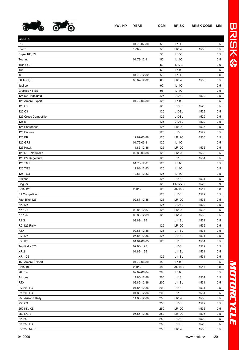

| <b>GILERA</b>         |             |     |                    |      |     |
|-----------------------|-------------|-----|--------------------|------|-----|
| <b>RS</b>             | 01.75-07.80 | 50  | L15C               |      | 0,5 |
| Storm                 | 1994 -      | 50  | LR12C              | 1536 | 0,5 |
| Super RE, RL          |             | 50  | L15C               |      | 0,5 |
| Touring               | 01.73-12.81 | 50  | <b>L14C</b>        |      | 0,5 |
| Trend 50              |             | 50  | <b>N17C</b>        |      | 0,6 |
| Trial                 |             | 50  | <b>L14C</b>        |      | 0,5 |
| TS                    | 01.79-12.82 | 50  | L15C               |      | 0,6 |
| 80 TG 2, 3            | 03.82-12.82 | 80  | LR12C              | 1536 | 0,5 |
| Jubilee               |             | 90  | <b>L14C</b>        |      | 0,5 |
| Giubileo 4T,SS        |             | 98  | <b>L14C</b>        |      | 0,5 |
| 125 5V Regolarita     |             | 125 | L <sub>10</sub> SL | 1529 | 0,5 |
| 125 Arcore, Export    | 01.72-06.80 | 125 | L14C               |      | 0,5 |
| 125 C1                |             | 125 | L <sub>10</sub> SL | 1529 | 0,5 |
| 125 C3                |             | 125 | L10SL              | 1529 | 0,5 |
| 125 Cross Competition |             | 125 | L10SL              | 1529 | 0,5 |
| 125 E1                |             | 125 | L <sub>10</sub> SL | 1529 | 0,5 |
| 125 Endurance         |             | 125 | LR12C              | 1536 | 0,5 |
| 125 Enduro            |             | 125 | L <sub>10</sub> SL | 1529 | 0,5 |
| 125 ER                | 12.87-03.88 | 125 | LR12C              | 1536 | 0,5 |
| 125 GR1               | 01.76-03.81 | 125 | L14C               |      | 0,5 |
| 125 Hawk              | 11.85-12.86 | 125 | LR12C              | 1536 | 0,5 |
| 125 RTT Nebraska      | 02.86-03.88 | 125 | LR12C              | 1536 | 0,5 |
| 125 SV Regolarita     |             | 125 | L <sub>11</sub> SL | 1531 | 0,5 |
| 125 TG1               | 01.76-12.81 | 125 | <b>L14C</b>        |      | 0,5 |
| 125 TG2               | 12.81-12.83 | 125 | <b>L14C</b>        |      | 0,5 |
| 125 TG3               | 12.81-12.83 | 125 | <b>L14C</b>        |      | 0,5 |
| Arizona               |             | 125 | L <sub>11</sub> SL | 1531 | 0,5 |
| Coguar                |             | 125 | BR12YC             | 1523 | 0,9 |
| <b>DNA 125</b>        | $2001 -$    | 125 | <b>AR10S</b>       | 1517 | 0,6 |
| E1 Competition        |             | 125 | L <sub>10</sub> SL | 1529 | 0,5 |
| Fast Bike 125         | 02.87-12.88 | 125 | LR12C              | 1536 | 0,5 |
| <b>HX 125</b>         |             | 125 | L <sub>10</sub> SL | 1529 | 0,5 |
| <b>KK125</b>          | 09.86-12.87 | 125 | LR12C              | 1536 | 0,5 |
| KZ 125                | 03.86-12.89 | 125 | LR12C              | 1536 | 0,5 |
| R <sub>1</sub> S      | 09.89-125   |     | L11SL              | 1531 | 0,5 |
| RC 125 Rally          |             | 125 | LR12C              | 1536 | 0,5 |
| <b>RTX</b>            | 02.86-12.86 | 125 | L11SL              | 1531 | 0,5 |
| <b>RV 125</b>         | 05.84-12.86 | 125 | L11SL              | 1531 | 0,5 |
| <b>RX 125</b>         | 01.84-06.85 | 125 | L11SL              | 1531 | 0,5 |
| Top Rally RC          | 09.90-125   |     | L10SL              | 1529 | 0,5 |
| XR <sub>2</sub>       | 01.89-125   |     | L11SL              | 1531 | 0,5 |
| <b>XRI 125</b>        |             | 125 | L11SL              | 1531 | 0,5 |
| 150 Arcore, Export    | 01.72-06.80 | 150 | L14C               |      | 0,5 |
| <b>DNA 180</b>        | $2001 -$    | 180 | <b>AR10S</b>       | 1517 | 0,6 |
| 200 T4                | 09.82-06.84 | 200 | L14C               |      | 0,5 |
| Arizona               | 11.85-12.86 | 200 | L11SL              | 1531 | 0,5 |
| RTX                   | 02.86-12.86 | 200 | L <sub>11</sub> SL | 1531 | 0,5 |
| <b>RV 200 LC</b>      | 01.85-12.86 | 200 | L11SL              | 1531 | 0,5 |
| <b>RX 200 LC</b>      | 01.85-12.86 | 200 | L11SL              | 1531 | 0,5 |
| 250 Arizona Rally     | 11.85-12.86 | 250 | LR12C              | 1536 | 0,5 |
| 250 C3                |             | 250 | L <sub>10</sub> SL | 1529 | 0,5 |
| 250 KK, KZ            |             | 250 | LR12C              | 1536 | 0,5 |
| <b>250 NGR</b>        | 05.85-12.86 | 250 | LR12C              | 1536 | 0,5 |
| HX 250                |             | 250 | L10SL              | 1529 | 0,5 |
| <b>NX 250 LC</b>      |             | 250 | L10SL              | 1529 | 0,5 |
|                       |             |     |                    |      |     |

RV 250 NGR 250 LR12C 1536 0,5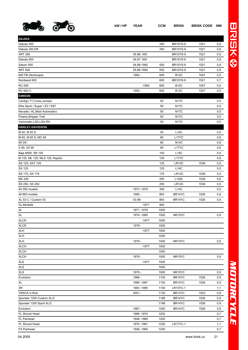

**GILERA**

| Dakota 500                     | 04.87-500   |      | <b>BR10YS-9</b>     | 1521 | 0,9  |
|--------------------------------|-------------|------|---------------------|------|------|
| Saturo 500                     | 04.88-1992  | 500  | <b>BR10YS-9</b>     | 1521 | 0,9  |
| <b>XRT 600</b>                 | 05.88-1992  | 550  | <b>BR10YS-9</b>     | 1521 | 0,9  |
| 600 FB (Nordcape)              | 1992 -      | 600  | <b>B12C</b>         | 1547 | 0,5  |
| Nordwest 600                   |             | 600  | <b>BR10YS-9</b>     | 1521 | 0,7  |
| <b>RC 600</b>                  | $-1992$     | 600  | <b>B12C</b>         | 1547 | 0,5  |
| <b>RC 600 C</b>                | 1992 -      | 600  | <b>B12C</b>         | 1547 | 0,5  |
| <b>GIMSON</b>                  |             |      |                     |      |      |
| Cantigo TT, Cross, Jumper      |             | 50   | <b>N17C</b>         |      | 0,5  |
| Elite Sport / Super / E2 / E87 |             | 50   | <b>N17C</b>         |      | 0,5  |
| Nevada / AL, Maxi Automatico   |             | 50   | <b>N17C</b>         |      | 0,5  |
| Polaris, Shipper Trial         |             | 50   | <b>N17C</b>         |      | 0,5  |
| Variomatic, LSA, LSA-RA        |             | 50   | <b>N17C</b>         |      | 0,5  |
| <b>HARLEY-DAVIDSON</b>         |             |      |                     |      |      |
| M 50, M 50 S                   |             | 50   | L14C                |      | 0,5  |
| M 65, M 65 S, MC 65            |             | 65   | L17YC               |      | 0,6  |
| 80 DS                          |             | 80   | <b>N14C</b>         |      | 0,6  |
| X 90, XZ 90                    |             | 90   | L17YC               |      | 0,6  |
| Baja MSR, SR 100               |             | 100  | <b>L14C</b>         |      | 0,5  |
| M 125, ML 125, MLS 125, Rapido |             | 125  | L17YC               |      | 0,6  |
| SS 125, SXT 125                |             | 125  | LR12C               | 1536 | 0,5  |
| SX 125                         |             | 125  | L14C                |      | 0,5  |
| SS 175, SX 175                 |             | 175  | LR12C               | 1536 | 0,5  |
| MX 250                         |             | 250  | L <sub>10</sub> SL  | 1529 | 0,6  |
| SS 250, SX 250                 |             | 250  | LR12C               | 1536 | 0,5  |
| All 350 models                 | 1973 - 1974 | 350  | L14C                |      | 0,5  |
| All 883 models                 | 1985 -      | 883  | BR14YC              | 1526 | 0,9  |
| XL 53 C / Custom 53            | 03.98-      | 883  | BR14YC              | 1526 | 0,9  |
| XL-Modelle                     | $-1971$     | 900  |                     |      |      |
| XL                             | 1971-1978   | 1000 |                     |      |      |
| XL                             | 1979 - 1985 | 1000 | NR15YC              |      | 0,9  |
| <b>XLCR</b>                    | $-1977$     | 1000 |                     |      |      |
| <b>XLCR</b>                    | 1978 -      | 1000 |                     |      |      |
| <b>XLH</b>                     | $-1977$     | 1000 |                     |      |      |
| <b>XLH</b>                     |             | 1000 |                     |      |      |
| <b>XLH</b>                     | 1979 -      | 1000 | NR <sub>15</sub> YC |      | 0,9  |
| <b>XLCH</b>                    | -1977       | 1000 |                     |      |      |
| <b>XLCH</b>                    |             | 1000 |                     |      |      |
| <b>XLCH</b>                    | 1979 -      | 1000 | NR <sub>15</sub> YC |      | 0, 9 |
| <b>XLS</b>                     | $-1977$     | 1000 |                     |      |      |
| <b>XLS</b>                     |             | 1000 |                     |      |      |
| <b>XLS</b>                     | 1979 -      | 1000 | NR <sub>15</sub> YC |      | 0, 9 |
| Evolution                      | 1986 -      | 1100 | BR14YC              | 1526 | 0,9  |
| XL                             | 1986 - 1987 | 1100 | BR14YC              | 1526 | 0,9  |
| XR                             | 1983 - 1985 | 1100 | <b>LR15YC-1</b>     |      | 1,1  |
| VRSCA V-Rod                    | $2001 -$    | 1130 | BR12YC              | 1523 | 0,9  |
| Sporster 1200 Custom XL/2      |             | 1188 | BR14YC              | 1526 | 0,9  |
| Sporster 1200 Sport XL/2       |             | 1199 | BR14YC              | 1526 | 0,9  |
| Evolution                      | 1987 -      | 1200 | BR14YC              | 1526 | 0,9  |
| FL Shovel Head                 | 1966 - 1974 | 1200 |                     |      | 0,7  |
| FL Panhead                     | 1948 - 1965 | 1200 |                     |      | 0,7  |
| FL Shovel Head                 | 1975 - 1981 | 1200 | <b>LR17YC-1</b>     |      | 1,1  |
|                                |             |      |                     |      |      |

FX Panhead 1948 -1965 1200 0,7

Dakota 350 350 BR10YS-9 1521 0,9 Dakota 350 ER 350 BR10YS-9 1521 0,9 XRT 350 05.88- 350 BR10YS-9 1521 0,9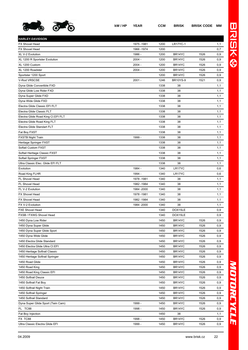

| <b>HARLEY-DAVIDSON</b>             |             |      |                 |      |          |
|------------------------------------|-------------|------|-----------------|------|----------|
| <b>FX Shovel Head</b>              | 1975 - 1981 | 1200 | <b>LR17YC-1</b> |      | 1,1      |
| <b>FX Shovel Head</b>              | 1966 - 1974 | 1200 |                 |      | 0,7      |
| XL V-2 Evolution                   | 1986 -      | 1200 | BR14YC          | 1526 | 0,9      |
| XL 1200 R Sportster Evolution      | $2004 -$    | 1200 | BR14YC          | 1526 | 0,9      |
| XL 1200 Custom                     | $2004 -$    | 1200 | BR14YC          | 1526 | 0,9      |
| XL 1200 Roadster                   | 2004 -      | 1200 | BR14YC          | 1526 | 0,9      |
| Sportster 1200 Sport               |             | 1200 | BR14YC          | 1526 | 0,9      |
| V-Rod VRSCSE                       | $2001 -$    | 1246 | <b>BR10YS-9</b> | 1521 | $_{0,9}$ |
| Dyna Glide Convertible FXD         |             | 1338 | 38              |      | 1,1      |
| Dyna Glide Low Rider FXD           |             | 1338 | 38              |      | 1,1      |
| Dyna Super Glide FXD               |             | 1338 | 38              |      | 1,1      |
| Dyna Wide Glide FXD                |             | 1338 | 38              |      | 1,1      |
| Electra Glide Classic EFI FLT      |             | 1338 | 38              |      | 1,1      |
| Electra Glide Classic FLT          |             | 1338 | 38              |      | 1,1      |
| Electra Glide Road King CI.EFI FLT |             | 1338 | 38              |      | 1,1      |
| Electra Glide Road King FLT        |             | 1338 | 38              |      | 1,1      |
| Electra Glide Standart FLT         |             | 1338 | 38              |      | 1,1      |
| Fat Boy FXST                       |             | 1338 | 38              |      | 1,1      |
| <b>FXSTB Night Train</b>           | 1999 -      | 1338 | 38              |      | 1,1      |
| Heritage Springer FXST             |             | 1338 | 38              |      | 1,1      |
| Softail Custom FXST                |             | 1338 | 38              |      | 1,1      |
| Softail Heritage Classic FXST      |             | 1338 | 38              |      | 1,1      |
| Softail Springer FXST              |             | 1338 | 38              |      | 1,1      |
| Ultra Classic Elec. Glide EFI FLT  |             | 1338 | 38              |      | 1,1      |
| Evolution                          | 1984 -      | 1340 | LR17YC          |      | 0,6      |
| Road King FLHR                     | 1994 -      | 1340 | LR17YC          |      | 0,6      |
| FL Shovel Head                     | 1978 - 1981 | 1340 | 38              |      | 1,1      |
| FL Shovel Head                     | 1982 - 1984 | 1340 | 38              |      | 1,1      |
| FL V-2 Evolution                   | 1984 -2000  | 1340 | 38              |      | 1,1      |
| <b>FX Shovel Head</b>              | 1978 - 1981 | 1340 | 38              |      | 1,1      |
| <b>FX Shovel Head</b>              | 1982 - 1984 | 1340 | 38              |      | 1,1      |
| FX V-2 Evolution                   | 1984 - 2000 | 1340 | 38              |      | 1,1      |
| <b>FXE Shovel Head</b>             |             | 1340 | DOX15LE         |      | 0,9      |
| FXSB / FXWG Shovel Head            |             | 1340 | DOX15LE         |      | 0,9      |
| 1450 Dyna Low Rider                |             | 1450 | BR14YC          | 1526 | $_{0,9}$ |
| 1450 Dyna Super Glide              |             | 1450 | BR14YC          | 1526 | $_{0,9}$ |
| 1450 Dyna Super Glide Sport        |             | 1450 | BR14YC          | 1526 | $_{0,9}$ |
| 1450 Dyna Wide Glide               |             | 1450 | BR14YC          | 1526 | 0,9      |
| 1450 Electra Glide Standard        |             | 1450 | BR14YC          | 1526 | 0,9      |
| 1450 Electra Glide Ultra CI.EFI    |             | 1450 | BR14YC          | 1526 | $_{0,9}$ |
| 1450 Heritage Softrail Classic     |             | 1450 | BR14YC          | 1526 | 0,9      |
| 1450 Heritage Softrail Springer    |             | 1450 | BR14YC          | 1526 | 0,9      |
| 1450 Road Glide                    |             | 1450 | BR14YC          | 1526 | $_{0,9}$ |
| 1450 Road King                     |             | 1450 | BR14YC          | 1526 | 0,9      |
| 1450 Road King Classic EFI         |             | 1450 | BR14YC          | 1526 | 0,9      |
| 1450 Softrail Deuce                |             | 1450 | BR14YC          | 1526 | 0,9      |
| 1450 Softrail Fat Boy              |             | 1450 | BR14YC          | 1526 | 0,9      |
| 1450 Softrail Night Train          |             | 1450 | BR14YC          | 1526 | 0,9      |
| 1450 Softrail Springer             |             | 1450 | BR14YC          | 1526 | $_{0,9}$ |
| 1450 Softrail Standard             |             | 1450 | BR14YC          | 1526 | 0,9      |
| Dyna Super Glide Sport (Twin Cam)  | 1999 -      | 1450 | BR14YC          | 1526 | $_{0,9}$ |
| FL TC88                            | 1998 -      | 1450 | BR14YC          | 1526 | 0,9      |
| Fat Boy Injection                  |             | 1450 | 38              |      | 1,1      |
| FX TC88                            | 1998 -      | 1450 | BR14YC          | 1526 | 0,9      |
| Ultra Classic Electra Glide EFI    | 1999 -      | 1450 | BR14YC          | 1526 | 0,9      |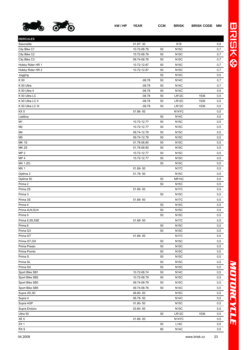

| <b>HERCULES</b>   |              |    |                    |      |     |
|-------------------|--------------|----|--------------------|------|-----|
| Saxonette         | 01.87-30     |    | K19                |      | 0,5 |
| City Bike C1      | 10.72-08.78  | 50 | <b>N15C</b>        |      | 0,7 |
| City Bike C2      | 10.72-08.78  | 50 | <b>N15C</b>        |      | 0,7 |
| City Bike C3      | 09.74-08.78  | 50 | <b>N15C</b>        |      | 0,7 |
| Hobby Rider HR 1  | 10.72-12.87  | 50 | <b>N15C</b>        |      | 0,7 |
| Hobby Rider HR 2  | 10.72-12.87  | 50 | <b>N15C</b>        |      | 0,7 |
| Jogging           |              | 50 | <b>N15C</b>        |      | 0,5 |
| K 50              | $-08.78$     | 50 | <b>N14C</b>        |      | 0,7 |
| K 50 Ultra        | $-08.78$     | 50 | <b>N14C</b>        |      | 0,7 |
| K 50 Ultra II     | $-08.78$     | 50 | <b>N14C</b>        |      | 0,5 |
| K 50 Ultra LC     | $-08.78$     | 50 | LR12C              | 1536 | 0,5 |
| K 50 Ultra LC II  | $-08.78$     | 50 | LR12C              | 1536 | 0,5 |
| K 50 Ultra LC III | $-08.78$     | 50 | LR12C              | 1536 | 0,5 |
| KX <sub>5</sub>   | $01.86 - 50$ |    | N <sub>14</sub> YC |      | 0,5 |
| Lastboy           |              | 50 | <b>N14C</b>        |      | 0,5 |
| M1                | 10.72-12.77  | 50 | <b>N15C</b>        |      | 0,5 |
| M <sub>2</sub>    | 10.72-12.77  | 50 | <b>N15C</b>        |      | 0,5 |
| M4                | 09.74-12.78  | 50 | <b>N15C</b>        |      | 0,5 |
| M <sub>5</sub>    | 09.74-12.78  | 50 | <b>N15C</b>        |      | 0,5 |
| MK <sub>1S</sub>  | 01.78-08.80  | 50 | <b>N15C</b>        |      | 0,5 |
| <b>MK 2S</b>      | 01.78-08.80  | 50 | <b>N15C</b>        |      | 0,5 |
| MP <sub>2</sub>   | 10.72-12.77  | 50 | <b>N15C</b>        |      | 0,5 |
| MP <sub>4</sub>   | 10.72-12.77  | 50 | <b>N15C</b>        |      | 0,5 |
| MX 1(D)           |              | 50 | <b>N15C</b>        |      | 0,5 |
| MX <sub>1</sub>   | 01.89-50     |    | <b>N17C</b>        |      | 0,5 |
| Optima 3          | 01.78-50     |    | <b>N15C</b>        |      | 0,5 |
| Optima 50         |              | 50 | NR14C              |      | 0,5 |
| Prima 2           |              | 50 | <b>N15C</b>        |      | 0,5 |
| Prima 2S          | 01.89-50     |    | <b>N17C</b>        |      | 0,5 |
| Prima 3           |              | 50 | <b>N15C</b>        |      | 0,5 |
| Prima 3S          | 01.89-50     |    | <b>N17C</b>        |      | 0,5 |
| Prima 4           |              | 50 | <b>N15C</b>        |      | 0,5 |
| Prima 4LN,5LN     |              | 50 | <b>N15C</b>        |      | 0,5 |
| Prima 5           |              | 50 | <b>N15C</b>        |      | 0,5 |
| Prima 5,5S,5SE    | 01.89-50     |    | <b>N17C</b>        |      | 0,5 |
| Prima 6           |              | 50 | <b>N15C</b>        |      | 0,5 |
| Prima G3          |              | 50 | <b>N15C</b>        |      | 0,5 |
| Prima GT          | 01.89-50     |    | <b>N17C</b>        |      | 0,5 |
| Prima GT, GX      |              | 50 | <b>N15C</b>        |      | 0,5 |
| Prima Presto      |              | 50 | <b>N15C</b>        |      | 0,5 |
| Prima Pronto      |              | 50 | <b>N15C</b>        |      | 0,5 |
| Prima S           |              | 50 | <b>N15C</b>        |      | 0,5 |
| Prima SL          |              | 50 | <b>N15C</b>        |      | 0,5 |
| Prima SX          |              | 50 | <b>N15C</b>        |      | 0,5 |
| Sport Bike SB1    | 10.72-08.74  | 50 | <b>N14C</b>        |      | 0,5 |
| Sport Bike SB2    | 10.72-08.79  | 50 | <b>N15C</b>        |      | 0,5 |
| Sport Bike SB3    | 09.74-08.79  | 50 | <b>N15C</b>        |      | 0,5 |
| Sport Bike SB5    | 09.74-08.76  | 50 | <b>N14C</b>        |      | 0,5 |
| Supra 2D, 3D      | 06.80-50     |    | <b>N15C</b>        |      | 0,5 |
| Supra 4           | 06.78-50     |    | <b>N14C</b>        |      | 0,5 |
| Supra 4GP         | 01.80-50     |    | <b>N15C</b>        |      | 0,5 |
| Supra Enduro      | 03.80-50     |    | <b>N15C</b>        |      | 0,5 |
| Ultra 50          |              | 50 | LR12C              | 1536 | 0,5 |
| XE <sub>5</sub>   | 01.86-50     |    | N <sub>14</sub> YC |      | 0,5 |
| ZX <sub>1</sub>   |              | 50 | L14C               |      | 0,5 |
| RX 9              |              | 80 | N14C               |      | 0,5 |
|                   |              |    |                    |      |     |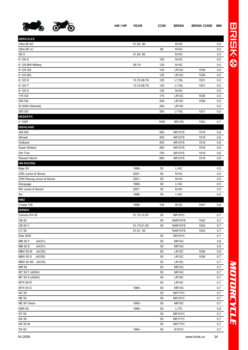

| <b>HERCULES</b>            |              |      |                    |      |     |
|----------------------------|--------------|------|--------------------|------|-----|
| Ultra 80 AC                | 01.82-80     |      | <b>N14C</b>        |      | 0,5 |
| Ultra 80 LC                |              | 80   | <b>N14C</b>        |      | 0,5 |
| XE 9                       | 01.82-80     |      | <b>N14C</b>        |      | 0,5 |
| K 100 X                    |              | 100  | <b>N14C</b>        |      | 0,5 |
| K 125 BW Military          | 09.74-       | 125  | <b>N14C</b>        |      | 0,5 |
| K 125 GS                   |              | 125  | LR12C              | 1536 | 0,5 |
| K 125 MC                   |              | 125  | LR12C              | 1536 | 0,5 |
| K 125 S                    | 10.72-08.79  | 125  | L11SL              | 1531 | 0,5 |
| K 125 T                    | 10.72-08.79  | 125  | L <sub>11</sub> SL | 1531 | 0,5 |
| K 125 X                    |              | 125  | <b>N14C</b>        |      | 0,5 |
| 175 GS                     |              | 175  | LR12C              | 1536 | 0,5 |
| 250 GS                     |              | 250  | LR12C              | 1536 | 0,5 |
| W 2000 (Wankel)            |              | 294  | <b>LR14C</b>       |      | 0,5 |
| 350 GS                     |              | 350  | L <sub>11</sub> SL | 1531 | 0,5 |
| <b>HESKETH</b>             |              |      |                    |      |     |
| V 1000                     |              | 1000 | <b>BR12S</b>       | 1522 | 0,7 |
| <b>HIGHLAND</b>            |              |      |                    |      |     |
| 450 MX                     |              | 450  | AR12YS             | 1518 | 0,6 |
| Allroad                    |              | 450  | AR12YS             | 1518 | 0,6 |
| Outback                    |              | 450  | AR12YS             | 1518 | 0,6 |
| Super Motard               |              | 450  | AR12YS             | 1518 | 0,6 |
| Dirt Trac                  |              | 750  | AR12YS             | 1518 | 0,6 |
| <b>Dessert Strom</b>       |              | 950  | AR12YS             | 1518 | 0,6 |
| <b>HM RACING</b>           |              |      |                    |      |     |
| Baja SX                    | 1998 -       | 50   | L14C               |      | 0,5 |
| CRX Junior & Senior        | $2001 -$     | 50   | <b>N14C</b>        |      | 0,5 |
| CRX Racing Junior & Senior | $2001 -$     | 50   | <b>N14C</b>        |      | 0,5 |
| Derapage                   | 1998 -       | 50   | L14C               |      | 0,5 |
| MX Junior & Senior         | $2001 -$     | 50   | <b>N14C</b>        |      | 0,5 |
| Six                        | 1998 -       | 50   | L14C               |      | 0,5 |
| <b>HMZ</b>                 |              |      |                    |      |     |
| Cruise 125                 | 1996 -       | 125  | <b>B12C</b>        | 1547 | 0,6 |
| <b>HONDA</b>               |              |      |                    |      |     |
| Camino PA 50               | 01.75-12.87  | 50   | NR15YC             |      | 0,7 |
| <b>CB 50</b>               |              | 50   | NAR15YS            | 1542 | 0,7 |
| <b>CB 50 Y</b>             | 01.73-01.83  | 50   | NAR15YS            | 1542 | 0,7 |
| CY 50                      | $01.81 - 50$ |      | NAR15YS            | 1542 | 0,7 |
| Elite 50/S                 |              | 50   | NR15YC             |      | 0,7 |
| MB 50 F<br>(AC01)          |              | 50   | NR14C              |      | 0,8 |
| MB 50 S<br>(AC01)          |              | 50   | <b>NR14C</b>       |      | 0,8 |
| <b>MBX 50 M</b><br>(AC05)  |              | 50   | LR12C              | 1536 | 0,8 |
| <b>MBX 50 S</b><br>(AC05)  |              | 50   | LR12C              | 1536 | 0,7 |
| MBX 50 SD<br>(AC05)        |              | 50   | LR15C              |      | 0,7 |
| MR 50                      |              | 50   | <b>NR15C</b>       |      | 0,7 |
| MT 50 F (AD04)             |              | 50   | <b>NR14C</b>       |      | 0,7 |
| MT 50 S (AD04)             |              | 50   | <b>LR15C</b>       |      | 0,7 |
| MTX 50 R                   |              | 50   | LR14C              |      | 0,7 |
| <b>MTX 50 S</b>            | 1986 -       | 50   | <b>NR14C</b>       |      | 0,7 |
| <b>NC 50</b>               |              | 50   | NR17YC             |      | 0,7 |
| <b>NE 50</b>               |              | 50   | NR15YC             |      | 0,7 |
| NE 50 Vision               | 1990 -       | 50   | <b>NR15C</b>       |      | 0,7 |
| <b>NSR 50</b>              | 1989 -       | 50   | L17C               |      | 0,8 |
| NT 50                      |              | 50   | NR15YC             |      | 0,7 |
| NX 50                      |              | 50   | NR17YC             |      | 0,7 |
| <b>NX 50 M</b>             |              | 50   | NR17YC             |      | 0,7 |
| PA 50                      | 1984 -       | 50   | N <sub>15</sub> YC |      | 0,7 |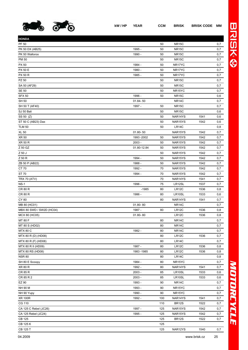

| <b>HONDA</b>             |              |     |                     |      |     |
|--------------------------|--------------|-----|---------------------|------|-----|
| PF 50                    |              | 50  | <b>NR15C</b>        |      | 0,7 |
| PK 50 DX (AB25)          | 1995 -       | 50  | <b>NR15C</b>        |      | 0,7 |
| PK 50 Walloroo           | 1990 -       | 50  | NR <sub>15C</sub>   |      | 0,7 |
| PM 50                    |              | 50  | <b>NR15C</b>        |      | 0,7 |
| PX 50                    | 1984 -       | 50  | NR17YC              |      | 0,7 |
| <b>PX 50 E</b>           | 1980 -       | 50  | NR17YC              |      | 0,7 |
| <b>PX 50 R</b>           | 1985 -       | 50  | NR17YC              |      | 0,7 |
| PZ 50                    |              | 50  | <b>NR15C</b>        |      | 0,7 |
| SA 50 (AF29)             |              | 50  | <b>NR15C</b>        |      | 0,7 |
| <b>SE 50</b>             |              | 50  | NR <sub>15</sub> YC |      | 0,7 |
| <b>SFX 50</b>            | 1996 -       | 50  | <b>NR15C</b>        |      | 0,6 |
| <b>SH 50</b>             | $01.84 - 50$ |     | NR <sub>14</sub> C  |      | 0,7 |
| SH 50 T (AF40)           | 1997 -       | 50  | <b>NR15C</b>        |      | 0,7 |
| SJ 50 Bali               |              | 50  | <b>NR15C</b>        |      | 0,6 |
| SS 50 (Z)                |              | 50  | NAR14YS             | 1541 | 0,6 |
| ST 50 C (AB23) Dax       |              | 50  | NAR15YS             | 1542 | 0,6 |
| <b>TLM 50</b>            |              | 50  | <b>LR14C</b>        |      | 0,8 |
| <b>XL 50</b>             | $01.80 - 50$ |     | NAR15YS             | 1542 | 0,7 |
| <b>XR 50</b>             | 1993 - 2002  | 50  | NAR15YS             | 1542 | 0,7 |
| <b>XR 50 R</b>           | $2003 -$     | 50  | NAR15YS             | 1542 | 0,7 |
| Z 50 GZ                  | 01.80-12.84  | 50  | NAR15YS             | 1542 | 0,7 |
| Z 50 J                   |              | 50  | NAR15YS             | 1542 | 0,7 |
| Z 50 R                   | 1994 -       | 50  | NAR15YS             | 1542 | 0,7 |
| ZB 50 P (AB22)           | 1988 -       | 50  | NAR15YS             | 1542 | 0,7 |
| CT 70                    | 1992 -       | 70  | NAR15YS             | 1542 | 0,7 |
| ST 70                    | 1994 -       | 70  | NAR15YS             | 1542 | 0,7 |
| <b>TRX 70 (ATV)</b>      |              | 70  | NAR14YS             | 1541 | 0,7 |
| $NS-1$                   | 1996 -       | 75  | LR12SL              | 1537 | 0,7 |
| CR 80 R                  | $-1985$      | 80  | LR12C               | 1536 | 0,8 |
| CR 80 R                  | 1986 -       | 80  | LR10SL              | 1533 | 0,6 |
| CY 80                    |              | 80  | NAR14YS             | 1541 | 0,7 |
| MB 80 (HC01)             | 01.80-80     |     | <b>NR14C</b>        |      | 0,7 |
| MBX 80 SWD / SW2D (HC04) | 1987 -       | 80  | LR12C               | 1536 | 0,8 |
| MCX 80 (HC05)            | 01.80-80     |     | LR12C               | 1536 | 0,8 |
| MT 80 F                  |              | 80  | <b>NR14C</b>        |      | 0,7 |
| MT 80 S (HD02)           |              | 80  | <b>NR14C</b>        |      | 0,7 |
| <b>MTX 80 C</b>          | 1982 -       | 80  | NR <sub>14</sub> C  |      | 0,7 |
| MTX 80 R (D) (HD08)      |              | 80  | LR12C               | 1536 | 0,7 |
| MTX 80 R (F) (HD08)      |              | 80  | LR14C               |      | 0,7 |
| MTX 80 R II (HD09)       | 1987 -       | 80  | LR12C               | 1536 | 0,8 |
| MTX 80 RS (HD08)         | 1983 - 1985  | 80  | LR12C               | 1536 | 0,8 |
| <b>NSR 80</b>            |              | 80  | LR14C               |      | 0,8 |
| SH 80 E Scoopy           | 1984 -       | 80  | NR15YC              |      | 0,7 |
| XR 80 R                  | 1992 -       | 80  | NAR14YS             | 1541 | 0,7 |
| CR 85 R                  | $2003 -$     | 85  | LR10SL              | 1533 | 0,6 |
| CR 85 R 2                | $2003 -$     | 85  | LR10SL              | 1533 | 0,6 |
| EZ 90                    | 1993 -       | 90  | <b>NR14C</b>        |      | 0,7 |
| NH 90 M                  | 1993 -       | 90  | NR15YC              |      | 0,7 |
| NH 90 Yupy               | 1990 -       | 90  | NR15YC              |      | 0,7 |
| <b>XR 100R</b>           | 1992 -       | 100 | NAR14YS             | 1541 | 0,7 |
| CG 110                   |              | 110 | <b>BR12S</b>        | 1522 | 0,7 |
| CA 125 C Rebel (JC26)    | 1997 -       | 125 | NAR15YS             | 1542 | 0,7 |
| CA 125 Rebel (JC24)      | 1995 -       | 125 | NAR15YS             | 1542 | 0,7 |
| <b>CB 125</b>            |              | 125 | <b>BR12S</b>        | 1522 | 0,7 |
| CB 125 K                 |              | 125 |                     |      |     |
|                          |              |     |                     |      |     |

CB 125 T 125 NAR12YS 1540 0,7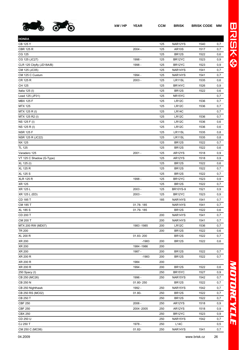

| <b>HONDA</b>              |             |     |                     |      |          |
|---------------------------|-------------|-----|---------------------|------|----------|
| <b>CB 125 Y</b>           |             | 125 | NAR12YS             | 1540 | 0,7      |
| <b>CBR 125 R</b>          | $2004 -$    | 125 | <b>AR10S</b>        | 1517 | 0,7      |
| CG 125                    |             | 125 | <b>BR12S</b>        | 1522 | 0,6      |
| CG 125 (JC27)             | 1998 -      | 125 | BR12YC              | 1523 | 0,9      |
| CLR 125 Cityfly (JD18A/B) | 1998 -      | 125 | BR12YC              | 1523 | 0,9      |
| CM 125 (JC05)             |             | 125 | NAR14YS             | 1541 | 0,7      |
| CM 125 C Custum           | 1994 -      | 125 | NAR14YS             | 1541 | 0,7      |
| CR 125 R                  | $2003 -$    | 125 | LR11SL              | 1535 | 0,6      |
| CH 125                    |             | 125 | BR14YC              | 1526 | 0,9      |
| Italia 125 (I)            |             | 125 | <b>BR12S</b>        | 1522 | 0,6      |
| Lead 125 (JF01)           |             | 125 | NR <sub>15</sub> YC |      | 0,7      |
| <b>MBX 125 F</b>          |             | 125 | LR12C               | 1536 | 0,7      |
| <b>MTX 125</b>            |             | 125 | LR <sub>12</sub> C  | 1536 | 0,7      |
| MTX 125 R (I)             |             | 125 | <b>LR14C</b>        |      | 0,7      |
| MTX 125 R2 (I)            |             | 125 | LR12C               | 1536 | 0,7      |
| NS 125 F (I)              |             | 125 | LR12C               | 1536 | 0,6      |
| NS 125 R (I)              |             | 125 | LR12C               | 1536 | 0,6      |
| <b>NSR 125 F</b>          |             | 125 | LR11SL              | 1535 | 0,8      |
| NSR 125 R (JC22)          |             | 125 | LR11SL              | 1535 | 0,8      |
| <b>NX 125</b>             |             | 125 | <b>BR12S</b>        | 1522 | 0,7      |
| <b>TL 125</b>             |             | 125 | <b>BR12S</b>        | 1522 | 0,6      |
| Varadero 125              | $2001 -$    | 125 | AR12YS              | 1518 | 0,9      |
| VT 125 C Shadow (G-Type)  |             | 125 | AR12YS              | 1518 | 0,9      |
| XL 125 (I)                |             | 125 | <b>BR12S</b>        | 1522 | 0,6      |
| XL 125 R                  |             | 125 | <b>BR12S</b>        | 1522 | 0,7      |
| <b>XL 125 S</b>           |             | 125 | <b>BR12S</b>        | 1522 | 0,7      |
| <b>XLR 125 R</b>          | 1998 -      | 125 | BR12YC              | 1523 | 0,9      |
| <b>XR 125</b>             |             | 125 | <b>BR12S</b>        | 1522 | 0,7      |
| XR 125 L                  | $2003 -$    | 125 | <b>BR10YS-9</b>     | 1521 | 0,9      |
| XR 125 L (ED)             | $2003 -$    | 125 | BR12YC              | 1523 | 0,9      |
| CD 185 T                  |             | 185 | NAR14YS             | 1541 | 0,7      |
| CM 185 T                  | 01.78-185   |     | NAR14YS             | 1541 | 0,7      |
| <b>XL 185 S</b>           | 01.79-185   |     | <b>BR12S</b>        | 1522 | 0,6      |
| CD 200 T                  |             | 200 | NAR14YS             | 1541 | 0,7      |
| CM 200 T                  |             | 200 | NAR14YS             | 1541 | 0,7      |
| MTX 200 RW (MD07)         | 1983 - 1985 | 200 | LR12C               | 1536 | 0,7      |
| <b>TR 200</b>             |             | 200 | <b>BR12S</b>        | 1522 | 0,6      |
| <b>XL 200 R</b>           | 01.83-200   |     | <b>BR12S</b>        | 1522 | 0,7      |
| XR 200                    | $-1983$     | 200 | <b>BR12S</b>        | 1522 | 0,6      |
| XR 200                    | 1984 - 1986 | 200 |                     |      |          |
| XR 200                    | 1987 -      | 200 | <b>BR12S</b>        | 1522 | 0,7      |
| XR 200 R                  | $-1983$     | 200 | <b>BR12S</b>        | 1522 | 0,7      |
| XR 200 R                  | 1984        | 200 |                     |      |          |
| XR 200 R                  | 1994 -      | 200 | BR12S               | 1522 | 0,6      |
| 250 Spacy (I)             |             | 250 | BR15YC              | 1527 | $_{0,9}$ |
| CB 250 (MC26)             | 1996 -      | 250 | NAR15YS             | 1542 | 0,7      |
| CB 250 N                  | 01.80-250   |     | <b>BR12S</b>        | 1522 | 0,7      |
| CB 250 Nighthawk          | 1992 -      | 250 | NAR15YS             | 1542 | 0,7      |
| CB 250 RS (MC02)          | 01.80-      | 250 | <b>BR12S</b>        | 1522 | 0,7      |
| CB 250 T                  |             | 250 | <b>BR12S</b>        | 1522 | 0,7      |
| <b>CBF 250</b>            | 2006 -      | 250 | AR12YS              | 1518 | $_{0,9}$ |
| <b>CBF 250</b>            | 2004 - 2005 | 250 | AR12YS              | 1518 | 0,9      |
| <b>CBX 250</b>            |             | 250 | BR12YC              | 1523 | 0,9      |
| CD 250 U                  |             | 250 | NAR15YS             | 1542 | 0,7      |
| CJ 250 T                  | 1978 -      | 250 | L14C                |      | 0,5      |
| CM 250 C (MC06)           | 01.82-      | 250 | NAR14YS             | 1541 | 0,7      |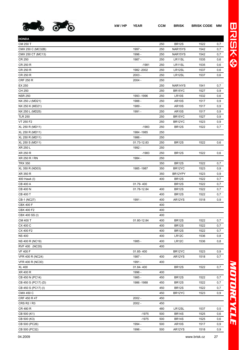

| <b>HONDA</b>        |             |     |                     |      |     |
|---------------------|-------------|-----|---------------------|------|-----|
| CM 250 T            |             | 250 | <b>BR12S</b>        | 1522 | 0,7 |
| CMX 250 C (MC32B)   | 1997 -      | 250 | NAR15YS             | 1542 | 0,7 |
| CMX 250 CT (MC13)   | 1996 -      | 250 | NAR15YS             | 1542 | 0,7 |
| CR 250              | 1987 -      | 250 | LR11SL              | 1535 | 0,6 |
| CR 250 R            | $-1981$     | 250 | LR11SL              | 1535 | 0,6 |
| CR 250 R            | 1982 - 2002 | 250 | LR12SL              | 1537 | 0,6 |
| CR 250 R            | $2003 -$    | 250 | LR12SL              | 1537 | 0,6 |
| <b>CRF 250 R</b>    | $2004 -$    | 250 |                     |      |     |
| EX 250              |             | 250 | NAR14YS             | 1541 | 0,7 |
| CH 250              |             | 250 | BR <sub>15</sub> YC | 1527 | 0,9 |
| <b>NSR 250</b>      | 1993 - 1996 | 250 | <b>LR10S</b>        | 1532 | 0,6 |
| NX 250 J (MD21)     | 1988 -      | 250 | <b>AR10S</b>        | 1517 | 0,9 |
| NX 250 K (MD21)     | 1989 -      | 250 | <b>AR10S</b>        | 1517 | 0,9 |
| NX 250 L (MD25)     | 1991 -      | 250 | AR <sub>10</sub> S  | 1517 | 0,9 |
| <b>TLR 250</b>      |             | 250 | BR <sub>15</sub> YC | 1527 | 0,9 |
| VT 250 F2           |             | 250 | BR12YC              | 1523 | 0,9 |
| XL 250 R (MD11)     | $-1983$     | 250 | <b>BR12S</b>        | 1522 | 0,7 |
| XL 250 R (MD11)     | 1984 - 1985 | 250 |                     |      |     |
| XL 250 R (MD11)     | 1986 -      | 250 |                     |      |     |
| XL 250 S (MD11)     | 01.73-12.83 | 250 | <b>BR12S</b>        | 1522 | 0,6 |
| XR 250 L            | 1992 -      | 250 |                     |      |     |
| XR 250 R            | $-1983$     | 250 | <b>BR12S</b>        | 1522 | 0,6 |
| XR 250 R / RN       | 1984 -      | 250 |                     |      |     |
| <b>TRX 350</b>      |             | 350 | <b>BR12S</b>        | 1522 | 0,7 |
| XL 350 R (ND03)     | 1985 - 1987 | 350 | BR12YC              | 1523 | 0,9 |
| XR 350 R            |             | 350 | BR12YPY             | 1523 | 0,9 |
| 400 Hawk (I)        |             | 400 | BR <sub>12S</sub>   | 1522 | 0,7 |
| <b>CB 400 A</b>     | 01.79-400   |     | <b>BR12S</b>        | 1522 | 0,7 |
| CB 400 N            | 01.78-12.84 | 400 | <b>BR12S</b>        | 1522 | 0,7 |
| CB 400 T            |             | 400 | <b>BR12S</b>        | 1522 | 0,7 |
| CB-1 (NC27)         | 1991 -      | 400 | AR12YS              | 1518 | 0,9 |
| <b>CBX 400 F</b>    |             | 400 |                     |      |     |
| CBX 400 F2          |             | 400 |                     |      |     |
| CBX 400 SS (I)      |             | 400 |                     |      |     |
| CM 400 T            | 01.80-12.84 | 400 | <b>BR12S</b>        | 1522 | 0,7 |
| CX 400 C            |             | 400 | <b>BR12S</b>        | 1522 | 0,7 |
| CX 400 F2           |             | 400 | <b>BR12S</b>        | 1522 | 0,7 |
| <b>NS 400</b>       |             | 400 | LR12C               | 1536 | 0,8 |
| NS 400 R (NC19)     | 1985 -      | 400 | LR12C               | 1536 | 0,8 |
| RVF 400 (NC35)      |             | 400 |                     |      |     |
| <b>VF 400 F</b>     | 01.85-400   |     | BR12YC              | 1523 | 0,9 |
| VFR 400 R (NC24)    | 1987 -      | 400 | AR12YS              | 1518 | 0,7 |
| VFR 400 R (NC30)    | 1991 -      | 400 |                     |      |     |
| <b>XL 400</b>       | 01.84-400   |     | <b>BR12S</b>        | 1522 | 0,7 |
| XR 400 R            | 1996 -      | 400 |                     |      |     |
| CB 450 N (PC14)     | 1985 -      | 450 | <b>BR12S</b>        | 1522 | 0,7 |
| CB 450 S (PC17) (D) | 1986 - 1988 | 450 | <b>BR12S</b>        | 1522 | 0,7 |
| CB 450 S (PC17) (I) |             | 450 | <b>BR12S</b>        | 1522 | 0,7 |
| <b>CMX 450 C</b>    |             | 450 | BR12YC              | 1523 | 0,9 |
| CRF 450 R 4T        | $2002 -$    | 450 |                     |      |     |
| CRS R2 / R3         | $2002 -$    | 450 |                     |      |     |
| CR 480 R            |             | 480 | LR12SL              | 1537 | 0,5 |
| CB 500 (K1)         | $-1975$     | 500 | <b>BR14S</b>        | 1525 | 0,6 |
| CB 500 (K3)         | $-1975$     | 500 | <b>BR14S</b>        | 1525 | 0,6 |
| CB 500 (PC26)       | 1994 -      | 500 | <b>AR10S</b>        | 1517 | 0,9 |
| CB 500 (PC32)       | 1996 -      | 500 | AR12YS              | 1518 | 0,9 |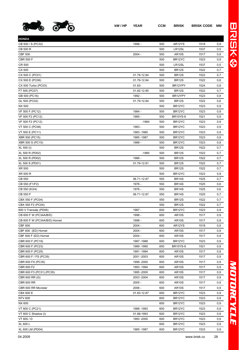

**HONDA**

| CX 500                        |             | 500 | <b>BR12S</b>        | 1522 | 0,7  |
|-------------------------------|-------------|-----|---------------------|------|------|
| CX 500 C (PC01)               | 01.79-12.84 | 500 | <b>BR12S</b>        | 1522 | 0,7  |
| CX 500 E (PC06)               | 01.79-12.84 | 500 | <b>BR12S</b>        | 1522 | 0,6  |
| CX 500 Turbo (PC03)           | $01.83 -$   | 500 | BR12YPY             | 1524 | 0,9  |
| FT 500 (PC07)                 | 01.82-12.85 | 500 | <b>BR12S</b>        | 1522 | 0,7  |
| GB 500 (PC16)                 | 1992 -      | 500 | BR12YPY             | 1523 | 0, 9 |
| GL 500 (PC02)                 | 01.79-12.84 | 500 | <b>BR12S</b>        | 1522 | 0,6  |
| NX 500                        |             | 500 | BR <sub>12</sub> YC | 1523 | 0, 9 |
| VF 500 F (PC12)               | 1984 -      | 500 | BR12YC              | 1523 | 0,9  |
| VF 500 F2 (PC12)              | 1985 -      | 500 | <b>BR10YS-9</b>     | 1521 | 0,9  |
| VF 500 F2 (PC12)              | $-1984$     | 500 | BR <sub>12</sub> YC | 1523 | 0, 9 |
| VT 500 C (PC08)               | 1983 -      | 500 | BR <sub>12</sub> YC | 1523 | 0,9  |
| VT 500 E (PC11)               | 1983 - 1985 | 500 | BR <sub>12</sub> YC | 1523 | 0,9  |
| XBR 500 (PC15)                | 1985 - 1987 | 500 | BR12YC              | 1523 | 0,9  |
| XBR 500 S (PC15)              | 1988 -      | 500 | BR12YC              | 1523 | 0,9  |
| XL 500 (I)                    |             | 500 | <b>BR12S</b>        | 1522 | 0,7  |
| XL 500 R (PD02)               | $-1985$     | 500 | <b>BR12S</b>        | 1522 | 0,7  |
| XL 500 R (PD02)               | 1986 -      | 500 | <b>BR12S</b>        | 1522 | 0,7  |
| XL 500 S (PD01)               | 01.79-12.81 | 500 | <b>BR12S</b>        | 1522 | 0,7  |
| XR 500                        |             | 500 | <b>BR12S</b>        | 1522 | 0,7  |
| XR 500 R                      |             | 500 | BR <sub>12</sub> YC | 1523 | 0, 9 |
| CB 550                        | 06.71-12.87 | 550 | <b>BR14S</b>        | 1525 | 0,7  |
| CB 550 (F1/F2)                | 1976 -      | 550 | <b>BR14S</b>        | 1525 | 0,6  |
| CB 550 (K3/4)                 | 1976 -      | 550 | <b>BR14S</b>        | 1525 | 0,6  |
| CB 550 F                      | 06.71-12.87 | 550 | <b>BR14S</b>        | 1525 | 0,7  |
| CBX 550 F (PC04)              |             | 550 | <b>BR12S</b>        | 1522 | 0,7  |
| CBX 550 F2 (PC04)             |             | 550 | <b>BR12S</b>        | 1522 | 0,7  |
| 600 V Transalp (PD06)         | 1987 -      | 600 | BR12YC              | 1523 | 0,9  |
| CB 600 F W (PC34A/B/D)        | 1998 -      | 600 | <b>AR10S</b>        | 1517 | 0,9  |
| CB 600 F W (PC34A/B/D) Hornet | 1998 -      | 600 | <b>AR10S</b>        | 1517 | 0,9  |
| <b>CBF 600</b>                | $2004 -$    | 600 | AR12YS              | 1518 | 0,9  |
| CBF 600 (ED) Hornet           | $2004 -$    | 600 | <b>AR10S</b>        | 1517 | 0,9  |
| CBF 600 F (ED) Hornet         | $2004 -$    | 600 | <b>AR10S</b>        | 1517 | 0,9  |
| CBR 600 F (PC19)              | 1987-1988   | 600 | BR12YC              | 1523 | 0,9  |
| CBR 600 F (PC23)              | 1989 - 1990 | 600 | <b>BR10YS-9</b>     | 1521 | 0,9  |
| CBR 600 F (PC25)              | 1991 - 1994 | 600 | <b>AR10S</b>        | 1517 | 0,9  |
| CBR 600 F / FS (PC35)         | 2001 - 2003 | 600 | AR <sub>10</sub> S  | 1517 | 0,9  |
| CBR 600 FX (PC35)             | 1999 - 2000 | 600 | <b>AR10S</b>        | 1517 | 0,9  |
| CBR 600 F2                    | 1993 - 1994 | 600 | <b>AR10S</b>        | 1517 | 0,9  |
| CBR 600 F3 (PC31) (PC35)      | 1995 - 2000 | 600 | <b>AR10S</b>        | 1517 | 0, 9 |
| CBR 600 RR (G)                | 2003 - 2004 | 600 | <b>AR10S</b>        | 1517 | 0,9  |
| <b>CBR 600 RR</b>             | $2005 -$    | 600 | <b>AR10S</b>        | 1517 | 0,9  |
| CBR 600 RR Movistar           | $2006 -$    | 600 | <b>AR10S</b>        | 1517 | 0,9  |
| CBX 600 E                     | 01.83-12.87 | 600 | BR <sub>12</sub> YC | 1523 | 0,9  |
| <b>NTV 600</b>                |             | 600 | BR <sub>12</sub> YC | 1523 | 0, 9 |
| NX 600                        |             | 600 | BR <sub>12</sub> YC | 1523 | 0, 9 |
| VT 600 C (PC21)               | 1988-1993   | 600 | BR12YC              | 1523 | 0,9  |
| VT 600 C Shadow (I)           | 01.88-1993  | 600 | BR12YC              | 1523 | 0,9  |
| VT 600 / D                    | 1993 - 2000 | 600 | BR12YC              | 1523 | 0,9  |
|                               |             |     |                     |      |      |

XL 600 L 600 BR12YC 1523 0,9 XL 600 LM (PD04) 1985 -1987 600 BR12YC 1523 0,9

CB 500 / S (PC32) 1998 - 500 AR12YS 1518 0,9 CB 500 R 500 LR12SL 1537 0,5 CBF 500 2004 - 500 AR10S 1517 0,9 CBR 500 F 500 BR12YC 1523 0,9 CR 500 500 LR12SL 1537 0,5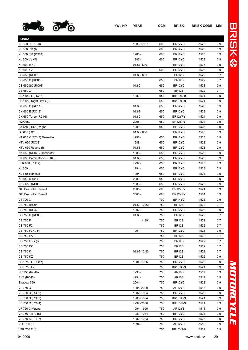

| <b>HONDA</b>                |             |     |                     |      |     |
|-----------------------------|-------------|-----|---------------------|------|-----|
| XL 600 R (PD03)             | 1983 - 1987 | 600 | BR12YC              | 1523 | 0,9 |
| XL 600 RM (I)               |             | 600 | BR12YC              | 1523 | 0,9 |
| XL 600 RM (PD04)            | 1986 -      | 600 | BR12YC              | 1523 | 0,9 |
| XL 600 V / VN               | 1987 -      | 600 | BR <sub>12</sub> YC | 1523 | 0,9 |
| XR 600 R / L                | 01.87-600   |     | BR <sub>12</sub> YC | 1523 | 0,9 |
| XR 600 / V                  |             | 600 | BR12YC              | 1523 | 0,9 |
| CB 650 (RC03)               | 01.80-650   |     | <b>BR12S</b>        | 1522 | 0,7 |
| CB 650 C (RC05)             |             | 650 | <b>BR12S</b>        | 1522 | 0,7 |
| CB 650 SC (RC08)            | $01.80 -$   | 650 | BR12YC              | 1523 | 0,9 |
| CB 650 Z                    |             | 650 | <b>BR12S</b>        | 1522 | 0,7 |
| CBX 650 E (RC13)            | 1983 -      | 650 | <b>BR10YS-9</b>     | 1521 | 0,9 |
| CBX 650 Night Hawk (I)      |             | 650 | <b>BR10YS-9</b>     | 1521 | 0,9 |
| CX 650 C (RC11)             | $01.83 -$   | 650 | BR12YC              | 1523 | 0,9 |
| CX 650 E (RC13)             | 01.83-      | 650 | BR12YC              | 1523 | 0,9 |
| CX 650 Turbo (RC16)         | 01.82-      | 650 | BR12YPY             | 1524 | 0,9 |
| <b>FMX 650</b>              | $2005 -$    | 650 | BR12YPY             | 1524 | 0,9 |
| FX 650 (RD09) Vigor         | 1999 -      | 650 | BR <sub>12</sub> YC | 1523 | 0,9 |
| GL 650 (RC10)               | 01.83-650   |     | BR12YC              | 1523 | 0,9 |
| NT 650 V (RC47) Deauville   | 1998 -      | 650 | BR <sub>12</sub> YC | 1523 | 0,9 |
| NTV 650 (RC33)              | 1988 -      | 650 | BR12YC              | 1523 | 0,9 |
| NTV 650 Revere (I)          | 01.88-      | 650 | BR12YC              | 1523 | 0,9 |
| NX 650 (RD02) / Dominator   | 1988 -      | 650 | BR12YC              | 1523 | 0,9 |
| NX 650 Dominator (RD08) (I) | 01.88-      | 650 | BR12YC              | 1523 | 0,9 |
| SLR 650 (RD09)              | 1997 -      | 650 | BR12YC              | 1523 | 0,9 |
| <b>XL 650 L</b>             | 1994 -      | 650 | BR12YC              | 1523 | 0,9 |
| XL 650 Transalp             | 1994 -      | 650 | BR12YC              | 1523 | 0,9 |
| XR 650 R (R1)               | 2000 -      | 650 | DR12YC              |      | 0,9 |
| XRV 650 (RD03)              | 1988 -      | 650 | BR12YC              | 1523 | 0,9 |
| 700 Deauville 3Ventil       | $2005 -$    | 680 | BR12YPY             | 1524 | 0,9 |
| 700 Deauville 4Ventil       | 2006 -      | 680 | BR12YPY             | 1524 | 0,9 |
| VT 700 C                    |             | 700 | BR14YC              | 1526 | 0,9 |
| CB 750 (RC04)               | 01.82-12.83 | 750 | <b>BR12S</b>        | 1522 | 0,7 |
| CB 750 (RC42)               | 1992 -      | 750 | BR12YC              | 1523 | 0,9 |
| CB 750 C (RC06)             | $01.80 -$   | 750 | <b>BR12S</b>        | 1522 | 0,7 |
| CB 750 F                    | $-1991$     | 750 | BR12S               | 1522 | 0,7 |
| CB 750 F2                   |             | 750 | <b>BR12S</b>        | 1522 | 0,7 |
| CB 750 F2N / FII            | 1991 -      | 750 | BR12YC              | 1523 | 0,9 |
| CB 750 FA (I)               |             | 750 | <b>BR12S</b>        | 1522 | 0,7 |
| CB 750 Four (I)             |             | 750 | <b>BR12S</b>        | 1522 | 0,7 |
| <b>CB 750 FZ</b>            |             | 750 | <b>BR12S</b>        | 1522 | 0,7 |
| <b>CB 750 K</b>             | 01.82-12.83 | 750 | <b>BR12S</b>        | 1522 | 0,7 |
| <b>CB 750 KZ</b>            |             | 750 | <b>BR12S</b>        | 1522 | 0,9 |
| CBX 750 F (RC17)            | 1984 - 1986 | 750 | BR12YC              | 1523 | 0,9 |
| <b>CBX 750 F2</b>           |             | 750 | <b>BR10YS-9</b>     | 1521 | 0,9 |
| NR 750 (RC40)               | 1993 -      | 750 | <b>AR10S</b>        | 1517 | 0,9 |
| <b>RVF (RC45)</b>           | 1994 -      | 750 | AR10S               | 1517 | 0,9 |
| Shadow 750                  | $2004 -$    | 750 | BR12YC              | 1523 | 0,9 |
| <b>VF 750 C</b>             | 1995 - 2000 | 750 | AR12YS              | 1518 | 0,9 |
| VF 750 C (RC09)             | 1982 - 1984 | 750 | BR12YC              | 1523 | 0,9 |
| VF 750 C (RC09)             | 1986 - 1994 | 750 | <b>BR10YS-9</b>     | 1521 | 0,9 |
| VF 750 C (RC44)             | 1997 - 2000 | 750 | <b>BR10YS-9</b>     | 1521 | 0,9 |
| VF 750 C Magna              | 1994 - 1995 | 750 | AR12YS              | 1518 | 0,9 |
| VF 750 F (RC15)             | 1983 - 1984 | 750 | BR12YC              | 1523 | 0,9 |
| VF 750 S (RC07)             | 1982 - 1983 | 750 | BR12YC              | 1523 | 0,9 |
| <b>VFR 750 F</b>            | 1994 -      | 750 | AR12YS              | 1518 | 0,9 |
|                             |             |     |                     |      |     |

VFR 750 F (I) 750 BR10YS-9 1521 0,9

## MOTORCYCLE *MOTORCYCLE*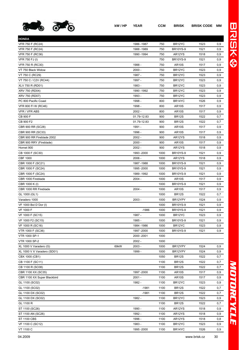

**HONDA**

| <b>HONDA</b>                |      |             |      |                     |      |          |
|-----------------------------|------|-------------|------|---------------------|------|----------|
| VFR 750 F (RC24)            |      | 1986 - 1987 | 750  | BR12YC              | 1523 | 0,9      |
| VFR 750 F (RC24)            |      | 1988 - 1989 | 750  | <b>BR10YS-9</b>     | 1521 | 0,9      |
| VFR 750 F (RC36)            |      | 1990 - 1994 | 750  | AR12YS              | 1518 | 0,9      |
| VFR 750 FJ (I)              |      |             | 750  | <b>BR10YS-9</b>     | 1521 | 0,9      |
| VFR 750 R (RC30)            |      | 1988 -      | 750  | <b>AR10S</b>        | 1517 | 0,9      |
| VT 750 Black Widow          |      | $2000 -$    | 750  | BR12YC              | 1523 | 0,9      |
| VT 750 C (RC29)             |      | 1987 -      | 750  | BR12YC              | 1523 | 0,9      |
| VT 750 C / C2V (RC44)       |      | 1997 -      | 750  | BR12YC              | 1523 | 0,9      |
| XLV 750 R (RD01)            |      | 1983 -      | 750  | BR12YC              | 1523 | 0,9      |
| XRV 750 (RD04)              |      | 1990 - 1992 | 750  | BR12YC              | 1523 | 0,9      |
| XRV 750 (RD07)              |      | 1993 -      | 750  | BR <sub>12</sub> YC | 1523 | 0,9      |
| PC 800 Pacific Coast        |      | 1998 -      | 800  | BR14YC              | 1526 | 0,9      |
| VFR 800 FI W (RC46)         |      | 1998 -      | 800  | <b>AR10S</b>        | 1517 | 0,9      |
| VFR / VFR ABS               |      | $2002 -$    | 800  | <b>AR10S</b>        | 1517 | 0,9      |
| CB 900 F                    |      | 01.79-12.83 | 900  | <b>BR12S</b>        | 1522 | 0,7      |
| CB 900 F2                   |      | 01.79-12.83 | 900  | <b>BR12S</b>        | 1522 | 0,7      |
| CBR 900 RR (SC28)           |      | 1991 -      | 900  | <b>AR10S</b>        | 1517 | 0,9      |
| CBR 900 RR (SC33)           |      | 1996 -      | 900  | <b>AR10S</b>        | 1517 | 0,9      |
| CBR 900 RR Fireblade 2002   |      | $2002 -$    | 900  | AR12YS              | 1518 | 0,9      |
| CBR 900 RRY (Fireblade)     |      | $2000 -$    | 900  | <b>AR10S</b>        | 1517 | 0,9      |
| Hornet 900                  |      | $2002 -$    | 900  | AR12YS              | 1518 | 0,9      |
| CB 1000 F (SC30)            |      | 1993 - 2000 | 1000 | <b>BR10YS-9</b>     | 1521 | 0,9      |
| <b>CBF 1000</b>             |      | $2006 -$    | 1000 | AR12YS              | 1518 | 0,9      |
| CBR 1000 F (SC21)           |      | 1987-1988   | 1000 | <b>BR10YS-9</b>     | 1521 | 0,9      |
| CBR 1000 F (SC24)           |      | 1995 - 2000 | 1000 | <b>BR10YS-9</b>     | 1521 | 0,9      |
| CBR 1000 F (SC24)           |      | 1989 - 1992 | 1000 | <b>BR10YS-9</b>     | 1521 | 0,9      |
| CBR 1000 Fireblade          |      | $2004 -$    | 1000 | <b>AR10S</b>        | 1517 | 0,9      |
| CBR 1000 K (I)              |      |             | 1000 | <b>BR10YS-9</b>     | 1521 | 0,9      |
| CBR 1000 RR Fireblade       |      | $2004 -$    | 1000 | <b>AR10S</b>        | 1517 | 0,9      |
| GL 1000 (GL1)               |      |             | 1000 | <b>BR12S</b>        | 1522 | 0,7      |
| Varadero 1000               |      | $2003 -$    | 1000 | BR12YPY             | 1524 | 0,9      |
| VF 1000 Bol D'Dor (I)       |      |             | 1000 | <b>BR10YS-9</b>     | 1521 | 0,9      |
| <b>VF 1000 F</b>            |      | $-1986$     | 1000 | <b>BR10YS-9</b>     | 1521 | 0,9      |
| VF 1000 F (SC15)            |      | 1987 -      | 1000 | BR12YC              | 1523 | 0,9      |
| VF 1000 F2 (SC15)           |      | 1985 -      | 1000 | <b>BR10YS-9</b>     | 1521 | 0,9      |
| VF 1000 R (SC16)            |      | 1984 - 1986 | 1000 | BR12YC              | 1523 | 0,9      |
| VTR 1000 F (SC36)           |      | 1997 - 2000 | 1000 | <b>BR10YS-9</b>     | 1521 | 0,9      |
| <b>VTR 1000 SP-1</b>        |      | 2000 - 2001 | 1000 |                     |      |          |
| VTR 1000 SP-2               |      | $2002 -$    | 1000 |                     |      |          |
| XL 1000 V Varadero (G)      | 69kW | $2003 -$    | 1000 | BR12YPY             | 1524 | 0,9      |
| XL 1000 V X Varadero (SD01) |      | 1999 -      | 1000 | BR12YPY             | 1524 | $_{0,9}$ |
| CBX 1000 (CB1)              |      |             | 1050 | BR <sub>12S</sub>   | 1522 | 0,7      |
| CB 1100 F (SC11)            |      |             | 1100 | <b>BR12S</b>        | 1522 | 0,7      |
| CB 1100 R (SC08)            |      |             | 1100 | <b>BR12S</b>        | 1522 | 0,7      |
| CBR 1100 XX (SC35)          |      | 1997 - 2000 | 1100 | <b>AR10S</b>        | 1517 | $_{0,9}$ |
| CBR 1100 XX Super Blackbird |      | $2001 -$    | 1100 | <b>AR10S</b>        | 1517 | $_{0,9}$ |
| GL 1100 (SC02)              |      | 1982 -      | 1100 | BR12YC              | 1523 | 0,9      |
| GL 1100 (SC02)              |      | $-1981$     | 1100 | <b>BR12S</b>        | 1522 | 0,7      |
| GL 1100 DX (SC02)           |      | $-1981$     | 1100 | <b>BR12S</b>        | 1522 | 0,7      |
| GL 1100 DX (SC02)           |      | 1982 -      | 1100 | BR <sub>12</sub> YC | 1523 | 0,9      |
| GL 1100 R                   |      |             | 1100 | <b>BR12S</b>        | 1522 | 0,7      |
| ST 1100 (SC26)              |      | 1990 -      | 1100 | AR12YS              | 1518 | 0,9      |
| ST 1100 AN (SC26)           |      | 1992 -      | 1100 | AR12YS              | 1518 | 0,9      |
| <b>ST 1100 CBS</b>          |      | 1996 -      | 1100 | AR12YS              | 1518 | 0,8      |
| VF 1100 C (SC12)            |      | 1983 -      | 1100 | BR12YC              | 1523 | 0,9      |
| VT 1100 C                   |      | 1995 - 2000 | 1100 | BR14YC              | 1526 | 0,9      |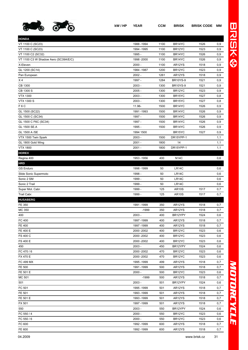

| kW/HP | <b>YEAR</b> | <b>CCM</b> | <b>BRISK</b>        | <b>BRISK CODE MM</b> |     |
|-------|-------------|------------|---------------------|----------------------|-----|
|       |             |            |                     |                      |     |
|       | 1988 - 1994 | 1100       | BR <sub>14</sub> YC | 1526                 | 0.9 |

| <b>HONDA</b>                         |             |      |                     |      |      |
|--------------------------------------|-------------|------|---------------------|------|------|
| VT 1100 C (SC23)                     | 1988 - 1994 | 1100 | BR14YC              | 1526 | 0,9  |
| VT 1100 C (SC23)                     | 1994 - 1995 | 1100 | BR12YC              | 1523 | 0,9  |
| VT 1100 C2 (SC32)                    | 1995 -      | 1100 | BR14YC              | 1526 | 0,9  |
| VT 1100 C3 W Shadow Aero (SC39A/E/C) | 1998 - 2000 | 1100 | BR14YC              | 1526 | 0,9  |
| X-Eleven                             | $2000 -$    | 1100 | AR12YS              | 1518 | 0, 9 |
| GL 1200 (SC14)                       | 1984 - 1987 | 1200 | BR <sub>12</sub> YC | 1523 | 0,9  |
| Pan European                         | $2002 -$    | 1261 | AR12YS              | 1518 | 0, 9 |
| X <sub>4</sub>                       | 1997 -      | 1284 | <b>BR10YS-9</b>     | 1521 | 0, 9 |
| CB 1300                              | 2003 -      | 1300 | <b>BR10YS-9</b>     | 1521 | 0, 9 |
| CB 1300 S                            | $2005 -$    | 1300 | BR <sub>12</sub> YC | 1523 | 0,9  |
| <b>VTX 1300</b>                      | 2003 -      | 1300 | BR <sub>15</sub> YC | 1527 | 0,8  |
| <b>VTX 1300 S</b>                    | 2003 -      | 1300 | BR15YC              | 1527 | 0,8  |
| F6C                                  | 11.96-      | 1500 | BR14YC              | 1526 | 0, 9 |
| GL 1500 (SC22)                       | 1991 - 1993 | 1500 | BR14YC              | 1526 | 0, 9 |
| GL 1500 C (SC34)                     | 1997 -      | 1500 | BR14YC              | 1526 | 0, 9 |
| GL 1500 C F6C (SC34)                 | 1997 -      | 1500 | BR14YC              | 1526 | 0,9  |
| GL 1500 SE.A                         | 1995 -      | 1500 | BR14YC              | 1526 | 0,9  |
| GL 1500 A /SE                        | 1994 1500   |      | BR15YC              | 1527 | 0,9  |
| VTX 1500 Twin Spark                  | $2003 -$    | 1500 | DR15YPP-1           |      | 1,1  |
| GL 1800 Gold Wing                    | 2001 -      | 1800 | 14                  |      | 1,1  |
| <b>VTX 1800</b>                      | $2001 -$    | 1800 | DR15YPP-1           |      | 1,1  |
| <b>HOREX</b>                         |             |      |                     |      |      |
| Regina 400                           | 1953 - 1956 | 400  | <b>N14C</b>         |      | 0,6  |
| <b>HRD</b>                           |             |      |                     |      |      |
| <b>GS Enduro</b>                     | 1998 - 1999 | 50   | LR <sub>14</sub> C  |      | 0,6  |
| Slide Sonic Supermoto                | 1998 -      | 50   | LR14C               |      | 0,6  |
| Sonic 2 SM                           | 1999 -      | 50   | LR14C               |      | 0,6  |
| Sonic 2 Trail                        | 1999 -      | 50   | LR14C               |      | 0,6  |
| Super Mot. Cabr.                     | 1999 -      | 125  | <b>AR10S</b>        | 1517 | 0,7  |
| Trail Cabr.                          | 1999 -      | 125  | <b>AR10S</b>        | 1517 | 0,7  |
| <b>HUSABERG</b>                      |             |      |                     |      |      |
| FE 350                               | 1991 - 1999 | 350  | AR12YS              | 1518 | 0,7  |
| MC 350                               | $-1999$     | 350  | AR12YS              | 1518 | 0,7  |
| 400                                  | $2003 -$    | 400  | BR12YPY             | 1524 | 0,6  |
| FC 400                               | 1997 - 1999 | 400  | AR12YS              | 1518 | 0,7  |
| FE 400                               | 1997 - 1999 | 400  | AR12YS              | 1518 | 0,7  |
| FE 400 E                             | 2000 - 2002 | 400  | BR <sub>12</sub> YC | 1523 | 0,6  |
| FS 400 C                             | 2000 - 2002 | 400  | BR <sub>12</sub> YC | 1523 | 0,6  |
| FS 400 E                             | 2000 - 2002 | 400  | BR12YC              | 1523 | 0,6  |
| 450                                  | 2003 -      | 450  | BR12YPY             | 1524 | 0,6  |
| FC 470 / 6                           | 2000 - 2002 | 470  | BR12YC              | 1523 | 0,6  |
| FX 470 E                             | 2000 - 2002 | 470  | BR <sub>12</sub> YC | 1523 | 0,6  |
| FC 499 MX                            | 1995 - 1999 | 499  | AR12YS              | 1518 | 0,7  |
| FE 500                               | 1991 - 1999 | 500  | AR12YS              | 1518 | 0,7  |
| FE 501 E                             | $2000 -$    | 500  | BR12YC              | 1523 | 0,6  |
| MC 501                               | $-1999$     | 500  | AR12YS              | 1518 | 0,7  |
| 501                                  | 2003 -      | 501  | BR12YPY             | 1524 | 0,6  |
| FC 501                               | 1995 - 1999 | 501  | AR12YS              | 1518 | 0,7  |
| FE 501                               | 1993 - 1999 | 501  | AR12YS              | 1518 | 0,7  |
| FE 501 E                             | 1993 - 1999 | 501  | AR12YS              | 1518 | 0,7  |
| FX 501                               | 1997 - 1999 | 501  | AR12YS              | 1518 | 0,7  |
|                                      |             |      |                     |      |      |
| 550                                  | $2003 -$    | 550  | BR12YPY             | 1524 | 0,6  |
| FC 550 / 4                           | $2000 -$    | 550  | BR12YC              | 1523 | 0,6  |
| FC 550 / 6                           | $2000 -$    | 550  | BR <sub>12</sub> YC | 1523 | 0,6  |

FE 600 1992 -1999 600 AR12YS 1518 0,7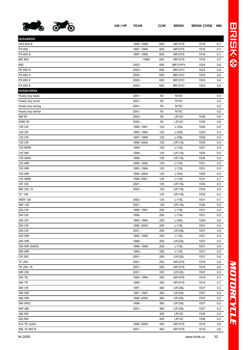

**HUSABERG**

**HUSQVARNA**

FS 650 C 2000 - 650 BR12YC 1523 0,6 FS 650 E 2000 - 650 BR12YC 1523 0,6 FX 650 E 2000 - 650 BR12YC 1523 0,6

Husky boy basic 2001 - 50 N14C 0,5 Husky boy junior and the control of the control of the control of the control of the control of the control of the control of the control of the control of the control of the control of the control of the control of the co Husky boy racing the control of the control of the control of the 2001 - the control of the control of the control of the control of the control of the control of the control of the control of the control of the control of Husky boy senior and the control of the 2001 - The 2001 - The South of the Control of the Control of the Control of the Control of the Control of the Control of the Control of the Control of the Control of the Control of t SM 50 2002 - 50 LR12C 1536 0,6 WRE 50 2002 - 50 LR12C 1536 0,6 125 CR 1990 -1991 125 L10SL 1529 0,6 125 CR 1992 -1994 125 L10SL 1529 0,5 125 CR 1997 -1998 125 L10SL 1529 0,5 125 CR 1999 -2000 125 LR11SL 1535 0,5 125 NWR 1999 - 125 L11SL 1531 0,5 125 SM 1999 - 125 LR11SL 1535 0,5 125 WER 1999 - 125 LR11SL 1535 0,5 125 WR 1990 -1992 125 L11SL 1531 0,5 125 WR 1993 -1994 125 L11SL 1531 0,5 125 WR 1995 -2000 125 L10SL 1529 0,5 125 WRE 1998 -2001 125 L11SL 1531 0,7 CR 125 2001 - 125 LR11SL 1535 0,5 SM 125 / S 2002 - 125 LR11SL 1535 0,5 TC 125 125 LR11SL 1535 0,5 WER 125 2002 - 125 L11SL 1531 0,7 WR 125 2001 - 125 LR11SL 1535 0,5 250 CR 1990 -1991 250 L11SL 1531 0,5 250 CR 1992 250 L11SL 1531 0,5 250 CR 1993 -1994 250 L10SL 1529 0,6 250 CR 1995 -2000 250 L11SL 1531 0,5 250 CR 2001 - 250 LR12SL 1537 0,8 250 WR 1992 -1995 250 L11SL 1531 0,5 250 WR 1999 - 250 LR12SL 1537 0,5 250 WR (5A00) 1996 -1999 250 L11SL 1531 0,6 260 WR 1990 - 250 L11SL 1531 0,5 CR 250 2001 - 250 LR12SL 1537 0,6 TC 250 2001 - 250 AR12YS 1518 0,6 TE 250 / R 2001 - 250 AR12YS 1518 0,6 WR 250 2001 - 250 LR12SL 1537 0,5 350 TE 1990 -1994 350 AR14YS 1519 0,7 350 TE 1995 - 350 AR14YS 1519 0,7 360 CR 1991 - 360 LR12SL 1537 0,5 360 WR 1991 -1997 360 LR12SL 1537 0,5 360 WR 1998 -2000 360 LR12SL 1537 0,5 360 WXC 1998 - 360 LR12SL 1537 0,5 WR 360 2001 - 360 LR12SL 1537 0,5 390 MX 390 LR12C 1536 0,5 400 MX 400 LR12C 1536 0,5 410 TE (2AA) 1996 -2000 400 AR14YS 1519 0,6

| SM<br>. 400.       | 2001 | 400<br>$ -$ | $\lambda$<br><br>11<br>. | . |
|--------------------|------|-------------|--------------------------|---|
| <b>0</b> 4<br>0000 |      |             | سسماء المنسما يبمنين     |   |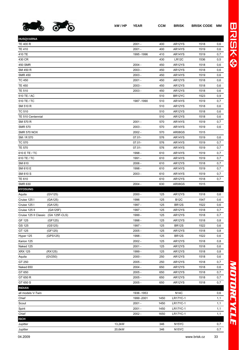

| <b>HUSQVARNA</b>                                     |             |            |                     |              |     |
|------------------------------------------------------|-------------|------------|---------------------|--------------|-----|
| TE 400 R                                             | $2001 -$    | 400        | AR12YS              | 1518         | 0,6 |
| TE 410                                               | $2001 -$    | 400        | AR14YS              | 1519         | 0,6 |
| 410 TE                                               | 1995 - 1996 | 410        | AR14YS              | 1519         | 0,7 |
| 430 CR                                               |             | 430        | LR <sub>12</sub> C  | 1536         | 0,5 |
| 450 SMR                                              | $2004 -$    | 450        | AR12YS              | 1518         | 0,6 |
| SM 450 R                                             | $2003 -$    | 450        | AR12YS              | 1518         | 0,6 |
| <b>SMR 450</b>                                       | $2003 -$    | 450        | AR14YS              | 1519         | 0,6 |
| TC 450                                               | $2001 -$    | 450        | AR12YS              | 1518         | 0,6 |
| TE 450                                               | $2003 -$    | 450        | AR12YS              | 1518         | 0,6 |
| TE 510                                               | $2003 -$    | 450        | AR12YS              | 1518         | 0,6 |
| 510 TE / AC                                          |             | 510        | BR <sub>12</sub> YC | 1523         | 0,9 |
| 510 TE / TC                                          | 1987-1990   | 510        | AR14YS              | 1519         | 0,7 |
| SM 510 R                                             |             | 510        | AR12YS              | 1518         | 0,6 |
| TC 510                                               |             | 510        | AR12YS              | 1518         | 0,6 |
| TE 510 Centennial                                    |             | 510        | AR12YS              | 1518         | 0,6 |
| SM 570 R                                             | $2001 -$    | 570        | AR14YS              | 1519         | 0,7 |
| <b>SMR 570</b>                                       | $2003 -$    | 570        | AR14YS              | 1519         | 0,6 |
| SMR 570 NOX                                          | $2002 -$    | 570        | AR08GS              | 1515         |     |
| SM / R 570                                           | $07.01 -$   | 576        | AR14YS              | 1519         | 0,6 |
| TC 570                                               | $07.01 -$   | 576        | AR14YS              | 1519         | 0,7 |
| TE 570                                               | $07.01 -$   | 576        | AR14YS              | 1519         | 0,7 |
| 610 E TE / TC                                        | 1998 -      | 610        | AR14YS              | 1519         | 0,7 |
| 610 TE / TC                                          | 1991 -      | 610        | AR14YS              | 1519         | 0,7 |
| SM 610                                               | $2006 -$    | 610        | AR12YS              | 1518         | 0,7 |
| SM 610 E                                             | 1998 -      | 610        | AR14YS              | 1519         | 0,7 |
| SM 610 S                                             | $2003 -$    | 610        | AR14YS              | 1519         | 0,7 |
| TE 610                                               |             | 610        | AR12YS              | 1518         | 0,7 |
| SMR 630                                              | $2004 -$    | 630        | AR08GS              | 1515         |     |
| <b>HYOSUNG</b>                                       |             |            |                     |              |     |
| (GV125)<br>Aquila                                    | $2000 -$    | 125        | AR12YS              | 1518         | 0,6 |
| Cruise 125 l<br>(GA125)                              | 1996        | 125        | <b>B12C</b>         | 1547         | 0,6 |
|                                                      |             | 125        | <b>BR12S</b>        |              | 0,6 |
| Cruise 125 l<br>(GA125)                              | 1997 -      |            |                     | 1522         |     |
| (GA125F)                                             | 1997 -      | 125        |                     |              |     |
| Cruise 125 II<br>Cruise 125 Il Classic (GA 125F-CLS) | 1999 -      |            | AR12YS              | 1518         | 0,7 |
| (GF125)                                              | 1998 -      | 125<br>125 | AR12YS<br>AR12YS    | 1518<br>1518 | 0,7 |
| GF 125                                               |             |            |                     |              | 0,8 |
| GS 125<br>(GS125)                                    | 1997 -      | 125        | <b>BR12S</b>        | 1522         | 0,6 |
| GT 125<br>(GF125)                                    | $2005 -$    | 125        | AR12YS              | 1518         | 0,8 |
| Hyper 125<br>(GPS125)                                | 1998 -      | 125        | <b>BR12S</b>        | 1522         | 0,6 |
| Karion 125                                           | $2002 -$    | 125        | AR12YS              | 1518         | 0,8 |
| Naked 125                                            | $2001 -$    | 125        | AR12YS              | 1518         | 0,6 |
| XRX 125<br>(RX125)                                   | 1999 -      | 125        | AR12YS              | 1518         | 0,8 |
| (GV250)<br>Aquila                                    | $2000 -$    | 250        | AR12YS              | 1518         | 0,6 |
| GT 250                                               | $2005 -$    | 250        | AR12YS              | 1518         | 0,7 |
| Naked 650                                            | $2004 -$    | 650        | AR12YS              | 1518         | 0,6 |
| GT 650                                               | $2005 -$    | 650        | AR12YS              | 1518         | 0,7 |
| GT 650 R                                             | $2005 -$    | 650        | AR12YS              | 1518         | 0,7 |
| GT 650 S                                             | $2005 -$    | 650        | AR12YS              | 1518         | 0,7 |
| INDIAN                                               |             |            |                     |              |     |
| all models V-Twin                                    | 1936 - 1953 |            | <b>N14C</b>         |              | 0,6 |
| Chief                                                | 1999 - 2001 | 1450       | <b>LR17YC-1</b>     |              | 1,1 |
| Scout                                                | $2001 -$    | 1450       | <b>LR17YC-1</b>     |              | 1,1 |
| Spirit                                               | $2001 -$    | 1450       | <b>LR17YC-1</b>     |              | 1,1 |
| Chief                                                | $2002 -$    | 1650       | <b>LR17YC-1</b>     |              | 1,1 |
| ISCH<br>Jupitter                                     | 13,2kW      | 346        | N <sub>15</sub> YC  |              | 0,7 |

Jupitter 20,6kW 346 N15YC 0,7

## *MOTORCYCLE* NOTORCYCLE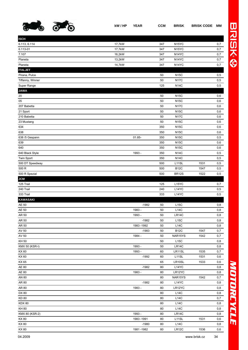

| kW / HP | <b>YEAR</b> | <b>CCM</b> | BRISK | <b>BRISK CODE MM</b> |  |
|---------|-------------|------------|-------|----------------------|--|
|         |             |            |       |                      |  |

| <b>ISCH</b>           |        |             |     |                    |      |     |
|-----------------------|--------|-------------|-----|--------------------|------|-----|
| 6.113, 6.114          | 17,7kW |             | 347 | N <sub>15</sub> YC |      | 0,7 |
| 6.113-01              | 17,7kW |             | 347 | N <sub>15</sub> YC |      | 0,7 |
| 7.107                 | 16,2kW |             | 347 | N <sub>14</sub> YC |      | 0,7 |
| Planeta               | 13,2kW |             | 347 | N <sub>14</sub> YC |      | 0,7 |
| Planeta               | 14,7kW |             | 347 | N <sub>14</sub> YC |      | 0,7 |
| <b>ITALJET</b>        |        |             |     |                    |      |     |
| Pirana, Pulce         |        |             | 50  | <b>N15C</b>        |      | 0,5 |
| Tiffanny, Winner      |        |             | 50  | <b>N17C</b>        |      | 0,5 |
| Super Range           |        |             | 125 | <b>N14C</b>        |      | 0,5 |
| <b>JAWA</b>           |        |             |     |                    |      |     |
| 20                    |        |             | 50  | <b>N15C</b>        |      | 0,6 |
| 05                    |        |             | 50  | <b>N15C</b>        |      | 0,6 |
| 207 Babetta           |        |             | 50  | <b>N17C</b>        |      | 0,6 |
| 21 Sport              |        |             | 50  | <b>N15C</b>        |      | 0,6 |
| 210 Babetta           |        |             | 50  | <b>N17C</b>        |      | 0,6 |
| 23 Mustang            |        |             | 50  | <b>N15C</b>        |      | 0,6 |
| 634                   |        |             | 350 | <b>N15C</b>        |      | 0,6 |
| 638                   |        |             | 350 | <b>N15C</b>        |      | 0,6 |
|                       |        |             |     |                    |      |     |
| 638 /5 Gespann        |        | 01.85-      | 350 | <b>N15C</b>        |      | 0,5 |
| 639                   |        |             | 350 | <b>N15C</b>        |      | 0,6 |
| 640                   |        |             | 350 | <b>N15C</b>        |      | 0,6 |
| 640 Black Style       |        | 1993 -      | 350 | <b>N14C</b>        |      | 0,5 |
| Twin Sport            |        |             | 350 | <b>N14C</b>        |      | 0,5 |
| 500 DT Speedway       |        |             | 500 | L11SL              | 1531 | 0,5 |
| 500 R                 |        |             | 500 | <b>B12C</b>        | 1547 | 0,5 |
| 500 R Spezial         |        |             | 500 | <b>BR12S</b>       | 1522 | 0,5 |
| <b>JCM</b>            |        |             |     |                    |      |     |
| 125 Trail             |        |             | 125 | L <sub>15</sub> YC |      | 0,7 |
| 240 Trail             |        |             | 240 | L14YC              |      | 0,5 |
| 333 Trail             |        |             | 333 | L14YC              |      | 0,5 |
| <b>KAWASAKI</b>       |        |             |     |                    |      |     |
| AE 50                 |        | $-1982$     | 50  | L15C               |      | 0,8 |
| AE 50                 |        | 1983 -      | 50  | L14C               |      | 0,8 |
| AR 50                 |        | 1993 -      | 50  | LR14C              |      | 0,8 |
| AR 50                 |        | $-1982$     | 50  | L15C               |      | 0,8 |
| AR 50                 |        | 1983 - 1992 | 50  | L14C               |      | 0,8 |
| AV 50                 |        | $-1983$     | 50  | <b>B12C</b>        | 1547 | 0,7 |
| AV 50                 |        | 1984 -      | 50  | NAR15YS            | 1542 | 0,7 |
| KH 50                 |        |             | 50  | L15C               |      | 0,8 |
| <b>KMX 50 (KSR-I)</b> |        | 1993 -      | 50  | LR14C              |      | 0,8 |
| KX 60                 |        | 1993 -      | 60  | LR11SL             | 1535 | 0,7 |
| KX 60                 |        | $-1992$     | 60  | L <sub>11</sub> SL | 1531 | 0,6 |
| KX 65                 |        |             | 65  | LR10SL             | 1533 | 0,6 |
| AE 80                 |        | $-1982$     | 80  | L14YC              |      | 0,8 |
| AE 80                 |        | 1983 -      | 80  | LR12YC             |      | 0,8 |
| AN 80                 |        |             | 80  | NAR15YS            | 1542 | 0,7 |
| AR 80                 |        | $-1982$     | 80  | L14YC              |      | 0,8 |
| AR 80                 |        | 1983 -      | 80  | LR12YC             |      | 0,8 |
| DX 80                 |        |             | 80  | <b>L14C</b>        |      | 0,8 |
| <b>KD 80</b>          |        |             | 80  | L14C               |      | 0,7 |
| <b>KDX 80</b>         |        |             | 80  | L14C               |      | 0,8 |
| <b>KH 80</b>          |        |             | 80  | L14C               |      | 0,8 |
| KMX 80 (KSR-2)        |        | 1993 -      | 80  | LR14C              |      | 0,8 |
| KX 80                 |        | 1983 - 1991 | 80  | L11SL              | 1531 | 0,6 |
| KX 80                 |        | $-1980$     | 80  | L14C               |      | 0,8 |
| KX 80                 |        | 1981-1982   | 80  | LR12C              | 1536 | 0,6 |
|                       |        |             |     |                    |      |     |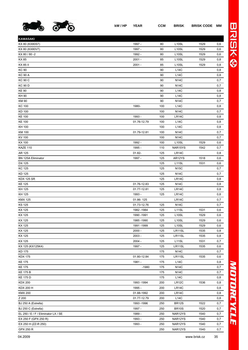

| KAWASAKI                            |             |     |                    |      |            |
|-------------------------------------|-------------|-----|--------------------|------|------------|
| KX 80 (KX80S7)                      | 1997 -      | 80  | L <sub>10</sub> SL | 1529 | 0,6        |
| KX 80 (KX80V7)                      | 1997 -      | 80  | L <sub>10</sub> SL | 1529 | 0,6        |
| KX 80 / 80 -2                       | 1992 -      | 80  | L <sub>10</sub> SL | 1529 | 0,6        |
| KX 85                               | $2001 -$    | 85  | L <sub>10</sub> SL | 1529 | 0,8        |
| KX 85 II                            | $2001 -$    | 85  | L <sub>10</sub> SL | 1529 | 0,8        |
| KC 90                               |             | 90  | <b>L14C</b>        |      | 0,8        |
| KC 90 A                             |             | 90  | L14C               |      | 0,8        |
| KC 90 C                             |             | 90  | <b>N14C</b>        |      | 0,7        |
| KC 90 D                             |             | 90  | <b>N14C</b>        |      | 0,7        |
| KE 90                               |             | 90  | L14C               |      | 0,8        |
| KH 90                               |             | 90  | <b>L14C</b>        |      | 0,8        |
| KM 90                               |             | 90  | <b>N14C</b>        |      | 0,7        |
| KC 100                              | 1980-       | 100 | L14C               |      | 0,8        |
| KD 100                              |             | 100 | <b>N14C</b>        |      | 0,7        |
| KE 100                              | 1993 -      | 100 | LR14C              |      | 0,8        |
| KE 100                              | 01.76-12.79 | 100 | L14C               |      | 0,8        |
| KH 100                              |             | 100 | <b>L14C</b>        |      | 0,8        |
| KM 100                              | 01.79-12.81 | 100 | <b>N14C</b>        |      | 0,7        |
| KV 100                              |             | 100 | <b>N14C</b>        |      | 0,7        |
| KX 100                              | 1992 -      | 100 | L <sub>10</sub> SL | 1529 | 0,6        |
| KAZE 110                            | 1995 -      | 110 | NAR15YS            | 1542 | 0,7        |
| AR 125                              | 01.82-      | 125 | LR14C              |      | 0,8        |
| BN 125A Eliminator                  | 1997 -      | 125 | AR12YS             | 1518 | 0,6        |
| DX 125                              |             | 125 | L <sub>11</sub> SL | 1531 | 0,6        |
| KC 125                              |             | 125 | <b>N15C</b>        |      | 0,7        |
| KD 125                              |             | 125 | <b>N14C</b>        |      | 0,7        |
| KDX 125 SR                          |             | 125 | LR14C              |      | 0,8        |
| KE 125                              | 01.76-12.83 | 125 | <b>N14C</b>        |      | 0,8        |
| KH 125                              | 01.77-12.81 | 125 | LR14C              |      | 0,8        |
| KH 125                              | 1993 -      | 125 | LR14C              |      | 0,8        |
| KMX 125                             | 01.86-125   |     | LR14C              |      | 0,7        |
| KS 125                              | 01.73-12.76 | 125 | <b>N14C</b>        |      | 0,7        |
| KX 125                              | 1982 - 1984 | 125 | L <sub>11</sub> SL | 1531 | 0,6        |
| KX 125                              | 1990 - 1991 | 125 | L <sub>10</sub> SL | 1529 | 0,6        |
| KX 125                              | 1985 - 1990 | 125 | L <sub>10</sub> SL | 1529 | 0,6        |
| KX 125                              | 1991 - 1999 | 125 | L <sub>10</sub> SL | 1529 |            |
| KX 125                              | $2000 -$    | 125 | LR11SL             | 1535 | 0,6        |
| KX 125                              | $2003 -$    | 125 | LR11SL             | 1535 | 0,8        |
| KX 125                              | $2004 -$    | 125 | L <sub>11</sub> SL | 1531 | 0,8<br>0,7 |
|                                     | 1997 -      |     |                    |      |            |
| KX 125 (KX125K4)<br>KD 175          |             | 125 | LR11SL             | 1535 | 0,6        |
|                                     |             | 175 | <b>N14C</b>        |      | 0,7        |
| KDX 175                             | 01.80-12.84 | 175 | LR11SL             | 1535 | 0,6        |
| KE 175                              | 1981 -      | 175 | <b>L14C</b>        |      | 0,8        |
| KE 175                              | $-1980$     | 175 | <b>N14C</b>        |      | 0,7        |
| KE 175 B                            |             | 175 | <b>N14C</b>        |      | 0,7        |
| KE 175 D                            |             | 175 | L14C               |      | 0,8        |
| KDX 200                             | 1993 - 1994 | 200 | LR <sub>12</sub> C | 1536 | 0,8        |
| KDX 200 H                           | 1995 -      | 200 | LR14C              |      | 0,8        |
| KMX 200                             | 01.88-1992  | 200 | LR14C              |      | 0,8        |
| Z 200                               | 01.77-12.79 | 200 | L14C               |      | 0,8        |
| BJ 250 A (Estrella)                 | 1993 - 1996 | 250 | <b>BR12S</b>       | 1522 | 0,7        |
| BJ 250 C (Estrella)                 | 1997 -      | 250 | <b>BR10S</b>       | 1520 | 0,7        |
| EL 250 / E / F / Eliminator LX / SE | 1989 -      | 250 | NAR12YS            | 1540 | 0,7        |
| EX 250 F (GPX 250 R)                | 1993 -      | 250 | NAR12YS            | 1540 | 0,7        |
| EX 250 H (ZZ-R 250)                 | 1993 -      | 250 | NAR12YS            | 1540 | 0,7        |

GPX 250 R 250 NAR12YS 1540 0,7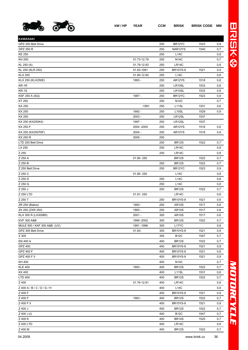

| <b>KAWASAKI</b>             |             |     |                    |      |     |
|-----------------------------|-------------|-----|--------------------|------|-----|
| GPZ 250 Belt Drive          |             | 250 | BR12YC             | 1523 | 0,9 |
| GPZ 250 R                   |             | 250 | NAR12YS            | 1540 | 0,7 |
| <b>KE 250</b>               |             | 250 | <b>L14C</b>        |      | 0,8 |
| KH 250                      | 01.73-12.79 | 250 | <b>N14C</b>        |      | 0,7 |
| KL 250 (A)                  | 01.79-12.83 | 250 | LR14C              |      | 0,8 |
| KL 250 (KLR 250)            | 01.83-1991  | 250 | <b>BR10YS-9</b>    | 1521 | 0,9 |
| <b>KLX 250</b>              | 01.80-12.84 | 250 | L14C               |      | 0,8 |
| KLX 250 (KLX250E)           | 1993 -      | 250 | AR12YS             | 1518 | 0,8 |
| KR-1R                       |             | 250 | LR10SL             | 1533 | 0,8 |
| <b>KR-1S</b>                |             | 250 | LR10SL             | 1533 | 0,8 |
| <b>KSF 250 A (SQ)</b>       | 1987 -      | 250 | BR12YC             | 1523 | 0,9 |
| KT 250                      |             | 250 | <b>N14C</b>        |      | 0,7 |
| KX 250                      | $-1991$     | 250 | L <sub>11</sub> SL | 1531 | 0,6 |
| KX 250                      | 1992 -      | 250 | L <sub>10</sub> SL | 1529 | 0,9 |
| KX 250                      | $2003 -$    | 250 | LR12SL             | 1537 |     |
| KX 250 (KX250K4)            | 1997 -      | 250 | LR12SL             | 1537 |     |
| KX 250 F                    | 2004 - 2005 | 250 | AR12YS             | 1518 | 0,6 |
| KX 250 (KX250T6F)           | $2004 -$    | 250 | AR12YS             | 1518 | 0,8 |
| KX 250 R                    | $2005 -$    | 250 |                    |      |     |
| LTD 250 Belt Drive          |             | 250 | <b>BR12S</b>       | 1522 | 0,7 |
| LX 250                      |             | 250 | LR14C              |      | 0,8 |
| Z 250                       |             | 250 | <b>LR14C</b>       |      | 0,8 |
| Z 250 A                     | 01.80-250   |     | <b>BR12S</b>       | 1522 | 0,7 |
| Z 250 B                     |             | 250 | <b>BR12S</b>       | 1522 | 0,7 |
| Z 250 Belt Drive            |             | 250 | BR12YC             | 1523 | 0,9 |
| Z 250 C                     | 01.80-250   |     | L14C               |      | 0,8 |
| Z 250 D                     |             | 250 | <b>L14C</b>        |      | 0,8 |
| Z 250 G                     |             | 250 | <b>L14C</b>        |      | 0,8 |
| Z 250 J                     |             | 250 | <b>BR12S</b>       | 1522 | 0,7 |
| Z 250 LTD                   | 01.81-250   |     | LR14C              |      | 0,8 |
| Z 250 T                     |             | 250 | <b>BR10YS-9</b>    | 1521 | 0,9 |
| ZR 250 (Balius)             | 1993 -      | 250 | <b>AR10S</b>       | 1517 | 0,8 |
| ZX 250 (ZXR 250)            | 1993 -      | 250 | <b>AR10S</b>       | 1517 | 0,8 |
| KLX 300 R (LX300B5)         | $2001 -$    | 300 | <b>AR10S</b>       | 1517 | 0,6 |
| <b>KVF 300 A&amp;B</b>      | 1999 - 2002 | 300 | <b>BR12S</b>       | 1522 | 0,7 |
| MULE 500 / KAF 300 A&B (UV) | 1991 - 1996 | 300 | L17YC              |      | 0,8 |
| GPZ 305 Belt Drive          | 01.83-      | 305 | <b>BR10YS-9</b>    | 1521 | 0,9 |
| Z 305                       |             | 305 | <b>B12C</b>        | 1547 | 0,7 |
| EN 400 A                    |             | 400 | <b>BR12S</b>       | 1522 | 0,7 |
| GPZ 400                     |             | 400 | <b>BR10YS-9</b>    | 1521 | 0,9 |
| GPZ 400 F                   |             | 400 | <b>BR10YS-9</b>    | 1521 | 0,9 |
| GPZ 400 F II                |             | 400 | <b>BR10YS-9</b>    | 1521 | 0,9 |
| KH 400                      |             | 400 | <b>N14C</b>        |      | 0,7 |
| <b>KLE 400</b>              | 1993 -      | 400 | <b>BR12S</b>       | 1522 | 0,7 |
| KX 400                      |             | 400 | L <sub>11</sub> SL | 1531 | 0,6 |
| LTD 400                     |             | 400 | <b>BR12S</b>       | 1522 | 0,7 |
| Z 400                       | 01.76-12.81 | 400 | LR14C              |      | 0,8 |
| Z 400 A / B / C / D / G / H |             | 400 | <b>L14C</b>        |      | 0,8 |
| Z 400 F                     |             | 400 | <b>BR10YS-9</b>    | 1521 | 0,9 |
| Z 400 F                     | 1983 -      | 400 | <b>BR12S</b>       | 1522 | 0,7 |
| Z 400 F II                  |             | 400 | <b>BR10YS-9</b>    | 1521 | 0,9 |
| Z 400 J                     |             | 400 | BR <sub>12</sub> S | 1522 | 0,7 |
| Z 400 J (I)                 |             | 400 | <b>B12C</b>        | 1547 | 0,7 |
| Z 400 K                     |             | 400 | <b>BR14S</b>       | 1525 | 0,7 |
| Z 400 LTD                   |             | 400 | LR14C              |      | 0,8 |
| Z 400 M                     |             | 400 | <b>BR12S</b>       | 1522 | 0,7 |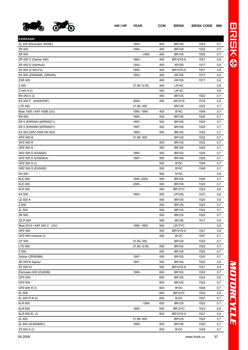

| <b>KAWASAKI</b>            |             |     |                    |      |     |
|----------------------------|-------------|-----|--------------------|------|-----|
| ZL 400 (Eliminator 400SE)  | 1993 -      | 400 | <b>BR12S</b>       | 1522 | 0,7 |
| ZR 400                     | 1984 -      | 400 | <b>BR12S</b>       | 1522 | 0,7 |
| ZR 400                     | $-1983$     | 400 | BR <sub>14</sub> S | 1525 | 0,7 |
| ZR 400 C (Zephyr 400)      | 1993 -      | 400 | <b>BR10YS-9</b>    | 1521 | 0,9 |
| ZR 400 D (Xanthus)         | 1993 -      | 400 | <b>AR10S</b>       | 1517 | 0,8 |
| ZX 400 (Z 400-F2)          | 1993 -      | 400 | <b>BR10YS-9</b>    | 1521 | 0,9 |
| ZX 400 (ZXR400R, ZZR400)   | 1993 -      | 400 | <b>AR10S</b>       | 1517 | 0,8 |
| <b>ZXR 400</b>             |             | 400 | AR10S              | 1517 | 0,8 |
| Z 440                      | 01.80-12.85 | 440 | LR14C              |      | 0,8 |
| Z 440 H (I)                |             | 440 | LR14C              |      | 0,8 |
| EN 450 A (I)               |             | 450 | <b>BR12S</b>       | 1522 | 0,7 |
| KX 450 F (KX450T6F)        | $2006 -$    | 450 | AR12YS             | 1518 | 0,9 |
| LTD 450                    | 01.85-450   |     | <b>BR12S</b>       | 1522 | 0,7 |
| Mule 1000 / KAF 450B (UV)  | 1990 - 1995 | 450 | <b>B14C</b>        | 1548 | 0,7 |
| EN 500                     | 1990 -      | 500 | BR <sub>10</sub> S | 1520 | 0,7 |
| ER 5 (ER500A1)(ER500C1)    | 1997 -      | 500 | <b>BR10S</b>       | 1520 | 0,7 |
| ER 5 (ER500B1)(ER500D1)    | 1997 -      | 500 | <b>BR10S</b>       | 1520 | 0,7 |
| EX 500 (GPZ 500S EN 500)   | 1993 -      | 500 | <b>BR12S</b>       | 1522 | 0,7 |
| GPX 500 R                  | 01.89-500   |     | <b>BR12S</b>       | 1522 | 0,7 |
| GPZ 500 R                  |             | 500 | <b>BR12S</b>       | 1522 | 0,7 |
| GPZ 500 S                  |             | 500 | <b>BR12S</b>       | 1522 | 0,7 |
| GPZ 500 S (EX500D)         | 1994 -      | 500 | <b>BR10S</b>       | 1520 | 0,7 |
| GPZ 500 S (EX500E4)        | 1997 -      | 500 | <b>BR10S</b>       | 1520 | 0,7 |
| GPZ 500 S (I)              |             | 500 | <b>B10C</b>        | 1549 | 0,7 |
| GRZ 500 S (EX500E)         |             | 500 | <b>B10C</b>        | 1549 | 0,7 |
| KH 500                     |             | 500 | <b>N14C</b>        |      | 0,9 |
| <b>KLE 500</b>             | 1990 - 2004 | 500 | BR <sub>10</sub> S | 1520 | 0,7 |
| <b>KLE 500</b>             | $2005 -$    | 500 | <b>BR10S</b>       | 1520 | 0,7 |
| <b>KLR 500</b>             |             | 500 | BR12YC             | 1523 | 0,9 |
| KX 500                     | 1993 -      | 500 | LR12SL             | 1537 | 0,6 |
| <b>LE 500 A</b>            |             | 500 | <b>BR10S</b>       | 1520 | 0,8 |
| Z 500                      |             | 500 | <b>BR12S</b>       | 1522 | 0,7 |
| ZL 500                     |             | 500 | <b>BR12S</b>       | 1522 | 0,7 |
| ZR 500                     |             | 500 | <b>BR12S</b>       | 1522 | 0,7 |
| ZZ-R 500                   |             | 500 | <b>AR10S</b>       | 1517 | 0,8 |
| Mule 2010 / KAF 540 C (UV) | 1990 - 1993 | 500 | LR17YC             |      | 0,6 |
| GPZ 550                    |             | 550 | <b>BR10YS-9</b>    | 1521 | 0,9 |
| GPZ 550 Unitrack (I)       |             | 550 | <b>B12C</b>        | 1547 | 0,7 |
| GT 550                     | 01.83-550   |     | <b>BR12S</b>       | 1522 | 0,7 |
| LTD 550                    | 01.80-12.85 | 550 | <b>BR12S</b>       | 1522 | 0,7 |
| Z 550                      |             | 550 | <b>BR12S</b>       | 1522 | 0,7 |
| Zephyr (ZR550B8)           | 1997 -      | 550 | <b>BR10S</b>       | 1520 | 0,7 |
| ZR 550 B Zephyr            | 1991 -      | 550 | <b>BR10S</b>       | 1520 | 0,8 |
| ZX 550 A1                  |             | 550 | <b>BR10YS-9</b>    | 1521 | 0,9 |
| Eliminator 600 (ZL600B)    | 1995 -      | 600 | <b>BR10S</b>       | 1520 | 0,7 |
| GPX 600                    |             | 600 | <b>BR12S</b>       | 1522 | 0,8 |
| GPZ 600                    |             | 600 | <b>BR12S</b>       | 1522 | 0,7 |
| GPZ 600 R (I)              |             | 600 | <b>B10C</b>        | 1549 | 0,7 |
| <b>KL 600</b>              |             | 600 | BR12YC             | 1523 | 0,9 |
| KL 600 R AI (I)            |             | 600 | <b>B12C</b>        | 1547 | 0,7 |
| <b>KLR 600</b>             | $-1984$     | 600 | <b>BR12S</b>       | 1522 | 0,7 |
| <b>KLR 600</b>             | 1985 -      | 600 | BR12YC             | 1523 | 0,9 |
| KLR 600 EL (I)             |             | 600 | <b>BR10YS-9</b>    | 1521 | 0,9 |
| ZL 600                     | 01.86-600   |     | <b>BR12S</b>       | 1522 | 0,7 |
| ZL 600 (ZL600B/B1)         | 1995 -      | 600 | <b>BR10S</b>       | 1520 | 0,7 |
| ZX 600 A (I)               |             | 600 | <b>B10C</b>        | 1549 | 0,7 |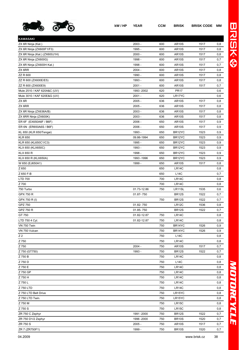

| <b>KAWASAKI</b>               |             |     |              |      |     |
|-------------------------------|-------------|-----|--------------|------|-----|
| ZX 6R Ninja (Kat.)            | $2003 -$    | 600 | <b>AR10S</b> | 1517 | 0,8 |
| ZX 6R Ninja (ZX600F1/F3)      | 1995 -      | 600 | <b>AR10S</b> | 1517 | 0,8 |
| ZX 6R Ninja (Kat.) (ZX600J1H) | $2000 -$    | 600 | <b>AR10S</b> | 1517 | 0,8 |
| ZX 6R Ninja (ZX600G)          | 1998 -      | 600 | <b>AR10S</b> | 1517 | 0,7 |
| ZX 6R Ninja (ZX600H Kat.)     | 1998 -      | 600 | <b>AR10S</b> | 1517 | 0,7 |
| ZX 6RR                        | $2004 -$    | 600 | <b>AR10S</b> | 1517 | 0,8 |
| ZZ R 600                      | 1990 -      | 600 | <b>AR10S</b> | 1517 | 0,8 |
| ZZ R 600 (ZX600E/E5)          | 1993 -      | 600 | <b>AR10S</b> | 1517 | 0,8 |
| ZZ R 600 (ZX600E9)            | $2001 -$    | 600 | <b>AR10S</b> | 1517 | 0,7 |
| Mule 2510 / KAF 620A&C (UV)   | 1993 - 2002 | 620 | <b>PR17</b>  |      | 0,6 |
| Mule 3010 / KAF 620E&G (UV)   | $2001 -$    | 620 | LR17YC       |      | 0,6 |
| ZX 6R                         | $2005 -$    | 636 | <b>AR10S</b> | 1517 | 0,8 |
| ZX 6RR                        | $2005 -$    | 636 | <b>AR10S</b> | 1517 | 0,8 |
| ZX 6R Ninja (ZX636A/B)        | $2003 -$    | 636 | <b>AR10S</b> | 1517 | 0,8 |
| ZX 6RR Ninja (ZX600K)         | 2003 -      | 636 | <b>AR10S</b> | 1517 | 0,8 |
| ER 6F (EX650A6F / B6F)        | $2006 -$    | 650 | <b>AR10S</b> | 1517 | 0,9 |
| ER 6N (ER650A6S / B6F)        | $2006 -$    | 650 | <b>AR10S</b> | 1517 | 0,9 |
| KL 650 (KLR 650/Tengai)       | 1993 -      | 650 | BR12YC       | 1523 | 0,9 |
| <b>KLR 650</b>                | 09.86-1994  | 650 | BR12YC       | 1523 | 0,9 |
| KLR 650 (KL650C1/C3)          | 1995 -      | 650 | BR12YC       | 1523 | 0,9 |
| KLX 650 (KLX650C)             | 1993 -      | 650 | BR12YC       | 1523 | 0,9 |
| <b>KLX 650 R</b>              | 1998 -      | 650 | BR12YC       | 1523 | 0,9 |
| KLX 650 R (KLX650A)           | 1993 - 1996 | 650 | BR12YC       | 1523 | 0,9 |
| W 650 (EJ650A1)               | 1999 -      | 650 | <b>AR10S</b> | 1517 | 0,8 |
| Z 650                         |             | 650 | <b>LR14C</b> |      | 0,8 |
| Z 650 F-B                     |             | 650 | L14C         |      | 0,7 |
| <b>LTD 700</b>                |             | 700 | <b>LR14C</b> |      | 0,8 |
| Z 700                         |             | 700 | <b>LR14C</b> |      | 0,8 |
| 750 Turbo                     | 01.73-12.86 | 750 | LR11SL       | 1535 | 0,6 |
| GPX 750 R                     | 01.87-750   |     | <b>BR12S</b> | 1522 | 0,7 |
| GPX 750 R (I)                 |             | 750 | <b>BR12S</b> | 1522 | 0,7 |
| GPZ 750                       | 01.82-750   |     | <b>LR12C</b> | 1536 | 0,8 |
| GPZ 750 R                     | 01.85-750   |     | <b>BR12S</b> | 1522 | 0,7 |
| GT 750                        | 01.82-12.87 | 750 | LR14C        |      | 0,8 |
| LTD 750 4 Cyl.                | 01.82-12.87 | 750 | LR14C        |      | 0,8 |
| VN 750 Twin                   |             | 750 | BR14YC       | 1526 | 0,9 |
| VN 750 Vulcan                 |             | 750 | BR14YC       | 1526 | 0,9 |
| Z <sub>2</sub>                |             | 750 | L14C         |      | 0,8 |
| Z 750                         |             | 750 | <b>LR14C</b> |      | 0,8 |
| Z 750                         | $2004 -$    | 750 | <b>AR10S</b> | 1517 | 0,7 |
| Z 750 (GT750)                 | 1993 -      | 750 | <b>BR12S</b> | 1522 | 0,7 |
| Z 750 B                       |             | 750 | <b>LR14C</b> |      | 0,8 |
| Z 750 D                       |             | 750 | <b>L14C</b>  |      | 0,8 |
| Z 750 E                       |             | 750 | <b>LR14C</b> |      | 0,8 |
| Z 750 GP                      |             | 750 | <b>LR14C</b> |      | 0,8 |
| Z 750 H                       |             | 750 | LR14C        |      | 0,8 |
| Z 750 L                       |             | 750 | <b>LR14C</b> |      | 0,8 |
| Z 750 LTD                     |             | 750 | LR14C        |      | 0,8 |
| Z 750 LTD Belt Drive          |             | 750 | LR15YC       |      | 0,8 |
| Z 750 LTD Twin.               |             | 750 | LR15YC       |      | 0,8 |
| Z 750 M                       |             | 750 | <b>LR15C</b> |      | 0,8 |
| Z 750 S                       |             | 750 | LR15C        |      | 0,8 |
| ZR 750 C Zephyr               | 1991 -2000  | 750 | <b>BR12S</b> | 1522 | 0,7 |
| ZR 750 D1/2 Zephyr            | 1996 -2000  | 750 | <b>BR10S</b> | 1520 | 0,7 |
| ZR 750 S                      | $2005 -$    | 750 | <b>AR10S</b> | 1517 | 0,7 |
| ZR 7 (ZR750F1)                | 1999 -      | 750 | <b>BR10S</b> | 1520 | 0,7 |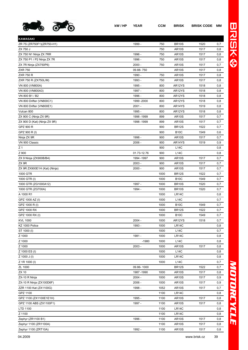

| <b>KAWASAKI</b>              |             |      |                    |      |     |
|------------------------------|-------------|------|--------------------|------|-----|
| ZR 7S (ZR750F1)(ZR750-H1)    | 1999 -      | 750  | <b>BR10S</b>       | 1520 | 0,7 |
| ZX 750 J                     |             | 750  | <b>AR10S</b>       | 1517 | 0,8 |
| ZX 750 N1 Ninja ZX 7RR       | 1996 -      | 750  | <b>AR10S</b>       | 1517 | 0,8 |
| ZX 750 P1 / P2 Ninja ZX 7R   | 1996 -      | 750  | <b>AR10S</b>       | 1517 | 0,8 |
| ZX 7R Ninja (ZX750P6)        | $2000 -$    | 750  | <b>AR10S</b>       | 1517 | 0,7 |
| <b>ZXR 750</b>               | 09.88-750   |      | <b>AR10S</b>       | 1517 | 0,8 |
| <b>ZXR 750 R</b>             | 1990 -      | 750  | <b>AR10S</b>       | 1517 | 0,8 |
| ZXR 750 R (ZX750L/M)         | 1993 -      | 750  | <b>AR10S</b>       | 1517 | 0,8 |
| VN 800 (VN800A)              | 1995 -      | 800  | AR12YS             | 1518 | 0,8 |
| VN 800 (VN800A3)             | 1997 -      | 800  | AR12YS             | 1518 | 0,8 |
| VN 800 B1 / B2               | 1996 -      | 800  | AR12YS             | 1518 | 0,8 |
| VN 800 Drifter (VN800C1)     | 1999 - 2000 | 800  | AR12YS             | 1518 | 0,8 |
| VN 800 Drifter (VN800E1)     | $2001 -$    | 800  | AR14YS             | 1519 | 0,8 |
| Vulcan 800                   | 1995 -      | 800  | AR12YS             | 1518 | 0,8 |
| ZX 900 C (Ninja ZX 9R)       | 1998 - 1999 | 899  | <b>AR10S</b>       | 1517 | 0,7 |
| ZX 900 D (Kat) (Ninja ZX 9R) | 1998 - 1999 | 899  | <b>AR10S</b>       | 1517 | 0,7 |
| GPZ 900 R                    |             | 900  | <b>BR12S</b>       | 1522 | 0,7 |
| GPZ 900 R (I)                |             | 900  | <b>B10C</b>        | 1549 | 0,6 |
| Ninja ZX 9R                  | 1998 -      | 900  | <b>AR10S</b>       | 1517 | 0,7 |
| VN 900 Classic               | 2006 -      | 900  | AR14YS             | 1519 | 0,9 |
| Z 1                          |             | 900  | L14C               |      | 0,8 |
| Z 900                        | 01.73-12.76 | 900  | L14C               |      | 0,8 |
| ZX 9 Ninja (ZX900B/B4)       | 1994 - 1997 | 900  | <b>AR10S</b>       | 1517 | 0,7 |
| ZX 9R                        | $2003 -$    | 900  | <b>AR10S</b>       | 1517 | 0,7 |
| ZX 9R ZX900E1H (Kat) (Ninja) | $2000 -$    | 900  | <b>AR10S</b>       | 1517 | 0,7 |
| 1000 GTR                     |             | 1000 | <b>BR12S</b>       | 1522 | 0,7 |
| 1000 GTR (I)                 |             | 1000 | <b>B10C</b>        | 1549 | 0,7 |
| 1000 GTR (ZG1000A12)         | 1997 -      | 1000 | <b>BR10S</b>       | 1520 | 0,7 |
| 1000 GTR (ZGT00A)            | 1994 -      | 1000 | <b>BR10S</b>       | 1520 | 0,7 |
| A 1000 R1                    |             | 1000 | LR14C              |      | 0,8 |
| GPZ 1000 AZ (I)              |             | 1000 | <b>L14C</b>        |      | 0,7 |
| GPZ 1000 R (I)               |             | 1000 | <b>B10C</b>        | 1549 | 0,7 |
| GPZ 1000 RX                  |             | 1000 | <b>BR12S</b>       | 1522 | 0,7 |
| GPZ 1000 RX (I)              |             | 1000 | <b>B10C</b>        | 1549 | 0,7 |
| <b>KVL 1000</b>              | $2004 -$    | 1000 | AR12YS             | 1518 | 0,7 |
| KZ 1000 Police               | 1993 -      | 1000 | LR14C              |      | 0,8 |
| ST 1000 (I)                  |             | 1000 | <b>L14C</b>        |      | 0,7 |
| Z 1000                       | 1981 -      | 1000 | LR14C              |      | 0,8 |
| Z 1000                       | $-1980$     | 1000 | <b>L14C</b>        |      | 0,8 |
| Z 1000                       | 2003 -      | 1000 | <b>AR10S</b>       | 1517 | 0,8 |
| Z 1000 ES (I)                |             | 1000 | <b>L14C</b>        |      | 0,8 |
| Z 1000 J (I)                 |             | 1000 | LR14C              |      | 0,8 |
| Z 1R 1000 (I)                |             | 1000 | <b>L14C</b>        |      | 0,7 |
| ZL 1000                      | 09.86-1000  |      | <b>BR12S</b>       | 1522 | 0,7 |
| ZX 10                        | 1987-1990   | 1000 | <b>AR10S</b>       | 1517 | 0,8 |
| ZX-10 R Ninja                | 2004 -      | 1000 | AR <sub>10</sub> S | 1517 | 0,9 |
| ZX-10 R Ninja (ZX100D6F)     | $2006 -$    | 1000 | <b>AR10S</b>       | 1517 | 0,9 |
| ZZR 1100 Kat (ZX1100G)       | 1998 -      | 1052 | <b>AR10S</b>       | 1517 | 0,7 |
| GPZ 1100                     |             | 1100 | LR14C              |      | 0,8 |
| GPZ 1100 (ZX1100E1E1H)       | 1995 -      | 1100 | <b>AR10S</b>       | 1517 | 0,8 |
| GPZ 1100 ABS (ZX1100F1)      | 1997 -      | 1100 | AR <sub>10</sub> S | 1517 | 0,8 |
| LTD 1100                     |             | 1100 | LR14C              |      | 0,8 |
| Z 1100                       |             | 1100 | LR14C              |      | 0,8 |
| Zephyr (ZR1100 B1)           | 1996 -      | 1100 | <b>AR10S</b>       | 1517 | 0,8 |
| Zephyr 1100 (ZR1100A)        |             | 1100 | <b>AR10S</b>       | 1517 | 0,8 |
| Zephyr 1100 (ZRT10A)         | 1992 -      | 1100 | <b>AR10S</b>       | 1517 | 0,8 |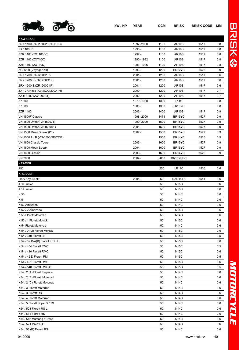

| <b>KAWASAKI</b>                  |             |      |                     |      |     |
|----------------------------------|-------------|------|---------------------|------|-----|
| ZRX 1100 (ZR1100C1)(ZRT10C)      | 1997 - 2000 | 1100 | <b>AR10S</b>        | 1517 | 0,8 |
| ZX 1100 F1                       | 1996 -      | 1100 | <b>AR10S</b>        | 1517 | 0,8 |
| ZZR 1100 (ZX1100D5)              | 1997 -      | 1100 | <b>AR10S</b>        | 1517 | 0,8 |
| ZZR 1100 (ZXT10C)                | 1990 - 1992 | 1100 | <b>AR10S</b>        | 1517 | 0,8 |
| ZZR 1100 (ZXT10D)                | 1993 - 1996 | 1100 | <b>AR10S</b>        | 1517 | 0,8 |
| ZG 1200 (Voyager XII)            | 1993 -      | 1200 | BR <sub>12</sub> YC | 1523 | 0,9 |
| ZRX 1200 (ZR1200C1P)             | $2001 -$    | 1200 | <b>AR10S</b>        | 1517 | 0,6 |
| ZRX 1200 R (ZR1200C1P)           | $2001 -$    | 1200 | <b>AR10S</b>        | 1517 | 0,6 |
| ZRX 1200 S (ZR1200C1P)           | $2001 -$    | 1200 | <b>AR10S</b>        | 1517 | 0,6 |
| ZX-12R Ninja (Kat.)(ZX1200A1H)   | $2000 -$    | 1200 | <b>AR10S</b>        | 1517 | 0,7 |
| ZZ-R 1200 (ZX1200C1)             | $2002 -$    | 1200 | <b>AR10S</b>        | 1517 | 0,7 |
| Z 1300                           | 1979 - 1980 | 1300 | <b>L14C</b>         |      | 0,8 |
| Z 1300                           | 1980 -      | 1300 | LR15YC              |      | 0,8 |
| ZZR 1400                         | $2006 -$    | 1400 | <b>AR10S</b>        | 1517 | 0,9 |
| VN 1500F Classic                 | 1998 - 2000 | 1471 | BR15YC              | 1527 | 0,9 |
| VN 1500 Drifter (VN1500J1)       | 1999 - 2000 | 1500 | BR <sub>15</sub> YC | 1527 | 0,9 |
| VN 1500 Drifter (VN1500R1)       | $2001 -$    | 1500 | BR <sub>15</sub> YC | 1527 | 0,9 |
| VN 1500 Mean Streak (P1)         | $2002 -$    | 1500 | BR <sub>15</sub> YC | 1527 | 0,9 |
|                                  |             |      |                     |      |     |
| VN 1500 A / B (VN-1500/SE/C/D2)  |             | 1500 | BR14YC              | 1526 | 0,9 |
| VN 1600 Classic Tourer           | $2005 -$    | 1600 | BR <sub>15</sub> YC | 1527 | 0,9 |
| VN 1600 Mean Streak              | $2004 -$    | 1600 | BR <sub>15</sub> YC | 1527 | 0,9 |
| VN 1600 Classic                  | $2003 -$    | 1600 | BR14YC              | 1526 | 0,9 |
| <b>VN 2000</b>                   | $2004 -$    | 2053 | DR15YPP-1           |      |     |
| <b>KRAMER</b>                    |             |      |                     |      |     |
| 250                              |             | 250  | LR12C               | 1536 | 0,6 |
| <b>KREIDLER</b>                  |             |      |                     |      |     |
| Flory 1Zyl.4Takt                 | $2005 -$    | 50   | NAR14YS             | 1541 | 0,6 |
| J 50 Junior                      |             | 50   | N <sub>15</sub> C   |      | 0,6 |
| J 51 Junior                      |             | 50   | <b>N15C</b>         |      | 0,6 |
| K 50                             |             | 50   | <b>N14C</b>         |      | 0,6 |
| K 51                             |             | 50   | N14C                |      | 0,6 |
| K 52 Amazone                     |             | 50   | <b>N14C</b>         |      | 0,6 |
| K 52 / 2 Amazone                 |             | 50   | <b>N14C</b>         |      | 0,6 |
| K 53 Florett Motorrad            |             | 50   | <b>N14C</b>         |      | 0,6 |
| K 53 / 1 Florett Mokick          |             | 50   | <b>N15C</b>         |      | 0,6 |
| K 54 Florett Motorrad            |             | 50   | <b>N14C</b>         |      | 0,6 |
| K 54 / 0 (M) Florett Mokick      |             | 50   | <b>N15C</b>         |      | 0,6 |
| K 54 / 319 Florett LF            |             | 50   | <b>N15C</b>         |      | 0,5 |
| K 54 / 32 D-A(B) Florett LF / LH |             | 50   | <b>N15C</b>         |      | 0,6 |
| K 54 / 404 Florett RMC           |             | 50   | N15C                |      | 0,5 |
| K 54 / 410 Florett RMC           |             | 50   | <b>N15C</b>         |      | 0,6 |
| K 54 / 42 D Florett RM           |             | 50   | <b>N15C</b>         |      | 0,5 |
| K 54 / 421 Florett RMC           |             | 50   | <b>N15C</b>         |      | 0,6 |
| K 54 / 540 Florett RMC/S         |             | 50   | <b>N15C</b>         |      | 0,5 |
| K54 / 2 (A) Florett Super 4      |             | 50   | <b>N14C</b>         |      | 0,6 |
| K54 / 2 (B) Florett Motorrad     |             | 50   | <b>N14C</b>         |      | 0,6 |
| K54 / 2 (C) Florett Motorrad     |             | 50   | <b>N14C</b>         |      | 0,6 |
| K54 / 3 Florett Motorrad         |             | 50   | <b>N14C</b>         |      | 0,6 |
| K54 / 3 Florett RS               |             | 50   | <b>N14C</b>         |      | 0,6 |
| K54 / 4 Florett Motorrad         |             | 50   | <b>N14C</b>         |      | 0,6 |
| K54 / 5 Florett Super 5 / TS     |             | 50   | <b>N14C</b>         |      | 0,6 |
| K54 / 503 Florett RS L           |             | 50   | N14C                |      | 0,6 |
| K54 / 511 Florett RS             |             | 50   | <b>N14C</b>         |      | 0,6 |
| K54 / 512 Mustang / Cross        |             | 50   | <b>N14C</b>         |      | 0,6 |
| K54 / 52 Florett GT              |             | 50   | N14C                |      | 0,6 |
| K54 / 53 (B) Florett RS          |             | 50   | <b>N14C</b>         |      | 0,6 |
|                                  |             |      |                     |      |     |

*MOTORCYCLE*

MOTORCYCLE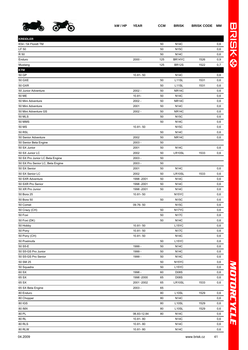

| <b>KREIDLER</b>                  |              |     |                    |      |     |
|----------------------------------|--------------|-----|--------------------|------|-----|
| K54 / 54 Florett TM              |              | 50  | <b>N14C</b>        |      | 0,6 |
| LF 50                            |              | 50  | <b>N15C</b>        |      | 0,6 |
| R 50                             |              | 50  | <b>N14C</b>        |      | 0,6 |
| Enduro                           | $2000 -$     | 125 | BR14YC             | 1526 | 0,9 |
| Mustang                          |              | 125 | <b>BR12S</b>       | 1522 | 0,7 |
| <b>KTM</b>                       |              |     |                    |      |     |
| 50 GP                            | 10.81-50     |     | <b>N14C</b>        |      | 0,6 |
| <b>50 GXE</b>                    |              | 50  | L <sub>11</sub> SL | 1531 | 0,6 |
| <b>50 GXR</b>                    |              | 50  | L <sub>11</sub> SL | 1531 | 0,6 |
| 50 Junior Adventure              | $2002 -$     | 50  | <b>NR14C</b>       |      | 0,6 |
| 50 ME                            | $10.81 -$    | 50  | <b>N14C</b>        |      | 0,6 |
| 50 Mini Adventure                | $2002 -$     | 50  | NR14C              |      | 0,6 |
| 50 Mini Adventure                | 2001         | 50  | <b>N14C</b>        |      | 0,6 |
| 50 Mini Adventure GS             | $2002 -$     | 50  | NR <sub>14</sub> C |      | 0,6 |
| <b>50 MLS</b>                    |              | 50  | <b>N15C</b>        |      | 0,6 |
| <b>50 MMS</b>                    |              | 50  | <b>N14C</b>        |      | 0,6 |
| 50 MS                            | 10.81-50     |     | <b>N15C</b>        |      | 0,6 |
| <b>50 RSL</b>                    |              | 50  | <b>N14C</b>        |      | 0,6 |
| 50 Senior Adventure              | 2002         | 50  | NR <sub>14</sub> C |      | 0,6 |
| 50 Senior Beta Engine            | $2003 -$     | 50  |                    |      |     |
| 50 SX Junior                     | 2001         | 50  | <b>N14C</b>        |      | 0,6 |
| 50 SX Junior LC                  | 2002         | 50  | LR10SL             | 1533 | 0,6 |
| 50 SX Pro Junior LC Beta Engine  | $2003 -$     | 50  |                    |      |     |
| 50 SX Pro Senior LC, Beta Engine | $2003 -$     | 50  |                    |      |     |
| 50 SX Senior                     | 2001         | 50  | <b>N14C</b>        |      | 0,6 |
| 50 SX Senior LC                  | 2002         | 50  | LR10SL             | 1533 | 0,6 |
| 50 SXR Adventure                 | 1998 - 2001  | 50  | <b>N14C</b>        |      | 0,6 |
| 50 SXR Pro Senior                | 1998 - 2001  | 50  | <b>N14C</b>        |      | 0,6 |
| 50 XR Pro Junior                 | 1998 - 2001  | 50  | <b>N14C</b>        |      | 0,6 |
| 50 Bora 25                       | 10.81-50     |     | N <sub>15</sub> YC |      | 0,6 |
| 50 Bora 50                       |              | 50  | <b>N15C</b>        |      | 0,6 |
| 50 Comet                         | 09.76-50     |     | <b>N15C</b>        |      | 0,6 |
| 50 Crazy (CH)                    |              | 50  | N <sub>17</sub> YC |      | 0,6 |
| 50 Foxi                          |              | 50  | <b>N17C</b>        |      | 0,6 |
| 50 Foxi (DK)                     |              | 50  | <b>N14C</b>        |      | 0,6 |
| 50 Hobby                         | 10.81-50     |     | L15YC              |      | 0,6 |
| 50 Pony                          | $10.81 - 50$ |     | <b>N17C</b>        |      | 0,6 |
| 50 Pony (CH)                     | 10.81-50     |     | <b>N14C</b>        |      | 0,6 |
| 50 Postmofa                      |              | 50  | L15YC              |      | 0,6 |
| 50 S5-E                          | 1999 -       | 50  | <b>N14C</b>        |      | 0,6 |
| 50 S5-GS Pro Junior              | 1999 -       | 50  | <b>N14C</b>        |      | 0,6 |
| 50 S5-GS Pro Senior              | 1999 -       | 50  | <b>N14C</b>        |      | 0,6 |
| 50 SM 25                         |              | 50  | N <sub>15</sub> YC |      | 0,6 |
| 50 Squadra                       |              | 50  | L15YC              |      | 0,6 |
| 60 SX                            | 1998 -       | 60  | <b>D08S</b>        |      | 0,6 |
| 65 SX                            | 1998 - 2000  | 65  | <b>D08S</b>        |      | 0,6 |
| 65 SX                            | 2001-2002    | 65  | LR10SL             | 1533 | 0,6 |
| 65 SX Beta Engine                | $2003 -$     | 65  |                    |      |     |
| 80 Enduro                        |              | 80  | L10SL              | 1529 | 0,6 |
| 80 Chopper                       |              | 80  | <b>N14C</b>        |      | 0,6 |
| 80 IGS                           |              | 80  | L10SL              | 1529 | 0,6 |
| 80 IMX                           |              | 80  | L10SL              | 1529 | 0,6 |
| 80 PL                            | 06.83-12.84  | 80  | <b>N14C</b>        |      | 0,6 |
| 80 RL                            | 10.81-80     |     | <b>N14C</b>        |      | 0,6 |
| <b>80 RLS</b>                    | 10.81-80     |     | <b>N14C</b>        |      | 0,6 |
|                                  |              |     |                    |      |     |

80 RLW 10.81- 80 N14C 0,6 N14C 0,6 N14C 0,6 N14C 0,6 N14C 0,6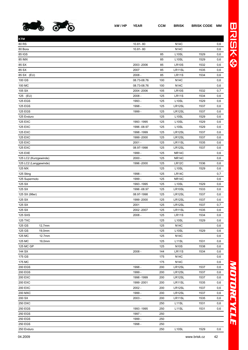

**KTM**

| г      |
|--------|
| I      |
| ı<br>◉ |
|        |
|        |

| ь |
|---|
| ſ |
|   |
|   |
|   |
|   |
|   |
|   |
|   |
|   |
|   |

L

| 80 Bora               | 10.81-80     |     | <b>N14C</b>        |      | 0,6 |
|-----------------------|--------------|-----|--------------------|------|-----|
| 85 IGS                |              | 85  | L <sub>10</sub> SL | 1529 | 0,6 |
| 85 IMX                |              | 85  | L <sub>10</sub> SL | 1529 | 0,6 |
| 85 SX                 | 2003 - 2006  | 85  | LR10S              | 1532 | 0,6 |
| 85 SX                 | 2007         | 85  | LR11SL             | 1535 | 0,6 |
| 85 SX (EU)            | $2008 -$     | 85  | <b>LR11S</b>       | 1534 | 0,6 |
| 100 GS                | 08.73-08.76  | 100 | <b>N14C</b>        |      | 0,6 |
| 100 MC                | 08.73-08.76  | 100 | <b>N14C</b>        |      | 0,6 |
| 105 SX                | 2004 - 2006  | 105 | <b>LR10S</b>       | 1532 | 0,7 |
| 125 (EU)              | $2008 -$     | 125 | <b>LR11S</b>       | 1534 | 0,6 |
| <b>125 EGS</b>        | 1993 -       | 125 | L <sub>10</sub> SL | 1529 | 0,6 |
| <b>125 EGS</b>        | 1998 -       | 125 | LR12SL             | 1537 | 0,6 |
| <b>125 EGS</b>        | 1999 -       | 125 | LR12SL             | 1537 | 0,6 |
| 125 Enduro            |              | 125 | L <sub>10</sub> SL | 1529 | 0,6 |
| 125 EXC               | 1993 - 1995  | 125 | L <sub>10</sub> SL | 1529 | 0,6 |
| <b>125 EXC</b>        | 1996 - 08.97 | 125 | L <sub>10</sub> SL | 1529 | 0,6 |
| 125 EXC               | 1998 - 1999  | 125 | LR12SL             | 1537 | 0,6 |
| 125 EXC               | 1999 - 2000  | 125 | LR12SL             | 1537 | 0,6 |
| 125 EXC               | $2001 -$     | 125 | LR11SL             | 1535 | 0,6 |
| 125 EXC               | 08.97-1998   | 125 | LR12SL             | 1537 | 0,6 |
| <b>125 EXE</b>        | 1999 -       | 125 | <b>NR14C</b>       |      | 0,6 |
| 125 LC2 (Kurzgewinde) | $2000 -$     | 125 | <b>NR14C</b>       |      | 0,6 |
| 125 LC2 (Langgewinde) | 1996 -2000   | 125 | LR12C              | 1536 | 0,6 |
| 125 MX                |              | 125 | L10SL              | 1529 | 0,6 |
|                       |              |     |                    |      |     |
| 125 Sting             | 1998 -       | 125 | LR14C              |      | 0,7 |
| 125 Supermoto         | 1999 -       | 125 | <b>NR14C</b>       |      | 0,6 |
| 125 SX                | 1993 - 1995  | 125 | L <sub>10</sub> SL | 1529 | 0,6 |
| 125 SX                | 1996 - 08.97 | 125 | LR10SL             | 1533 | 0,6 |
| 125 SX (98er)         | 08.97-1998   | 125 | LR12SL             | 1537 | 0,6 |
| 125 SX                | 1999 - 2000  | 125 | LR12SL             | 1537 | 0,6 |
| 125 SX                | 2001         | 125 | LR12SL             | 1537 | 0,7 |
| 125 SX                | 2002 - 2007  | 125 | LR11SL             | 1535 | 0,6 |
| 125 SXS               | $2008 -$     | 125 | <b>LR11S</b>       | 1534 | 0,6 |
| <b>125 TXC</b>        |              | 125 | L <sub>10</sub> SL | 1529 | 0,6 |
| 125 GS<br>12,7mm      |              | 125 | <b>N14C</b>        |      | 0,6 |
| 125 GS<br>19,0mm      |              | 125 | L <sub>10SL</sub>  | 1529 | 0,6 |
| 125 MC<br>12.7mm      |              | 125 | <b>N14C</b>        |      | 0,6 |
| 125 MC<br>19,0mm      |              | 125 | L11SL              | 1531 | 0,6 |
| 125 MC GP             |              | 125 | <b>N10S</b>        | 1538 | 0,6 |
| 144 SX                | $2008 -$     | 144 | <b>LR11S</b>       | 1534 | 0,6 |
| 175 GS                |              | 175 | <b>N14C</b>        |      | 0,6 |
| 175 MC                |              | 175 | <b>N14C</b>        |      | 0,6 |
| 200 EGS               | 1998 -       | 200 | LR12SL             | 1537 | 0,6 |
| 200 EGS               | 1999 -       | 200 | LR12SL             | 1537 | 0,6 |
| 200 EXC               | 1998 - 1999  | 200 | LR12SL             | 1537 | 0,6 |
| 200 EXC               | 1999 - 2001  | 200 | LR11SL             | 1535 | 0,6 |
| 200 EXC               | $2002 -$     | 200 | LR12SL             | 1537 | 0,6 |
| 200 MXC               | 1999 -       | 200 | LR12SL             | 1537 | 0,6 |
| 200 SX                | $2003 -$     | 200 | LR11SL             | 1535 | 0,6 |
| 250 DXC               |              | 250 | L11SL              | 1531 | 0,6 |
| 250 EGS               | 1993 - 1995  | 250 | L <sub>11</sub> SL | 1531 | 0,6 |
| 250 EGS               | 1997 -       | 250 |                    |      |     |
| 250 EGS               | 1999 -       | 250 |                    |      |     |
| 250 EGS               | 1998 -       | 250 |                    |      |     |

250 Enduro 250 L10SL 1529 0,6

80 RS 10.81- 80 N14C 0,6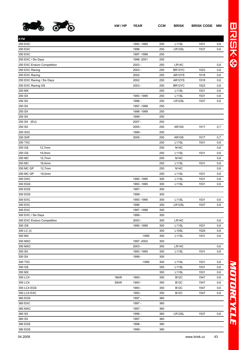

| <b>KTM</b>                 |                |     |                    |      |     |
|----------------------------|----------------|-----|--------------------|------|-----|
| 250 EXC                    | 1993 - 1995    | 250 | L11SL              | 1531 | 0,6 |
| 250 EXC                    | 1996           | 250 | LR12SL             | 1537 | 0,6 |
| <b>250 EXC</b>             | 1997 - 1998    | 250 |                    |      |     |
| 250 EXC / Six Days         | 1998 - 2001    | 250 |                    |      |     |
| 250 EXC Enduro Competition | $2003 -$       | 250 | LR14C              |      | 0,6 |
| 250 EXC Racing             | 2003 -         | 250 | BR12YC             | 1523 | 0,6 |
| 250 EXC Racing             | 2002           | 250 | AR12YS             | 1518 | 0,6 |
| 250 EXC Racing / Six Days  | 2002           | 250 | AR12YS             | 1518 | 0,6 |
| 250 EXC Racing GS          | $2003 -$       | 250 | BR12YC             | 1523 | 0,6 |
| 250 MX                     |                | 250 | L11SL              | 1531 | 0,6 |
| 250 SX                     | 1993 - 1995    | 250 | L <sub>11</sub> SL | 1531 | 0,6 |
| 250 SX                     | 1996 -         | 250 | LR12SL             | 1537 | 0,6 |
| 250 SX                     | 1997 - 1998    | 250 |                    |      |     |
| 250 SX                     | 1998 - 1999    | 250 |                    |      |     |
| 250 SX                     | 1999 -         | 250 |                    |      |     |
| 250 SX (EU)                | 2007 -         | 250 |                    |      |     |
| 250 SX                     | $2005 -$       | 250 | <b>AR10S</b>       | 1517 | 0,7 |
| <b>250 SXC</b>             | 1999 -         | 250 |                    |      |     |
| 250 SXF                    | $2005 -$       | 250 | <b>AR10S</b>       | 1517 | 0,7 |
| <b>250 TXC</b>             |                | 250 | L11SL              | 1531 | 0,6 |
| 250 GS<br>12,7mm           |                | 250 | <b>N14C</b>        |      | 0,6 |
| 250 GS<br>19,0mm           |                | 250 | L11SL              | 1531 | 0,6 |
| 250 MC<br>12,7mm           |                | 250 | <b>N14C</b>        |      | 0,6 |
| 250 MC<br>19,0mm           |                | 250 | L11SL              | 1531 | 0,6 |
| 250 MC GP<br>12,7mm        |                | 250 | <b>N14C</b>        |      | 0,6 |
| 250 MC GP<br>19,0mm        |                | 250 | L11SL              | 1531 | 0,6 |
| 300 DXC                    | 1990 - 1995    | 300 | L11SL              | 1531 | 0,6 |
| 300 EGS                    | 1993 - 1995    | 300 | L11SL              | 1531 | 0,6 |
| 300 EGS                    | 1997 -         | 300 |                    |      |     |
| 300 EGS                    | 1999 -         | 300 |                    |      |     |
| 300 EXC                    | 1993 - 1995    | 300 | L <sub>11</sub> SL | 1531 | 0,6 |
| 300 EXC                    | 1996           | 300 | LR12SL             | 1537 | 0,6 |
| 300 EXC                    | 1997 - 1998    | 300 |                    |      |     |
| 300 EXC / Six Days         | 1999 -         | 300 |                    |      |     |
| 300 EXC Enduro Competition | $2003 -$       | 300 | LR14C              |      | 0,6 |
| 300 GS                     | 1990 - 1995    | 300 | L <sub>11</sub> SL | 1531 | 0,6 |
| 300 LC (I)                 |                | 300 | L <sub>10</sub> SL | 1529 | 0,6 |
| 300 MX                     | $-1995$        | 300 | L11SL              | 1531 | 0,6 |
| 300 MXC                    | 1997 - 2002    | 300 |                    |      |     |
| 300 MXC                    | 2003 -         | 300 | LR14C              |      | 0,6 |
| 300 SX                     | 1993 - 1995    | 300 | L <sub>11</sub> SL | 1531 | 0,6 |
| 300 SX                     | 1999 -         | 300 |                    |      |     |
| 300 TXC                    | $-1995$        | 300 | L <sub>11</sub> SL | 1531 | 0,6 |
| 350 GS                     |                | 350 | L11SL              | 1531 | 0,6 |
| 350 MX                     |                | 350 | L11SL              | 1531 | 0,6 |
| 350 LC4                    | 18kW<br>1993 - | 350 | <b>B12C</b>        | 1547 | 0,6 |
| 350 LC4                    | 30kW<br>1993 - | 350 | <b>B12C</b>        | 1547 | 0,6 |
| 350 LC4 EGS                | 1993 -         | 350 | <b>B12C</b>        | 1547 | 0,6 |
| 350 LC4 EXC                | 1993 -         | 350 | <b>B12C</b>        | 1547 | 0,6 |
| 360 EGS                    | 1997 -         | 360 |                    |      |     |
| 360 EXC                    | 1997 -         | 360 |                    |      |     |
| 360 MXC                    | 1997 -         | 360 |                    |      |     |
| 360 SX                     | 1996 -         | 360 | LR12SL             | 1537 | 0,6 |
| 360 SX                     | 1997 -         | 360 |                    |      |     |
| 380 EGS                    | 1998 -         | 380 |                    |      |     |
| 380 EGS                    | 1999 -         | 380 |                    |      |     |

*MOTORCYCLE*

MOTORCYCLE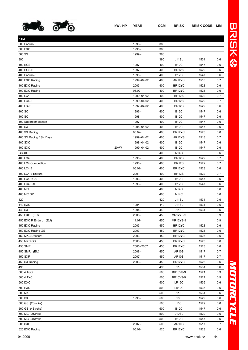

| KTM                      |      |              |     |                    |      |     |
|--------------------------|------|--------------|-----|--------------------|------|-----|
| 380 Enduro               |      | 1998 -       | 380 |                    |      |     |
| 380 EXC                  |      | 1998 -       | 380 |                    |      |     |
| 380 SX                   |      | 1999 -       | 380 |                    |      |     |
| 390                      |      |              | 390 | L <sub>11</sub> SL | 1531 | 0,6 |
| 400 EGS                  |      | 1997 -       | 400 | <b>B12C</b>        | 1547 | 0,6 |
| 400 EGS-E                |      | 1997 -       | 400 | <b>BR12S</b>       | 1522 | 0,6 |
| 400 Enduro-E             |      | 1998 -       | 400 | <b>B12C</b>        | 1547 | 0,6 |
| 400 EXC Racing           |      | 1999 - 04.02 | 400 | AR12YS             | 1518 | 0,7 |
| 400 EXC Racing           |      | $2003 -$     | 400 | BR12YC             | 1523 | 0,6 |
| 400 EXC Racing           |      | $05.02 -$    | 400 | BR12YC             | 1523 | 0,6 |
| 400 LC4                  |      | 1999 - 04.02 | 400 | <b>BR12S</b>       | 1522 | 0,7 |
| 400 LC4-E                |      | 1999 - 04.02 | 400 | <b>BR12S</b>       | 1522 | 0,7 |
| 400 LS-E                 |      | 1997 - 04.02 | 400 | <b>BR12S</b>       | 1522 | 0,6 |
| 400 SC                   |      | 1996 -       | 400 | <b>B12C</b>        | 1547 | 0,6 |
| 400 SC                   |      | 1998 -       | 400 | <b>B12C</b>        | 1547 | 0,6 |
| 400 Supercompetition     |      | 1997 -       | 400 | <b>B12C</b>        | 1547 | 0,6 |
| 400 SX                   |      | 1998 - 04.02 | 400 | <b>B12C</b>        | 1547 | 0,6 |
| 400 SX Racing            |      | $05.02 -$    | 400 | BR12YC             | 1523 | 0,6 |
| 400 SX Racing / Six Days |      | 1999 - 04.02 | 400 | AR12YS             | 1518 | 0,7 |
| 400 SXC                  |      | 1998 - 04.02 | 400 | <b>B12C</b>        | 1547 | 0,6 |
| 400 SXC                  | 20kW | 1999 - 04.02 | 400 | <b>B12C</b>        | 1547 | 0,6 |
| GS 400                   |      |              | 400 | <b>N14C</b>        |      | 0,6 |
| 400 LC4                  |      | 1998 -       | 400 | <b>BR12S</b>       | 1522 | 0,7 |
| 400 LC4 Competition      |      | 1998 -       | 400 | <b>BR12S</b>       | 1522 | 0,7 |
| 400 LC4 E                |      | 05.02-       | 400 | BR12YC             | 1523 | 0,6 |
| 400 LC4 E Enduro         |      | $2001 -$     | 400 | <b>BR12S</b>       | 1522 | 0,7 |
| 400 LC4 EGS              |      | 1993 -       | 400 | <b>B12C</b>        | 1547 | 0,6 |
| 400 LC4 EXC              |      | 1993 -       | 400 | <b>B12C</b>        | 1547 | 0,6 |
| 400 MC                   |      |              | 400 | <b>N14C</b>        |      | 0,6 |
| 400 MC GP                |      |              | 400 | <b>N14C</b>        |      | 0,6 |
| 420                      |      |              | 420 | L11SL              | 1531 | 0,6 |
| 440 EXC                  |      | 1994 -       | 440 | L11SL              | 1531 | 0,6 |
| 440 SX                   |      | 1994 -       | 440 | L <sub>11</sub> SL | 1531 | 0,6 |
| 450 EXC (EU)             |      | $2008 -$     | 450 | MR12YS-9           |      | 0,9 |
| 450 EXC R Enduro (EU)    |      | $11.07 -$    | 450 | <b>MR12YS-9</b>    |      | 0,9 |
| 450 EXC Racing           |      | $2003 -$     | 450 | BR12YC             | 1523 | 0,6 |
| 450 EXC Racing GS        |      | $2003 -$     | 450 | BR12YC             | 1523 | 0,6 |
| 450 MXC Dessert          |      | $2003 -$     | 450 | BR12YC             | 1523 | 0,6 |
| 450 MXC GS               |      | $2003 -$     | 450 | BR12YC             | 1523 | 0,6 |
| 450 SMR                  |      | 2005 - 2007  | 450 | BR12YC             | 1523 | 0,6 |
| 450 SMR (EU)             |      | $2008 -$     | 450 | <b>AR10S</b>       | 1517 | 0,7 |
| 450 SXF                  |      | $2007 -$     | 450 | <b>AR10S</b>       | 1517 | 0,7 |
| 450 SX Racing            |      | $2003 -$     | 450 | BR12YC             | 1523 | 0,6 |
| 495                      |      |              | 495 | L11SL              | 1531 | 0,6 |
| 500 4 TGS                |      |              | 500 | <b>BR10YS-9</b>    | 1521 | 0,9 |
| 500 4 TXC                |      |              | 500 | <b>BR10YS-9</b>    | 1521 | 0,9 |
| 500 DXC                  |      |              | 500 | LR12C              | 1536 | 0,6 |
| 500 EXC                  |      |              | 500 | LR12C              | 1536 | 0,6 |
| 500 MX                   |      |              | 500 | L11SL              | 1531 | 0,6 |
| 500 SX                   |      | 1993 -       | 500 | L <sub>10</sub> SL | 1529 | 0,6 |
| 500 GS (2Stroke)         |      |              | 500 | L <sub>10</sub> SL | 1529 | 0,6 |
| 500 GS (4Stroke)         |      |              | 500 | <b>B12C</b>        | 1547 | 0,6 |
| 500 MC (2Stroke)         |      |              | 500 | L <sub>10</sub> SL | 1529 | 0,6 |
| 500 MC (4Stroke)         |      |              | 500 | <b>B12C</b>        | 1547 | 0,6 |
| 505 SXF                  |      | 2007 -       | 505 | <b>AR10S</b>       | 1517 | 0,7 |
| 520 EXC Racing           |      | 05.02-       | 520 | BR12YC             | 1523 | 0,6 |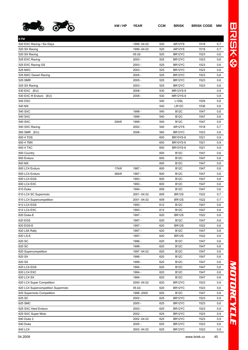

| KTM                                |      |              |     |                   |      |     |
|------------------------------------|------|--------------|-----|-------------------|------|-----|
| 520 EXC Racing / Six Days          |      | 1999 - 04.02 | 520 | AR12YS            | 1518 | 0,7 |
| 520 SX Racing                      |      | 1999 - 04.02 | 520 | AR12YS            | 1518 | 0,7 |
| 520 SX Racing                      |      | $05.02 -$    | 520 | BR12YC            | 1523 | 0,6 |
| 525 EXC Racing                     |      | $2003 -$     | 525 | BR12YC            | 1523 | 0,6 |
| 525 EXC Racing GS                  |      | $2003 -$     | 525 | BR12YC            | 1523 | 0,6 |
| 525 MXC                            |      | $2003 -$     | 525 | BR12YC            | 1523 | 0,6 |
| 525 MXC Desert Racing              |      | $2005 -$     | 525 | BR12YC            | 1523 | 0,6 |
| 525 SMR                            |      | $2005 -$     | 525 | BR12YC            | 1523 | 0,6 |
| 525 SX Racing                      |      | $2003 -$     | 525 | BR12YC            | 1523 | 0,6 |
| 530 EXC (EU)                       |      | $2008 -$     | 530 | <b>MR12YS-9</b>   |      | 0,9 |
| 530 EXC R Enduro (EU)              |      | $2008 -$     | 530 | MR12YS-9          |      | 0,9 |
| 540 DXC                            |      |              | 540 | L <sub>10SL</sub> | 1529 | 0,6 |
| 540 MX                             |      |              | 540 | LR12C             | 1536 | 0,6 |
| 540 SXC                            |      | 1998 -       | 540 | <b>B12C</b>       | 1547 | 0,6 |
| 540 SXC                            |      | 1999 -       | 540 | <b>B12C</b>       | 1547 | 0,6 |
| 540 SXC                            | 20kW | 1999 -       | 540 | <b>B12C</b>       | 1547 | 0,6 |
| 540 SXC Racing                     |      | $2002 -$     | 540 | AR12YS            | 1518 | 0,7 |
| 560 SMR (EU)                       |      | $2006 -$     | 560 | BR12YC            | 1523 | 0,6 |
| 600 4 TGS                          |      |              | 600 | <b>BR10YS-9</b>   | 1521 | 0,9 |
| 600 4 TMX                          |      |              | 600 | <b>BR10YS-9</b>   | 1521 | 0,9 |
| 600 4 TXC                          |      |              | 600 | <b>BR10YS-9</b>   | 1521 | 0,9 |
| 600 Country                        |      |              | 600 | <b>B12C</b>       | 1547 | 0,6 |
| 600 Enduro                         |      |              | 600 | <b>B12C</b>       | 1547 | 0,6 |
| 600 MX                             |      |              | 600 | <b>B12C</b>       | 1547 | 0,6 |
| 600 LC4 Enduro                     | 17kW | 1987 -       | 600 | <b>B12C</b>       | 1547 | 0,6 |
| 600 LC4 Enduro                     | 36kW | 1987 -       | 600 | <b>B12C</b>       | 1547 | 0,6 |
| 600 LC4 EGS                        |      | 1993 -       | 600 | <b>B12C</b>       | 1547 | 0,6 |
| 600 LC4 EXC                        |      | 1993 -       | 600 | <b>B12C</b>       | 1547 | 0,6 |
| 610 Duke                           |      | 1994 -       | 609 | <b>B12C</b>       | 1547 | 0,6 |
| 610 LC4 SC Supermoto               |      | 2001-04.02   | 609 | <b>BR12S</b>      | 1522 | 0,7 |
| 610 LC4 Supercompetition           |      | 2001-04.02   | 609 | <b>BR12S</b>      | 1522 | 0,7 |
| 612 LC4 EGS                        |      | 1993 -       | 612 | <b>B12C</b>       | 1547 | 0,6 |
| 612 LC4 EXC                        |      | 1993 -       | 612 | <b>B12C</b>       | 1547 | 0,6 |
| 620 Duke-E                         |      | 1997 -       | 620 | <b>BR12S</b>      | 1522 | 0,6 |
| 620 EGS                            |      | 1997 -       | 620 | <b>B12C</b>       | 1547 | 0,6 |
| 620 EGS-E                          |      | 1997 -       | 620 | <b>BR12S</b>      | 1522 | 0,6 |
| 620 LS4 Rally                      |      | 1997 -       | 620 | <b>B12C</b>       | 1547 | 0,6 |
| 620 LS-E                           |      | 1997 -       | 620 | <b>BR12S</b>      | 1522 | 0,6 |
| 620 SC                             |      | 1996 -       | 620 | <b>B12C</b>       | 1547 | 0,6 |
| 620 SC                             |      | 1998 -       | 620 | <b>B12C</b>       | 1547 | 0,6 |
| 620 Supercompetition               |      | 1997 - 04.02 | 620 | <b>B12C</b>       | 1547 | 0,6 |
| 620 SX                             |      | 1996 -       | 620 | <b>B12C</b>       | 1547 | 0,6 |
| 620 SX                             |      | 1999 -       | 620 | <b>B12C</b>       | 1547 | 0,6 |
| 620 LC4 EGS                        |      | 1994 -       | 620 | <b>B12C</b>       | 1547 | 0,6 |
| 620 LC4 EXC                        |      | 1994 -       | 620 | <b>B12C</b>       | 1547 | 0,6 |
| 620 LC4 SX                         |      | 1994 -       | 620 | <b>B12C</b>       | 1547 | 0,6 |
| 620 LC4 Super Competition          |      | 2000 - 04.02 | 620 | BR12YC            | 1523 | 0,9 |
| 620 LC4 Supercompetition Supermoto |      | $05.02 -$    | 620 | BR12YC            | 1523 | 0,6 |
| 620 Supermoto Competition          |      | 1998 - 2000  | 620 | <b>B12C</b>       | 1547 | 0,6 |
| 625 SC                             |      | $2002 -$     | 625 | BR12YC            | 1523 | 0,9 |
| 625 SMC                            |      | $2005 -$     | 625 | BR12YC            | 1523 | 0,6 |
| 625 SXC Hard Enduro                |      | $2003 -$     | 625 | BR12YC            | 1523 | 0,9 |
| 625 SXC Super Moto                 |      | $2002 -$     | 625 | BR12YC            | 1523 | 0,9 |
| 640 Duke 2                         |      | 2002 - 04.02 | 625 | BR12YC            | 1523 | 0,9 |
| 640 Duke                           |      | $2005 -$     | 625 | BR12YC            | 1523 | 0,6 |
|                                    |      |              |     |                   |      |     |

640 LC4 2002 -04.02 625 BR12YC 1523 0,9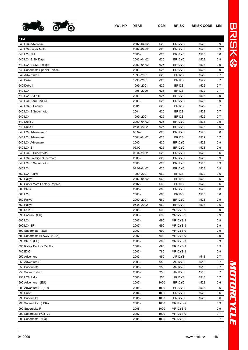

| BR12YC<br>1523<br>640 LC4 Adventure<br>2002 -04.02<br>625<br>0,9<br>625<br>BR12YC<br>1523<br>0,9<br>640 LC4 Super Moto<br>2002 -04.02<br>$2005 -$<br>625<br>1523<br>640 LC4 SM<br>BR <sub>12</sub> YC<br>0,6<br>625<br>1523<br>640 LC4-E Six Days<br>2002 -04.02<br>BR <sub>12</sub> YC<br>0,9<br>625<br>1523<br>0,9<br>640 LC4-E SM Prestige<br>2002 -04.02<br>BR12YC<br>$2003 -$<br>625<br>1523<br>640 Supermoto Spezial Edition<br>BR <sub>12</sub> YC<br>0,9<br>1522<br>640 Adventure R<br>1998 - 2001<br>625<br>BR <sub>12S</sub><br>0,7<br>1522<br>640 Duke<br>1998 - 2001<br>625<br>BR <sub>12S</sub><br>0,7<br>640 Duke II<br>1999 - 2001<br>625<br><b>BR12S</b><br>1522<br>0,7<br>640 LC4<br>625<br><b>BR12S</b><br>1522<br>1998 - 2000<br>0,7<br>640 LC4 Duke II<br>$2003 -$<br>625<br>BR12YC<br>1523<br>0,9<br>640 LC4 Hard Enduro<br>$2003 -$<br>625<br>BR12YC<br>1523<br>0,9<br>640 LC4 E Enduro<br>625<br><b>BR12S</b><br>1522<br>0,7<br>2001<br>640 LC4 E Supermoto<br>2001<br>625<br><b>BR12S</b><br>1522<br>0,7<br>640 LC4<br>625<br><b>BR12S</b><br>1522<br>1999 - 2001<br>0,7<br>625<br>BR12YC<br>1523<br>640 Duke 2<br>2000 - 04.02<br>0,9<br>05.02-2002<br>625<br>BR12YC<br>1523<br>640 Duke II<br>0,6<br>640 LC4 Adventure R<br>$05.02 -$<br>625<br>BR12YC<br>1523<br>0,6<br>2001-04.02<br><b>BR12S</b><br>1522<br>640 LC4 Adventure<br>625<br>0,7<br>BR12YC<br>1523<br>640 LC4 Adventure<br>2000<br>625<br>0,9<br>640 LC4 E<br>$05.02 -$<br>BR12YC<br>625<br>1523<br>0,6<br>05.02-2002<br>625<br>BR12YC<br>1523<br>640 LC4 E Supermoto<br>0,6<br>640 LC4 Prestige Supermoto<br>$2003 -$<br>625<br>BR12YC<br>1523<br>0,9<br>640 LC4 E Supermoto<br>2000<br>625<br>BR12YC<br>1523<br>0,9<br>640 LC4<br>01.02-04.02<br>BR12YC<br>1523<br>625<br>0,9<br><b>BR12S</b><br>660 LC4 Rallye<br>1999 - 2001<br>660<br>1522<br>0,6<br>660 Rallye<br>2002 -04.02<br>660<br><b>BR10S</b><br>1520<br>0,6<br>$2002 -$<br>1520<br>660 Super Moto Factory Replica<br>660<br><b>BR10S</b><br>0,6<br>660 SMC<br>$2005 -$<br>660<br>BR <sub>12</sub> YC<br>1523<br>0,6<br>660 LC4<br>$2003 -$<br><b>BR10S</b><br>1520<br>660<br>0,6<br>BR12YC<br>1523<br>660 Rallye<br>2000 - 2001<br>660<br>0,9<br>1523<br>660 Rallye<br>05.02-2002<br>660<br>BR12YC<br>0,6<br>690 DUKE<br>$2008 -$<br>690<br>MR12YS-9<br>0,9<br>$2008 -$<br>690<br>0,9<br>690 Enduro (EU)<br><b>MR12YS-9</b><br>690 LC4<br>2007 -<br>690<br>0,9<br>MR12YS-9<br>690 LC4 ER<br>2007 -<br>690<br>MR12YS-9<br>0,9<br>690 Supermoto (EU)<br>2007 -<br>690<br>MR12YS-9<br>0,9<br>2007 -<br>MR12YS-9<br>690 Supermoto BLACK (USA)<br>690<br>0,9<br>690 SMR (EU)<br>$2008 -$<br>690<br><b>MR12YS-9</b><br>0,9<br>$2007 -$<br>690 Rallye Factory Replika<br>690<br>MR12YS-9<br>0,9<br>780 EXC<br>$2003 -$<br>780<br>MR12YS-9<br>0,9<br>$2003 -$<br>1518<br>0,7<br>950 Adventure<br>950<br>AR12YS<br>$2003 -$<br>950 Adventure S<br>950<br>AR12YS<br>1518<br>0,7<br>$2005 -$<br>AR12YS<br>950 Supermoto<br>950<br>1518<br>0,7<br>2006 -<br>AR12YS<br>950 Super Enduro<br>950<br>1518<br>0,7<br>$2003 -$<br>950 LC8 Rally<br>950<br>AR12YS<br>1518<br>0,7<br>2007 -<br>1000<br>BR12YC<br>990 Adventure (EU)<br>1523<br>0,6<br>2006 -<br>BR12YC<br>1523<br>990 Adventure S (EU)<br>1000<br>0,6<br>990 Duke<br>$2004 -$<br>1000<br>BR12YC<br>1523<br>0,6<br>$2005 -$<br>BR12YC<br>1523<br>990 Superduke<br>1000<br>0,6<br>990 Superduke (USA)<br>2008 -<br>1000<br>MR12YS-9<br>0,9 |                                |  |  |
|--------------------------------------------------------------------------------------------------------------------------------------------------------------------------------------------------------------------------------------------------------------------------------------------------------------------------------------------------------------------------------------------------------------------------------------------------------------------------------------------------------------------------------------------------------------------------------------------------------------------------------------------------------------------------------------------------------------------------------------------------------------------------------------------------------------------------------------------------------------------------------------------------------------------------------------------------------------------------------------------------------------------------------------------------------------------------------------------------------------------------------------------------------------------------------------------------------------------------------------------------------------------------------------------------------------------------------------------------------------------------------------------------------------------------------------------------------------------------------------------------------------------------------------------------------------------------------------------------------------------------------------------------------------------------------------------------------------------------------------------------------------------------------------------------------------------------------------------------------------------------------------------------------------------------------------------------------------------------------------------------------------------------------------------------------------------------------------------------------------------------------------------------------------------------------------------------------------------------------------------------------------------------------------------------------------------------------------------------------------------------------------------------------------------------------------------------------------------------------------------------------------------------------------------------------------------------------------------------------------------------------------------------------------------------------------------------------------------------------------------------------------------------------------------------------------------------------------------------------------------------------------------------------------------------------------------------------------------------------------------------------------------------------------------------------------------------------------------------------------------------------------------------------------------------------------------------------------------------------------------------------------------------------------------------------------------------------------------------------------------------------------------------------------------------------------------|--------------------------------|--|--|
|                                                                                                                                                                                                                                                                                                                                                                                                                                                                                                                                                                                                                                                                                                                                                                                                                                                                                                                                                                                                                                                                                                                                                                                                                                                                                                                                                                                                                                                                                                                                                                                                                                                                                                                                                                                                                                                                                                                                                                                                                                                                                                                                                                                                                                                                                                                                                                                                                                                                                                                                                                                                                                                                                                                                                                                                                                                                                                                                                                                                                                                                                                                                                                                                                                                                                                                                                                                                                                            |                                |  |  |
|                                                                                                                                                                                                                                                                                                                                                                                                                                                                                                                                                                                                                                                                                                                                                                                                                                                                                                                                                                                                                                                                                                                                                                                                                                                                                                                                                                                                                                                                                                                                                                                                                                                                                                                                                                                                                                                                                                                                                                                                                                                                                                                                                                                                                                                                                                                                                                                                                                                                                                                                                                                                                                                                                                                                                                                                                                                                                                                                                                                                                                                                                                                                                                                                                                                                                                                                                                                                                                            |                                |  |  |
|                                                                                                                                                                                                                                                                                                                                                                                                                                                                                                                                                                                                                                                                                                                                                                                                                                                                                                                                                                                                                                                                                                                                                                                                                                                                                                                                                                                                                                                                                                                                                                                                                                                                                                                                                                                                                                                                                                                                                                                                                                                                                                                                                                                                                                                                                                                                                                                                                                                                                                                                                                                                                                                                                                                                                                                                                                                                                                                                                                                                                                                                                                                                                                                                                                                                                                                                                                                                                                            |                                |  |  |
|                                                                                                                                                                                                                                                                                                                                                                                                                                                                                                                                                                                                                                                                                                                                                                                                                                                                                                                                                                                                                                                                                                                                                                                                                                                                                                                                                                                                                                                                                                                                                                                                                                                                                                                                                                                                                                                                                                                                                                                                                                                                                                                                                                                                                                                                                                                                                                                                                                                                                                                                                                                                                                                                                                                                                                                                                                                                                                                                                                                                                                                                                                                                                                                                                                                                                                                                                                                                                                            |                                |  |  |
|                                                                                                                                                                                                                                                                                                                                                                                                                                                                                                                                                                                                                                                                                                                                                                                                                                                                                                                                                                                                                                                                                                                                                                                                                                                                                                                                                                                                                                                                                                                                                                                                                                                                                                                                                                                                                                                                                                                                                                                                                                                                                                                                                                                                                                                                                                                                                                                                                                                                                                                                                                                                                                                                                                                                                                                                                                                                                                                                                                                                                                                                                                                                                                                                                                                                                                                                                                                                                                            |                                |  |  |
|                                                                                                                                                                                                                                                                                                                                                                                                                                                                                                                                                                                                                                                                                                                                                                                                                                                                                                                                                                                                                                                                                                                                                                                                                                                                                                                                                                                                                                                                                                                                                                                                                                                                                                                                                                                                                                                                                                                                                                                                                                                                                                                                                                                                                                                                                                                                                                                                                                                                                                                                                                                                                                                                                                                                                                                                                                                                                                                                                                                                                                                                                                                                                                                                                                                                                                                                                                                                                                            |                                |  |  |
|                                                                                                                                                                                                                                                                                                                                                                                                                                                                                                                                                                                                                                                                                                                                                                                                                                                                                                                                                                                                                                                                                                                                                                                                                                                                                                                                                                                                                                                                                                                                                                                                                                                                                                                                                                                                                                                                                                                                                                                                                                                                                                                                                                                                                                                                                                                                                                                                                                                                                                                                                                                                                                                                                                                                                                                                                                                                                                                                                                                                                                                                                                                                                                                                                                                                                                                                                                                                                                            |                                |  |  |
|                                                                                                                                                                                                                                                                                                                                                                                                                                                                                                                                                                                                                                                                                                                                                                                                                                                                                                                                                                                                                                                                                                                                                                                                                                                                                                                                                                                                                                                                                                                                                                                                                                                                                                                                                                                                                                                                                                                                                                                                                                                                                                                                                                                                                                                                                                                                                                                                                                                                                                                                                                                                                                                                                                                                                                                                                                                                                                                                                                                                                                                                                                                                                                                                                                                                                                                                                                                                                                            |                                |  |  |
|                                                                                                                                                                                                                                                                                                                                                                                                                                                                                                                                                                                                                                                                                                                                                                                                                                                                                                                                                                                                                                                                                                                                                                                                                                                                                                                                                                                                                                                                                                                                                                                                                                                                                                                                                                                                                                                                                                                                                                                                                                                                                                                                                                                                                                                                                                                                                                                                                                                                                                                                                                                                                                                                                                                                                                                                                                                                                                                                                                                                                                                                                                                                                                                                                                                                                                                                                                                                                                            |                                |  |  |
|                                                                                                                                                                                                                                                                                                                                                                                                                                                                                                                                                                                                                                                                                                                                                                                                                                                                                                                                                                                                                                                                                                                                                                                                                                                                                                                                                                                                                                                                                                                                                                                                                                                                                                                                                                                                                                                                                                                                                                                                                                                                                                                                                                                                                                                                                                                                                                                                                                                                                                                                                                                                                                                                                                                                                                                                                                                                                                                                                                                                                                                                                                                                                                                                                                                                                                                                                                                                                                            |                                |  |  |
|                                                                                                                                                                                                                                                                                                                                                                                                                                                                                                                                                                                                                                                                                                                                                                                                                                                                                                                                                                                                                                                                                                                                                                                                                                                                                                                                                                                                                                                                                                                                                                                                                                                                                                                                                                                                                                                                                                                                                                                                                                                                                                                                                                                                                                                                                                                                                                                                                                                                                                                                                                                                                                                                                                                                                                                                                                                                                                                                                                                                                                                                                                                                                                                                                                                                                                                                                                                                                                            |                                |  |  |
|                                                                                                                                                                                                                                                                                                                                                                                                                                                                                                                                                                                                                                                                                                                                                                                                                                                                                                                                                                                                                                                                                                                                                                                                                                                                                                                                                                                                                                                                                                                                                                                                                                                                                                                                                                                                                                                                                                                                                                                                                                                                                                                                                                                                                                                                                                                                                                                                                                                                                                                                                                                                                                                                                                                                                                                                                                                                                                                                                                                                                                                                                                                                                                                                                                                                                                                                                                                                                                            |                                |  |  |
|                                                                                                                                                                                                                                                                                                                                                                                                                                                                                                                                                                                                                                                                                                                                                                                                                                                                                                                                                                                                                                                                                                                                                                                                                                                                                                                                                                                                                                                                                                                                                                                                                                                                                                                                                                                                                                                                                                                                                                                                                                                                                                                                                                                                                                                                                                                                                                                                                                                                                                                                                                                                                                                                                                                                                                                                                                                                                                                                                                                                                                                                                                                                                                                                                                                                                                                                                                                                                                            |                                |  |  |
|                                                                                                                                                                                                                                                                                                                                                                                                                                                                                                                                                                                                                                                                                                                                                                                                                                                                                                                                                                                                                                                                                                                                                                                                                                                                                                                                                                                                                                                                                                                                                                                                                                                                                                                                                                                                                                                                                                                                                                                                                                                                                                                                                                                                                                                                                                                                                                                                                                                                                                                                                                                                                                                                                                                                                                                                                                                                                                                                                                                                                                                                                                                                                                                                                                                                                                                                                                                                                                            |                                |  |  |
|                                                                                                                                                                                                                                                                                                                                                                                                                                                                                                                                                                                                                                                                                                                                                                                                                                                                                                                                                                                                                                                                                                                                                                                                                                                                                                                                                                                                                                                                                                                                                                                                                                                                                                                                                                                                                                                                                                                                                                                                                                                                                                                                                                                                                                                                                                                                                                                                                                                                                                                                                                                                                                                                                                                                                                                                                                                                                                                                                                                                                                                                                                                                                                                                                                                                                                                                                                                                                                            |                                |  |  |
|                                                                                                                                                                                                                                                                                                                                                                                                                                                                                                                                                                                                                                                                                                                                                                                                                                                                                                                                                                                                                                                                                                                                                                                                                                                                                                                                                                                                                                                                                                                                                                                                                                                                                                                                                                                                                                                                                                                                                                                                                                                                                                                                                                                                                                                                                                                                                                                                                                                                                                                                                                                                                                                                                                                                                                                                                                                                                                                                                                                                                                                                                                                                                                                                                                                                                                                                                                                                                                            |                                |  |  |
|                                                                                                                                                                                                                                                                                                                                                                                                                                                                                                                                                                                                                                                                                                                                                                                                                                                                                                                                                                                                                                                                                                                                                                                                                                                                                                                                                                                                                                                                                                                                                                                                                                                                                                                                                                                                                                                                                                                                                                                                                                                                                                                                                                                                                                                                                                                                                                                                                                                                                                                                                                                                                                                                                                                                                                                                                                                                                                                                                                                                                                                                                                                                                                                                                                                                                                                                                                                                                                            |                                |  |  |
|                                                                                                                                                                                                                                                                                                                                                                                                                                                                                                                                                                                                                                                                                                                                                                                                                                                                                                                                                                                                                                                                                                                                                                                                                                                                                                                                                                                                                                                                                                                                                                                                                                                                                                                                                                                                                                                                                                                                                                                                                                                                                                                                                                                                                                                                                                                                                                                                                                                                                                                                                                                                                                                                                                                                                                                                                                                                                                                                                                                                                                                                                                                                                                                                                                                                                                                                                                                                                                            |                                |  |  |
|                                                                                                                                                                                                                                                                                                                                                                                                                                                                                                                                                                                                                                                                                                                                                                                                                                                                                                                                                                                                                                                                                                                                                                                                                                                                                                                                                                                                                                                                                                                                                                                                                                                                                                                                                                                                                                                                                                                                                                                                                                                                                                                                                                                                                                                                                                                                                                                                                                                                                                                                                                                                                                                                                                                                                                                                                                                                                                                                                                                                                                                                                                                                                                                                                                                                                                                                                                                                                                            |                                |  |  |
|                                                                                                                                                                                                                                                                                                                                                                                                                                                                                                                                                                                                                                                                                                                                                                                                                                                                                                                                                                                                                                                                                                                                                                                                                                                                                                                                                                                                                                                                                                                                                                                                                                                                                                                                                                                                                                                                                                                                                                                                                                                                                                                                                                                                                                                                                                                                                                                                                                                                                                                                                                                                                                                                                                                                                                                                                                                                                                                                                                                                                                                                                                                                                                                                                                                                                                                                                                                                                                            |                                |  |  |
|                                                                                                                                                                                                                                                                                                                                                                                                                                                                                                                                                                                                                                                                                                                                                                                                                                                                                                                                                                                                                                                                                                                                                                                                                                                                                                                                                                                                                                                                                                                                                                                                                                                                                                                                                                                                                                                                                                                                                                                                                                                                                                                                                                                                                                                                                                                                                                                                                                                                                                                                                                                                                                                                                                                                                                                                                                                                                                                                                                                                                                                                                                                                                                                                                                                                                                                                                                                                                                            |                                |  |  |
|                                                                                                                                                                                                                                                                                                                                                                                                                                                                                                                                                                                                                                                                                                                                                                                                                                                                                                                                                                                                                                                                                                                                                                                                                                                                                                                                                                                                                                                                                                                                                                                                                                                                                                                                                                                                                                                                                                                                                                                                                                                                                                                                                                                                                                                                                                                                                                                                                                                                                                                                                                                                                                                                                                                                                                                                                                                                                                                                                                                                                                                                                                                                                                                                                                                                                                                                                                                                                                            |                                |  |  |
|                                                                                                                                                                                                                                                                                                                                                                                                                                                                                                                                                                                                                                                                                                                                                                                                                                                                                                                                                                                                                                                                                                                                                                                                                                                                                                                                                                                                                                                                                                                                                                                                                                                                                                                                                                                                                                                                                                                                                                                                                                                                                                                                                                                                                                                                                                                                                                                                                                                                                                                                                                                                                                                                                                                                                                                                                                                                                                                                                                                                                                                                                                                                                                                                                                                                                                                                                                                                                                            |                                |  |  |
|                                                                                                                                                                                                                                                                                                                                                                                                                                                                                                                                                                                                                                                                                                                                                                                                                                                                                                                                                                                                                                                                                                                                                                                                                                                                                                                                                                                                                                                                                                                                                                                                                                                                                                                                                                                                                                                                                                                                                                                                                                                                                                                                                                                                                                                                                                                                                                                                                                                                                                                                                                                                                                                                                                                                                                                                                                                                                                                                                                                                                                                                                                                                                                                                                                                                                                                                                                                                                                            |                                |  |  |
|                                                                                                                                                                                                                                                                                                                                                                                                                                                                                                                                                                                                                                                                                                                                                                                                                                                                                                                                                                                                                                                                                                                                                                                                                                                                                                                                                                                                                                                                                                                                                                                                                                                                                                                                                                                                                                                                                                                                                                                                                                                                                                                                                                                                                                                                                                                                                                                                                                                                                                                                                                                                                                                                                                                                                                                                                                                                                                                                                                                                                                                                                                                                                                                                                                                                                                                                                                                                                                            |                                |  |  |
|                                                                                                                                                                                                                                                                                                                                                                                                                                                                                                                                                                                                                                                                                                                                                                                                                                                                                                                                                                                                                                                                                                                                                                                                                                                                                                                                                                                                                                                                                                                                                                                                                                                                                                                                                                                                                                                                                                                                                                                                                                                                                                                                                                                                                                                                                                                                                                                                                                                                                                                                                                                                                                                                                                                                                                                                                                                                                                                                                                                                                                                                                                                                                                                                                                                                                                                                                                                                                                            |                                |  |  |
|                                                                                                                                                                                                                                                                                                                                                                                                                                                                                                                                                                                                                                                                                                                                                                                                                                                                                                                                                                                                                                                                                                                                                                                                                                                                                                                                                                                                                                                                                                                                                                                                                                                                                                                                                                                                                                                                                                                                                                                                                                                                                                                                                                                                                                                                                                                                                                                                                                                                                                                                                                                                                                                                                                                                                                                                                                                                                                                                                                                                                                                                                                                                                                                                                                                                                                                                                                                                                                            |                                |  |  |
|                                                                                                                                                                                                                                                                                                                                                                                                                                                                                                                                                                                                                                                                                                                                                                                                                                                                                                                                                                                                                                                                                                                                                                                                                                                                                                                                                                                                                                                                                                                                                                                                                                                                                                                                                                                                                                                                                                                                                                                                                                                                                                                                                                                                                                                                                                                                                                                                                                                                                                                                                                                                                                                                                                                                                                                                                                                                                                                                                                                                                                                                                                                                                                                                                                                                                                                                                                                                                                            |                                |  |  |
|                                                                                                                                                                                                                                                                                                                                                                                                                                                                                                                                                                                                                                                                                                                                                                                                                                                                                                                                                                                                                                                                                                                                                                                                                                                                                                                                                                                                                                                                                                                                                                                                                                                                                                                                                                                                                                                                                                                                                                                                                                                                                                                                                                                                                                                                                                                                                                                                                                                                                                                                                                                                                                                                                                                                                                                                                                                                                                                                                                                                                                                                                                                                                                                                                                                                                                                                                                                                                                            |                                |  |  |
|                                                                                                                                                                                                                                                                                                                                                                                                                                                                                                                                                                                                                                                                                                                                                                                                                                                                                                                                                                                                                                                                                                                                                                                                                                                                                                                                                                                                                                                                                                                                                                                                                                                                                                                                                                                                                                                                                                                                                                                                                                                                                                                                                                                                                                                                                                                                                                                                                                                                                                                                                                                                                                                                                                                                                                                                                                                                                                                                                                                                                                                                                                                                                                                                                                                                                                                                                                                                                                            |                                |  |  |
|                                                                                                                                                                                                                                                                                                                                                                                                                                                                                                                                                                                                                                                                                                                                                                                                                                                                                                                                                                                                                                                                                                                                                                                                                                                                                                                                                                                                                                                                                                                                                                                                                                                                                                                                                                                                                                                                                                                                                                                                                                                                                                                                                                                                                                                                                                                                                                                                                                                                                                                                                                                                                                                                                                                                                                                                                                                                                                                                                                                                                                                                                                                                                                                                                                                                                                                                                                                                                                            |                                |  |  |
|                                                                                                                                                                                                                                                                                                                                                                                                                                                                                                                                                                                                                                                                                                                                                                                                                                                                                                                                                                                                                                                                                                                                                                                                                                                                                                                                                                                                                                                                                                                                                                                                                                                                                                                                                                                                                                                                                                                                                                                                                                                                                                                                                                                                                                                                                                                                                                                                                                                                                                                                                                                                                                                                                                                                                                                                                                                                                                                                                                                                                                                                                                                                                                                                                                                                                                                                                                                                                                            |                                |  |  |
|                                                                                                                                                                                                                                                                                                                                                                                                                                                                                                                                                                                                                                                                                                                                                                                                                                                                                                                                                                                                                                                                                                                                                                                                                                                                                                                                                                                                                                                                                                                                                                                                                                                                                                                                                                                                                                                                                                                                                                                                                                                                                                                                                                                                                                                                                                                                                                                                                                                                                                                                                                                                                                                                                                                                                                                                                                                                                                                                                                                                                                                                                                                                                                                                                                                                                                                                                                                                                                            |                                |  |  |
|                                                                                                                                                                                                                                                                                                                                                                                                                                                                                                                                                                                                                                                                                                                                                                                                                                                                                                                                                                                                                                                                                                                                                                                                                                                                                                                                                                                                                                                                                                                                                                                                                                                                                                                                                                                                                                                                                                                                                                                                                                                                                                                                                                                                                                                                                                                                                                                                                                                                                                                                                                                                                                                                                                                                                                                                                                                                                                                                                                                                                                                                                                                                                                                                                                                                                                                                                                                                                                            |                                |  |  |
|                                                                                                                                                                                                                                                                                                                                                                                                                                                                                                                                                                                                                                                                                                                                                                                                                                                                                                                                                                                                                                                                                                                                                                                                                                                                                                                                                                                                                                                                                                                                                                                                                                                                                                                                                                                                                                                                                                                                                                                                                                                                                                                                                                                                                                                                                                                                                                                                                                                                                                                                                                                                                                                                                                                                                                                                                                                                                                                                                                                                                                                                                                                                                                                                                                                                                                                                                                                                                                            |                                |  |  |
|                                                                                                                                                                                                                                                                                                                                                                                                                                                                                                                                                                                                                                                                                                                                                                                                                                                                                                                                                                                                                                                                                                                                                                                                                                                                                                                                                                                                                                                                                                                                                                                                                                                                                                                                                                                                                                                                                                                                                                                                                                                                                                                                                                                                                                                                                                                                                                                                                                                                                                                                                                                                                                                                                                                                                                                                                                                                                                                                                                                                                                                                                                                                                                                                                                                                                                                                                                                                                                            |                                |  |  |
|                                                                                                                                                                                                                                                                                                                                                                                                                                                                                                                                                                                                                                                                                                                                                                                                                                                                                                                                                                                                                                                                                                                                                                                                                                                                                                                                                                                                                                                                                                                                                                                                                                                                                                                                                                                                                                                                                                                                                                                                                                                                                                                                                                                                                                                                                                                                                                                                                                                                                                                                                                                                                                                                                                                                                                                                                                                                                                                                                                                                                                                                                                                                                                                                                                                                                                                                                                                                                                            |                                |  |  |
|                                                                                                                                                                                                                                                                                                                                                                                                                                                                                                                                                                                                                                                                                                                                                                                                                                                                                                                                                                                                                                                                                                                                                                                                                                                                                                                                                                                                                                                                                                                                                                                                                                                                                                                                                                                                                                                                                                                                                                                                                                                                                                                                                                                                                                                                                                                                                                                                                                                                                                                                                                                                                                                                                                                                                                                                                                                                                                                                                                                                                                                                                                                                                                                                                                                                                                                                                                                                                                            |                                |  |  |
|                                                                                                                                                                                                                                                                                                                                                                                                                                                                                                                                                                                                                                                                                                                                                                                                                                                                                                                                                                                                                                                                                                                                                                                                                                                                                                                                                                                                                                                                                                                                                                                                                                                                                                                                                                                                                                                                                                                                                                                                                                                                                                                                                                                                                                                                                                                                                                                                                                                                                                                                                                                                                                                                                                                                                                                                                                                                                                                                                                                                                                                                                                                                                                                                                                                                                                                                                                                                                                            |                                |  |  |
|                                                                                                                                                                                                                                                                                                                                                                                                                                                                                                                                                                                                                                                                                                                                                                                                                                                                                                                                                                                                                                                                                                                                                                                                                                                                                                                                                                                                                                                                                                                                                                                                                                                                                                                                                                                                                                                                                                                                                                                                                                                                                                                                                                                                                                                                                                                                                                                                                                                                                                                                                                                                                                                                                                                                                                                                                                                                                                                                                                                                                                                                                                                                                                                                                                                                                                                                                                                                                                            |                                |  |  |
|                                                                                                                                                                                                                                                                                                                                                                                                                                                                                                                                                                                                                                                                                                                                                                                                                                                                                                                                                                                                                                                                                                                                                                                                                                                                                                                                                                                                                                                                                                                                                                                                                                                                                                                                                                                                                                                                                                                                                                                                                                                                                                                                                                                                                                                                                                                                                                                                                                                                                                                                                                                                                                                                                                                                                                                                                                                                                                                                                                                                                                                                                                                                                                                                                                                                                                                                                                                                                                            |                                |  |  |
|                                                                                                                                                                                                                                                                                                                                                                                                                                                                                                                                                                                                                                                                                                                                                                                                                                                                                                                                                                                                                                                                                                                                                                                                                                                                                                                                                                                                                                                                                                                                                                                                                                                                                                                                                                                                                                                                                                                                                                                                                                                                                                                                                                                                                                                                                                                                                                                                                                                                                                                                                                                                                                                                                                                                                                                                                                                                                                                                                                                                                                                                                                                                                                                                                                                                                                                                                                                                                                            |                                |  |  |
|                                                                                                                                                                                                                                                                                                                                                                                                                                                                                                                                                                                                                                                                                                                                                                                                                                                                                                                                                                                                                                                                                                                                                                                                                                                                                                                                                                                                                                                                                                                                                                                                                                                                                                                                                                                                                                                                                                                                                                                                                                                                                                                                                                                                                                                                                                                                                                                                                                                                                                                                                                                                                                                                                                                                                                                                                                                                                                                                                                                                                                                                                                                                                                                                                                                                                                                                                                                                                                            |                                |  |  |
|                                                                                                                                                                                                                                                                                                                                                                                                                                                                                                                                                                                                                                                                                                                                                                                                                                                                                                                                                                                                                                                                                                                                                                                                                                                                                                                                                                                                                                                                                                                                                                                                                                                                                                                                                                                                                                                                                                                                                                                                                                                                                                                                                                                                                                                                                                                                                                                                                                                                                                                                                                                                                                                                                                                                                                                                                                                                                                                                                                                                                                                                                                                                                                                                                                                                                                                                                                                                                                            |                                |  |  |
|                                                                                                                                                                                                                                                                                                                                                                                                                                                                                                                                                                                                                                                                                                                                                                                                                                                                                                                                                                                                                                                                                                                                                                                                                                                                                                                                                                                                                                                                                                                                                                                                                                                                                                                                                                                                                                                                                                                                                                                                                                                                                                                                                                                                                                                                                                                                                                                                                                                                                                                                                                                                                                                                                                                                                                                                                                                                                                                                                                                                                                                                                                                                                                                                                                                                                                                                                                                                                                            |                                |  |  |
|                                                                                                                                                                                                                                                                                                                                                                                                                                                                                                                                                                                                                                                                                                                                                                                                                                                                                                                                                                                                                                                                                                                                                                                                                                                                                                                                                                                                                                                                                                                                                                                                                                                                                                                                                                                                                                                                                                                                                                                                                                                                                                                                                                                                                                                                                                                                                                                                                                                                                                                                                                                                                                                                                                                                                                                                                                                                                                                                                                                                                                                                                                                                                                                                                                                                                                                                                                                                                                            |                                |  |  |
|                                                                                                                                                                                                                                                                                                                                                                                                                                                                                                                                                                                                                                                                                                                                                                                                                                                                                                                                                                                                                                                                                                                                                                                                                                                                                                                                                                                                                                                                                                                                                                                                                                                                                                                                                                                                                                                                                                                                                                                                                                                                                                                                                                                                                                                                                                                                                                                                                                                                                                                                                                                                                                                                                                                                                                                                                                                                                                                                                                                                                                                                                                                                                                                                                                                                                                                                                                                                                                            |                                |  |  |
|                                                                                                                                                                                                                                                                                                                                                                                                                                                                                                                                                                                                                                                                                                                                                                                                                                                                                                                                                                                                                                                                                                                                                                                                                                                                                                                                                                                                                                                                                                                                                                                                                                                                                                                                                                                                                                                                                                                                                                                                                                                                                                                                                                                                                                                                                                                                                                                                                                                                                                                                                                                                                                                                                                                                                                                                                                                                                                                                                                                                                                                                                                                                                                                                                                                                                                                                                                                                                                            |                                |  |  |
|                                                                                                                                                                                                                                                                                                                                                                                                                                                                                                                                                                                                                                                                                                                                                                                                                                                                                                                                                                                                                                                                                                                                                                                                                                                                                                                                                                                                                                                                                                                                                                                                                                                                                                                                                                                                                                                                                                                                                                                                                                                                                                                                                                                                                                                                                                                                                                                                                                                                                                                                                                                                                                                                                                                                                                                                                                                                                                                                                                                                                                                                                                                                                                                                                                                                                                                                                                                                                                            |                                |  |  |
|                                                                                                                                                                                                                                                                                                                                                                                                                                                                                                                                                                                                                                                                                                                                                                                                                                                                                                                                                                                                                                                                                                                                                                                                                                                                                                                                                                                                                                                                                                                                                                                                                                                                                                                                                                                                                                                                                                                                                                                                                                                                                                                                                                                                                                                                                                                                                                                                                                                                                                                                                                                                                                                                                                                                                                                                                                                                                                                                                                                                                                                                                                                                                                                                                                                                                                                                                                                                                                            |                                |  |  |
|                                                                                                                                                                                                                                                                                                                                                                                                                                                                                                                                                                                                                                                                                                                                                                                                                                                                                                                                                                                                                                                                                                                                                                                                                                                                                                                                                                                                                                                                                                                                                                                                                                                                                                                                                                                                                                                                                                                                                                                                                                                                                                                                                                                                                                                                                                                                                                                                                                                                                                                                                                                                                                                                                                                                                                                                                                                                                                                                                                                                                                                                                                                                                                                                                                                                                                                                                                                                                                            |                                |  |  |
| $2008 -$<br>1000<br>0,9<br>990 Superduke R<br>MR12YS-9                                                                                                                                                                                                                                                                                                                                                                                                                                                                                                                                                                                                                                                                                                                                                                                                                                                                                                                                                                                                                                                                                                                                                                                                                                                                                                                                                                                                                                                                                                                                                                                                                                                                                                                                                                                                                                                                                                                                                                                                                                                                                                                                                                                                                                                                                                                                                                                                                                                                                                                                                                                                                                                                                                                                                                                                                                                                                                                                                                                                                                                                                                                                                                                                                                                                                                                                                                                     |                                |  |  |
| 990 Superduke RC8 V2<br>2007 -<br>1000<br>0,7<br>MR12YS-9                                                                                                                                                                                                                                                                                                                                                                                                                                                                                                                                                                                                                                                                                                                                                                                                                                                                                                                                                                                                                                                                                                                                                                                                                                                                                                                                                                                                                                                                                                                                                                                                                                                                                                                                                                                                                                                                                                                                                                                                                                                                                                                                                                                                                                                                                                                                                                                                                                                                                                                                                                                                                                                                                                                                                                                                                                                                                                                                                                                                                                                                                                                                                                                                                                                                                                                                                                                  |                                |  |  |
| MR12YS-9<br>0,7<br>1000                                                                                                                                                                                                                                                                                                                                                                                                                                                                                                                                                                                                                                                                                                                                                                                                                                                                                                                                                                                                                                                                                                                                                                                                                                                                                                                                                                                                                                                                                                                                                                                                                                                                                                                                                                                                                                                                                                                                                                                                                                                                                                                                                                                                                                                                                                                                                                                                                                                                                                                                                                                                                                                                                                                                                                                                                                                                                                                                                                                                                                                                                                                                                                                                                                                                                                                                                                                                                    | $2008 -$<br>990 Supermoto (EU) |  |  |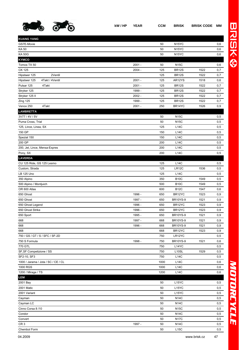

| <b>KUANG YANG</b>                   |          |      |                    |      |     |
|-------------------------------------|----------|------|--------------------|------|-----|
| GS7E-Movie                          |          | 50   | N <sub>15</sub> YC |      | 0,6 |
| KA 50                               |          | 50   | N <sub>15</sub> YC |      | 0,6 |
| <b>KA 50G</b>                       |          | 50   | N <sub>15</sub> YC |      | 0,6 |
| <b>KYMCO</b>                        |          |      |                    |      |     |
| Tomos TX 50                         | $2001 -$ | 50   | <b>N15C</b>        |      | 0,6 |
| CK 125                              | $2004 -$ | 125  | <b>BR12S</b>       | 1522 | 0,7 |
| Hipstwer 125<br>2Ventil             |          | 125  | <b>BR12S</b>       | 1522 | 0,7 |
| 4Takt / 4Ventil<br>Hipstwer 125     | $2001 -$ | 125  | AR12YS             | 1518 | 0,6 |
| Pulsar 125<br>4Takt                 | $2001 -$ | 125  | BR12S              | 1522 | 0,7 |
| Stryker 125                         | 1999 -   | 125  | <b>BR12S</b>       | 1522 | 0,7 |
| Stryker 125 II                      | $2002 -$ | 125  | <b>BR12S</b>       | 1522 | 0,7 |
| Zing 125                            | 1999 -   | 125  | <b>BR12S</b>       | 1522 | 0,7 |
| Venox 250<br>4Takt                  | $2001 -$ | 250  | BR14YC             | 1526 | 0,9 |
| <b>LAMBRETTA</b>                    |          |      |                    |      |     |
| 3V77 / 4V / 5V                      |          | 50   | <b>N15C</b>        |      | 0,5 |
| Puma Cross, Trial                   |          | 50   | <b>N15C</b>        |      | 0,5 |
| 125, Lince, Linea, SX               |          | 125  | L14C               |      | 0,5 |
| 150 GP                              |          | 150  | L14C               |      | 0,5 |
| Spezial 150                         |          | 150  | <b>L14C</b>        |      | 0,5 |
| 200 GP                              |          | 200  | L14C               |      | 0,5 |
| 200, Jet, Lince, Mensa-Expres       |          | 200  | L14C               |      | 0,5 |
| Pony, SX                            |          | 200  | L14C               |      | 0,5 |
| <b>LAVERDA</b>                      |          |      |                    |      |     |
| CU 125 Ride, GS 125 Lesmo           |          | 125  | L14C               |      | 0,5 |
| Custom, Strada                      |          | 125  | LR12C              | 1536 | 0,5 |
| LB 125 Uno                          |          | 125  | <b>L14C</b>        |      | 0,5 |
| 350 Alpino                          |          | 350  | <b>B10C</b>        | 1549 | 0,5 |
| 500 Alpino / Montjuich              |          | 500  | <b>B10C</b>        | 1549 | 0,5 |
| OR 600 Atlas                        |          | 600  | <b>B12C</b>        | 1547 | 0,6 |
| 650 Ghost                           | 1996 -   | 650  | BR12YC             | 1523 | 0,9 |
| 650 Ghost                           | 1997 -   | 650  | <b>BR10YS-9</b>    | 1521 | 0,9 |
| 650 Ghost Legend                    | 1996 -   | 650  | BR12YC             | 1523 | 0,9 |
| 650 Ghost Strike                    | 1996 -   | 650  | BR12YC             | 1523 | 0,9 |
| 650 Sport                           | 1995 -   | 650  | <b>BR10YS-9</b>    | 1521 | 0,9 |
| 668                                 | 1997 -   | 668  | <b>BR10YS-9</b>    | 1521 | 0,9 |
| 668                                 | 1996 -   | 668  | <b>BR10YS-9</b>    | 1521 | 0,9 |
| 668                                 |          | 668  | BR12YC             | 1523 | 0,9 |
| 750 / GS / GT / S / SFC / SF-2D     |          | 750  | LR12YC             |      | 0,5 |
| 750 S Formula                       | 1998 -   | 750  | <b>BR10YS-9</b>    | 1521 | 0,6 |
| 770 GTL                             |          | 750  | L14YC              |      | 0,5 |
| SF, SF Competizione / SS            |          | 750  | L <sub>10</sub> SL | 1529 | 0,5 |
| SF2-10, SF3                         |          | 750  | L14C               |      | 0,5 |
| 1000 / Jarama / Jota / SC / CE / CL |          | 1000 | L14C               |      | 0,6 |
| 1000 RGS                            |          | 1000 | L14C               |      | 0,6 |
| 1200 / Mirage / TS                  |          | 1200 | L14C               |      | 0,6 |
| LEM                                 |          |      |                    |      |     |
| 2001 Bay                            |          | 50   | L15YC              |      | 0,5 |
| 2001 Matic                          |          | 50   | L15YC              |      | 0,5 |
| 2001 Variant                        |          | 50   | L <sub>15</sub> YC |      | 0,5 |
| Cayman                              |          | 50   | <b>N14C</b>        |      | 0,5 |
| Cayman LC                           |          | 50   | <b>N14C</b>        |      | 0,5 |
| Cinno Corsa 8/10                    |          | 50   | <b>N15C</b>        |      | 0,5 |
| Condor                              |          | 50   | N14C               |      | 0,5 |
| Convert                             |          | 50   | <b>N17C</b>        |      | 0,5 |
| CR <sub>3</sub>                     | 1997 -   | 50   | N14C               |      | 0,5 |
|                                     |          |      |                    |      |     |

Chembol Form 50 L15C 0,5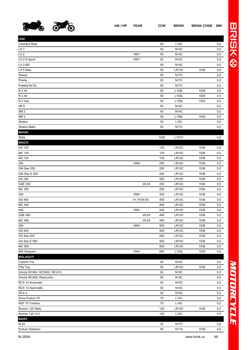

| kW/HP YEAR | CCM | <b>BRISK BRISK CODE MM</b> |  |
|------------|-----|----------------------------|--|
|            |     |                            |  |

| <b>LEM</b>                   |             |      |                    |      |     |
|------------------------------|-------------|------|--------------------|------|-----|
| Chembol Raid                 |             | 50   | L15C               |      | 0,5 |
| LX <sub>1</sub>              |             | 50   | <b>N14C</b>        |      | 0,5 |
| LX <sub>2</sub>              | 1997 -      | 50   | <b>N14C</b>        |      | 0,5 |
| LX 2-S Sport                 | 1997 -      | 50   | <b>N14C</b>        |      | 0,5 |
| LX 2-SR                      |             | 50   | <b>N14C</b>        |      | 0,5 |
| LX 4 New                     |             | 50   | LR12C              | 1536 | 0,6 |
| Piesse                       |             | 50   | <b>N17C</b>        |      | 0,5 |
| Pizeta                       |             | 50   | <b>N17C</b>        |      | 0,5 |
| Pratikal Kit SL              |             | 50   | <b>N17C</b>        |      | 0,5 |
| R 2 Air                      |             | 50   | L10SL              | 1529 | 0,5 |
| R 3 Air                      |             | 50   | L10SL              | 1529 | 0,5 |
| R 3 Usa                      |             | 50   | L10SL              | 1529 | 0,5 |
| SK <sub>6</sub>              |             | 50   | <b>N14C</b>        |      | 0,5 |
| SM <sub>2</sub>              |             | 50   | <b>N14C</b>        |      | 0,5 |
| SM <sub>3</sub>              |             | 50   | L <sub>10</sub> SL | 1529 | 0,5 |
| <b>Stratos</b>               |             | 50   | L15C               |      | 0,5 |
| <b>Stratos Matic</b>         |             | 50   | <b>N17C</b>        |      | 0,5 |
| <b>MAGNI</b>                 |             |      |                    |      |     |
| Sfida                        |             | 1000 | L <sub>15</sub> YC |      | 0,6 |
| <b>MAICO</b>                 |             |      |                    |      |     |
| GS 125                       |             | 125  | LR12C              | 1536 | 0,5 |
| MC 125                       |             | 125  | <b>LR12C</b>       | 1536 | 0,5 |
| SG 125                       |             | 125  | LR12C              | 1536 | 0,5 |
| 250                          | 1994 -      | 250  | LR12C              | 1536 | 0,5 |
| GM Star 250                  |             | 250  | LR12C              | 1536 | 0,5 |
| GM Star E 250                |             | 250  | LR12C              | 1536 | 0,5 |
| GS 250                       |             | 250  | LR12C              | 1536 | 0,5 |
| <b>GSE 250</b>               | $-05.83$    | 250  | LR12C              | 1536 | 0,5 |
| MC 250                       |             | 250  | LR12C              | 1536 | 0,5 |
| 320                          | 1994 -      | 320  | LR12C              | 1536 | 0,6 |
| GS 400                       | 01.74-05.83 | 400  | LR12C              | 1536 | 0,5 |
| MC 400                       |             | 400  | LR12C              | 1536 | 0,5 |
| 440                          | 1994 -      | 440  | LR12C              | 1536 | 0,6 |
| <b>GSE 490</b>               | $-05.83$    | 490  | LR12C              | 1536 | 0,5 |
| MC 490                       | $-05.83$    | 490  | LR12C              | 1536 | 0,5 |
| 500                          | 1994 -      | 500  | LR12C              | 1536 | 0,5 |
| GS 500                       |             | 500  | LR12C              | 1536 | 0,5 |
| GS Star 500                  |             | 500  | LR12C              | 1536 | 0,5 |
| GS Star E 500                |             | 500  | <b>LR12C</b>       | 1536 | 0,5 |
| <b>MC 500</b>                |             | 500  | LR12C              | 1536 | 0,5 |
| 685 Gespann                  | 1994 -      | 685  | L <sub>10</sub> SL | 1529 | 0,6 |
| <b>MALAGUTI</b>              |             |      |                    |      |     |
| Custom Fox                   |             | 50   | <b>N15C</b>        |      | 0,5 |
| Fifty Top                    |             | 50   | LR12C              | 1536 | 0,5 |
| Grizzly RCW4 / RCW50 / RCX10 |             | 50   | <b>N15C</b>        |      | 0,5 |
| Grizzly RCX50, Ranocchio     |             | 50   | <b>N15C</b>        |      | 0,5 |
| RCX 10 Automatic             |             | 50   | <b>N15C</b>        |      | 0,5 |
| RCX 12 AutomatiC             |             | 50   | <b>N14C</b>        |      | 0,5 |
| RCX4                         |             | 50   | <b>N14C</b>        |      | 0,5 |
| Dune Enduro 75               |             | 75   | L14C               |      | 0,5 |
| RST 75 Turismo               |             | 75   | L14C               |      | 0,5 |
| Runner 125 Rally             |             | 125  | LR12C              | 1536 | 0,5 |
| Runner 125 YLC               |             | 125  | L14C               |      | 0,5 |
| <b>MARS</b>                  |             |      |                    |      |     |
| M 25                         |             | 25   | <b>N17C</b>        |      | 0,8 |
| Enduro Dakarino              |             | 50   | <b>N11S</b>        | 1539 | 0,6 |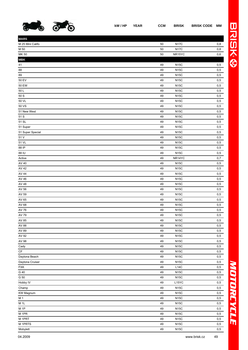

89 49 N15C 0,5 50 EV 49 N15C 0,5 50 EW 49 N15C 0,5

**MARS**

**MBK**

| 799)             | . Q)<br>נפ |    |             |         |
|------------------|------------|----|-------------|---------|
| <b>MARS</b>      |            |    |             |         |
| M 25 Mini Califo |            | 50 | <b>N17C</b> | 0,8     |
| M 50             |            | 50 | <b>N17C</b> | $0,\!8$ |
| MK 50            |            | 50 | NR15YC      | $0,6$   |
| MBK              |            |    |             |         |
| 41               |            | 49 | <b>N15C</b> | 0,5     |
| 88               |            | 49 | <b>N15C</b> | 0,5     |
|                  |            |    |             |         |

| 50 L               | 49 | N15C        | 0,5 |
|--------------------|----|-------------|-----|
| 50 S               | 49 | <b>N15C</b> | 0,5 |
| 50 VL              | 49 | <b>N15C</b> | 0,5 |
| 50 VS              | 49 | <b>N15C</b> | 0,5 |
| 51 New West        | 49 | <b>N15C</b> | 0,5 |
| 51 S               | 49 | <b>N15C</b> | 0,5 |
| 51 SL              | 49 | <b>N15C</b> | 0,5 |
| 51 Super           | 49 | <b>N15C</b> | 0,5 |
| 51 Super Special   | 49 | <b>N15C</b> | 0,5 |
| 51 V               | 49 | <b>N15C</b> | 0,5 |
| 51 VL              | 49 | <b>N15C</b> | 0,5 |
| 88 IP              | 49 | <b>N15C</b> | 0,5 |
| 88 IU              | 49 | <b>N15C</b> | 0,5 |
| Active             | 49 | NR14YC      | 0,7 |
| AV 40              | 49 | <b>N15C</b> | 0,5 |
| AV 42              | 49 | <b>N15C</b> | 0,5 |
| AV 44              | 49 | <b>N15C</b> | 0,5 |
| AV 46              | 49 | <b>N15C</b> | 0,5 |
| AV 48              | 49 | <b>N15C</b> | 0,5 |
| AV 56              | 49 | <b>N15C</b> | 0,5 |
| AV 59              | 49 | <b>N15C</b> | 0,5 |
| AV 65              | 49 | <b>N15C</b> | 0,5 |
| AV 68              | 49 | <b>N15C</b> | 0,5 |
| AV 76              | 49 | <b>N15C</b> | 0,5 |
| AV 79              | 49 | <b>N15C</b> | 0,5 |
| AV 85              | 49 | <b>N15C</b> | 0,5 |
| AV 88              | 49 | <b>N15C</b> | 0,5 |
| AV 89              | 49 | <b>N15C</b> | 0,5 |
| AV 92              | 49 | <b>N15C</b> | 0,5 |
| AV 98              | 49 | <b>N15C</b> | 0,5 |
| Cady               | 49 | <b>N15C</b> | 0,5 |
| СF                 | 49 | <b>N15C</b> | 0,5 |
| Daytona Beach      | 49 | <b>N15C</b> | 0,5 |
| Daytona Cruiser    | 49 | <b>N15C</b> | 0,5 |
| FXK                | 49 | L14C        | 0,5 |
| G 40               | 49 | <b>N15C</b> | 0,5 |
| G50                | 49 | N15C        | 0,5 |
| Hobby IV           | 49 | L15YC       | 0,5 |
| Champ              | 49 | <b>N15C</b> | 0,5 |
| KW Magnum          | 49 | <b>N15C</b> | 0,5 |
| M 1                | 49 | <b>N15C</b> | 0,5 |
| M 1L               | 49 | <b>N15C</b> | 0,5 |
| M 1P               | 49 | <b>N15C</b> | 0,5 |
| M 1PR              | 49 | <b>N15C</b> | 0,5 |
| M <sub>1</sub> PRT | 49 | <b>N15C</b> | 0,5 |
| M 1PRTS            | 49 | <b>N15C</b> | 0,5 |

Mobylett 49 N15C 0,5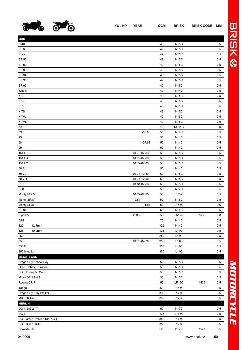

| RISK | <b>BRISK CODE MI</b> |  |
|------|----------------------|--|
|      |                      |  |

| <b>MBK</b>                     |             |     |             |      |         |
|--------------------------------|-------------|-----|-------------|------|---------|
| N 40                           |             | 49  | <b>N15C</b> |      | 0,5     |
| N 50                           |             | 49  | <b>N15C</b> |      | 0,5     |
| Rock                           |             | 49  | <b>N15C</b> |      | 0,5     |
| SP 50                          |             | 49  | <b>N15C</b> |      | 0,5     |
| SP 92                          |             | 49  | <b>N15C</b> |      | 0,5     |
| SP 93                          |             | 49  | <b>N15C</b> |      | $0,\!5$ |
| SP 94                          |             | 49  | <b>N15C</b> |      | 0,5     |
| SP 98                          |             | 49  | <b>N15C</b> |      | 0,5     |
| SP 99                          |             | 49  | <b>N15C</b> |      | 0,5     |
| Weeky                          |             | 49  | <b>N14C</b> |      | 0,5     |
| X <sub>1</sub>                 |             | 49  | <b>N15C</b> |      | $0,\!5$ |
| $X$ 1L                         |             | 49  | <b>N15C</b> |      | 0,5     |
| X7L                            |             | 49  | <b>N15C</b> |      | 0,5     |
| X7S                            |             | 49  | <b>N15C</b> |      | 0,5     |
| X 7VL                          |             | 49  | <b>N15C</b> |      | 0,5     |
| X 7VS                          |             | 49  | <b>N15C</b> |      | $0,5$   |
| ΖX                             |             | 49  | NR14C       |      | 0,5     |
| 89                             | $-07.83$    | 50  | <b>N14C</b> |      | 0,5     |
| 93                             |             | 50  | <b>N14C</b> |      | 0,5     |
| 98                             | $-07.83$    | 50  | <b>N14C</b> |      | 0,5     |
| 99                             |             | 50  | <b>N14C</b> |      | $0,\!5$ |
| 151 L                          | 01.79-07.83 | 50  | <b>N15C</b> |      | 0,5     |
| 151 LB                         | 01.79-07.83 | 50  | <b>N15C</b> |      | 0,5     |
| 151 LC                         | 01.79-07.83 | 50  | <b>N15C</b> |      | 0,5     |
| 50 R                           |             | 50  | <b>N14C</b> |      | 0,5     |
| 50 VL                          | 01.71-12.80 | 50  | <b>N15C</b> |      | 0,5     |
| <b>50 VLC</b>                  | 01.71-12.80 | 50  | <b>N15C</b> |      | 0,5     |
| 51 SU                          | 01.81-07.83 | 50  | <b>N15C</b> |      | 0,5     |
| D <sub>50</sub>                |             | 50  | <b>N14C</b> |      | 0,5     |
| Monty MB3V                     | 01.77-07.83 | 50  | L15YC       |      | 0,5     |
| Monty SP3V                     | $12.81 -$   | 50  | <b>N15C</b> |      | $0,\!5$ |
| Monty SP3V                     | $-11.81$    | 50  | L15YC       |      | 0,6     |
| SP 94 TT                       |             | 50  | <b>N14C</b> |      | 0,5     |
| X power                        | $2003 -$    | 50  | LR12C       | 1536 | 0,8     |
| D75                            |             | 75  | <b>N14C</b> |      | 0,5     |
| 12,7mm<br>125                  |             | 125 | <b>N14C</b> |      | 0,5     |
| 125<br>19,0mm                  |             | 125 | L14C        |      | 0,5     |
| 250                            |             | 250 | L14C        |      | 0,5     |
| 350                            | 04.73-04.79 | 350 | L14C        |      | 0,5     |
| 350 E                          |             | 350 | <b>L14C</b> |      | 0,5     |
| 350 Injection                  |             | 350 | <b>L14C</b> |      | 0,5     |
| <b>MECATECNO</b>               |             |     |             |      |         |
| Dragon Fly School Boy          |             | 50  | <b>N15C</b> |      | 0,5     |
| Grac, Hobby, Huracan           |             | 50  | <b>N15C</b> |      | 0,5     |
| Chic, Funny /2, Cuc            |             | 50  | <b>N15C</b> |      | 0,5     |
| Micro GP, Mini 4               |             | 50  | <b>N15C</b> |      | 0,5     |
| Racing CR-7                    |             | 50  | LR12C       | 1536 | 0,5     |
| Tanga                          |             | 50  | L15YC       |      | 0,5     |
| Dragon Fly, Sky Walker         |             | 330 | L17YC       |      | 0,5     |
| MR 326 Trial                   |             | 330 | L17YC       |      | 0,5     |
| <b>MERLIN</b>                  |             |     |             |      |         |
| DG 1, DG 2 / T                 |             | 50  | <b>N17C</b> |      | 0,5     |
| DG 7                           |             | 125 | L17YC       |      | 0,5     |
| DG 3 350 / Cresta / Trial / GR |             | 350 | L17YC       |      | 0,5     |
| DG 3 350 / FIUS                |             | 350 | L17YC       |      | 0,5     |
| Nomada 500                     |             | 500 | <b>B12C</b> | 1547 | 0,5     |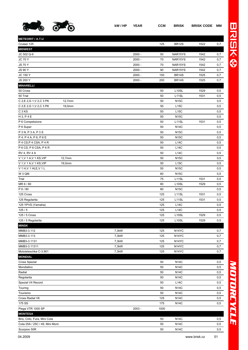

| ------       | ---------- |
|--------------|------------|
|              |            |
|              |            |
| <b>BR12S</b> | 1522       |
|              |            |

| <b>METEORIT / A.T.U</b>              |          |      |                    |      |     |
|--------------------------------------|----------|------|--------------------|------|-----|
| Cruiser 125                          |          | 125  | <b>BR12S</b>       | 1522 | 0,7 |
| <b>MIDWEST</b>                       |          |      |                    |      |     |
| JC 502 Q-9                           | $2000 -$ | 50   | NAR15YS            | 1542 | 0,7 |
| <b>JC 70 Y</b>                       | $2000 -$ | 70   | NAR15YS            | 1542 | 0,7 |
| <b>JS70Y</b>                         | $2000 -$ | 70   | NAR15YS            | 1542 | 0,7 |
| <b>JS 90 Y</b>                       | $2000 -$ | 90   | NAR15YS            | 1542 | 0,7 |
| JC 150 Y                             | $2000 -$ | 150  | <b>BR14S</b>       | 1525 | 0,7 |
| JS 200 Y                             | $2000 -$ | 200  | <b>BR14S</b>       | 1525 | 0,7 |
| <b>MINARELLI</b>                     |          |      |                    |      |     |
| 50 Cross                             |          | 50   | L <sub>10</sub> SL | 1529 | 0,5 |
| 50 Trial                             |          | 50   | L11SL              | 1531 | 0,5 |
| 12,7mm<br>C 2, E 2, G 1, V 2, C 3 PK |          | 50   | <b>N15C</b>        |      | 0,5 |
| C 2, E 2, G 1, V 2, C 3 PK<br>19,0mm |          | 50   | <b>L15C</b>        |      | 0,5 |
| C <sub>3</sub> K <sub>S</sub>        |          | 50   | L15C               |      | 0,5 |
| $H$ 3, P 4 E                         |          | 50   | <b>N15C</b>        |      | 0,5 |
| P 6 Competizione                     |          | 50   | L11SL              | 1531 | 0,5 |
| P 6 Super                            |          | 50   | <b>N14C</b>        |      | 0,5 |
| P 3 N, P 3 A, P 3 S                  |          | 50   | <b>N15C</b>        |      | 0,5 |
| P 4, P 4 A, P 6, P 6 E               |          | 50   | <b>N15C</b>        |      | 0,5 |
| P 4 CS, P 4 CSA, P 4 R               |          | 50   | L14C               |      | 0,5 |
| P6CS, P6CSA, P6R                     |          | 50   | <b>L14C</b>        |      | 0,5 |
| <b>RV 4, RV 4 A</b>                  |          | 50   | L14C               |      | 0,5 |
| V 1, V 1 A, V 1 KS, VIP<br>12,7mm    |          | 50   | <b>N15C</b>        |      | 0,5 |
| V 1, V 1 A, V 1 KS, VIP<br>19,0mm    |          | 50   | L15C               |      | 0,5 |
| V 1 H, V 1 HLE, V 1 L                |          | 50   | <b>N15C</b>        |      | 0,5 |
| W 3 QM                               |          | 60   | <b>N15C</b>        |      | 0,5 |
| Trial                                |          | 75   | L11SL              | 1531 | 0,5 |
| MR 6 / 80                            |          | 80   | L <sub>10</sub> SL | 1529 | 0,5 |
| P 6 / 80                             |          | 80   | <b>N15C</b>        |      | 0,5 |
| 125 Cross                            |          | 125  | L11SL              | 1531 | 0,5 |
| 125 Regolarita                       |          | 125  | L11SL              | 1531 | 0,5 |
| 125 YPVS (Yamaha)                    |          | 125  | L14C               |      | 0,5 |
| 125/5                                |          | 125  | L14C               |      | 0,5 |
| 125 / 5 Cross                        |          | 125  | L10SL              | 1529 | 0,5 |
| 125 / 5 Regolarita                   |          | 125  | L <sub>10</sub> SL | 1529 | 0,5 |
| <b>MINSK</b>                         |          |      |                    |      |     |
| MMB3-3.112                           | 7,3kW    | 125  | N <sub>14</sub> YC |      | 0,7 |
| MMB3-3.113                           | 7,3kW    | 125  | N <sub>14</sub> YC |      | 0,7 |
| MMB3-3.1131                          | 7,3kW    | 125  | N <sub>14</sub> YC |      | 0,7 |
| MMB3-3.11311                         | 7,3kW    | 125  | N <sub>14</sub> YC |      | 0,7 |
| Mototeleschka C-3.901                | 7,3kW    | 125  | N <sub>14</sub> YC |      | 0,7 |
| <b>MONDIAL</b>                       |          |      |                    |      |     |
|                                      |          |      |                    |      |     |
| <b>Cross Spezial</b>                 |          | 50   | <b>N14C</b>        |      | 0,5 |
| Mondialino                           |          | 50   | <b>N14C</b>        |      | 0,5 |
| Radial                               |          | 50   | <b>N14C</b>        |      | 0,5 |
| Regolarita                           |          | 50   | <b>N14C</b>        |      | 0,5 |
| Spezial V4 Record                    |          | 50   | <b>L14C</b>        |      | 0,5 |
| Touring                              |          | 50   | <b>N14C</b>        |      | 0,5 |
| Tourismo                             |          | 50   | <b>N14C</b>        |      | 0,5 |
| Cross Radial V6                      |          | 125  | <b>N14C</b>        |      | 0,5 |
| 175 SS                               |          | 175  | N14C               |      | 0,5 |
| Piega VTR 1000 SP                    | $2003 -$ | 1000 |                    |      |     |
| <b>MONTESA</b>                       |          |      |                    |      |     |
| Brio, Cirlo, Fura, Mini Cota         |          | 50   | <b>N14C</b>        |      | 0,5 |
| Cota 25A / 25C / 49, Mini Mont.      |          | 50   | <b>N14C</b>        |      | 0,5 |
| Scorpion 50R                         |          | 50   | <b>N14C</b>        |      | 0,5 |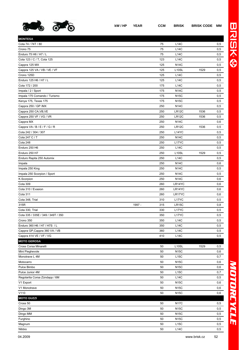

| <b>MONTESA</b>                     |        |     |                    |      |     |
|------------------------------------|--------|-----|--------------------|------|-----|
| Cota 74 / 74T / 80                 |        | 75  | <b>L14C</b>        |      | 0,5 |
| Crono 75                           |        | 75  | <b>L14C</b>        |      | 0,5 |
| Enduro 75 H6 / H7 / L              |        | 75  | <b>L14C</b>        |      | 0,5 |
| Cota 123 / C / T, Cota 125         |        | 123 | <b>L14C</b>        |      | 0,5 |
| Cappra 125 MX                      |        | 125 | <b>N14C</b>        |      | 0,5 |
| Cappra 125 VA / VB / VE / VF       |        | 125 | L <sub>10</sub> SL | 1529 | 0,5 |
| Crono 125D                         |        | 125 | <b>L14C</b>        |      | 0,5 |
| Enduro 125 H6 / H7 / L             |        | 125 | <b>L14C</b>        |      | 0,5 |
| Cota 172 / 200                     |        | 175 | <b>L14C</b>        |      | 0,5 |
| Impala / 2 / Sport                 |        | 175 | <b>N14C</b>        |      | 0,5 |
| Impala 175 Comando / Turismo       |        | 175 | <b>N15C</b>        |      | 0,5 |
| Kenya 175, Texas 175               |        | 175 | <b>N15C</b>        |      | 0,5 |
| Cappra 250 / GP /MX                |        | 250 | <b>N14C</b>        |      | 0,5 |
| Cappra 250 CA, VB, VE              |        | 250 | LR12C              | 1536 | 0,5 |
| Cappra 250 VF / VG / VR            |        | 250 | LR12C              | 1536 | 0,5 |
| Cappra MX                          |        | 250 | <b>N14C</b>        |      | 0,6 |
| Cappra VA/B/E/F/G/R                |        | 250 | LR12C              | 1536 | 0,5 |
| Cota 242 / 304 / 307               |        | 250 | L14YC              |      | 0,5 |
| Cota 247 C / T                     |        | 250 | <b>N14C</b>        |      | 0,5 |
| Cota 248                           |        | 250 | L17YC              |      | 0,5 |
| Enduro 250 H6                      |        | 250 | <b>L14C</b>        |      | 0,5 |
| Enduro 250 H7                      |        | 250 | L <sub>10</sub> SL | 1529 | 0,5 |
| Enduro Rapita 250 Automix          |        | 250 | <b>L14C</b>        |      | 0,5 |
| Impala                             |        | 250 | <b>N14C</b>        |      | 0,6 |
| Impala 250 King                    |        | 250 | <b>N14C</b>        |      | 0,5 |
| Impala 250 Scorpion / Sport        |        | 250 | <b>N14C</b>        |      | 0,5 |
| K.Scorpion                         |        | 250 | <b>N14C</b>        |      | 0,6 |
| Cota 309                           |        | 260 | LR14YC             |      | 0,6 |
| Cota 310 / Evasion                 |        | 260 | LR14YC             |      | 0,6 |
| Cota 311                           |        | 260 | LR17YC             |      | 0,6 |
| Cota 348, Trial                    |        | 310 | L17YC              |      | 0,5 |
| 315R                               | 1997 - | 315 | <b>LR15C</b>       |      | 0,8 |
| Cota 330, Trial                    |        | 330 | L17YC              |      | 0,5 |
| Cota 335 / 335E / 349 / 349T / 350 |        | 350 | L <sub>17</sub> YC |      | 0,5 |
| Crono 350                          |        | 350 | L14C               |      | 0,5 |
| Enduro 360 H6 / H7 / H7S / L       |        | 350 | L14C               |      | 0,5 |
| Cappra GP, Cappra 360 VA / VB      |        | 360 | L14C               |      | 0,5 |
| Cappra 414 VE / VF / VG            |        | 410 | L14C               |      | 0,5 |
| <b>MOTO GEROSA</b>                 |        |     |                    |      |     |
| Cross Corsa Minarelli              |        | 50  | L <sub>10</sub> SL | 1529 | 0,5 |
| Mini Pieghevole                    |        | 50  | <b>N15C</b>        |      | 0,6 |
| Monotrave L 4M                     |        | 50  | L15C               |      | 0,7 |
| Motocarro                          |        | 50  | <b>N15C</b>        |      | 0,6 |
| Pulce Bimbo                        |        | 50  | <b>N15C</b>        |      | 0,6 |
| Pulce Junior 4M                    |        | 50  | L15C               |      | 0,7 |
| Regolarita Corsa Zündapp / 6M      |        | 50  | <b>L14C</b>        |      | 0,5 |
| V1 Export                          |        | 50  | <b>N15C</b>        |      | 0,6 |
| V1 Monotrave                       |        | 50  | <b>N15C</b>        |      | 0,6 |
| V110                               |        | 50  | <b>N15C</b>        |      | 0,6 |
| <b>MOTO GUZZI</b>                  |        |     |                    |      |     |
| Cross 50                           |        | 50  | <b>N17C</b>        |      | 0,5 |
| Dingo 3M                           |        | 50  | <b>N15C</b>        |      | 0,5 |
| Dingo MM                           |        | 50  | <b>N15C</b>        |      | 0,5 |
| Furghino                           |        | 50  | <b>N15C</b>        |      | 0,5 |
| Magnum                             |        | 50  | L15C               |      | 0,5 |

Nibbio 50 L14C 0,5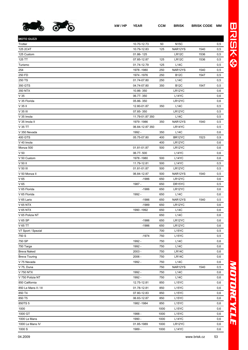

| <b>MOTO GUZZI</b>    |                 |      |                    |      |     |
|----------------------|-----------------|------|--------------------|------|-----|
| Trotter              | 10.70-12.73     | 50   | <b>N15C</b>        |      | 0,5 |
| 125 2C4T             | 10.79-12.83     | 125  | NAR12YS            | 1540 | 0,5 |
| 125 Custom           | 01.86-125       |      | LR <sub>12</sub> C | 1536 | 0,5 |
| 125 TT               | 07.85-12.87     | 125  | LR <sub>12</sub> C | 1536 | 0,5 |
| Turismo              | 01.74-12.79     | 125  | L14C               |      | 0,5 |
| 254                  | 1978 - 1980     | 250  | NAR12YS            | 1540 | 0,5 |
| 250 FD               | 1974 - 1976     | 250  | B12C               | 1547 | 0,5 |
| 250 TS               | 01.74-07.80     | 250  | L14C               |      | 0,5 |
| 350 GTS              | 04.74-07.80     | 350  | <b>B12C</b>        | 1547 | 0,5 |
| 350 NTX              | 10.86-350       |      | LR12YC             |      | 0,6 |
| V <sub>35</sub>      | 06.77-350       |      | L14YC              |      | 0,6 |
| V 35 Florida         | 05.86-350       |      | LR12YC             |      | 0,6 |
| $V$ 35 II            | 12.80-01.87     | 350  | <b>L14C</b>        |      | 0,5 |
| V 35 III             | 07.85-350       |      | LR12YC             |      | 0,5 |
| V 35 Imola           | 11.79-01.87 350 |      | <b>L14C</b>        |      | 0,5 |
| V 35 Imola II        | 1979 - 1986     | 350  | NAR12YS            | 1540 | 0,5 |
| V 35 TT              | 06.84-12.87 350 |      | LR14YC             |      | 0,5 |
| V 350 Nevada         | 1992 -          | 350  | <b>L14C</b>        |      | 0,6 |
| 400 GTS              | 05.75-07.80     | 400  | BR12YC             | 1523 | 0,9 |
| V 40 Imola           |                 | 400  | LR12YC             |      | 0,6 |
| Monza 500            | 01.81-01.87     | 500  | LR12YC             |      | 0,6 |
| V <sub>50</sub>      | 06.77-500       |      | L <sub>14</sub> YC |      | 0,6 |
| V 50 Custom          | 1978 - 1980     | 500  | L14YC              |      | 0,6 |
| V 50 II              | 11.79-12.81     | 500  | L14YC              |      | 0,5 |
| V 50 III             | 01.81-01.87     | 500  | LR12YC             |      | 0,5 |
| V 50 Monza II        | 06.84-12.87     | 500  | NAR12YS            | 1540 | 0,5 |
| V <sub>65</sub>      | $-1986$         | 650  | LR12YC             |      | 0,6 |
| V65                  | 1987 -          | 650  | DR15YC             |      | 0,5 |
| V 65 Florida         | $-1986$         | 650  | LR12YC             |      | 0,6 |
| V 65 Florida         | 1992 -          | 650  | L14C               |      | 0,6 |
| V 65 Lario           | $-1986$         | 650  | NAR12YS            | 1540 | 0,5 |
| V 65 NTX             | $-1989$         | 650  | LR12YC             |      | 0,6 |
| V 65 NTX             | 1990 - 1992     | 650  | L14C               |      | 0,6 |
| V 65 Polizia NT      |                 | 650  | <b>L14C</b>        |      | 0,6 |
| V 65 SP              | $-1986$         | 650  | LR12YC             |      | 0,6 |
| V 65 TT              | $-1986$         | 650  | LR12YC             |      | 0,6 |
| V7 Sport / Spezial   |                 | 700  | L15YC              |      | 0,5 |
| 750 S                | $-1974$         | 750  | L15YC              |      | 0,5 |
| 750 SP               | 1992 -          | 750  | L14C               |      | 0,6 |
| 750 Targa            | 1992 -          | 750  | L14C               |      | 0,6 |
| <b>Breva Naked</b>   | 2003 -          | 750  | LR14C              |      | 0,6 |
| <b>Breva Touring</b> | 2006 -          | 750  | LR14C              |      | 0,6 |
| V 75 Nevada          | 1992 -          | 750  | L14C               |      | 0,6 |
| V 75, Duna           |                 | 750  | NAR12YS            | 1540 | 0,5 |
| V 750 NTX            | 1992 -          | 750  | L14C               |      | 0,6 |
| V 750 Polizia NT     | 1992 -          | 750  | L14C               |      | 0,6 |
| 850 California       | 12.75-12.81     | 850  | L <sub>15</sub> YC |      | 0,6 |
| 850 Le Mans II / III | 01.78-12.81     | 850  | L15YC              |      | 0,6 |
| 850 T4               | 07.80-12.83     | 850  | L15YC              |      | 0,6 |
| 850 T5               | 06.83-12.87     | 850  | L15YC              |      | 0,6 |
| 850TS 5              | 1982 - 1984     | 850  | L15YC              |      | 0,6 |
| 1000                 |                 | 1000 | L <sub>15</sub> YC |      | 0,6 |
| 1000 GT              | 1988 -          | 1000 | L <sub>15</sub> YC |      | 0,6 |
| 1000 Le Mans         | 1990 -          | 1000 | L14YC              |      | 0,6 |
| 1000 Le Mans IV      | 01.85-1989      | 1000 | LR12YC             |      | 0,6 |
|                      |                 |      |                    |      |     |

1000 S 1989 - 1000 L14YC 0,6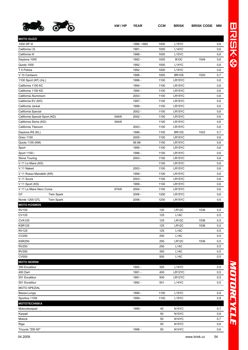

| <b>MOTO GUZZI</b>                   |      |           |      |                    |      |     |
|-------------------------------------|------|-----------|------|--------------------|------|-----|
| 1000 SP III                         |      | 1988-1992 | 1000 | L15YC              |      | 0,6 |
| California I.E.                     |      | 1991 -    | 1000 | L14YC              |      | 0,6 |
| California III                      |      | 1988 -    | 1000 | L <sub>15</sub> YC |      | 0,6 |
| Daytona 1000                        |      | 1992 -    | 1000 | <b>B10C</b>        | 1549 | 0,6 |
| Quota 1000                          |      | 1992 -    | 1000 | L14YC              |      | 0,6 |
| T 5 Polizia                         |      | 1992 -    | 1000 | L <sub>15</sub> YC |      | 0,6 |
| V 10 Centauro                       |      | 1996 -    | 1000 | <b>BR10S</b>       | 1520 | 0,7 |
| 1100 Sport (KF) (Inj.)              |      | 1996 -    | 1100 | LR15YC             |      | 0,6 |
| California 1100 KC                  |      | 1994 -    | 1100 | LR15YC             |      | 0,6 |
| California 1100 KD                  |      | 1994 -    | 1100 | LR15YC             |      | 0,6 |
| California Aluminium                |      | $2003 -$  | 1100 | LR15YC             |      | 0,6 |
| California EV (KD)                  |      | 1997 -    | 1100 | LR15YC             |      | 0,6 |
| California Jackal                   |      | 1999 -    | 1100 | LR15YC             |      | 0,6 |
| California Special                  |      | $2002 -$  | 1100 | LR15YC             |      | 0,6 |
| California Special Sport (KD)       | 54kW | $2002 -$  | 1100 | LR15YC             |      | 0,6 |
| California Stone (KD)               | 54kW |           | 1100 | LR15YC             |      | 0,6 |
| California Titanium                 |      | $2003 -$  | 1100 | LR15YC             |      | 0,6 |
| Daytona RS (KL)                     |      | 1996 -    | 1100 | <b>BR12S</b>       | 1522 | 0,7 |
| Griso 1100                          |      | $2005 -$  | 1100 | LR15YC             |      | 0,6 |
| Quota 1100 (KM)                     |      | 06.98-    | 1100 | LR15YC             |      | 0,6 |
| Sport                               |      | 1995 -    | 1100 | LR15YC             |      | 0,6 |
| Sport 1100 i                        |      | 1996 -    | 1100 | LR15YC             |      | 0,6 |
| Stone Touring                       |      | $2003 -$  | 1100 | LR15YC             |      | 0,6 |
| V 11 Le Mans (KS)                   |      |           | 1100 | LR15YC             |      | 0,6 |
| V 11 Naked                          |      | $2003 -$  | 1100 | LR15YC             |      | 0,6 |
| V 11 Rosso Mandello (KR)            |      | 1999 -    | 1100 | LR15YC             |      | 0,6 |
| V 11 Scura                          |      | $2003 -$  | 1100 | LR15YC             |      | 0,6 |
| V 11 Sport (KS)                     |      | 1999 -    | 1100 | LR15YC             |      | 0,6 |
| V 11 Le Mans Nero Corsa             | 67kW | $2004 -$  | 1100 | LR15YC             |      | 0,6 |
| GT<br><b>Twin Spark</b>             |      | $2006 -$  | 1200 | LR15YC             |      | 0,6 |
| Norde 1200 GTL<br><b>Twin Spark</b> |      | $2006 -$  | 1200 | LR15YC             |      | 0,6 |
| <b>MOTO KOSMOS</b>                  |      |           |      |                    |      |     |
| <b>RV100</b>                        |      |           | 100  | LR <sub>12</sub> C | 1536 | 0,5 |
| <b>CV125</b>                        |      |           | 125  | L14C               |      | 0,5 |
| <b>CVA125</b>                       |      |           | 125  | LR12C              | 1536 | 0,5 |
| <b>KSR125</b>                       |      |           | 125  | LR12C              | 1536 | 0,5 |
| <b>RV125</b>                        |      |           | 125  | <b>L14C</b>        |      | 0,5 |
| CV250                               |      |           | 250  | <b>L14C</b>        |      | 0,5 |
| <b>KSR250</b>                       |      |           | 250  | LR12C              | 1536 | 0,5 |
| <b>RV250</b>                        |      |           | 250  | <b>L14C</b>        |      | 0,5 |
| <b>RV350</b>                        |      |           | 350  | <b>L14C</b>        |      | 0,5 |
| <b>CV500</b>                        |      |           | 500  | <b>L14C</b>        |      | 0,5 |
| <b>MOTO MORINI</b>                  |      |           |      |                    |      |     |
| 350 Excalibur                       |      | 1992 -    | 350  | L14YC              |      | 0,5 |
| 400 Dart                            |      | 1991 -    | 400  | LR12YC             |      | 0,5 |
| 501 Excalibur                       |      | 1991 -    | 500  | LR12YC             |      | 0,5 |
| 501 Excalibur                       |      | 1992 -    | 501  | L14YC              |      | 0,5 |
| MOTO SPEZIAL                        |      |           |      |                    |      |     |
| Bassa-Lunga                         |      | 1999 -    | 1100 | L <sub>15</sub> YC |      | 0,8 |
| Sportiva 1100i                      |      | 1999 -    | 1100 | L <sub>15</sub> YC |      | 0,8 |
| <b>MOTOTECHNIKA</b>                 |      |           |      |                    |      |     |
| Motovelosiped                       |      | 1989 -    | 45   | N <sub>15</sub> YC |      | 0,7 |
| Karpati                             |      |           | 50   | N <sub>15</sub> YC |      | 0,6 |
| Mokick                              |      |           | 50   | N <sub>14</sub> YC |      | 0,7 |
| Riga                                |      |           | 50   | N <sub>15</sub> YC |      | 0,6 |
| Tricycle "ZID-50"                   |      | 1998 -    | 50   | N <sub>14</sub> YC |      | 0,6 |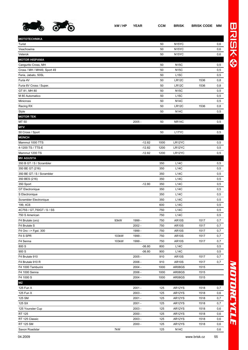

**MOTOTECHNIKA**

| Veachowina                  |       |          | 50   | N <sub>15</sub> YC |      | 0,6 |
|-----------------------------|-------|----------|------|--------------------|------|-----|
| Veterok                     |       |          | 50   | N <sub>15</sub> YC |      | 0,6 |
| <b>MOTOR HISPANIA</b>       |       |          |      |                    |      |     |
| Cangurito Cross, MH         |       |          | 50   | <b>N15C</b>        |      | 0,5 |
| Cross / MH / MH49, Sport 49 |       |          | 50   | <b>N15C</b>        |      | 0,5 |
| Feria, Jabato, 50SL         |       |          | 50   | L15C               |      | 0,5 |
| Furia 4V                    |       |          | 50   | LR12C              | 1536 | 0,8 |
| Furia 6V Cross / Super.     |       |          | 50   | LR12C              | 1536 | 0,8 |
| GT 81, MH 80                |       |          | 50   | <b>N15C</b>        |      | 0,5 |
| M 80 Automatico             |       |          | 50   | L15C               |      | 0,5 |
| <b>Minicross</b>            |       |          | 50   | <b>N14C</b>        |      | 0,5 |
| Racing RX                   |       |          | 50   | LR12C              | 1536 | 0,8 |
| Style                       |       |          | 50   | N14C               |      | 0,5 |
| <b>MOTOR TEK</b>            |       |          |      |                    |      |     |
| MT 50                       |       | $2005 -$ | 50   | <b>NR14C</b>       |      | 0,5 |
| <b>MTV</b>                  |       |          |      |                    |      |     |
| 50 Cross / Sport            |       |          | 50   | L17YC              |      | 0,5 |
| <b>MÜNCH</b>                |       |          |      |                    |      |     |
| Mammut 1000 TTS             |       | $-12.82$ | 1000 | LR12YC             |      | 0,5 |
| 4-1200 TS / TTS-E           |       | $-12.82$ | 1200 | LR12YC             |      | 0,5 |
| Mammut 1200 TS              |       | $-12.82$ | 1200 | LR12YC             |      | 0,5 |
| <b>MV AGUSTA</b>            |       |          |      |                    |      |     |
| 350 B GT / S / Scrambler    |       |          | 350  | L14C               |      | 0,5 |
| 350 BE GT (216)             |       |          | 350  | L14C               |      | 0,5 |
| 350 BE GT / S / Scrambler   |       |          | 350  | L14C               |      | 0,5 |
| 350 BES (216)               |       |          | 350  | L14C               |      | 0,5 |
| 350 Sport                   |       | $-12.80$ | 350  | L14C               |      | 0,5 |
| <b>GT</b> Electronique      |       |          | 350  | <b>L14C</b>        |      | 0,5 |
| S Electronique              |       |          | 350  | L14C               |      | 0,5 |
|                             |       |          | 350  | L14C               |      |     |
| Scrambler Electronique      |       |          | 600  |                    |      | 0,5 |
| 199, 4C6                    |       |          |      | <b>L14C</b>        |      | 0,5 |
| 4C75S / GT, 750GT / S / SS  |       |          | 750  | L14C               |      | 0,5 |
| 750 S American              |       |          | 750  | L14C               |      | 0,5 |
| F4 Brutale (oro)            | 93kW  | 1999 -   | 750  | <b>AR10S</b>       | 1517 | 0,7 |
| F4 Brutale S                |       | $2002 -$ | 750  | <b>AR10S</b>       | 1517 | 0,7 |
| F4 Oro -- > Fgst. 300       |       | 1999 -   | 750  | <b>AR10S</b>       | 1517 | 0,7 |
| F4 S SPR                    | 103kW | 1999 -   | 750  | <b>AR10S</b>       | 1517 | 0,7 |
| F4 Senna                    | 103kW | 1999 -   | 750  | <b>AR10S</b>       | 1517 | 0,7 |
| 800 S                       |       | $-06.80$ | 800  | L14C               |      | 0,5 |
| 900 S                       |       | $-06.80$ | 900  | L14C               |      | 0,5 |
| F4 Brutale 910              |       | $2005 -$ | 910  | <b>AR10S</b>       | 1517 | 0,7 |
| F4 Brutale 910 R            |       | $2006 -$ | 910  | <b>AR10S</b>       | 1517 | 0,7 |
| F4 1000 Tamburini           |       | $2004 -$ | 1000 | AR08GS             | 1515 |     |
| F4 1000 Senna               |       | 2006 -   | 1000 | AR08GS             | 1515 |     |
| F4 1000 S                   |       | $2004 -$ | 1000 | AR08GS             | 1515 |     |
| <b>MZ</b>                   |       |          |      |                    |      |     |
| 125 Fun X                   |       | $2001 -$ | 125  | AR12YS             | 1518 | 0,7 |
| 125 Fun X                   |       | $2003 -$ | 125  | AR12YS             | 1518 | 0,6 |
| 125 SM                      |       | 2001 -   | 125  | AR12YS             | 1518 | 0,7 |
| 125 SX                      |       | 2001 -   | 125  | AR12YS             | 1518 | 0,7 |
| 125 Younster Cup            |       | 2003 -   | 125  | AR12YS             | 1518 | 0,6 |
| RT 125                      |       | $2000 -$ | 125  | AR12YS             | 1518 | 0,6 |
| RT 125 Classic              |       | $2003 -$ | 125  | AR12YS             | 1518 | 0,6 |

RT 125 SM 2000 - 125 AR12YS 1518 0,6 Saxon Roadstar 6.6 Contract to the Contract of TkW 125 N14C 0,6

Turist 50 N15YC 0,6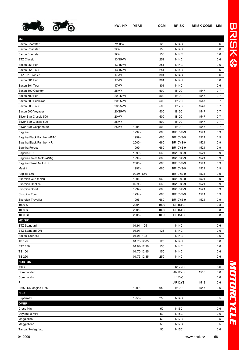

| ΜZ                          |         |             |      |                 |      |     |
|-----------------------------|---------|-------------|------|-----------------|------|-----|
| Saxon Sportstar             | 7/11kW  |             | 125  | <b>N14C</b>     |      | 0,6 |
| Saxon Roadstar              | 9kW     |             | 150  | <b>N14C</b>     |      | 0,6 |
| Saxon Sportstar             | 9kW     |             | 150  | <b>N14C</b>     |      | 0,6 |
| <b>ETZ Classic</b>          | 13/15kW |             | 251  | <b>N14C</b>     |      | 0,6 |
| Saxon 251 Fun               | 13/15kW |             | 251  | <b>N14C</b>     |      | 0,6 |
| Saxon 251 Tour              | 13/15kW |             | 251  | <b>N14C</b>     |      | 0,6 |
| ETZ 301 Classic             | 17kW    |             | 301  | <b>N14C</b>     |      | 0,6 |
| Saxon 301 Fun               | 17kW    |             | 301  | <b>N14C</b>     |      | 0,6 |
| Saxon 301 Tour              | 17kW    |             | 301  | <b>N14C</b>     |      | 0,6 |
| Saxon 500 Country           | 25kW    |             | 500  | <b>B12C</b>     | 1547 | 0,7 |
| Saxon 500 Fun               | 20/25kW |             | 500  | <b>B12C</b>     | 1547 | 0,7 |
| Saxon 500 Funkkrad          | 20/25kW |             | 500  | <b>B12C</b>     | 1547 | 0,7 |
| Saxon 500 Tour              | 20/25kW |             | 500  | <b>B12C</b>     | 1547 | 0,7 |
| Saxon 500 Voyager           | 20/25kW |             | 500  | <b>B12C</b>     | 1547 | 0,7 |
| Silver Star Classic 500     | 20kW    |             | 500  | <b>B12C</b>     | 1547 | 0,7 |
| Silver Star Classic 500     | 25kW    |             | 500  | <b>B12C</b>     | 1547 | 0,7 |
| Silver Star Gespann 500     | 25kW    | 1995 -      | 500  | <b>B12C</b>     | 1547 | 0,7 |
| Baghira                     |         | 1997 -      | 660  | <b>BR10YS-9</b> | 1521 | 0,9 |
| Baghira Black Panther (4NN) |         | 1999 -      | 660  | <b>BR10YS-9</b> | 1521 | 0,9 |
| Baghira Black Panther HR    |         | $2000 -$    | 660  | <b>BR10YS-9</b> | 1521 | 0,9 |
| <b>Baghira Forest</b>       |         | 1999 -      | 660  | <b>BR10YS-9</b> | 1521 | 0,9 |
| Baghira HR                  |         | 1999 -      | 660  | <b>BR10YS-9</b> | 1521 | 0,9 |
| Baghira Street Moto (4NN)   |         | 1999 -      | 660  | <b>BR10YS-9</b> | 1521 | 0,9 |
| Baghira Street Moto HR      |         | $2000 -$    | 660  | <b>BR10YS-9</b> | 1521 | 0,9 |
| Mastiff                     |         | 1997 -      | 660  | <b>BR10YS-9</b> | 1521 | 0,9 |
| Replica 660                 |         | 02.95-660   |      | <b>BR10YS-9</b> | 1521 | 0,9 |
| Skorpion Cup (4NN)          |         | 1996 -      | 660  | <b>BR10YS-9</b> | 1521 | 0,9 |
| <b>Skorpion Replica</b>     |         | 02.95-      | 660  | <b>BR10YS-9</b> | 1521 | 0,9 |
| <b>Skorpion Sport</b>       |         | 1994 -      | 660  | <b>BR10YS-9</b> | 1521 | 0,9 |
| <b>Skorpion Tour</b>        |         | 1994 -      | 660  | <b>BR10YS-9</b> | 1521 | 0,9 |
| <b>Skorpion Traveller</b>   |         | 1996 -      | 660  | <b>BR10YS-9</b> | 1521 | 0,9 |
| 1000 S                      |         | $2004 -$    | 1000 | DR15TC          |      | 0,8 |
| 1000 SF                     |         | $2005 -$    | 1000 | DR15TC          |      | 0,8 |
| 1000 ST                     |         | $2005 -$    | 1000 | DR15TC          |      | 0,8 |
| $MZ$ (TR)                   |         |             |      |                 |      |     |
| <b>ETZ Standard</b>         |         | 01.91-125   |      | <b>N14C</b>     |      | 0,6 |
| ETZ Standard OR             |         | $01.91 -$   | 125  | <b>N14C</b>     |      | 0,6 |
| Saxon Tour 251              |         | 01.91-125   |      | <b>N14C</b>     |      | 0,6 |
| <b>TS 125</b>               |         | 01.75-12.85 | 125  | <b>N14C</b>     |      | 0,6 |
| <b>ETZ 150</b>              |         | 01.84-12.90 | 150  | <b>N14C</b>     |      | 0,6 |
| <b>TS 150</b>               |         | 01.75-12.85 | 150  | <b>N14C</b>     |      | 0,6 |
| <b>TS 250</b>               |         | 01.75-12.85 | 250  | <b>N14C</b>     |      | 0,6 |
| <b>NORTON</b>               |         |             |      |                 |      |     |
| Atlas                       |         |             |      | LR12YC          |      | 0,6 |
| Commander                   |         |             |      | AR12YS          | 1518 | 0,6 |
| Commando                    |         |             |      | L14YC           |      | 0,6 |
| F <sub>1</sub>              |         |             |      | AR12YS          | 1518 | 0,6 |
| C 652 SM engine F 650       |         | 1999 -      | 650  | <b>B12C</b>     | 1547 | 0,6 |
| <b>NSU</b>                  |         |             |      |                 |      |     |
| Supermax                    |         | 1956 -      | 250  | <b>N14C</b>     |      | 0,5 |
| <b>OMER</b>                 |         |             |      |                 |      |     |
| Cross Mini                  |         |             | 50   | <b>N15C</b>     |      | 0,6 |
| Daytona 8 Mini              |         |             | 50   | <b>N15C</b>     |      | 0,6 |
| Maggiolino                  |         |             | 50   | <b>N17C</b>     |      | 0,5 |
| Maggiolione                 |         |             | 50   | <b>N17C</b>     |      | 0,5 |
| Tanga / Noleggiato          |         |             | 50   | <b>N15C</b>     |      | 0,6 |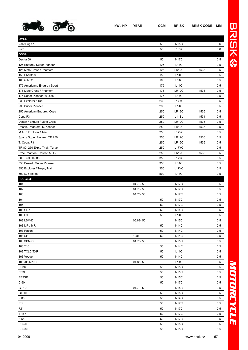

**OMER**

| Vallelunga 10                   |          | 50  | <b>N15C</b>        |      | 0,6 |
|---------------------------------|----------|-----|--------------------|------|-----|
| Vivo                            |          | 50  | L15YC              |      | 0,6 |
| <b>OSSA</b>                     |          |     |                    |      |     |
| Ossita 50                       |          | 50  | <b>N17C</b>        |      | 0,5 |
| 125 Enduro / Super Pioneer      |          | 125 | L14C               |      | 0,5 |
| 125 Moto Cross / Phantom        |          | 125 | LR12C              | 1536 | 0,5 |
| 150 Phantom                     |          | 150 | <b>L14C</b>        |      | 0,5 |
| 160 GT-T2                       |          | 160 | <b>L14C</b>        |      | 0,5 |
| 175 American / Enduro / Sport   |          | 175 | L14C               |      | 0,5 |
| 175 Moto Cross / Phantom        |          | 175 | LR12C              | 1536 | 0,5 |
| 175 Super Pioneer / 6 Dias      |          | 175 | <b>L14C</b>        |      | 0,5 |
| 230 Explorer / Trial            |          | 230 | L17YC              |      | 0,5 |
| 230 Super Pioneer               |          | 230 | <b>L14C</b>        |      | 0,5 |
| 250 American Enduro / Copa      |          | 250 | LR12C              | 1536 | 0,5 |
| Copa F3                         |          | 250 | L <sub>11</sub> SL | 1531 | 0,5 |
| Desert / Enduro / Moto Cross    |          | 250 | LR <sub>12</sub> C | 1536 | 0,5 |
| Desert, Phantom, S.Pioneer      |          | 250 | LR <sub>12</sub> C | 1536 | 0,5 |
| M.A.R. Explorer / Trial         |          | 250 | L <sub>17</sub> YC |      | 0,5 |
| Sport / Super Pioneer, TE 250   |          | 250 | <b>LR12C</b>       | 1536 | 0,5 |
| T, Copa, F3                     |          | 250 | LR <sub>12</sub> C | 1536 | 0,5 |
| TR 80, 250 Exp. / Trial / Tu-yo |          | 250 | L <sub>17</sub> YC |      | 0,5 |
| Urbe Phanton, Trofeo 250 E7     |          | 250 | LR <sub>12</sub> C | 1536 | 0,5 |
| 303 Trial, TR 80                |          | 350 | L <sub>17</sub> YC |      | 0,5 |
| 350 Desert / Super Pioneer      |          | 350 | <b>L14C</b>        |      | 0,5 |
| 350 Explorer / Tu-yo, Trail     |          | 350 | L17YC              |      | 0,5 |
| 500 S, Yankee                   |          | 500 | <b>L14C</b>        |      | 0,5 |
| <b>PEUGEOT</b>                  |          |     |                    |      |     |
| 101                             | 04.75-50 |     | <b>N17C</b>        |      | 0,5 |
| 102                             | 04.75-50 |     | <b>N17C</b>        |      | 0,5 |
| 103                             | 04.75-50 |     | <b>N17C</b>        |      | 0,5 |
| 104                             |          | 50  | <b>N17C</b>        |      | 0,5 |
| 105                             |          | 50  | <b>N17C</b>        |      | 0,5 |
| 103 CRX                         |          | 50  | <b>N14C</b>        |      | 0,5 |
| 103 LC                          |          | 50  | L14C               |      | 0,5 |
| 103 LSM-D                       | 06.82-50 |     | <b>N15C</b>        |      | 0,5 |
| 103 MP / MR                     |          | 50  | <b>N14C</b>        |      | 0,5 |
| 103 Racen                       |          | 50  | <b>N14C</b>        |      | 0,5 |
| 103 SP                          | 1986 -   | 50  | <b>N14C</b>        |      | 0,5 |
| 103 SPM-D                       | 04.75-50 |     | <b>N15C</b>        |      | 0,5 |
| 103 T16                         |          | 50  | <b>N14C</b>        |      | 0,5 |
| 103 TXLC,TXR                    |          | 50  | L14C               |      | 0,5 |
| 103 Vogue                       |          | 50  | <b>N14C</b>        |      | 0,5 |
| 103 XP, XPLC                    | 01.86-50 |     | <b>L14C</b>        |      | 0,5 |
| BB3K                            |          | 50  | <b>N15C</b>        |      | 0,5 |
| BB3L                            |          | 50  | <b>N15C</b>        |      | 0,5 |
| BB3SP                           |          | 50  | <b>N15C</b>        |      | 0,5 |
| C <sub>50</sub>                 |          | 50  | <b>N17C</b>        |      | 0,5 |
| GL 10                           | 01.79-50 |     | <b>N15C</b>        |      | 0,5 |
| GT 10                           |          | 50  | <b>N15C</b>        |      | 0,5 |
| P 80                            |          | 50  | <b>N14C</b>        |      | 0,5 |
| RS                              |          | 50  | <b>N17C</b>        |      | 0,5 |
| RT                              |          | 50  | <b>N17C</b>        |      | 0,5 |
| S 157                           |          | 50  | <b>N17C</b>        |      | 0,5 |
| S 55                            |          | 50  | <b>N17C</b>        |      | 0,5 |

 $SC = 50$  N15C 0,5  $SC = 50$  N15C 0,5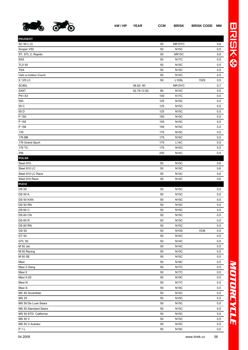

| <b>PEUGEOT</b>        |             |     |                    |      |     |
|-----------------------|-------------|-----|--------------------|------|-----|
| SC 50 L (I)           |             | 50  | NR15YC             |      | 0,6 |
| Scoper V50            |             | 50  | <b>N15C</b>        |      | 0,5 |
| ST, STL 2, Rapido     |             | 50  | <b>NR15C</b>       |      | 0,6 |
| SX <sub>5</sub>       |             | 50  | <b>N17C</b>        |      | 0,5 |
| <b>TLX 50</b>         |             | 50  | <b>N15C</b>        |      | 0,5 |
| <b>TSA</b>            |             | 50  | <b>N15C</b>        |      | 0,5 |
| Velo a moteur Count.  |             | 50  | <b>N14C</b>        |      | 0,5 |
| X 125 LC              |             | 50  | L <sub>10</sub> SL | 1529 | 0,5 |
| SC80L                 | 06.82-80    |     | NR15YC             |      | 0,7 |
| SX8T                  | 02.78-12.82 | 80  | <b>N14C</b>        |      | 0,5 |
| P51-53                |             | 100 | <b>K17C</b>        |      | 0,5 |
| 550                   |             | 125 | <b>N15C</b>        |      | 0,5 |
| 55 C                  |             | 125 | <b>N15C</b>        |      | 0,5 |
| 55 D                  |             | 125 | <b>N15C</b>        |      | 0,5 |
| P 150                 |             | 150 | <b>N15C</b>        |      | 0,5 |
| P 155                 |             | 155 | <b>N15C</b>        |      | 0,5 |
| P 156                 |             | 155 | <b>N15C</b>        |      | 0,5 |
| 176                   |             | 175 | <b>N15C</b>        |      | 0,5 |
| 176 BB                |             | 175 | <b>N15C</b>        |      | 0,5 |
| 176 Grand Sport       |             | 175 | L14C               |      | 0,5 |
| 176 TC                |             | 175 | <b>N15C</b>        |      | 0,5 |
| 256                   |             | 250 | <b>N14C</b>        |      | 0,5 |
| <b>POLINI</b>         |             |     |                    |      |     |
| Steel 910             |             | 50  | <b>N15C</b>        |      | 0,6 |
| Steel 910 LC          |             | 50  | <b>N15C</b>        |      | 0,6 |
| Steel 910 LC Race     |             | 50  | <b>N14C</b>        |      | 0,6 |
| Steel 910 Race        |             | 50  | <b>N14C</b>        |      | 0,6 |
| <b>PUCH</b>           |             |     |                    |      |     |
| <b>DS 50</b>          |             | 50  | <b>N15C</b>        |      | 0,5 |
| <b>DS 50 K</b>        |             | 50  | <b>N15C</b>        |      | 0,5 |
| DS 50 KXN             |             | 50  | <b>N15C</b>        |      | 0,5 |
| <b>DS 50 RN</b>       |             | 50  | <b>N15C</b>        |      | 0,5 |
| <b>DS 60 C</b>        |             | 50  | <b>N15C</b>        |      | 0,5 |
| <b>DS 60 CN</b>       |             | 50  | <b>N15C</b>        |      | 0,5 |
| <b>DS 60 R</b>        |             | 50  | <b>N15C</b>        |      | 0,5 |
| <b>DS 60 RN</b>       |             | 50  | <b>N15C</b>        |      | 0,5 |
| GS 50                 |             | 50  | <b>N10S</b>        | 1538 | 0,5 |
| GT 50                 |             | 50  | <b>N14C</b>        |      | 0,5 |
| <b>GTL 50</b>         |             | 50  | <b>N14C</b>        |      | 0,5 |
| M 50 Jet              |             | 50  | <b>N14C</b>        |      | 0,5 |
| M 50 Racing           |             | 50  | <b>N15C</b>        |      | 0,5 |
| M 50 SE               |             | 50  | <b>N15C</b>        |      | 0,5 |
| Maxi                  |             | 50  | <b>N19C</b>        |      | 0,5 |
| Maxi 2 Gang           |             | 50  | <b>N17C</b>        |      | 0,5 |
| Maxi II               |             | 50  | <b>N17C</b>        |      | 0,5 |
| Maxi II-25            |             | 50  | <b>N19C</b>        |      | 0,5 |
| Maxi N                |             | 50  | <b>N17C</b>        |      | 0,5 |
| Maxi S                |             | 50  | <b>N19C</b>        |      | 0,5 |
| MC 60 Scrambler       |             | 50  | <b>N14C</b>        |      | 0,5 |
| <b>MS 25</b>          |             | 50  | <b>N15C</b>        |      | 0,5 |
| MS 50 De Luxe Sears   |             | 50  | <b>N15C</b>        |      | 0,5 |
| MS 50 Standard Sears  |             | 50  | <b>N15C</b>        |      | 0,5 |
| MS 50 STD. California |             | 50  | <b>N15C</b>        |      | 0,5 |
| MS 50 V               |             | 50  | <b>N15C</b>        |      | 0,5 |
| MS 50 V-Autolec       |             | 50  | <b>N15C</b>        |      | 0,5 |
| P <sub>1</sub> L      |             | 50  | <b>N19C</b>        |      | 0,5 |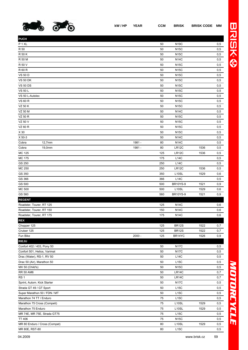

| <b>PUCH</b>                   |          |     |                    |      |     |
|-------------------------------|----------|-----|--------------------|------|-----|
| P <sub>1</sub> XL             |          | 50  | <b>N19C</b>        |      | 0,5 |
| R 50                          |          | 50  | <b>N15C</b>        |      | 0,5 |
| R 50 K                        |          | 50  | <b>N15C</b>        |      | 0,5 |
| R 50 M                        |          | 50  | <b>N14C</b>        |      | 0,5 |
| R 50 V                        |          | 50  | <b>N15C</b>        |      | 0,5 |
| <b>R60R</b>                   |          | 50  | <b>N15C</b>        |      | 0,5 |
| <b>VS 50 D</b>                |          | 50  | <b>N15C</b>        |      | 0,5 |
| <b>VS 50 DK</b>               |          | 50  | <b>N15C</b>        |      | 0,5 |
| <b>VS 50 DS</b>               |          | 50  | <b>N15C</b>        |      | 0,5 |
| <b>VS 50 L</b>                |          | 50  | <b>N15C</b>        |      | 0,5 |
| VS 50 L-Autolec               |          | 50  | <b>N15C</b>        |      | 0,5 |
| <b>VS 60 R</b>                |          | 50  | <b>N15C</b>        |      | 0,5 |
| VZ 50 K                       |          | 50  | <b>N15C</b>        |      | 0,5 |
| <b>VZ 50 M</b>                |          | 50  | <b>N14C</b>        |      | 0,5 |
| VZ 50 R                       |          | 50  | <b>N15C</b>        |      | 0,5 |
| VZ 50 V                       |          | 50  | <b>N15C</b>        |      | 0,5 |
| VZ 60 R                       |          | 50  | <b>N15C</b>        |      | 0,5 |
| X 30                          |          | 50  | <b>N15C</b>        |      | 0,5 |
| $X 50-3$                      |          | 50  | <b>N14C</b>        |      | 0,5 |
| 12,7mm<br>Cobra               | 1981 -   | 80  | <b>N14C</b>        |      | 0,5 |
| Cobra<br>19,0mm               | 1981 -   | 80  | <b>LR12C</b>       | 1536 | 0,5 |
| <b>MC 125</b>                 |          | 125 | LR12C              | 1536 | 0,5 |
| <b>MC 175</b>                 |          | 175 | <b>L14C</b>        |      | 0,5 |
| GS 250                        |          | 250 | L14C               |      | 0,5 |
| MC 250                        |          | 250 | LR12C              | 1536 | 0,5 |
| GS 350                        |          | 350 | L <sub>10</sub> SL | 1529 | 0,6 |
| GS 366                        |          | 366 | L14C               |      | 0,5 |
| GS 500                        |          | 500 | <b>BR10YS-9</b>    | 1521 | 0,9 |
| <b>MC 500</b>                 |          | 500 | L <sub>10</sub> SL | 1529 | 0,6 |
| GS 560                        |          | 560 | <b>BR10YS-9</b>    | 1521 | 0,9 |
| <b>REGENT</b>                 |          |     |                    |      |     |
| Roadster, Tourer, RT 125      |          | 125 | <b>N14C</b>        |      | 0,6 |
| Roadster, Tourer, RT 150      |          | 150 | <b>N14C</b>        |      | 0,6 |
| Roadster, Tourer, RT 175      |          | 175 | <b>N14C</b>        |      | 0,6 |
| <b>REX</b>                    |          |     |                    |      |     |
| Chopper 125                   |          | 125 | <b>BR12S</b>       | 1522 | 0,7 |
| Cruiser 125                   |          | 125 | <b>BR12S</b>       | 1522 | 0,7 |
| Fun Bike                      | $2000 -$ | 125 | BR14YC             | 1526 | 0,9 |
| <b>RIEJU</b>                  |          |     |                    |      |     |
| Confort 402 / 403, Pony 50    |          | 50  | <b>N17C</b>        |      | 0,5 |
| Confort 501, Helios, Varimat  |          | 50  | <b>N17C</b>        |      | 0,5 |
| Drac (Water), RS-1, RV 50     |          | 50  | L14C               |      | 0,5 |
| Drac 50 (Air), Marathon 50    |          | 50  | L15C               |      | 0,5 |
| MX 50 (Child's)               |          | 50  | <b>N15C</b>        |      | 0,5 |
| <b>RR 50 AM6</b>              |          | 50  | LR14C              |      | 0,7 |
| RS <sub>1</sub>               |          | 50  | LR14C              |      | 0,7 |
| Sprint, Autom. Kick Starter   |          | 50  | <b>N17C</b>        |      | 0,5 |
| Strada GT 49 / GT Sport       |          | 50  | L15C               |      | 0,5 |
| Super Marathon 50 / FDN / MT  |          | 50  | L15C               |      | 0,5 |
| Marathon 74 TT / Enduro       |          | 75  | L15C               |      | 0,5 |
| Marathon 75 Cross (Competi)   |          | 75  | L10SL              | 1529 | 0,5 |
| Marathon 75 Enduro            |          | 75  | L <sub>10</sub> SL | 1529 | 0,5 |
| MR 74E, MR 75E, Strada GT75   |          | 75  | L15C               |      | 0,5 |
| <b>TT 406</b>                 |          | 75  | <b>N15C</b>        |      | 0,5 |
| MR 80 Enduro / Cross (Compet) |          | 80  | L10SL              | 1529 | 0,5 |
| MR 80E, RST-80                |          | 80  | L15C               |      | 0,5 |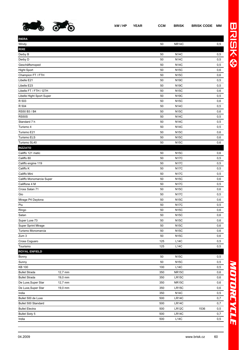

**RIERA**

|                                                        | 0,5 |
|--------------------------------------------------------|-----|
| <b>RIXE</b>                                            |     |
| Derby B<br><b>N14C</b><br>50                           | 0,5 |
| Derby D<br>50<br><b>N14C</b>                           | 0,5 |
| Geschäftsmoped<br><b>N14C</b><br>50                    | 0,5 |
| 50<br><b>N15C</b><br>Hight Sport                       | 0,6 |
| Champion FT / FTH<br>50<br><b>N15C</b>                 | 0,6 |
| Libelle E21<br><b>N19C</b><br>50                       | 0,5 |
| Libelle E23<br>50<br><b>N19C</b>                       | 0,5 |
| Libelle FT / FTH / GTH<br><b>N15C</b><br>50            | 0,6 |
| Libelle Hight Sport Super<br><b>N19C</b><br>50         | 0,5 |
| R 503<br><b>N15C</b><br>50                             | 0,6 |
| R 504<br><b>N14C</b><br>50                             | 0,5 |
| RS50 B3 / B4<br><b>N15C</b><br>50                      | 0,6 |
| <b>RS50S</b><br>50<br><b>N14C</b>                      | 0,5 |
| Standard 7 h<br><b>N14C</b><br>50                      | 0,5 |
| Turismo 4<br>50<br><b>N14C</b>                         | 0,5 |
| Turismo E21<br>50<br><b>N15C</b>                       | 0,6 |
| Turismo ELS<br><b>N15C</b><br>50                       | 0,6 |
| Turismo SL40<br>50<br><b>N15C</b>                      | 0,6 |
| <b>RIZZATO</b>                                         |     |
| Califfo 121 matic<br>50<br><b>N15C</b>                 | 0,6 |
| Califfo 80<br><b>N17C</b><br>50                        | 0,5 |
| Califfo engine 119<br><b>N17C</b><br>50                | 0,5 |
| Califfo K<br><b>N17C</b><br>50                         | 0,5 |
| Califfo Mini<br><b>N17C</b><br>50                      | 0,5 |
| Califfo Monomarcia Super<br><b>N15C</b><br>50          | 0,6 |
| <b>N17C</b><br>Califfone 4 M<br>50                     | 0,5 |
| Cross Satan 71<br><b>N15C</b><br>50                    | 0,6 |
| <b>N17C</b><br>Gio<br>50                               | 0,5 |
| 50<br><b>N15C</b><br>Mirage P4 Daytona                 | 0,6 |
| Piu<br>50<br><b>N17C</b>                               | 0,5 |
| <b>N15C</b><br>Ringo<br>50                             | 0,6 |
| Satan<br>50<br><b>N15C</b>                             | 0,6 |
| Super Luxe 73<br><b>N15C</b><br>50                     | 0,6 |
| Super Sprint Mirage<br><b>N15C</b><br>50               | 0,6 |
| Turismo Monomarcia<br>50<br>N15C                       | 0,6 |
| Zum 3<br>50<br><b>N15C</b>                             | 0,6 |
| Cross Coguaro<br>125<br><b>L14C</b>                    | 0,5 |
| Tourismo<br>125<br><b>L14C</b>                         | 0,5 |
| <b>ROYAL ENFIELD</b>                                   |     |
| <b>N15C</b><br>Bonny<br>50                             | 0,5 |
| Sunny<br>50<br><b>N15C</b>                             | 0,5 |
| KB 100<br>100<br><b>L14C</b>                           | 0,5 |
| <b>Bullet Strada</b><br>350<br>NR15C<br>12,7 mm        | 0,6 |
| <b>Bullet Strada</b><br>350<br><b>LR15C</b><br>19,0 mm | 0,6 |
| De Luxe, Super Star<br><b>NR15C</b><br>12,7 mm<br>350  | 0,6 |
| De Luxe, Super Star<br>19,0 mm<br>350<br>LR15C         | 0,6 |
| <b>N14C</b><br>India<br>350                            | 0,5 |
|                                                        | 0,7 |
| Bullet 500 de Luxe<br>LR14C<br>500                     |     |
| Bullet 500 Standard<br>500<br>LR14C                    | 0,7 |
| <b>Bullet Electra</b><br>LR12C<br>1536<br>500          | 0,5 |

India 500 L14C 0,5

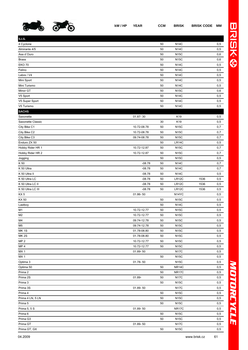

| kW/HP YEAR | <b>CCM</b> | <b>BRISK</b> | <b>BRISK CODE MM</b> |  |
|------------|------------|--------------|----------------------|--|
|            |            |              |                      |  |

| <b>S.I.S.</b>     |              |    |                    |      |     |
|-------------------|--------------|----|--------------------|------|-----|
| 4 Cyclone         |              | 50 | <b>N14C</b>        |      | 0,5 |
| Almirante 4/5     |              | 50 | <b>N14C</b>        |      | 0,5 |
| Asa d'Ouro        |              | 50 | <b>N15C</b>        |      | 0,6 |
| <b>Brass</b>      |              | 50 | <b>N15C</b>        |      | 0,6 |
| <b>EKO 70</b>     |              | 50 | <b>N14C</b>        |      | 0,5 |
| Felino            |              | 50 | <b>N14C</b>        |      | 0,5 |
| Lebre / V4        |              | 50 | <b>N14C</b>        |      | 0,5 |
| Mini Sport        |              | 50 | <b>N14C</b>        |      | 0,5 |
| Mini Turismo      |              | 50 | <b>N14C</b>        |      | 0,5 |
| Minor GT          |              | 50 | <b>N15C</b>        |      | 0,6 |
| V5 Sport          |              | 50 | <b>N14C</b>        |      | 0,5 |
| V5 Super Sport    |              | 50 | <b>N14C</b>        |      | 0,5 |
| V5 Turismo        |              | 50 | <b>N14C</b>        |      | 0,5 |
| <b>SACHS</b>      |              |    |                    |      |     |
| Saxonette         | 01.87-30     |    | K <sub>19</sub>    |      | 0,5 |
| Saxonette Classic |              | 30 | K19                |      | 0,5 |
| City Bike C1      | 10.72-08.78  | 50 | <b>N15C</b>        |      | 0,7 |
| City Bike C2      | 10.72-08.78  | 50 | <b>N15C</b>        |      | 0,7 |
| City Bike C3      | 09.74-08.78  | 50 | <b>N15C</b>        |      | 0,7 |
| Enduro ZX 50      |              | 50 | LR14C              |      | 0,5 |
| Hobby Rider HR 1  | 10.72-12.87  | 50 | <b>N15C</b>        |      | 0,7 |
| Hobby Rider HR 2  | 10.72-12.87  | 50 | <b>N15C</b>        |      | 0,7 |
| Jogging           |              | 50 | <b>N15C</b>        |      | 0,5 |
| K 50              | $-08.78$     | 50 | <b>N14C</b>        |      | 0,7 |
| K 50 Ultra        | $-08.78$     | 50 | <b>N14C</b>        |      | 0,7 |
| K 50 Ultra II     | $-08.78$     | 50 | <b>N14C</b>        |      | 0,5 |
| K 50 Ultra LC     | $-08.78$     | 50 | LR12C              | 1536 | 0,5 |
|                   |              |    |                    |      |     |
|                   |              |    |                    |      |     |
| K 50 Ultra LC II  | $-08.78$     | 50 | LR12C              | 1536 | 0,5 |
| K 50 Ultra LC III | $-08.78$     | 50 | LR12C              | 1536 | 0,5 |
| KX <sub>5</sub>   | 01.86-50     |    | N <sub>14</sub> YC |      | 0,5 |
| KX 50             |              | 50 | <b>N15C</b>        |      | 0,5 |
| Lastboy           |              | 50 | <b>N14C</b>        |      | 0,5 |
| M1                | 10.72-12.77  | 50 | <b>N15C</b>        |      | 0,5 |
| M <sub>2</sub>    | 10.72-12.77  | 50 | <b>N15C</b>        |      | 0,5 |
| M4                | 09.74-12.78  | 50 | <b>N15C</b>        |      | 0,5 |
| M <sub>5</sub>    | 09.74-12.78  | 50 | <b>N15C</b>        |      | 0,5 |
| <b>MK1S</b>       | 01.78-08.80  | 50 | <b>N15C</b>        |      | 0,5 |
| <b>MK2S</b>       | 01.78-08.80  | 50 | <b>N15C</b>        |      | 0,5 |
| MP <sub>2</sub>   | 10.72-12.77  | 50 | <b>N15C</b>        |      | 0,5 |
| MP <sub>4</sub>   | 10.72-12.77  | 50 | <b>N15C</b>        |      | 0,5 |
| MX1               | 01.89-50     |    | <b>N17C</b>        |      | 0,5 |
| MX <sub>1</sub>   |              | 50 | <b>N15C</b>        |      | 0,5 |
| Optima 3          | $01.78 - 50$ |    | <b>N15C</b>        |      | 0,5 |
| Optima 50         |              | 50 | NR14C              |      | 0,5 |
| Prima 2           |              | 50 | NR17C              |      | 0,5 |
| Prima 2S          | 01.89-       | 50 | <b>N17C</b>        |      | 0,5 |
| Prima 3           |              | 50 | <b>N15C</b>        |      | 0,5 |
| Prima 3S          | 01.89-50     |    | <b>N17C</b>        |      | 0,5 |
| Prima 4           |              | 50 | <b>N15C</b>        |      | 0,5 |
| Prima 4 LN, 5 LN  |              | 50 | <b>N15C</b>        |      | 0,5 |
| Prima 5           |              | 50 | <b>N15C</b>        |      | 0,5 |
| Prima 5, 5 S      | 01.89-50     |    | NR17C              |      | 0,5 |
| Prima 6           |              | 50 | <b>N15C</b>        |      | 0,5 |
| Prima G3          |              | 50 | <b>N15C</b>        |      | 0,5 |

Prima GT, GX 50 N15C 0,5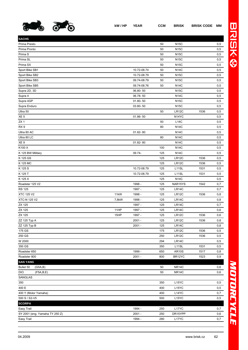

**SACHS**

| ΛМ       |   |
|----------|---|
|          |   |
| 0,5      |   |
| 0,5      |   |
| 0,5      | ⊛ |
| $_{0,5}$ |   |
| 0,5      |   |
|          |   |

| Prima Presto                   |       |             | 50  | N15C               |      | 0,5 |
|--------------------------------|-------|-------------|-----|--------------------|------|-----|
| Prima Pronto                   |       |             | 50  | <b>N15C</b>        |      | 0,5 |
| Prima S                        |       |             | 50  | <b>N15C</b>        |      | 0,5 |
| Prima SL                       |       |             | 50  | <b>N15C</b>        |      | 0,5 |
| Prima SX                       |       |             | 50  | <b>N15C</b>        |      | 0,5 |
| Sport Bike SB1                 |       | 10.72-08.74 | 50  | <b>N14C</b>        |      | 0,5 |
| Sport Bike SB2                 |       | 10.72-08.79 | 50  | <b>N15C</b>        |      | 0,5 |
| Sport Bike SB3                 |       | 09.74-08.79 | 50  | <b>N15C</b>        |      | 0,5 |
| Sport Bike SB5                 |       | 09.74-08.76 | 50  | <b>N14C</b>        |      | 0,5 |
| Supra 2D, 3D                   |       | 06.80-50    |     | <b>N15C</b>        |      | 0,5 |
| Supra 4                        |       | 06.78-50    |     | <b>N14C</b>        |      | 0,5 |
| Supra 4GP                      |       | 01.80-50    |     | <b>N15C</b>        |      | 0,5 |
| Supra Enduro                   |       | 03.80-50    |     | <b>N15C</b>        |      | 0,5 |
| Ultra 50                       |       |             | 50  | LR12C              | 1536 | 0,5 |
| XE <sub>5</sub>                |       | 01.86-50    |     | N <sub>14</sub> YC |      | 0,5 |
| ZX <sub>1</sub>                |       |             | 50  | <b>L14C</b>        |      | 0,5 |
| RX <sub>9</sub>                |       |             | 80  | <b>N14C</b>        |      | 0,5 |
| Ultra 80 AC                    |       | 01.82-80    |     | <b>N14C</b>        |      | 0,5 |
| Ultra 80 LC                    |       |             | 80  | <b>N14C</b>        |      | 0,5 |
| XE 9                           |       | 01.82-80    |     | <b>N14C</b>        |      | 0,5 |
| K100 X                         |       |             | 100 | <b>N14C</b>        |      | 0,5 |
| K 125 BW Military              |       | 09.74-      | 125 | <b>N14C</b>        |      | 0,5 |
| K 125 GS                       |       |             | 125 | LR12C              | 1536 | 0,5 |
|                                |       |             | 125 | LR12C              | 1536 |     |
| K 125 MC<br>K 125 S            |       | 10.72-08.79 | 125 | L <sub>11</sub> SL | 1531 | 0,5 |
|                                |       |             |     |                    |      | 0,5 |
| K 125 T                        |       | 10.72-08.79 | 125 | L11SL              | 1531 | 0,5 |
| K 125 X                        |       |             | 125 | <b>N14C</b>        |      | 0,5 |
| Roadster 125 V2                |       | 1998 -      | 125 | NAR15YS            | 1542 | 0,7 |
| <b>RS 125</b>                  |       | 1997 -      | 125 | LR14C              |      | 0,7 |
| <b>XTC 125 V2</b>              | 11kW  | 1998 -      | 125 | LR12C              | 1536 | 0,8 |
| <b>XTC-N 125 V2</b>            | 7,8kW | 1998 -      | 125 | LR14C              |      | 0,8 |
| ZX 125                         |       | 1997 -      | 125 | LR14C              |      | 0,7 |
| ZX 125                         | 11HP  | 1997 -      | 125 | LR14C              |      | 0,6 |
| ZX 125                         | 15HP  | 1997 -      | 125 | LR12C              | 1536 | 0,6 |
| ZZ 125 Typ A                   |       | $2001 -$    | 125 | LR12C              | 1536 | 0,8 |
| ZZ 125 Typ B                   |       | $2001 -$    | 125 | LR14C              |      | 0,8 |
| 175 GS                         |       |             | 175 | LR12C              | 1536 | 0,5 |
| 250 GS                         |       |             | 250 | LR12C              | 1536 | 0,5 |
| W 2000                         |       |             | 294 | LR14C              |      | 0,5 |
| 350 GS                         |       |             | 350 | L11SL              | 1531 | 0,5 |
| Roadster 650                   |       | 1999 -      | 650 | <b>AR10S</b>       | 1517 | 0,8 |
| Roadster 800                   |       | $2001 -$    | 800 | BR12YC             | 1523 | 0,9 |
| <b>SAN YANG</b>                |       |             |     |                    |      |     |
| Bullet 50<br>(G5A,B)           |       |             | 50  | NR14C              |      | 0,6 |
| DIO<br>(F5A,B,E)               |       |             | 50  | <b>NR14C</b>       |      | 0,6 |
| SANGLAS                        |       |             |     |                    |      |     |
| 350                            |       |             | 350 | L15YC              |      | 0,5 |
| 400 E                          |       |             | 400 | L15YC              |      | 0,5 |
| 400 Y (Motor Yamaha)           |       |             | 400 | L14YC              |      | 0,7 |
| 500 S / S2-V5                  |       |             | 500 | L15YC              |      | 0,5 |
| <b>SCORPA</b>                  |       |             |     |                    |      |     |
| Easy Trail                     |       | 1994 -      | 250 | L17YC              |      | 0,7 |
| SY 2001 (eng. Yamaha TY 250 Z) |       | $2001 -$    | 250 | DR15YPP            |      | 0,6 |
| Easy Trail                     |       | 1994 -      | 280 | L17YC              |      | 0,7 |
|                                |       |             |     |                    |      |     |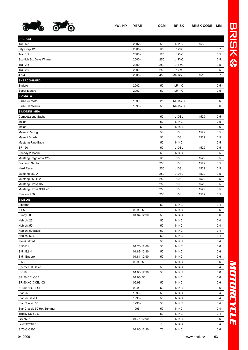

| <b>SHERCO</b>              |             |        |                    |      |     |
|----------------------------|-------------|--------|--------------------|------|-----|
| <b>Trial Kid</b>           | $2002 -$    | 50     | LR11SL             | 1535 |     |
| City Corp 125              | $2005 -$    | 125    | L17YC              |      | 0,7 |
| Trail 1,2                  | $2000 -$    | 125    | L17YC              |      | 0,5 |
| Scottich Six Days Winner   | $2000 -$    | 250    | L17YC              |      | 0,5 |
| Trail 2,5                  | $2000 -$    | 250    | L17YC              |      | 0,5 |
| Trail 2,9                  | $2000 -$    | 250    | L17YC              |      | 0,5 |
| 4.5 4T                     | $2005 -$    | 450    | AR12YS             | 1518 | 0,7 |
| SHERCO-HARD                |             |        |                    |      |     |
| Enduro                     | $2002 -$    | 50     | <b>LR14C</b>       |      | 0,5 |
| Super Motard               | $2002 -$    | 50     | <b>LR14C</b>       |      | 0,5 |
| <b>SIAMOTO</b>             |             |        |                    |      |     |
| Birdie 25 Mofa             | 1999 -      | 25     | NR15YC             |      | 0,6 |
| Birdie 50 Mokick           | 1999 -      | 50     | NR15YC             |      | 0,6 |
| <b>SIMONINI IMEA</b>       |             |        |                    |      |     |
| Competizione Sachs         |             | 50     | L10SL              | 1529 | 0,5 |
| Indian                     |             | 50     | <b>N14C</b>        |      | 0,5 |
| Indian                     |             | 50     | <b>N15C</b>        |      | 0,6 |
| Masetti Racing             |             | 50     | L10SL              | 1529 | 0,5 |
| Masetti Strada             |             | 50     | L10SL              | 1529 | 0,5 |
| Mustang Rino Baby          |             | 50     | <b>N14C</b>        |      | 0,5 |
| SF 150                     |             | 50     | L <sub>10</sub> SL | 1529 | 0,5 |
| Speedy 2 Morini            |             | 50     | <b>N14C</b>        |      | 0,5 |
| Mustang Regolarita 125     |             | 125    | L <sub>10</sub> SL | 1529 | 0,5 |
| Diamond Sachs              |             | 250    | L10SL              | 1529 | 0,5 |
| Hard Racer                 |             | 250    | L10SL              | 1529 | 0,5 |
| Mustang 250 A              |             | 250    | L10SL              | 1529 | 0,5 |
| Mustang 250 H 20           |             | 250    | L <sub>10</sub> SL | 1529 | 0,5 |
| Mustang Cross SA           |             | 250    | L <sub>10</sub> SL | 1529 | 0,5 |
| Mustang Cross SSH 20       |             | 250    | L <sub>10</sub> SL | 1529 | 0,5 |
| Shadow 250                 |             | 250    | L <sub>10</sub> SL | 1529 | 0,5 |
| <b>SIMSON</b>              |             |        |                    |      |     |
| Albatros                   |             | 50     | <b>N14C</b>        |      | 0,4 |
| AT 50                      | 09.90-50    |        | <b>N14C</b>        |      | 0,6 |
| Bunny 50                   | 01.87-12.90 | 50     | <b>N14C</b>        |      | 0,6 |
| Habicht 25                 |             | 50     | <b>N14C</b>        |      | 0,4 |
| Habicht 50                 |             | 50     | N14C               |      | 0,4 |
| Habicht 50 Basic           |             | 50     | <b>N14C</b>        |      | 0,4 |
| Habicht 50 S               |             | 50     | <b>N14C</b>        |      | 0,4 |
| Kleinkraftrad              |             | 50     | <b>N14C</b>        |      | 0,4 |
| S 50 B1                    | 01.75-12.80 | 50     | N14C               |      | 0,6 |
| S 51 B2 -4                 | 01.82-12.90 | 50     | <b>N14C</b>        |      | 0,6 |
| S 51 Enduro                | 01.81-12.90 | 50     | <b>N14C</b>        |      | 0,6 |
| S 53                       | 09.90-50    |        | <b>N14C</b>        |      | 0,6 |
| Sperber 50 Basic           |             | 50     | <b>N14C</b>        |      | 0,4 |
| SR 50                      | 01.85-12.90 | 50     | <b>N14C</b>        |      | 0,6 |
| SR 50 CC, CCE              | 01.93-50    |        | <b>N14C</b>        |      | 0,6 |
| SR 50 XC, XCE, XG          | 06.93-      | 50     | <b>N14C</b>        |      | 0,6 |
| SR 50, 1B, C, CE           | 09.90-      | 50     | <b>N14C</b>        |      | 0,6 |
| Star 25                    | 1996 -      | 50     | <b>N14C</b>        |      | 0,4 |
| Star 25 Base E             | 1996 -      | 50     | <b>N14C</b>        |      | 0,4 |
| Star Classic 50            | 1996 -      | 50     | <b>N14C</b>        |      | 0,4 |
| Star Classic 50 Hot Summer | 1996 -      | 50     | N14C               |      | 0,4 |
| Trucky SD 50 CT            |             | 50     | <b>N14C</b>        |      | 0,4 |
| GS 75/1                    | 01.75-12.90 | 70     | <b>N14C</b>        |      | 0,6 |
| Leichtkraftrad             |             | 70     | <b>N14C</b>        |      | 0,4 |
| S 70 C, C, E/2             | 01.80-12.90 | $70\,$ | <b>N14C</b>        |      | 0,6 |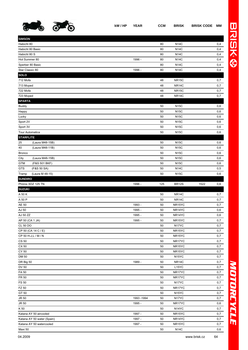

| <b>SIMSON</b>          |                            |             |          |                       |      |            |
|------------------------|----------------------------|-------------|----------|-----------------------|------|------------|
| Habicht 80             |                            |             | 80       | <b>N14C</b>           |      | 0,4        |
| Habicht 80 Basic       |                            |             | 80       | <b>N14C</b>           |      | 0,4        |
| Habicht 80 S           |                            |             | 80       | <b>N14C</b>           |      | 0,4        |
| Hot Summer 80          |                            | 1996 -      | 80       | <b>N14C</b>           |      | 0,4        |
|                        | Sperber 80 Basic           |             | 80       | <b>N14C</b>           |      | 0,4        |
| Star Classic 80        |                            | 1996 -      | 80       | <b>N14C</b>           |      | 0,4        |
| SOLO                   |                            |             |          |                       |      |            |
| 712 Mofa               |                            |             | 48       | NR15C                 |      | 0,7        |
| 713 Moped              |                            |             | 48       | NR14C                 |      | 0,7        |
| 722 Mofa               |                            |             | 48       | NR15C                 |      | 0,7        |
| 723 Moped              |                            |             | 48       | NR <sub>14</sub> C    |      | 0,7        |
| <b>SPARTA</b>          |                            |             |          |                       |      |            |
| <b>Buddy</b>           |                            |             | 50       | <b>N15C</b>           |      | 0,6        |
| Happy                  |                            |             | 50       | <b>N15C</b>           |      | 0,6        |
| Lucky                  |                            |             | 50       | <b>N15C</b>           |      | 0,6        |
| Sport 2V               |                            |             | 50       | <b>N15C</b>           |      | 0,6        |
| Sport 3V               |                            |             | 50       | <b>N15C</b>           |      | 0,6        |
| <b>Tour Automatica</b> |                            |             | 50       | <b>N15C</b>           |      | 0,6        |
| <b>STARFLITE</b>       |                            |             |          |                       |      |            |
| 25                     | (Laura M48-15B)            |             | 50       | <b>N15C</b>           |      | 0,6        |
| 40                     | (Laura M48-11B)            |             | 50       | <b>N15C</b>           |      | 0,6        |
| <b>Bronco</b>          |                            |             | 50       | <b>N15C</b>           |      | 0,6        |
| City                   | (Laura M48-15B)            |             | 50       | <b>N15C</b>           |      | 0,6        |
| <b>GTM</b>             | (F&S 501 BKF)              |             | 50       | <b>N15C</b>           |      | 0,6        |
| <b>GTS</b>             | (F&S 50 SA)                |             | 50       | <b>N14C</b>           |      | 0,5        |
| Tramp                  | (Laura M 48-15)            |             | 50       | <b>N15C</b>           |      | 0,6        |
| <b>SUNDIRO</b>         |                            |             |          |                       |      |            |
|                        |                            |             |          |                       |      |            |
|                        | Phönix XDZ 125 TN          | 1996 -      | 125      | <b>BR12S</b>          | 1522 | 0,6        |
| <b>SUZUKI</b>          |                            |             |          |                       |      |            |
| A 50 K                 |                            |             | 50       | NR14C                 |      | 0,7        |
| A 50 P                 |                            |             | 50       | <b>NR14C</b>          |      | 0,7        |
| AE 50                  |                            | 1993 -      | 50       | NR15YC                |      | 0,7        |
| AJ 50                  |                            | 1995 -      | 50       | NR14YC                |      | 0,6        |
| AJ 50 ZZ               |                            | 1995 -      | 50       | NR14YC                |      | 0,6        |
| AP 50 (CA 1 JA)        |                            | 1995 -      | 50       | NR <sub>15</sub> YC   |      | 0,7        |
| <b>CL 50 DO</b>        |                            |             | 50       | N17YC                 |      | 0,7        |
|                        | CP 50 (CA 14 C / E)        |             | 50       | NR15YC                |      | 0,7        |
|                        | CP 50 H-J,L / M / N        |             | 50       | NR15YC                |      | 0,7        |
| CS 50                  |                            |             | 50       | NR17YC                |      | 0,7        |
| CX 50                  |                            |             | 50       | NR15YC                |      | 0,7        |
| CY 50                  |                            |             | 50       | NR15YC                |      | 0,7        |
| <b>DM 50</b>           |                            |             | 50       | N <sub>15</sub> YC    |      | 0,7        |
| DR Big 50              |                            | 1989 -      | 50       | NR <sub>14</sub> C    |      | 0,7        |
| <b>DV 50</b>           |                            |             | 50       | L15YC                 |      | 0,7        |
| FA 50                  |                            |             | 50       | NR17YC                |      | 0,7        |
| FR 50                  |                            |             | 50       | NR17YC                |      | 0,7        |
| FS 50                  |                            |             | 50       | N17YC                 |      | 0,7        |
| FZ 50                  |                            |             | 50       | NR17YC                |      | 0,7        |
| GT 50                  |                            |             | 50       | N <sub>15</sub> YC    |      | 0,7        |
| JR 50                  |                            | 1993 - 1994 | 50       | N17YC                 |      | 0,7        |
| $JR$ 50                |                            | 1995 -      | 50       | NR17YC                |      | 0,6        |
| K 50                   |                            |             | 50       | N <sub>14</sub> YC    |      | 0,7        |
|                        | Katana AY 50 aircooled     | 1997 -      | 50       | NR15YC                |      | 0,7        |
|                        | Katana AY 50 water (Spain) | 1997 -      | 50       | NR14YC                |      | 0,7        |
| Maxi 50                | Katana AY 50 watercooled   | 1997 -      | 50<br>50 | NR15YC<br><b>N14C</b> |      | 0,7<br>0,6 |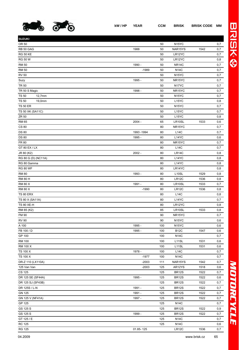

| <b>SUZUKI</b>          |             |     |                     |      |       |
|------------------------|-------------|-----|---------------------|------|-------|
| OR 50                  |             | 50  | N <sub>15</sub> YC  |      | 0,7   |
| RB 50 GAG              | 1988        | 50  | NAR15YS             | 1542 | 0,7   |
| <b>RG 50 KE</b>        |             | 50  | LR12YC              |      | 0,7   |
| <b>RG 50 W</b>         |             | 50  | LR12YC              |      | 0,8   |
| <b>RM 50</b>           | 1990 -      | 50  | <b>NR14C</b>        |      | 0,7   |
| <b>RM 50</b>           | $-1989$     | 50  | <b>N14C</b>         |      | 0,7   |
| <b>RV 50</b>           |             | 50  | N <sub>15</sub> YC  |      | 0,7   |
| Suzy                   | 1995 -      | 50  | NR <sub>15</sub> YC |      | 0,7   |
| <b>TR 50</b>           |             | 50  | N17YC               |      | 0,7   |
| TR 50 S Magic          | 1998 -      | 50  | NR <sub>15</sub> YC |      | 0,7   |
| <b>TS 50</b><br>12,7mm |             | 50  | N <sub>15</sub> YC  |      | 0,7   |
| <b>TS 50</b><br>19,0mm |             | 50  | L15YC               |      | 0,8   |
| <b>TS 50 ER</b>        |             | 50  | N <sub>15</sub> YC  |      | 0,7   |
| TS 50 XK (SA11C)       |             | 50  | L15YC               |      | 0,7   |
| ZR 50                  |             | 50  | L15YC               |      | 0,8   |
| <b>RM 65</b>           | $2004 -$    | 65  | LR10SL              | 1533 | 0,6   |
| <b>CS 80</b>           |             | 80  | NR <sub>15</sub> YC |      | 0,7   |
| <b>DS 80</b>           | 1993 - 1994 | 80  | L14C                |      | 0,7   |
| <b>DS 80</b>           | 1995 -      | 80  | L14YC               |      | 0,6   |
| FR 80                  |             | 80  | NR <sub>15</sub> YC |      | 0,7   |
| GT 80 EX / LX          |             | 80  | L14C                |      | 0,7   |
| JR 80 (K2)             | $2002 -$    | 80  | LR14C               |      | 0,8   |
| RG 80 G (D) (NC11A)    |             | 80  | L14YC               |      | 0,8   |
| RG 80 Gamma            |             | 80  | L14YC               |      | 0,8   |
| <b>RG 80 WF</b>        |             | 80  | LR14YC              |      | 0,8   |
| <b>RM 80</b>           | 1993 -      | 80  | L <sub>10</sub> SL  | 1529 | 0,8   |
| <b>RM 80 H</b>         |             | 80  | LR12C               | 1536 | 0,8   |
| <b>RM 80 X</b>         | 1991 -      | 80  | LR10SL              | 1533 | 0,7   |
| <b>RM 80 X</b>         | $-1990$     | 80  | LR12C               | 1536 | 0,8   |
| <b>TS 80 ERX</b>       |             | 80  | L14C                |      | 0,8   |
| TS 80 X (SA11A)        |             | 80  | L14YC               |      | 0,7   |
| <b>TS 80 XE-H</b>      |             | 80  | LR12YC              |      | 0,8   |
| RM 85 (K2)             |             | 85  | LR10SL              | 1533 | 0,8   |
| FM 90                  |             | 90  | NR <sub>15</sub> YC |      | 0,7   |
| <b>RV 90</b>           |             | 90  | N <sub>15</sub> YC  |      | $0,6$ |
| A 100                  | 1995 -      | 100 | N <sub>15</sub> YC  |      | 0,6   |
| FB 100 / D             | 1995 -      | 100 | <b>B12C</b>         | 1547 | 0,6   |
| GP 100                 |             | 100 | <b>N14C</b>         |      | 0,7   |
| <b>RM 100</b>          |             | 100 | L11SL               | 1531 | 0,6   |
| RM 100 X               |             | 100 | L11SL               | 1531 | 0,6   |
| TS 100 X               | 1978 -      | 100 | <b>L14C</b>         |      | 0,7   |
| TS 100 X               | $-1977$     | 100 | <b>N14C</b>         |      | 0,7   |
| DR-Z 110 (LX110A)      | $-2003$     | 111 | NAR15YS             | 1542 | 0,7   |
| 125 Van Van            | $-2003$     | 125 | AR12YS              | 1518 | 0,6   |
| <b>CS 125</b>          |             | 125 | <b>BR12S</b>        | 1522 | 0,7   |
| DR 125 SE (SF44A)      | 1995 -      | 125 | <b>BR12S</b>        | 1522 | 0,6   |
| DR 125 SJ (SF43B)      |             | 125 | <b>BR12S</b>        | 1522 | 0,7   |
| DR 125S / L-N          | 1991 -      | 125 | <b>BR12S</b>        | 1522 | 0,7   |
| <b>GN 125</b>          | 1991 -      | 125 | <b>BR12S</b>        | 1522 | 0,7   |
| GN 125 V (NF41A)       | 1997 -      | 125 | <b>BR12S</b>        | 1522 | 0,7   |
| GP 125                 |             | 125 | <b>N14C</b>         |      | 0,7   |
| GS 125 S               |             | 125 | <b>BR12S</b>        | 1522 | 0,9   |
| GS 125 S               | 1999 -      | 125 | <b>BR12S</b>        | 1522 | 0,7   |
| GT 125 / E             |             | 125 | <b>N14C</b>         |      | 0,7   |
| <b>RC 125</b>          |             | 125 | <b>N14C</b>         |      | 0,6   |
|                        |             |     |                     |      |       |

RG 125 01.85- 125 LR12C 1536 0,7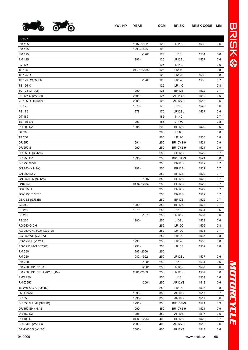

**SUZUKI**

| RM 125                      | 1996 -      | 125 | LR12SL             | 1537 | 0,6 |
|-----------------------------|-------------|-----|--------------------|------|-----|
| <b>RV 125</b>               |             | 125 | <b>N14C</b>        |      | 0,6 |
| <b>TS 125</b>               | 01.75-12.85 | 125 | LR14C              |      | 0,8 |
| <b>TS 125 R</b>             |             | 125 | LR12C              | 1536 | 0,8 |
| TS 125 RC, C2, ER           | $-1986$     | 125 | LR <sub>12</sub> C | 1536 | 0,7 |
| TS 125 X                    |             | 125 | LR14C              |      | 0,8 |
| TU 125 XT (AZ)              | 1999 -      | 125 | <b>BR12S</b>       | 1522 | 0,7 |
| <b>UE 125 C (WVBH)</b>      | $2001 -$    | 125 | AR14YS             | 1519 | 0,6 |
| VL 125 LC Intruder          | $2000 -$    | 125 | AR12YS             | 1518 | 0,6 |
| PE 175                      | 1979 -      | 175 | L <sub>10</sub> SL | 1529 | 0,6 |
| PE 175                      | 1978        | 175 | LR12SL             | 1537 | 0,6 |
| GT 185                      |             | 185 | N14C               |      | 0,7 |
| <b>TS 185 ER</b>            | 1993 -      | 185 | L14YC              |      | 0,8 |
| DR 200 SZ                   | 1995 -      | 200 | <b>BR12S</b>       | 1522 | 0,6 |
| GT 200                      |             | 200 | <b>L14C</b>        |      | 0,8 |
| <b>TS 200</b>               |             | 200 | LR12C              | 1536 | 0,8 |
| DR 250                      | 1991 -      | 250 | <b>BR10YS-9</b>    | 1521 | 0,9 |
| DR 250 S                    | 1990 -      | 250 | <b>BR10YS-9</b>    | 1521 | 0,9 |
| DR 250 S (SJ42A)            |             | 250 | <b>BR12S</b>       | 1522 | 0,7 |
| DR 250 SZ                   | 1995 -      | 250 | <b>BR10YS-9</b>    | 1521 | 0,8 |
| DR 250 SZ-H                 |             | 250 | BR <sub>12</sub> S | 1522 | 0,7 |
| GN 250 (NJ42A)              | 1998 -      | 250 | <b>BR12S</b>       | 1522 | 0,7 |
| GN 250 EZ-J                 |             | 250 | <b>BR12S</b>       | 1522 | 0,7 |
| GN 250 L-N (NJ42A)          | $-1997$     | 250 | BR <sub>12</sub> S | 1522 | 0,7 |
| <b>GNX 250</b>              | 01.82-12.84 | 250 | <b>BR12S</b>       | 1522 | 0,7 |
| GSX 250 L                   |             | 250 | <b>BR12S</b>       | 1522 | 0,7 |
| GSX 250 T / ET 1            |             | 250 | <b>BR12S</b>       | 1522 | 0,7 |
| GSX EZ (GJ53B)              |             | 250 | <b>BR12S</b>       | 1522 | 0,7 |
| GZ 250                      | 1999 -      | 250 | <b>BR12S</b>       | 1522 | 0,7 |
| PE 250                      | 1979        | 250 | L <sub>11</sub> SL | 1531 | 0,6 |
| PE 250                      | $-1978$     | 250 | LR12SL             | 1537 | 0,6 |
| PE 250                      | 1980 -      | 250 | L <sub>10</sub> SL | 1529 | 0,6 |
| <b>RG 250 G-CH</b>          |             | 250 | LR12C              | 1536 | 0,8 |
| RG 250 CH / FCH (GJ21D)     |             | 250 | LR12C              | 1536 | 0,7 |
| RG 250 WE (GJ21A)           |             | 250 | LR12C              | 1536 | 0,8 |
| RGV 250 L (VJ21A)           | 1990        | 250 | LR <sub>12</sub> C | 1536 | 0,8 |
| RGV 250 M-N (VJ22B)         | 1991 -      | 250 | LR <sub>10</sub> S | 1532 | 0,8 |
| <b>RM 250</b>               | 1993 - 2000 | 250 |                    |      |     |
| <b>RM 250</b>               | 1982 - 1992 | 250 | LR12SL             | 1537 | 0,6 |
| <b>RM 250</b>               | $-1981$     | 250 | L11SL              | 1531 | 0,6 |
| RM 250 (JS1RJ18A)           | $-2001$     | 250 | LR12SL             | 1537 | 0,6 |
| RM 250 (JS1RJ18A)(K2,K3,K4) | 2001-2003   | 250 | LR12SL             | 1537 | 0,6 |
| <b>RMX 250</b>              |             | 250 | L11SL              | 1531 | 0,6 |
| RM-Z 250                    | $-2004$     | 250 | AR12YS             | 1518 | 0,6 |
| TS 250 X G-K (SJ11D)        |             | 250 | LR12C              | 1536 | 0,8 |
| 350 Goose                   | 1993 -      | 350 | <b>AR10S</b>       | 1517 | 0,7 |
| DR 350                      | 1995 -      | 350 | <b>AR10S</b>       | 1517 | 0,6 |
| DR 350 S / L-P (SK42B)      | 1991 -      | 350 | <b>BR10YS-9</b>    | 1521 | 0,9 |
| DR 350 SH / N / S           | 1990 -      | 350 | <b>BR10YS-9</b>    | 1521 | 0,9 |
| DR 350 SZ                   | 1995 -      | 350 | <b>AR10S</b>       | 1517 | 0,6 |
| DR 400 S                    | 01.80-12.83 | 400 | <b>BR12S</b>       | 1522 | 0,7 |
| DR-Z 400 (WVBC)             | $2000 -$    | 400 | AR12YS             | 1518 | 0,6 |
| DR-Z 400 S (WVBC)           | $2000 -$    | 400 | AR12YS             | 1518 | 0,6 |
|                             |             |     |                    |      |     |

RM 125 1987 -1992 125 LR11SL 1535 0,6

RM 125 -1986 125 L11SL 1531 0,6

RM 125 125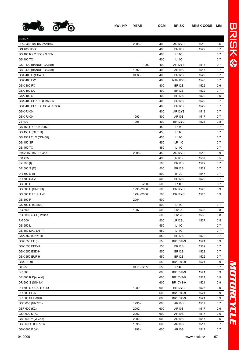

| <b>SUZUKI</b>               |             |     |                 |      |     |
|-----------------------------|-------------|-----|-----------------|------|-----|
| DR-Z 400 SM K5 (WVB8)       | $2005 -$    | 400 | AR12YS          | 1518 | 0,6 |
| <b>GN 400 TD-X</b>          |             | 400 | <b>BR12S</b>    | 1522 | 0,7 |
| GS 400 R / C / EC / N / EN  |             | 400 | L14C            |      | 0,7 |
| <b>GS 400 TX</b>            |             | 400 | L14C            |      | 0,7 |
| GSF 400 (BANDIT GK75B)      | $-1992$     | 400 | AR12YS          | 1518 | 0,7 |
| GSF 400 (BANDIT GK75B)      | 1992 -      | 400 | <b>AR10S</b>    | 1517 | 0,7 |
| GSX 400 E (GS40X)           | 01.83-      | 400 | <b>BR12S</b>    | 1522 | 0,7 |
| <b>GSX 400 FW</b>           |             | 400 | NAR12YS         | 1540 | 0,7 |
| <b>GSX 400 FX</b>           |             | 400 | <b>BR12S</b>    | 1522 | 0,6 |
| <b>GSX 400 LX</b>           |             | 400 | <b>BR12S</b>    | 1522 | 0,7 |
| GSX 400 S                   |             | 400 | <b>BR12S</b>    | 1522 | 0,6 |
| GSX 400 SE / EF (GK53C)     |             | 400 | <b>BR12S</b>    | 1522 | 0,7 |
| GSX 400 SF/ EG / SG (GK53C) |             | 400 | <b>BR12S</b>    | 1522 | 0,7 |
| GSX-R400                    |             | 400 | AR12YS          | 1518 | 0,7 |
| GSX-R400                    | 1993 -      | 400 | <b>AR10S</b>    | 1517 | 0,7 |
| <b>VS 400</b>               | 1995 -      | 400 | BR12YC          | 1523 | 0,8 |
| GS 450 E / ES (GS450)       |             | 450 | L14C            |      | 0,7 |
| GS 450 L (GL51D)            |             | 450 | <b>L14C</b>     |      | 0,7 |
| GS 450 LT / X (GS450)       |             | 450 | <b>L14C</b>     |      | 0,7 |
| GS 450 SF                   |             | 450 | <b>LR14C</b>    |      | 0,7 |
| <b>GS 450 TX</b>            |             | 450 | L14C            |      | 0,7 |
| RM-Z 450 K5 (RL41A)         | $2005 -$    | 450 | AR12YS          | 1518 | 0,9 |
| RM 495                      |             | 495 | LR12SL          | 1537 | 0,5 |
| CX 500 (I)                  |             | 500 | <b>BR12S</b>    | 1522 | 0,7 |
| DR 500 S (D)                |             | 500 | <b>BR12S</b>    | 1522 | 0,7 |
| DR 500 S (I)                |             | 500 | <b>B12C</b>     | 1547 | 0,7 |
| DR 500 SX-Z                 |             | 500 | <b>BR12S</b>    | 1522 | 0,7 |
|                             |             |     |                 |      |     |
|                             |             |     |                 |      |     |
| GS 500 E                    | $-2000$     | 500 | L14C            |      | 0,7 |
| GS 500 E (GM51B)            | 1993 - 2000 | 500 | BR12YC          | 1523 | 0,9 |
| GS 500 E / EU / L-P         | 1994 -2000  | 500 | BR12YC          | 1523 | 0,9 |
| GS 500 F                    | $2004 -$    | 500 |                 |      |     |
| GS 500 N (GS500)            |             | 500 | L14C            |      | 0,7 |
| <b>RG 500</b>               | 1987        | 500 | <b>LR12C</b>    | 1536 | 0,8 |
| RG 500 G-CH (HM31A)         |             | 500 | LR12C           | 1536 | 0,8 |
| <b>RM 500</b>               |             | 500 | LR12SL          | 1537 | 0,5 |
| GS 550 L                    |             | 550 | <b>L14C</b>     |      | 0,7 |
| GS 550 MX / LN / T          |             | 550 | <b>L14C</b>     |      | 0,7 |
| GSX 550 (GN71D)             |             | 550 | <b>BR12S</b>    | 1522 | 0,7 |
| GSX 550 EF (I)              |             | 550 | <b>BR10YS-9</b> | 1521 | 0,9 |
| GSX 550 EFE-H               |             | 550 | <b>BR12S</b>    | 1522 | 0,7 |
| GSX 550 ESD-H               |             | 550 | <b>BR12S</b>    | 1522 | 0,7 |
| GSX 550 EUF-H               |             | 550 | <b>BR12S</b>    | 1522 | 0,7 |
| GSX EF (I)                  |             | 550 | <b>BR10YS-9</b> | 1521 | 0,9 |
| GT 550                      | 01.73-12.77 | 550 | L14C            |      | 0,7 |
| DR 600                      |             | 600 | <b>BR10YS-9</b> | 1521 | 0,9 |
| DR 600 R Djebel (I)         |             | 600 | <b>BR10YS-9</b> | 1521 | 0,9 |
| DR 600 S (SN41A)            |             | 600 | <b>BR10YS-9</b> | 1521 | 0,9 |
| DR 600 S / SU / R / RU      | 1989        | 600 | BR12YC          | 1523 | 0,9 |
| DR 600 SF-K                 |             | 600 | <b>BR10YS-9</b> | 1521 | 0,9 |
| DR 600 SUF-SUK              |             | 600 | <b>BR10YS-9</b> | 1521 | 0,9 |
| GSF 600 (GN77B)             | 1995 -      | 600 | <b>AR10S</b>    | 1517 | 0,7 |
| GSF 600 (K2)                | $2002 -$    | 600 | <b>AR10S</b>    | 1517 | 0,6 |
| GSF 600 S (K2)              | $2002 -$    | 600 | <b>AR10S</b>    | 1517 | 0,6 |
| GSF 600 Y (WVA8)            | $2000 -$    | 600 | <b>AR10S</b>    | 1517 | 0,6 |

GSX 600 F (W) 1998 - 600 AR10S 1517 0,7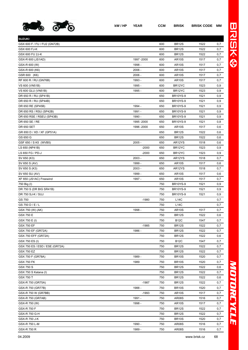

| kW/HP YEAR | CCM | <b>BRISK</b> | <b>BRISK CODE MM</b> |  |
|------------|-----|--------------|----------------------|--|
|            |     |              |                      |  |

| <b>SUZUKI</b>                  |             |     |                    |      |     |
|--------------------------------|-------------|-----|--------------------|------|-----|
| GSX 600 F / FU / FU2 (GN72B)   |             | 600 | <b>BR12S</b>       | 1522 | 0,7 |
| GSX 600 FJ-K                   |             | 600 | <b>BR12S</b>       | 1522 | 0,7 |
| GSX 600 FU 2J-K                |             | 600 | <b>BR12S</b>       | 1522 | 0,7 |
| GSX-R 600 (JS1AD)              | 1997 - 2000 | 600 | <b>AR10S</b>       | 1517 | 0,7 |
| GSX-R 600 (W)                  | 1998 -      | 600 | <b>AR10S</b>       | 1517 | 0,7 |
| GSX-R 600 (K6)                 | 2006 -      | 600 | <b>AR10S</b>       | 1517 | 0,7 |
| GSR 600 (K6)                   | $2006 -$    | 600 | <b>AR10S</b>       | 1517 | 0,7 |
| RF 600 R / RU (GN76B)          | 1993 -      | 600 | <b>AR10S</b>       | 1517 | 0,7 |
| VS 600 (VN51B)                 | 1995 -      | 600 | BR12YC             | 1523 | 0,9 |
| VS 600 GLU (VN51B)             | 1995 -      | 600 | BR12YC             | 1523 | 0,9 |
| DR 650 R / RU (SP41B)          |             | 650 | <b>BR10YS-9</b>    | 1521 | 0,9 |
| DR 650 R / RU (SP44B)          |             | 650 | <b>BR10YS-9</b>    | 1521 | 0,9 |
| DR 650 RE (SP45B)              | 1994 -      | 650 | <b>BR10YS-9</b>    | 1521 | 0,9 |
| DR 650 RS / RSU (SP42B)        | 1991 -      | 650 | <b>BR10YS-9</b>    | 1521 | 0,9 |
| DR 650 RSE / RSEU (SP43B)      | 1990 -      | 650 | <b>BR10YS-9</b>    | 1521 | 0,9 |
| DR 650 SE / RE                 | 1995 - 2000 | 650 | <b>BR10YS-9</b>    | 1521 | 0,8 |
| DR 650 SET                     | 1996 -2000  | 650 | AR <sub>10</sub> S | 1517 | 0,6 |
|                                |             | 650 |                    | 1522 |     |
| GR 650 D / XD / XF (GP51A)     |             |     | <b>BR12S</b>       |      | 0,6 |
| GS 650 G                       |             | 650 | <b>BR12S</b>       | 1522 | 0,6 |
| GSF 650 / S K5 (WVB5)          | $2005 -$    | 650 | AR12YS             | 1518 | 0,6 |
| LS 650 (NP41B)                 | $-2000$     | 650 | BR12YC             | 1523 | 0,9 |
| LS 650 FG / PD-J               | $-2000$     | 650 | BR12YC             | 1523 | 0,9 |
| SV 650 (K3)                    | $2003 -$    | 650 | AR12YS             | 1518 | 0,7 |
| SV 650 S (AV)                  | 1999 -      | 650 | <b>AR10S</b>       | 1517 | 0,6 |
| SV 650 S (K3)                  | $2003 -$    | 650 | AR12YS             | 1518 | 0,7 |
| SV 650 SU (AV)                 | 1999 -      | 650 | <b>AR10S</b>       | 1517 | 0,6 |
| XF 650 (JS1AC) Freewind        | 1997 -      | 650 | <b>AR10S</b>       | 1517 | 0,7 |
| 750 Big (I)                    |             | 750 | <b>BR10YS-9</b>    | 1521 | 0,9 |
| DR 750 S (DR BIG SR41B)        |             | 750 | <b>BR10YS-9</b>    | 1521 | 0,9 |
| DR 750 SJ-K / SUJ              |             | 750 | <b>BR10YS-9</b>    | 1521 | 0,9 |
| GS 750                         | $-1980$     | 750 | <b>L14C</b>        |      | 0,7 |
| GS 750 D / E / L               |             | 750 | <b>L14C</b>        |      | 0,7 |
| GSX 750 (W) (AK)               | 1998 -      | 750 | <b>AR10S</b>       | 1517 | 0,7 |
| GSX 750 E                      |             | 750 | <b>BR12S</b>       | 1522 | 0,6 |
| GSX 750 E (I)                  |             | 750 | <b>B12C</b>        | 1547 | 0,7 |
| <b>GSX 750 EF</b>              | $-1985$     | 750 | BR <sub>12</sub> S | 1522 | 0,7 |
| GSX 750 EF (GR72A)             | 1986 -      | 750 | <b>BR12S</b>       | 1522 | 0,7 |
| GSX 750 EFF (GR72A)            |             | 750 | <b>BR12S</b>       | 1522 | 0,6 |
| GSX 750 ES (I)                 |             | 750 | <b>B12C</b>        | 1547 | 0,7 |
| GSX 750 ES / ESD / ESE (GR72A) |             | 750 | <b>BR12S</b>       | 1522 | 0,7 |
| <b>GSX 750 EZ</b>              |             | 750 | <b>BR12S</b>       | 1522 | 0,7 |
| GSX 750 F (GR78A)              | 1989 -      | 750 | <b>BR10S</b>       | 1520 | 0,7 |
| <b>GSX 750 FK</b>              | 1989        | 750 | <b>BR10S</b>       | 1520 | 0,7 |
| <b>GSX 750 S</b>               |             | 750 | <b>BR12S</b>       | 1522 | 0,6 |
| GSX 750 S Katana (I)           |             | 750 | <b>BR12S</b>       | 1522 | 0,7 |
| <b>GSX 750 T</b>               |             | 750 | <b>BR12S</b>       | 1522 | 0,6 |
| GSX-R 750 (GR75A)              | $-1987$     | 750 | <b>BR12S</b>       | 1522 | 0,7 |
| GSX-R 750 (GR77B)              | 1988 -      | 750 | <b>BR10S</b>       | 1520 | 0,7 |
| GSX-R 750 W (GR7BB)            | $-1993$     | 750 | <b>AR10S</b>       | 1517 | 0,7 |
|                                |             |     |                    |      |     |
| GSX-R 750 (GR7AB)              | 1991 -      | 750 | <b>AR08S</b>       | 1516 | 0,7 |
| GSX-R 750 (W)                  | 1998 -      | 750 | <b>AR10S</b>       | 1517 | 0,7 |
| GSX-R 750 F                    |             | 750 | <b>BR12S</b>       | 1522 | 0,7 |
| GSX-R 750 G-H                  |             | 750 | BR <sub>12</sub> S | 1522 | 0,7 |
| GSX-R 750 J-K                  |             | 750 | <b>BR10S</b>       | 1520 | 0,7 |
| GSX-R 750 L-M                  | 1990 -      | 750 | AR08S              | 1516 | 0,7 |

*MOTORCYCLE*

MOTORCYCLE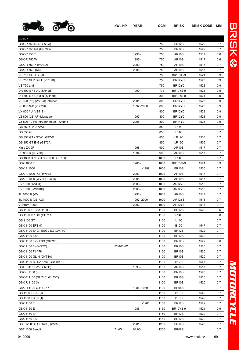

| <b>SUZUKI</b>                        |          |             |      |                     |      |     |
|--------------------------------------|----------|-------------|------|---------------------|------|-----|
| GSX-R 750 RG (GR75A)                 |          |             | 750  | <b>BR12S</b>        | 1522 | 0,7 |
| GSX-R 750 RK (GR79B)                 |          |             | 750  | <b>BR12S</b>        | 1522 | 0,7 |
| GSX-R 750 T                          |          | 1996 -      | 750  | AR <sub>10</sub> S  | 1517 | 0,6 |
| GSX-R 750 W                          |          | 1995 -      | 750  | <b>AR10S</b>        | 1517 | 0,6 |
| GSX-R 750 Y (WVBD)                   |          | $2000 -$    | 750  | <b>AR10S</b>        | 1517 | 0,7 |
| GSX-R 750 (K6)                       |          | $2006 -$    | 750  | <b>AR10S</b>        | 1517 | 0,7 |
| VS 750 GL / H / J-K                  |          |             | 750  | <b>BR10YS-9</b>     | 1521 | 0,9 |
| VS 750 GLP / GLF (VR51B)             |          |             | 750  | BR12YC              | 1523 | 0,9 |
| <b>VS 750 L-M</b>                    |          |             | 750  | BR12YC              | 1523 | 0,9 |
| DR 800 S / SU L (SR42B)              |          | 1990 -      | 773  | <b>BR10YS-9</b>     | 1521 | 0,9 |
| DR 800 S / SU M-N (SR43B)            |          |             | 800  | <b>BR10YS-9</b>     | 1521 | 0,9 |
| VL 800 (K2) (WVBM) Intruder          |          | $2001 -$    | 800  | BR14YC              | 1526 | 0,9 |
| VS 800 N-P (VS52B)                   |          | 1992 - 2000 | 800  | BR <sub>12</sub> YC | 1523 | 0,9 |
| VX 800 / U (VS51B)                   |          |             | 800  | BR12YC              | 1523 | 0,9 |
| VZ 800 (JS1AF) Marauder              |          | 1997 -      | 800  | BR12YC              | 1523 | 0,9 |
| VZ 800 / U K5 Intruder M800 (WVB4)   |          | $2005 -$    | 800  | BR <sub>14</sub> YC | 1526 | 0,9 |
| GS 850 G (GS72A)                     |          |             | 850  | <b>L14C</b>         |      | 0,7 |
| GS 850 GL                            |          |             | 850  | L14C                |      | 0,7 |
| GS 850 GT / GT-X / GTZ-D             |          |             | 850  | LR12C               | 1536 | 0,7 |
| GS 850 GT E-G (GS72A)                |          |             | 850  | LR <sub>12</sub> C  | 1536 | 0,7 |
| Ninja ZX-9R                          |          | 1998 -      | 900  | AR <sub>10</sub> S  | 1517 | 0,7 |
| RF 900 R (GT73B)                     |          | 1994 -      | 900  | <b>AR10S</b>        | 1517 | 0,7 |
| GS 1000 D / E / H / S-1980 / GL / GX |          |             | 1000 | <b>L14C</b>         |      | 0,7 |
| GSX 1000 E                           |          | 1986 -      | 1000 | <b>BR10YS-9</b>     | 1521 | 0,9 |
| <b>GSX R 1000</b>                    |          | $-1999$     | 1000 | <b>BR10S</b>        | 1520 | 0,7 |
| GSX R 1000 (K3) (WVBZ)               |          | $2003 -$    | 1000 | AR <sub>10</sub> S  | 1517 | 0,7 |
| GSX R 1000 (WVBL) Fuel Inj.          |          | 2001 -      | 1000 | AR <sub>10</sub> S  | 1517 | 0,7 |
| SV 1000 (WVBX)                       |          | $2003 -$    | 1000 | AR12YS              | 1518 | 0,7 |
| SV 1000 S (WVBX)                     |          | $2003 -$    | 1000 | AR12YS              | 1518 | 0,7 |
| TL 1000 R (W)                        |          | 1998 -      | 1000 | <b>AR10S</b>        | 1517 | 0,7 |
| TL 1000 S (JS1AG)                    |          | 1997 - 2000 | 1000 | AR12YS              | 1518 | 0,7 |
| V-Strom 1000                         |          | $2002 -$    | 1000 | AR12YS              | 1518 | 0,7 |
| GS 1100 E, GSX 1100 E                |          |             | 1100 | <b>BR12S</b>        | 1522 | 0,6 |
| GS 1100 G / GG (GU71A)               |          |             | 1100 | <b>L14C</b>         |      | 0,8 |
| GS 1100 GT                           |          |             | 1100 | <b>L14C</b>         |      | 0,7 |
| GSX 1100 EFE (I)                     |          |             | 1100 | <b>B12C</b>         | 1547 | 0,7 |
| GSX 1100 EFG / ESG / EG (GV71C)      |          |             | 1100 | <b>BR12S</b>        | 1522 | 0,7 |
| <b>GSX 1100 ESF</b>                  |          |             | 1100 | <b>BR12S</b>        | 1522 | 0,7 |
| GSX 1100 EZ / ESD (GU71B)            |          |             | 1100 | <b>BR12S</b>        | 1522 | 0,6 |
| GSX 1100 F (GV72C)                   | 72-100kW |             | 1100 | <b>BR10S</b>        | 1520 | 0,7 |
| GSX 1100 FJ / FK                     |          |             | 1100 | <b>BR10S</b>        | 1520 | 0,7 |
| GSX 1100 GL-N (GV74A)                |          |             | 1100 | <b>BR10S</b>        | 1520 | 0,7 |
| GSX 1100 S / SZ Kata.(GS110XS)       |          |             | 1100 | <b>B12C</b>         | 1547 | 0,7 |
| GSX R-1100 W (GU75C)                 |          | 1993 -      | 1100 | <b>AR10S</b>        | 1517 | 0,7 |
| GSX-K 1100 (I)                       |          |             | 1100 | BR <sub>10</sub> S  | 1520 | 0,7 |
| GSX-R 1100 (GU74C, GV73C)            |          |             | 1100 | BR <sub>10</sub> S  | 1520 | 0,7 |
| GSX-R 1100 (I)                       |          |             | 1100 | BR <sub>10</sub> S  | 1520 | 0,7 |
| GSX-R 1100 G-H / J / K               |          | 1986 - 1989 | 1100 | BR08S               |      | 0,7 |
| GS 1150 EF (NL,I)                    |          |             | 1150 | <b>B10C</b>         | 1549 | 0,7 |
| GS 1150 ES (NL,I)                    |          |             | 1150 | <b>B10C</b>         | 1549 | 0,7 |
| GSX 1150 E                           |          | $-1985$     | 1150 | <b>BR12S</b>        | 1522 | 0,7 |
| GSX 1150 E                           |          | 1986 -      | 1150 | <b>BR10YS-9</b>     | 1521 | 0,9 |
| GSX 1150 EF                          |          |             | 1150 | <b>BR12S</b>        | 1522 | 0,7 |
| <b>GSX 1150 ES</b>                   |          |             | 1150 | <b>BR12S</b>        | 1522 | 0,7 |
| GSF 1200 / S (JS1A9) (WVA9)          |          | $2001 -$    | 1200 | <b>BR10S</b>        | 1520 | 0,7 |
| GSF 1200 Bandit                      | 71kW     | 04.95-      | 1200 | BR08S               |      | 0,7 |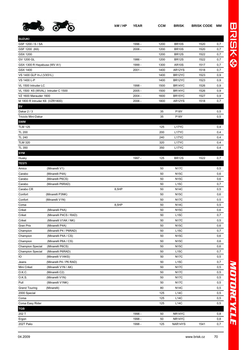

| <b>SUZUKI</b>                     |                         |       |          |      |                     |      |     |
|-----------------------------------|-------------------------|-------|----------|------|---------------------|------|-----|
| GSF 1200 / S / SA                 |                         |       | 1996 -   | 1200 | <b>BR10S</b>        | 1520 | 0,7 |
| GSF 1200 (K6)                     |                         |       | 2006 -   | 1200 | <b>BR10S</b>        | 1520 | 0,7 |
| GSX 1200                          |                         |       |          | 1200 | <b>BR12S</b>        | 1522 | 0,7 |
| GV 1200 GL                        |                         |       | 1986 -   | 1200 | <b>BR12S</b>        | 1522 | 0,7 |
| GSX 1300 R Hayabusa (WV A1)       |                         |       | 1999 -   | 1300 | <b>AR10S</b>        | 1517 | 0,7 |
| GSX 1400                          |                         |       | $2001 -$ | 1400 | AR12YS              | 1518 | 0,7 |
| VS 1400 GLP H-J (VX51L)           |                         |       |          | 1400 | BR12YC              | 1523 | 0,9 |
| VS 1400 L-P                       |                         |       |          | 1400 | BR12YC              | 1523 | 0,9 |
| VL 1500 Intruder LC               |                         |       | 1998 -   | 1500 | BR14YC              | 1526 | 0,9 |
| VL 1500 K5 (WVAL) Intruder C 1500 |                         |       | $2005 -$ | 1500 | BR14YC              | 1526 | 0,9 |
| VZ 1600 Marauder 1600             |                         |       | $2004 -$ | 1600 | BR <sub>15</sub> YC | 1527 | 0,9 |
| M 1800 R Intruder K6 (VZR1800)    |                         |       | $2006 -$ | 1800 | AR12YS              | 1518 | 0,7 |
| SV                                |                         |       |          |      |                     |      |     |
| Dakar 2/3                         |                         |       |          | 35   | <b>P18Y</b>         |      | 0,5 |
| <b>Triciclo Mini-Dakar</b>        |                         |       |          | 35   | <b>P18Y</b>         |      | 0,5 |
| <b>SWM</b>                        |                         |       |          |      |                     |      |     |
| <b>TLM 125</b>                    |                         |       |          | 125  | L17YC               |      | 0,4 |
| <b>TL 200</b>                     |                         |       |          | 200  | L17YC               |      | 0,4 |
| <b>TL 240</b>                     |                         |       |          | 240  | L17YC               |      | 0,4 |
| <b>TLM 320</b>                    |                         |       |          | 320  | L17YC               |      | 0,4 |
| TL 350                            |                         |       |          | 350  | L <sub>17</sub> YC  |      | 0,4 |
| <b>SYM</b>                        |                         |       |          |      |                     |      |     |
| Husky                             |                         |       | 1997 -   | 125  | <b>BR12S</b>        | 1522 | 0,7 |
| <b>TESTI</b>                      |                         |       |          |      |                     |      |     |
| Amico                             | (Minarelli V1)          |       |          | 50   | <b>N17C</b>         |      | 0,5 |
| Carabo                            | (Minarelli P4A)         |       |          | 50   | <b>N15C</b>         |      | 0,6 |
| Carabo                            | (Minarelli P6CS)        |       |          | 50   | <b>N15C</b>         |      | 0,6 |
| Carabo                            | (Minarelli P6RAD)       |       |          | 50   | L15C                |      | 0,7 |
| Carabo CR                         |                         | 8,5HP |          | 50   | <b>N14C</b>         |      | 0,5 |
| Confort                           | (Minarelli P3NK)        |       |          | 50   | <b>N15C</b>         |      | 0,6 |
| Confort                           | (Minarelli V1N)         |       |          | 50   | <b>N17C</b>         |      | 0,5 |
| Corsa                             |                         | 8,5HP |          | 50   | <b>N14C</b>         |      | 0,5 |
| Criket                            | (Minarelli P4A)         |       |          | 50   | <b>N15C</b>         |      | 0,6 |
| Criket                            | (Minarelli P4CS / RAD)  |       |          | 50   | L15C                |      | 0,7 |
| Criket                            | (Minarelli V1AK / NK)   |       |          | 50   | <b>N17C</b>         |      | 0,5 |
| <b>Gran Prix</b>                  | (Minarelli P4A)         |       |          | 50   | <b>N15C</b>         |      | 0,6 |
| Champion                          | (Minarelli P4 / P6RAD)  |       |          | 50   | L15C                |      | 0,7 |
| Champion                          | (Minarelli P4A / CS)    |       |          | 50   | <b>N15C</b>         |      | 0,6 |
| Champion                          | (Minarelli P6A / CS)    |       |          | 50   | <b>N15C</b>         |      | 0,6 |
| <b>Champion Special</b>           | (Minarelli P6CS)        |       |          | 50   | <b>N15C</b>         |      | 0,6 |
| <b>Champion Special</b>           | (Minarelli P6RAD)       |       |          | 50   | <b>L15C</b>         |      | 0,7 |
| IO                                | (Minarelli V1AKS)       |       |          | 50   | <b>N17C</b>         |      | 0,5 |
| Jeans                             | (Minarelli P4 / P6 RAD) |       |          | 50   | L15C                |      | 0,7 |
| Mini Criket                       | (Minarelli V1N / AK)    |       |          | 50   | <b>N17C</b>         |      | 0,5 |
| O.K.C.                            | (Minarelli C2)          |       |          | 50   | <b>N17C</b>         |      | 0,5 |
| 0.K.S.                            | (Minarelli V1N)         |       |          | 50   | <b>N17C</b>         |      | 0,5 |
| Pull                              | (Minarelli V1NK)        |       |          | 50   | <b>N17C</b>         |      | 0,5 |
| <b>Grand Touring</b>              | (Minarelli)             |       |          | 80   | <b>N14C</b>         |      | 0,5 |
| 2000 Special                      |                         |       |          | 125  | L14C                |      | 0,5 |
| Corsa                             |                         |       |          | 125  | L14C                |      | 0,5 |
| Corsa Easy Rider                  |                         |       |          | 125  | <b>L14C</b>         |      | 0,5 |
| <b>TGB</b>                        |                         |       |          |      |                     |      |     |
| 202 T                             |                         |       | 1998 -   | 50   | NR14YC              |      | 0,8 |
|                                   |                         |       | 1998 -   | 50   | NR14YC              |      | 0,8 |
| Ergon<br>202T Palio               |                         |       | 1998 -   | 125  | NAR14YS             | 1541 | 0,7 |
|                                   |                         |       |          |      |                     |      |     |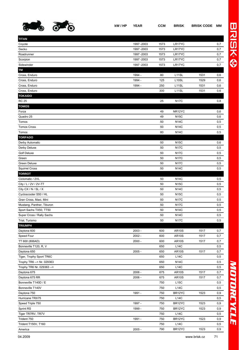

**TITAN**

**TM**

|               | 的 | kW/HP | <b>YEAR</b> | <b>CCM</b> | <b>BRISK</b>       | <b>BRISK CODE</b> | MМ  |
|---------------|---|-------|-------------|------------|--------------------|-------------------|-----|
| TITAN         |   |       |             |            |                    |                   |     |
| Coyote        |   |       | 1997 - 2003 | 1573       | LR17YC             |                   | 0,7 |
| Gecko         |   |       | 1997 - 2003 | 1573       | LR17YC             |                   | 0,7 |
| Roadrunner    |   |       | 1997 - 2003 | 1573       | LR17YC             |                   | 0,7 |
| Scorpion      |   |       | 1997 - 2003 | 1573       | LR17YC             |                   | 0,7 |
| Sidewinder    |   |       | 1997 - 2003 | 1573       | LR17YC             |                   | 0,7 |
| TM            |   |       |             |            |                    |                   |     |
| Cross, Enduro |   |       | 1994 -      | 80         | L11SL              | 1531              | 0,6 |
| Cross, Enduro |   |       | 1994 -      | 125        | L <sub>10</sub> SL | 1529              | 0,6 |
| Cross, Enduro |   |       | 1994 -      | 250        | L <sub>11</sub> SL | 1531              | 0,6 |

| <b>TOKAIDO</b>            |          |     |              |      |     |
|---------------------------|----------|-----|--------------|------|-----|
| <b>RC 25</b>              |          | 25  | <b>N17C</b>  |      | 0,8 |
| <b>TOMOS</b>              |          |     |              |      |     |
| Forza                     |          | 49  | NR12YC       |      | 0,6 |
| Quadro 25                 |          | 49  | <b>N15C</b>  |      | 0,6 |
| Tomos                     |          | 50  | <b>N14C</b>  |      | 0,5 |
| <b>Tomos Cross</b>        |          | 50  | <b>N14C</b>  |      | 0,5 |
| Tomos                     |          | 80  | <b>N14C</b>  |      | 0,5 |
| <b>TORPADO</b>            |          |     |              |      |     |
| Derby Automatic           |          | 50  | <b>N15C</b>  |      | 0,6 |
| Derby Deluxe              |          | 50  | <b>N17C</b>  |      | 0,5 |
| <b>Golf Deluxe</b>        |          | 50  | <b>N17C</b>  |      | 0,5 |
| Green                     |          | 50  | <b>N17C</b>  |      | 0,5 |
| <b>Green Deluxe</b>       |          | 50  | <b>N17C</b>  |      | 0,5 |
| <b>Squirrel Cross</b>     |          | 50  | <b>N14C</b>  |      | 0,5 |
| <b>TORROT</b>             |          |     |              |      |     |
| Ciclomatic / 2VL          |          | 50  | <b>N14C</b>  |      | 0,5 |
| City / L / 2V / 2V-TT     |          | 50  | <b>N15C</b>  |      | 0,5 |
| City CX / N / SL / X      |          | 50  | <b>N14C</b>  |      | 0,5 |
| Cycloscooter S50 / HL     |          | 50  | <b>N15C</b>  |      | 0,5 |
| Gran Cross, Maxi, Mini    |          | 50  | <b>N17C</b>  |      | 0,5 |
| Mustang, Panther, Tiburon |          | 50  | <b>N17C</b>  |      | 0,5 |
| Sport Sachs TX50, TT50    |          | 50  | <b>N14C</b>  |      | 0,5 |
| Super Cross / Rally Sachs |          | 50  | <b>N14C</b>  |      | 0,5 |
| Trial, Turismo            |          | 50  | <b>N17C</b>  |      | 0,5 |
| <b>TRIUMPH</b>            |          |     |              |      |     |
| Daytona 600               | $2003 -$ | 600 | <b>AR10S</b> | 1517 | 0,7 |
| Speed Four                | $2002 -$ | 600 | <b>AR10S</b> | 1517 | 0,7 |
| TT 600 (806AD)            | $2000 -$ | 600 | <b>AR10S</b> | 1517 | 0,7 |
| Bonneville T120, R, V     |          | 650 | L14C         |      | 0,5 |
| Daytona 650               | $2005 -$ | 650 | <b>AR10S</b> | 1517 | 0,7 |
| Tiger, Trophy Sport TR6C  |          | 650 | L14C         |      | 0,5 |

Trophy TR6 --> Nr. 029363 0.5 Trophy TR6 Nr. 029363 --> 0.5 Daytona 675 2006 - 675 AR10S 1517 0,7 Daytona 675 RR 2006 - 675 AR10S 1517 0,7 Bonneville T140D / E 6.5 C 2.5 C 2.5 C 2.5 C 2.5 C 2.5 C 2.5 C 2.5 C 2.5 C 2.5 C 2.5 C 2.5 C 2.5 C 2.5 C 2.5 C 2.5 C 2.5 C 2.5 C 2.5 C 2.5 C 2.5 C 2.5 C 2.5 C 2.5 C 2.5 C 2.5 C 2.5 C 2.5 C 2.5 C 2.5 C 2.5 C 2.5 C 2.5 C 2.5 Bonneville T140V 0,5 Daytona 750 1991 - 750 BR12YC 1523 0,9 Hurricane TRX75 2002 114C 2012 12:00 12:00 12:00 12:00 12:00 12:00 12:00 12:00 12:00 12:00 12:00 13:00 14:00 1 Speed Triple 750 1997 - 750 BR12YC 1523 0,9 Sprint RS 1999 - 750 BR12YC 1523 0,9 Tiger TR7RV, TR7V 8 0,5 Trident 750 1991 - 750 BR12YC 1523 0,9 Trident T150V, T160 2.5 (2012) 2.5 (2014) 2.5 (2014) 2.5 (2014) 2.5 (2014) 2.5 (2014) 2.5 (2014) 2.5 (2014) 2.5 (2014) 2.5 (2014) 2.5 (2014) 2.5 (2014) 2.5 (2014) 2.5 (2014) 2.5 (2014) 2.5 (2014) 2.5 (2014) 2.5 (2014) 2.5 America 2005 - 790 BR12YC 1523 0,9

Cross, Enduro 300 L11SL 1531 0,6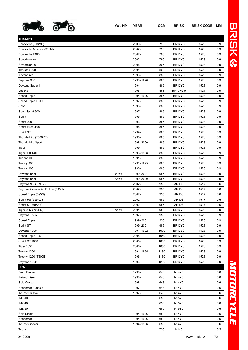

| <b>TRIUMPH</b>                    |      |             |      |                     |      |     |
|-----------------------------------|------|-------------|------|---------------------|------|-----|
| Bonneville (908MD)                |      | $2000 -$    | 790  | BR12YC              | 1523 | 0,9 |
| Bonneville America (908M)         |      | $2002 -$    | 790  | BR12YC              | 1523 | 0,9 |
| Bonneville T100                   |      | $2002 -$    | 790  | BR12YC              | 1523 | 0,9 |
| Speedmaster                       |      | $2002 -$    | 790  | BR12YC              | 1523 | 0,9 |
| Scrambler 900                     |      | $2006 -$    | 865  | BR12YC              | 1523 | 0,9 |
| Thruxton 900                      |      | $2004 -$    | 865  | BR12YC              | 1523 | 0,9 |
| Adventurer                        |      | 1996 -      | 885  | BR12YC              | 1523 | 0,9 |
| Daytona 900                       |      | 1993 - 1996 | 885  | BR12YC              | 1523 | 0,9 |
| Daytona Super III                 |      | 1994 -      | 885  | BR12YC              | 1523 | 0,9 |
| Legend TT                         |      | 1998 -      | 885  | <b>BR10YS-9</b>     | 1521 | 0,9 |
| <b>Speed Triple</b>               |      | 1994 - 1996 | 885  | BR12YC              | 1523 | 0,9 |
| Speed Triple T509                 |      | 1997 -      | 885  | BR12YC              | 1523 | 0,9 |
| Sport                             |      | 1998 -      | 885  | BR12YC              | 1523 | 0,9 |
| Sport Sprint 900                  |      | 1997 -      | 885  | BR12YC              | 1523 | 0,9 |
| Sprint                            |      | 1995 -      | 885  | BR12YC              | 1523 | 0,9 |
| Sprint 900                        |      | 1993 -      | 885  | BR12YC              | 1523 | 0,9 |
| <b>Sprint Executive</b>           |      | 1998 -      | 885  | BR12YC              | 1523 | 0,9 |
| Sprint ST                         |      | 1999 -      | 885  | BR12YC              | 1523 | 0,9 |
| Thunderbird (T309RT)              |      | 1995 -      | 885  | BR12YC              | 1523 | 0,9 |
| <b>Thunderbird Sport</b>          |      | 1998 - 2000 | 885  | BR12YC              | 1523 | 0,9 |
| Tiger                             |      | 1999 -      | 885  | BR12YC              | 1523 | 0,9 |
| Tiger 900 T400                    |      | 1993 - 1998 | 885  | BR12YC              | 1523 | 0,9 |
| Trident 900                       |      | 1991 -      | 885  | BR12YC              | 1523 | 0,9 |
| Trophy 900                        |      | 1991 - 1995 | 885  | BR12YC              | 1523 | 0,9 |
| Trophy 900                        |      | 1996 -      | 885  | BR12YC              | 1523 | 0,9 |
| Daytona 955i                      | 94kW | 1999 - 2001 | 955  | BR12YC              | 1523 | 0,9 |
| Daytona 955i                      | 72kW | 1999 - 2000 | 955  | BR12YC              | 1523 | 0,9 |
| Daytona 955i (595N)               |      | $2002 -$    | 955  | <b>AR10S</b>        | 1517 | 0,6 |
| Daytona Centennial Edition (595N) |      | $2002 -$    | 955  | <b>AR10S</b>        | 1517 | 0,6 |
| Speed Triple (595N)               |      | $2002 -$    | 955  | <b>AR10S</b>        | 1517 | 0,6 |
| Sprint RS (695AC)                 |      | $2002 -$    | 955  | <b>AR10S</b>        | 1517 | 0,6 |
| Sprint ST (695AB)                 |      | $2002 -$    | 955  | <b>AR10S</b>        | 1517 | 0,6 |
| Tiger 955i (709EN)                | 72kW | $2001 -$    | 955  | BR12YC              | 1523 | 0,9 |
| Daytona T595                      |      | 1997 -      | 956  | BR12YC              | 1523 | 0,9 |
| <b>Speed Triple</b>               |      | 1999 - 2001 | 956  | BR <sub>12</sub> YC | 1523 | 0,9 |
| Sprint ST                         |      | 1999 - 2001 | 956  | BR12YC              | 1523 | 0,9 |
| Daytona 1000                      |      | 1991 - 1992 | 1000 | BR12YC              | 1523 | 0,9 |
| Speed Triple 1050                 |      | $2005 -$    | 1050 | BR12YC              | 1523 | 0,9 |
| Sprint ST 1050                    |      | $2005 -$    | 1050 | BR12YC              | 1523 | 0,9 |
| <b>Tiger 1050</b>                 |      | $2006 -$    | 1050 | BR12YC              | 1523 | 0,9 |
| Trophy 1200                       |      | 1991 - 1995 | 1180 | BR12YC              | 1523 | 0,9 |
| Trophy 1200 (T300E)               |      | 1996 -      | 1180 | BR12YC              | 1523 | 0,9 |
| Daytona 1200                      |      | 1993 -      | 1200 | BR12YC              | 1523 | 0,9 |
| <b>URAL</b>                       |      |             |      |                     |      |     |
| Deco Cruiser                      |      | 1998 -      | 648  | N <sub>14</sub> YC  |      | 0,6 |
| Italia Cruiser                    |      | 1998 -      | 648  | N <sub>14</sub> YC  |      | 0,6 |
| Solo Cruiser                      |      | 1998 -      | 648  | N <sub>14</sub> YC  |      | 0,6 |
| Sportsman Classic                 |      | 1997 -      | 648  | N <sub>14</sub> YC  |      | 0,6 |
| <b>Tourist Classic</b>            |      | 1997 -      | 648  | N <sub>14</sub> YC  |      | 0,6 |
| <b>IMZ-10</b>                     |      |             | 650  | N <sub>15</sub> YC  |      | 0,6 |
| <b>IMZ-40</b>                     |      |             | 650  | N <sub>15</sub> YC  |      | 0,6 |
| <b>IMZ-50</b>                     |      |             | 650  | N <sub>15</sub> YC  |      | 0,6 |
| Solo Single                       |      | 1994 - 1996 | 650  | N <sub>14</sub> YC  |      | 0,6 |
| Sportsman                         |      | 1994 - 1996 | 650  | N <sub>14</sub> YC  |      | 0,6 |
| <b>Tourist Sidecar</b>            |      | 1994 - 1996 | 650  | N <sub>14</sub> YC  |      | 0,6 |
|                                   |      |             |      |                     |      |     |

Tourist 750 N14C 0,5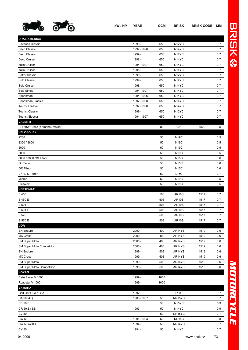

**URAL AMERICA**

| Bavarian Classic                 | 1999 -      | 650  | N <sub>12</sub> YC  |      | 0,7 |
|----------------------------------|-------------|------|---------------------|------|-----|
| Deco Classic                     | 1997 - 1998 | 650  | N14YC               |      | 0,7 |
| Deco Classic                     | 1999 -      | 650  | N <sub>12</sub> YC  |      | 0,7 |
| Deco Cruiser                     | 1998 -      | 650  | N <sub>14</sub> YC  |      | 0,7 |
| Italia Cruiser                   | 1994 - 1997 | 650  | N <sub>14</sub> YC  |      | 0,7 |
| Italia Cruiser II                | 1998 -      | 650  | N <sub>14</sub> YC  |      | 0,7 |
| Patrol Classic                   | 1999 -      | 650  | N <sub>12</sub> YC  |      | 0,7 |
| Solo Classic                     | 1999 -      | 650  | N <sub>12</sub> YC  |      | 0,7 |
| Solo Cruiser                     | 1998 -      | 650  | N <sub>14</sub> YC  |      | 0,7 |
| Solo Single                      | 1994 - 1997 | 650  | N <sub>14</sub> YC  |      | 0,7 |
| Sportsman                        | 1994 - 1996 | 650  | N <sub>14</sub> YC  |      | 0,7 |
| Sportsman Classic                | 1997 - 1998 | 650  | N <sub>14</sub> YC  |      | 0,7 |
| <b>Tourist Classic</b>           | 1997 - 1998 | 650  | N <sub>14</sub> YC  |      | 0,7 |
| Tourist Classic                  | 1999 -      | 650  | N <sub>12</sub> YC  |      | 0,7 |
| Tourist Sidecar                  | 1994 - 1997 | 650  | N <sub>14</sub> YC  |      | 0,7 |
| <b>VALENTI</b>                   |             |      |                     |      |     |
| CR 80W Cross (Yamaha / Valent)   |             | 80   | L <sub>10</sub> SL  | 1529 | 0,5 |
| <b>VELOSOLEX</b>                 |             |      |                     |      |     |
| 2200                             |             | 50   | <b>N19C</b>         |      | 0,5 |
| 3300 / 3800                      |             | 50   | N <sub>19</sub> C   |      | 0,5 |
| 5000                             |             | 50   | N <sub>19</sub> C   |      | 0,5 |
| 6000                             |             | 50   | <b>N19C</b>         |      | 0,5 |
| 8000 / 8000 GS Ténor             |             | 50   | <b>N15C</b>         |      | 0,6 |
| <b>GL Ténor</b>                  |             | 50   | <b>N15C</b>         |      | 0,6 |
| GR Ténor                         |             | 50   | <b>N15C</b>         |      | 0,6 |
| L / R / S Ténor                  |             | 50   | L <sub>15</sub> C   |      | 0,7 |
| Micron                           |             | 50   | N <sub>19</sub> C   |      | 0,5 |
| Pli-solex                        |             | 50   | <b>N19C</b>         |      | 0,5 |
| <b>VERTEMATI</b>                 |             |      |                     |      |     |
| E 450                            |             | 503  | <b>AR10S</b>        | 1517 | 0,7 |
| E 450 E                          |             | 503  | <b>AR10S</b>        | 1517 | 0,7 |
| E 501                            |             | 503  | <b>AR10S</b>        | 1517 | 0,7 |
| E 501 E                          |             | 503  | <b>AR10S</b>        | 1517 | 0,7 |
| E 570                            |             | 503  | <b>AR10S</b>        | 1517 | 0,7 |
| E 570 E                          |             | 503  | AR10S               | 1517 | 0,7 |
| VOR                              |             |      |                     |      |     |
| <b>EN Enduro</b>                 | $2000 -$    | 400  | AR14YS              | 1519 | 0,6 |
| MX Cross                         | $2000 -$    | 400  | AR14YS              | 1519 | 0,6 |
| <b>SM Super Moto</b>             | $2000 -$    | 400  | AR14YS              | 1519 | 0,6 |
| <b>SM Super Moto Competition</b> | $2000 -$    | 400  | AR14YS              | 1519 | 0,6 |
| EN Enduro                        | 1999 -      | 503  | AR14YS              | 1519 | 0,6 |
| MX Cross                         | 1999 -      | 503  | AR14YS              | 1519 | 0,6 |
| <b>SM Super Moto</b>             | 1999 -      | 503  | AR14YS              | 1519 | 0,6 |
| SM Super Moto Competition        | 1999 -      | 503  | AR14YS              | 1519 | 0,6 |
| VOXAN                            |             |      |                     |      |     |
| Cafe Racer V 1000                | 1999 -      | 1000 |                     |      |     |
| Roadster V 1000                  | 1999 -      | 1000 |                     |      |     |
| YAMAHA                           |             |      |                     |      |     |
| Golf Car G2A / G9A               | 1992 -      |      | <b>L17C</b>         |      | 0,7 |
| CA 50 (4T)                       | 1983 - 1987 | 50   | NR <sub>15</sub> YC |      | 0,7 |
| CE 50 E                          |             | 50   | N <sub>15</sub> YC  |      | 0,9 |
| CR 50 Z / SS                     | 1993 -      | 50   | N <sub>14</sub> YC  |      | 0,9 |
| CV 50                            |             | 50   | NR <sub>15</sub> YC |      | 0,7 |
| CW 50                            | 1991 - 1993 | 50   | <b>NR14C</b>        |      | 0,8 |
|                                  |             |      |                     |      |     |

CW 50 (4BX) 1994 - 50 NR14YC 0,7 CY 50 N14YC 0,7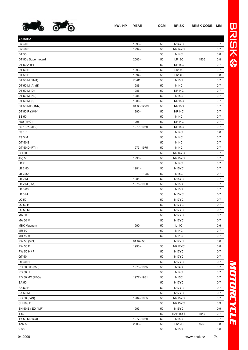

| YAMAHA                         |              |    |                    |      |     |
|--------------------------------|--------------|----|--------------------|------|-----|
| CY 50 E                        | 1993 -       | 50 | N <sub>14</sub> YC |      | 0,7 |
| CY 50 F                        | 1994 -       | 50 | NR14YC             |      | 0,7 |
| DT 50                          |              | 50 | <b>N14C</b>        |      | 0,8 |
| DT 50 / Supermotard            | $2003 -$     | 50 | LR12C              | 1536 | 0,8 |
| DT 50 A (F)                    |              | 50 | NR15C              |      | 0,7 |
| DT 50 E                        | 1993 -       | 50 | LR14C              |      | 0,7 |
| DT 50 F                        | 1994 -       | 50 | LR14C              |      | 0,8 |
| DT 50 M (2M4)                  | 78-81        | 50 | <b>N15C</b>        |      | 0,7 |
| DT 50 M $(A)$ $(B)$            | 1986 -       | 50 | <b>N14C</b>        |      | 0,7 |
| DT 50 M (D)                    | 1986 -       | 50 | <b>NR14C</b>       |      | 0,7 |
| DT 50 M (NL)                   | 1986 -       | 50 | <b>N15C</b>        |      | 0,7 |
| DT 50 M (S)                    | 1986 -       | 50 | <b>NR15C</b>       |      | 0,7 |
| DT 50 MX (1NN)                 | 01.86-12.89  | 50 | <b>NR15C</b>       |      | 0,7 |
| DT 50 R (3MN)                  | 1990 -       | 50 | <b>NR14C</b>       |      | 0,7 |
| <b>ES 50</b>                   |              | 50 | <b>N14C</b>        |      | 0,7 |
| Fizz (4RC)                     | 1995 -       | 50 | NR14C              |      | 0,7 |
| FS 1 DX (3F2)                  | 1979 - 1980  | 50 | NR15C              |      | 0,7 |
| FS <sub>1E</sub>               |              | 50 | <b>N14C</b>        |      | 0,6 |
| FS3M                           |              | 50 | <b>N14C</b>        |      | 0,7 |
| GT 50 B                        |              | 50 | <b>N14C</b>        |      | 0,7 |
| GT 50 D (FT1)                  | 1973 - 1975  | 50 | <b>N14C</b>        |      | 0,7 |
| <b>CH 50</b>                   |              | 50 | NR14YC             |      | 0,7 |
| Jog 50                         | 1990 -       | 50 | NR15YC             |      | 0,7 |
| LB <sub>2</sub>                |              | 50 | <b>N14C</b>        |      | 0,7 |
| LB 2 80                        | 1981 -       | 50 | N <sub>15</sub> YC |      | 0,7 |
| LB 280                         | $-1980$      | 50 | <b>N15C</b>        |      | 0,7 |
| LB <sub>2</sub> M              | 1981 -       | 50 | N <sub>15</sub> YC |      | 0,7 |
| LB 2 M (551)                   | 1975 - 1980  | 50 | <b>N15C</b>        |      | 0,7 |
| LB 380                         |              | 50 | <b>N15C</b>        |      | 0,7 |
| LB 3 M                         |              | 50 | N <sub>15</sub> YC |      | 0,7 |
| <b>LC 50</b>                   |              | 50 | N17YC              |      | 0,7 |
| LC 50 H                        |              | 50 | N17YC              |      | 0,7 |
| <b>LC 50 M</b>                 |              | 50 | N17YC              |      | 0,7 |
| MA 50                          |              | 50 | N <sub>17</sub> YC |      | 0,7 |
| MA 50 M                        |              | 50 | N17YC              |      | 0,7 |
| <b>MBK Magnum</b>              | 1990 -       | 50 | L14C               |      | 0,6 |
| MR 50                          |              | 50 | <b>N14C</b>        |      | 0,7 |
| MR 50 H                        |              | 50 | N14C               |      | 0,7 |
| PW 50 (3PT)                    | $01.87 - 50$ |    | N17YC              |      | 0,6 |
| <b>PW 50 E</b>                 | 1993 -       | 50 | NR17YC             |      | 0,8 |
| PW 50 H / F                    |              | 50 | N17YC              |      | 0,7 |
| QT 50                          |              | 50 | N17YC              |      | 0,7 |
| QT 50 H                        |              | 50 | N17YC              |      | 0,7 |
| RD 50 DX (353)                 | 1973 - 1975  | 50 | <b>N14C</b>        |      | 0,7 |
| <b>RD 50 H</b>                 |              | 50 | <b>N14C</b>        |      | 0,7 |
| RD 50 MX (2EO)                 | 1977-1981    | 50 | <b>N15C</b>        |      | 0,7 |
| <b>SA 50</b>                   |              | 50 | N17YC              |      | 0,7 |
| SA 50 H                        |              | 50 | N17YC              |      | 0,7 |
| <b>SA 50 M</b>                 |              | 50 | N17YC              |      | 0,7 |
| SG 50 (34N)                    | 1984 - 1985  | 50 | NR15YC             |      | 0,7 |
| SH 50 / F                      |              | 50 | NR15YC             |      | 0,9 |
| SH 50 E / ED / MF              | 1993 -       | 50 | N <sub>15</sub> YC |      | 0,9 |
|                                |              |    |                    |      |     |
| T 50                           | 1977-1980    | 50 | NAR15YS            | 1542 | 0,7 |
| TY 50 M (1G3)<br><b>TZR 50</b> |              | 50 | <b>N15C</b>        |      | 0,7 |
|                                | $2003 -$     | 50 | LR12C              | 1536 | 0,8 |

V 50 N15C  $0,6$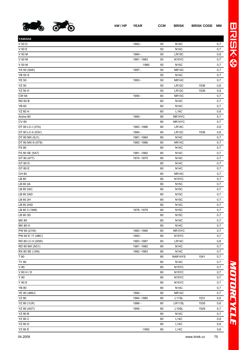

| YAMAHA             |             |    |                    |      |     |
|--------------------|-------------|----|--------------------|------|-----|
| V 50 D             | 1993 -      | 50 | <b>N14C</b>        |      | 0,7 |
| V 50 E             |             | 50 | <b>N14C</b>        |      | 0,7 |
| V 50 M             | 1984 -      | 50 | LR15C              |      | 0,8 |
| V 50 M             | 1981-1983   | 50 | N <sub>15</sub> YC |      | 0,7 |
| V 50 M             | $-1980$     | 50 | <b>N15C</b>        |      | 0,7 |
| YA 50 (5AK)        | 1997 -      | 50 | NR14C              |      | 0,7 |
| <b>YB 50 S</b>     |             | 50 | <b>N14C</b>        |      | 0,7 |
| <b>YE 50</b>       | 1993 -      | 50 | NR14C              |      | 0,7 |
| <b>YZ 50</b>       |             | 50 | LR12C              | 1536 | 0,8 |
| YZ 50 H            |             | 50 | <b>LR12C</b>       | 1536 | 0,8 |
| <b>CW 65</b>       | 1994 -      | 60 | NR14C              |      | 0,7 |
| <b>RD 60 B</b>     |             | 60 | <b>N14C</b>        |      | 0,7 |
| <b>YB 60</b>       |             | 60 | <b>N14C</b>        |      | 0,7 |
| YZ 60 H            |             | 60 | L14C               |      | 0,8 |
|                    |             |    | NR14YC             |      |     |
| Active 80          | 1990 -      | 80 |                    |      | 0,7 |
| <b>CV 80</b>       |             | 80 | NR14YC             |      | 0,7 |
| DT 80 LC-I (37A)   | 1983 - 1986 | 80 | LR14C              |      | 0,8 |
| DT 80 LC-II (53V)  | 1984 -      | 80 | LR12C              | 1536 | 0,8 |
| DT 80 MX (5J1)     | 1981 - 1984 | 80 | <b>N14C</b>        |      | 0,7 |
| DT 80 MX-S (5T8)   | 1983 - 1986 | 80 | NR14C              |      | 0,7 |
| <b>FS 80</b>       |             | 80 | <b>N14C</b>        |      | 0,7 |
| FS 80 SE (5A7)     | 1981-1982   | 80 | <b>N14C</b>        |      | 0,7 |
| GT 80 (477)        | 1974 - 1975 | 80 | <b>N14C</b>        |      | 0,7 |
| GT 80 D            |             | 80 | <b>N14C</b>        |      | 0,7 |
| GT 80 E            |             | 80 | <b>N14C</b>        |      | 0,7 |
| <b>CH 80</b>       |             | 80 | <b>NR14C</b>       |      | 0,7 |
| LB 80              |             | 80 | N <sub>15</sub> YC |      | 0,7 |
| LB 80 2A           |             | 80 | <b>N15C</b>        |      | 0,7 |
| LB 80 2AC          |             | 80 | <b>N15C</b>        |      | 0,7 |
| LB 80 2AD          |             | 80 | <b>N15C</b>        |      | 0,7 |
| LB 80 2H           |             | 80 | <b>N15C</b>        |      | 0,7 |
| LB 80 2HD          |             | 80 | <b>N14C</b>        |      | 0,7 |
| LB 80 3 (1M9)      | 1978 - 1979 | 80 | <b>N15C</b>        |      | 0,7 |
| LB 80 3D           |             | 80 | <b>N15C</b>        |      | 0,7 |
| MX 80              |             | 80 | <b>N14C</b>        |      | 0,7 |
| MX 80 H            |             | 80 | <b>N14C</b>        |      | 0,7 |
| PW 80 (21W)        | 1983 - 1990 | 80 | NR15YC             |      | 0,7 |
| PW 80 E / F (4BC)  | 1993 -      | 80 | N <sub>15</sub> YC |      | 0,7 |
| RD 80 LC-II (30W)  | 1983 - 1987 | 80 | LR14C              |      | 0,8 |
| RD 80 MX (5G1)     | 1981-1982   | 80 | <b>N14C</b>        |      | 0,7 |
| RX 80 SE (12N)     | 1982 - 1983 | 80 | <b>N14C</b>        |      | 0,7 |
| T 80               |             | 80 | NAR14YS            | 1541 | 0,7 |
| <b>TY 80</b>       |             | 80 | <b>N14C</b>        |      | 0,7 |
| V80                |             | 80 | N <sub>15</sub> YC |      | 0,7 |
| V 80 H / D         |             | 80 | N <sub>15</sub> YC |      | 0,7 |
| Y 80               |             | 80 | N <sub>15</sub> YC |      | 0,7 |
| Y 80 E             |             | 80 | N <sub>15</sub> YC |      | 0,7 |
| YB 80              |             | 80 | <b>N14C</b>        |      | 0,7 |
| YE 80 (4MU)        | 1994 -      | 80 | NR14C              |      | 0,7 |
| <b>YZ 80</b>       | 1984 - 1985 | 80 | L11SL              | 1531 | 0,6 |
| <b>YZ 80 (1LR)</b> | 1986 -      | 80 | LR11SL             | 1535 | 0,6 |
| YZ 80 (4GT)        | 1995 -      | 80 | L10SL              | 1529 | 0,7 |
|                    |             |    |                    |      |     |
| <b>YZ 80 B</b>     |             | 80 | <b>N14C</b>        |      | 0,7 |
| <b>YZ 80 C</b>     |             | 80 | <b>L14C</b>        |      | 0,8 |
| <b>YZ 80 D</b>     |             | 80 | L14C               |      | 0,8 |
| YZ 80 E            | $-1992$     | 80 | L14C               |      | 0,8 |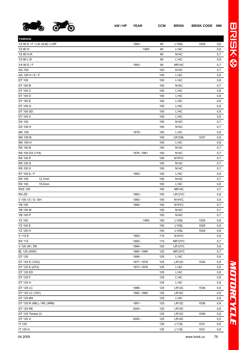

**YAMAHA**

| YZ 80 E / F / LW (4LB) / LWF | 1993 -      | 80  | L <sub>10</sub> SL | 1529 | 0,6 |
|------------------------------|-------------|-----|--------------------|------|-----|
| <b>YZ 80 H</b>               | $-1983$     | 80  | <b>L14C</b>        |      | 0,8 |
| YZ 80 H.R.                   |             | 80  | <b>N14C</b>        |      | 0,7 |
| YZ 80 L.R.                   |             | 80  | L14C               |      | 0,8 |
| YA 90 E / F                  | 1993 -      | 90  | <b>NR14C</b>       |      | 0,7 |
| AG 100                       |             | 100 | <b>N14C</b>        |      | 0,7 |
| AG 100 H / E / F             |             | 100 | L14C               |      | 0,8 |
| DT 100                       |             | 100 | L14C               |      | 0,8 |
| DT 100 B                     |             | 100 | N14C               |      | 0,7 |
| DT 100 C                     |             | 100 | L14C               |      | 0,8 |
| DT 100 D                     |             | 100 | <b>L14C</b>        |      | 0,8 |
| DT 100 E                     |             | 100 | <b>L14C</b>        |      | 0,8 |
| DT 100 H                     |             | 100 | <b>L14C</b>        |      | 0,8 |
| DT 100 SD                    |             | 100 | L14C               |      | 0,8 |
| DT 100 X                     |             | 100 | <b>L14C</b>        |      | 0,8 |
| DX 100                       |             | 100 | <b>N14C</b>        |      | 0,7 |
| DX 100 H                     |             | 100 | <b>N14C</b>        |      | 0,7 |
| MX 100                       | 1979 -      | 100 | <b>L14C</b>        |      | 0,8 |
| <b>MX 100 B</b>              |             | 100 | LR12SL             | 1537 | 0,6 |
| MX 100 H                     |             | 100 | L14C               |      | 0,8 |
| <b>RS 100 B</b>              |             | 100 | <b>N14C</b>        |      | 0,7 |
| RS 100 DX (1Y8)              | 1976 - 1981 | 100 | <b>N14C</b>        |      | 0,7 |
| <b>RS 100 P</b>              |             | 100 | N <sub>15</sub> YC |      | 0,7 |
| <b>RS 100 S</b>              |             | 100 | N14C               |      | 0,7 |
| <b>RS 100 X</b>              |             | 100 | <b>N14C</b>        |      | 0,7 |
| RT 100 E / F                 | 1993 -      | 100 | <b>L14C</b>        |      | 0,8 |
| <b>RX 100</b><br>12,7mm      |             | 100 | <b>N14C</b>        |      | 0,7 |
| <b>RX 100</b><br>19,0mm      |             | 100 | <b>L14C</b>        |      | 0,8 |
| <b>RXS 100</b>               |             | 100 | <b>NR14C</b>       |      | 0,7 |
| RX-ZD                        | 1993 -      | 100 | LR12YC             |      | 0,8 |
| V 100 / E / S / SH           | 1993 -      | 100 | N <sub>14</sub> YC |      | 0,9 |
| <b>YB 100</b>                | 1994 -      | 100 | N <sub>15</sub> YC |      | 0,7 |
| YB 100 M                     |             | 100 | <b>N14C</b>        |      | 0,7 |
| <b>YB 100 P</b>              |             | 100 | <b>N14C</b>        |      | 0,7 |
| <b>YZ 100</b>                | $-1983$     | 100 | L <sub>10</sub> SL | 1529 | 0,6 |
| YZ 100 E                     |             | 100 | L <sub>10</sub> SL | 1529 | 0,6 |
| YZ 100 H                     |             | 100 | L <sub>10</sub> SL | 1529 | 0,6 |
| V 110 E                      | 1993 -      | 110 | N <sub>14</sub> YC |      | 0,9 |
| <b>RX 115</b>                | 1993 -      | 115 | NR12YC             |      | 0,7 |
| V 120 JR / ZR                | 1994 -      | 120 | LR12YC             |      | 0,8 |
| BL 125 (50W)                 | 1985-1989   | 125 | NR12YC             |      | 0,7 |
| DT 125                       | 1994 -      | 125 | L14C               |      | 0,8 |
| DT 125 E (1GO)               | 1977-1979   | 125 | <b>LR12C</b>       | 1536 | 0,8 |
| DT 125 E (AT2)               | 1973 - 1976 | 125 | <b>L14C</b>        |      | 0,8 |
| DT 125 ED                    |             | 125 | L14C               |      | 0,8 |
| DT 125 F                     |             | 125 | L14C               |      | 0,8 |
| DT 125 H                     |             | 125 | L14C               |      | 0,8 |
| DT 125 LC                    | 1986 -      | 125 | LR12C              | 1536 | 0,8 |
| DT 125 LC (10V)              | 1982 - 1985 | 125 | LR14C              |      | 0,8 |
| DT 125 MX                    |             | 125 | L14C               |      | 0,8 |
| DT 125 R (4BL) / RE (3RM)    | 1991 -      | 125 | LR12C              | 1536 | 0,8 |
| DT 125 RE                    | $2004 -$    | 125 | LR14C              |      | 0,8 |
| DT 125 Tenere (I)            |             | 125 | LR12C              | 1536 | 0,8 |
| DT 125 X                     | $2005 -$    | 125 | LR14C              |      | 0,5 |
| IT 125                       |             | 125 | L11SL              | 1531 | 0,6 |

IT 125 H 125 L11SL 1531 0,6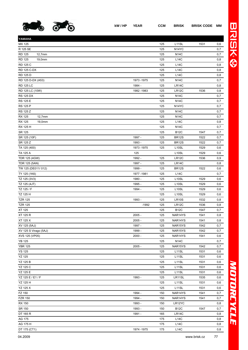

BRISK®

| YAMAHA                  |             |     |                    |      |     |
|-------------------------|-------------|-----|--------------------|------|-----|
| MX 125                  |             | 125 | L <sub>11</sub> SL | 1531 | 0,6 |
| R 125 SE                |             | 125 | N <sub>14</sub> YC |      | 0,7 |
| <b>RD 125</b><br>12,7mm |             | 125 | <b>N14C</b>        |      | 0,7 |
| <b>RD 125</b><br>19,0mm |             | 125 | <b>L14C</b>        |      | 0,8 |
| RD 125 C                |             | 125 | L14C               |      | 0,8 |
| RD 125 C-DX             |             | 125 | L14C               |      | 0,8 |
| <b>RD 125 D</b>         |             | 125 | L14C               |      | 0,8 |
| RD 125 D-DX (A53)       | 1973 - 1975 | 125 | <b>N14C</b>        |      | 0,7 |
| <b>RD 125 LC</b>        | 1984 -      | 125 | LR14C              |      | 0,8 |
| RD 125 LC (10W)         | 1982 - 1983 | 125 | LR12C              | 1536 | 0,8 |
| <b>RS 125 DX</b>        |             | 125 | <b>N14C</b>        |      | 0,7 |
| RS 125 E                |             | 125 | <b>N14C</b>        |      | 0,7 |
| <b>RS 125 P</b>         |             | 125 | N <sub>14</sub> YC |      | 0,7 |
| RS 125 Z                |             | 125 | <b>N14C</b>        |      | 0,7 |
| <b>RX 125</b><br>12,7mm |             | 125 | <b>N14C</b>        |      | 0,7 |
| <b>RX 125</b><br>19,0mm |             | 125 | <b>L14C</b>        |      | 0,8 |
|                         |             |     |                    |      |     |
| RX 125 H                |             | 125 | <b>N14C</b>        |      | 0,7 |
| SR 125                  |             | 125 | <b>B12C</b>        | 1547 | 0,7 |
| SR 125 (10F)            | 1997 -      | 125 | <b>BR12S</b>       | 1522 | 0,7 |
| SR 125 Z                | 1993 -      | 125 | <b>BR12S</b>       | 1522 | 0,7 |
| TA 125 (400)            | 1973 - 1975 | 125 | L <sub>10</sub> SL | 1529 | 0,6 |
| TA 125 A                | 125         |     | L <sub>10</sub> SL | 1529 | 0,6 |
| TDR 125 (4GW)           | 1992 -      | 125 | LR12C              | 1536 | 0,9 |
| TDR 125 (5AN)           | 1997 -      | 125 | LR14C              |      | 0,8 |
| TW 125 (DE011/012)      | 1999 -      | 125 | <b>BR12S</b>       | 1522 | 0,6 |
| TY 125 (1K6)            | 1977-1981   | 125 | L14C               |      | 0,7 |
| TZ 125 (3V3)            | 1980 -      | 125 | L <sub>10</sub> SL | 1529 | 0,6 |
| TZ 125 (4JT)            | 1995 -      | 125 | L <sub>10</sub> SL | 1529 | 0,6 |
| TZ 125 / F              | 1994 -      | 125 | L <sub>10</sub> SL | 1529 | 0,6 |
| TZ 125 H                |             | 125 | L <sub>10</sub> SL | 1529 | 0,6 |
| <b>TZR 125</b>          | 1993 -      | 125 | <b>LR10S</b>       | 1532 | 0,8 |
| <b>TZR 125</b>          | $-1992$     | 125 | <b>LR12C</b>       | 1536 | 0,8 |
| XT 125                  |             | 125 | <b>B12C</b>        | 1547 | 0,7 |
| XT 125 R                | $2005 -$    | 125 | NAR14YS            | 1541 | 0,8 |
| XT 125 X                | $2005 -$    | 125 | NAR14YS            | 1541 | 0,8 |
| XV 125 (5AJ)            | 1997 -      | 125 | NAR15YS            | 1542 | 0,7 |
| XV 125 S Virago (5AJ)   | 1999 -      | 125 | NAR15YS            | 1542 | 0,7 |
| XVS 125 (VP05)          | $2000 -$    | 125 | NAR14YS            | 1541 | 0,6 |
| <b>YB 125</b>           |             | 125 | <b>N14C</b>        |      | 0,7 |
| <b>YBR 125</b>          | $2005 -$    | 125 | NAR15YS            | 1542 | 0,7 |
| <b>YS 125</b>           |             | 125 | L <sub>11</sub> SL | 1531 | 0,6 |
| <b>YZ 125</b>           |             | 125 | L <sub>11</sub> SL | 1531 | 0,6 |
| <b>YZ 125 B</b>         |             | 125 | L <sub>11</sub> SL | 1531 | 0,6 |
| YZ 125 C                |             | 125 | L11SL              | 1531 | 0,6 |
| YZ 125 E                |             | 125 | L11SL              | 1531 | 0,6 |
| YZ 125 E / E1 / F       | 1993 -      | 125 | LR11SL             | 1535 | 0,6 |
|                         |             |     |                    |      |     |
| YZ 125 H                |             | 125 | L11SL              | 1531 | 0,6 |
| YZ 125 X                |             | 125 | L <sub>11</sub> SL | 1531 | 0,6 |
| FZ 150                  | 1994 -      | 150 | NAR14YS            | 1541 | 0,7 |
| <b>FZR 150</b>          | 1994 -      | 150 | NAR14YS            | 1541 | 0,7 |
| <b>RX 150</b>           | 1993 -      | 150 | LR12YC             |      | 0,8 |
| SR 150                  | 1993 -      | 150 | <b>B12C</b>        | 1547 | 0,7 |
| DT 165 R                | 1991 -      | 165 | LR14C              |      | 0,8 |
| AG 175                  |             | 175 | L14C               |      | 0,8 |
| AG 175 H                |             | 175 | L14C               |      | 0,8 |
| DT 175 (CT1)            | 1974 - 1975 | 175 | L14C               |      | 0,8 |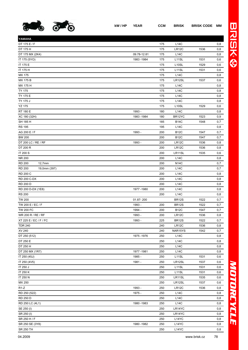

| YAMAHA                        |             |     |                    |      |     |
|-------------------------------|-------------|-----|--------------------|------|-----|
| DT 175 E / F                  |             | 175 | <b>L14C</b>        |      | 0,8 |
| DT 175 H                      |             | 175 | LR12C              | 1536 | 0,8 |
| DT 175 MX (2K4)               | 09.78-12.81 | 175 | <b>L14C</b>        |      | 0,8 |
| IT 175 (5YO)                  | 1983 - 1984 | 175 | L11SL              | 1531 | 0,6 |
| IT 175 E                      |             | 175 | L <sub>10</sub> SL | 1529 | 0,6 |
| IT 175 H                      |             | 175 | L11SL              | 1531 | 0,6 |
| MX 175                        |             | 175 | L14C               |      | 0,8 |
| MX 175 B                      |             | 175 | LR12SL             | 1537 | 0,6 |
| MX 175 H                      |             | 175 | <b>L14C</b>        |      | 0,8 |
| <b>TY 175</b>                 |             | 175 | L14C               |      | 0,8 |
| TY 175 E                      |             | 175 | L14C               |      | 0,8 |
| TY 175 J                      |             | 175 | <b>L14C</b>        |      | 0,8 |
| <b>YZ 175</b>                 |             | 175 | L <sub>10</sub> SL | 1529 | 0,6 |
| RT 180 E                      | 1993 -      | 180 | L14C               |      | 0,8 |
| XC 180 (32H)                  | 1983 - 1984 | 180 | BR12YC             | 1523 | 0,9 |
| SH 185 H                      |             | 185 | <b>B14C</b>        | 1548 | 0,7 |
| <b>RS 195</b>                 |             | 195 | <b>L14C</b>        |      | 0,8 |
| AG 200 E / F                  | 1993 -      | 200 | <b>B12C</b>        | 1547 | 0,7 |
| <b>BW 200</b>                 |             | 200 | <b>B12C</b>        | 1547 | 0,7 |
| DT 200 LC / RE / RF           | 1993 -      | 200 | LR12C              | 1536 | 0,8 |
| DT 200 R                      |             | 200 | LR12C              | 1536 | 0,8 |
| IT 200 S                      |             | 200 | LR11SL             | 1535 | 0,6 |
| <b>NR 200</b>                 |             | 200 | <b>L14C</b>        |      | 0,8 |
| <b>RD 200</b><br>12,7mm       |             | 200 | <b>N14C</b>        |      | 0,7 |
| <b>RD 200</b><br>19,0mm (397) |             | 200 | <b>L14C</b>        |      | 0,7 |
| RD 200 C                      |             | 200 | <b>L14C</b>        |      | 0,8 |
| RD 200 C-DX                   |             | 200 | <b>L14C</b>        |      | 0,8 |
| RD 200 D                      |             | 200 | L14C               |      | 0,8 |
| RD 200 D-DX (1E8)             | 1977-1980   | 200 | <b>L14C</b>        |      | 0,8 |
| <b>RS 200</b>                 |             | 200 | <b>L14C</b>        |      | 0,8 |
| <b>TW 200</b>                 | 01.87-200   |     | <b>BR12S</b>       | 1522 | 0,7 |
| TW 200 E / EC / F             | 1993 -      | 200 | <b>BR12S</b>       | 1522 | 0,7 |
| <b>TW 200 FC</b>              | 1994 -      | 200 | <b>B12C</b>        | 1547 | 0,7 |
| WR 200 R / RE / RF            | 1993 -      | 200 | LR12C              | 1536 | 0,8 |
| XT 225 E / EC / F / FC        | 1993 -      | 225 | <b>BR12S</b>       | 1522 | 0,7 |
| <b>TDR 240</b>                |             | 240 | LR12C              | 1536 | 0,8 |
| XV 240                        |             | 240 | NAR15YS            | 1542 | 0,7 |
| DT 250 (512)                  | 1975 - 1976 | 250 | L14C               |      | 0,8 |
| DT 250 E                      |             | 250 | L14C               |      | 0,8 |
| DT 250 H                      |             | 250 | L14C               |      | 0,8 |
| DT 250 MX (1R7)               | 1977-1981   | 250 | L14C               |      | 0,8 |
| IT 250 (45J)                  | 1985 -      | 250 | L11SL              | 1531 | 0,6 |
| IT 250 (4V5)                  | 1981 -      | 250 | LR12SL             | 1537 | 0,6 |
| IT 250 J                      |             | 250 | L11SL              | 1531 | 0,6 |
| IT 250 K                      |             | 250 | L11SL              | 1531 | 0,6 |
| IT 250 N                      |             | 250 | LR11SL             | 1535 | 0,6 |
| MX 250                        |             | 250 | LR12SL             | 1537 | 0,6 |
| $R1-Z$                        | 1993 -      | 250 | LR12C              | 1536 | 0,8 |
| RD 250 (522)                  | 1975 -      | 250 | L14C               |      | 0,8 |
| RD 250 D                      |             | 250 | L14C               |      | 0,8 |
| RD 250 LC (4L1)               | 1980 - 1983 | 250 | L14C               |      | 0,8 |
| SE 250 (I)                    |             | 250 | LR14YC             |      | 0,8 |
| SR 250 (I)                    |             | 250 | LR14YC             |      | 0,8 |
| SR 250 H / F                  |             | 250 | L14YC              |      | 0,8 |
| SR 250 SE (3Y8)               | 1980 - 1982 | 250 | L14YC              |      | 0,8 |
|                               |             |     |                    |      |     |

 $S$ R 250 TH  $0,8$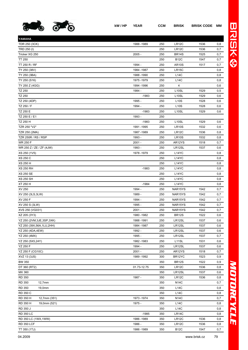

| YAMAHA                      |             |     |                    |      |     |
|-----------------------------|-------------|-----|--------------------|------|-----|
| TDR 250 (3CK)               | 1988 - 1989 | 250 | <b>LR12C</b>       | 1536 | 0,8 |
| TRD 250 (I)                 |             | 250 | LR12C              | 1536 | 0,7 |
| Tricker XG 250              | $2005 -$    | 250 | <b>BR14S</b>       | 1525 | 0,7 |
| <b>TT 250</b>               |             | 250 | <b>B12C</b>        | 1547 | 0,7 |
| TT 250 R / RF               | 1994 -      | 250 | <b>AR10S</b>       | 1517 | 0,7 |
| TY 250 (38V)                | 1984 - 1987 | 250 | LR <sub>15</sub> C |      | 0,8 |
| TY 250 (3BA)                | 1988 - 1990 | 250 | L14C               |      | 0,8 |
| TY 250 (S16)                | 1975 - 1979 | 250 | L14C               |      | 0,8 |
| TY 250 Z (4GG)              | 1994 - 1996 | 250 | 4                  |      | 0,6 |
| <b>TZ 250</b>               | 1984 -      | 250 | L <sub>10</sub> SL | 1529 | 0,5 |
| <b>TZ 250</b>               | $-1983$     | 250 | L <sub>10</sub> SL | 1529 | 0,6 |
| TZ 250 (4DP)                | 1995 -      | 250 | <b>L10S</b>        | 1528 | 0,6 |
| TZ 250 / F                  | 1994 -      | 250 | <b>L10S</b>        | 1528 | 0,6 |
| TZ 250 E                    | $-1983$     | 250 | L <sub>10</sub> SL | 1529 | 0,6 |
| TZ 250 E / E1               | 1993 -      | 250 |                    |      |     |
| TZ 250 H                    | $-1983$     | 250 | L <sub>10</sub> SL | 1529 | 0,6 |
| TZR 250 "V2"                | 1991 - 1995 | 250 | <b>LR10S</b>       | 1532 | 0,6 |
| TZR 250 (2MA)               | 1987 - 1989 | 250 | LR <sub>12</sub> C | 1536 | 0,8 |
| TZR 250R / RS / RSP         | 1993 -      | 250 | <b>LR10S</b>       | 1532 | 0,8 |
| <b>WR 250 F</b>             | $2001 -$    | 250 | AR12YS             | 1518 | 0,7 |
| WR 250 Z / ZE / ZF (4JW)    | 1993 -      | 250 | LR12SL             | 1537 | 0,6 |
| XS 250 (1V5)                | 1978 - 1979 | 250 | L14YC              |      | 0,8 |
| <b>XS 250 C</b>             |             | 250 | L14YC              |      | 0,8 |
| <b>XS 250 H</b>             |             | 250 | L14YC              |      | 0,8 |
| <b>XS 250 RH</b>            | $-1983$     | 250 | L14YC              |      | 0,8 |
| <b>XS 250 SE</b>            |             | 250 | L <sub>14</sub> YC |      | 0,8 |
| <b>XS 250 SH</b>            |             | 250 | L14YC              |      | 0,8 |
| XT 250 H                    | $-1984$     | 250 | L14YC              |      | 0,8 |
| XV 250                      | 1994 -      | 250 | NAR15YS            | 1542 | 0,7 |
| XV 250 (3LS, 3LW)           | 1989 -      | 250 | NAR15YS            | 1542 | 0,7 |
| XV 250 F                    | 1994 -      | 250 | NAR15YS            | 1542 | 0,7 |
| XV 250 S (3LW)              | 1995 -      | 250 | NAR15YS            | 1542 | 0,7 |
| XVS 250 (VG031)             | $2001 -$    | 250 | NAR15YS            | 1542 | 0,7 |
| XZ 205 (3Y3)                | 1980 - 1982 | 250 | <b>BR12S</b>       | 1522 | 0,6 |
| YZ 250 (2VM, 3JE, 3SP, 3XK) | 1988-1991   | 250 | LR12SL             | 1537 | 0,6 |
| YZ 250 (39X,56A,1LU,2HH)    | 1984 - 1987 | 250 | LR12SL             | 1537 | 0,6 |
| YZ 250 (4DA,4EW)            | 1992 -      | 250 | LR12SL             | 1537 | 0,6 |
| YZ 250 (4MX)                | 1995 -      | 250 | LR12SL             | 1537 | 0,7 |
| YZ 250 (5X5,24Y)            | 1982 - 1983 | 250 | L <sub>11</sub> SL | 1531 | 0,6 |
| YZ 250 F                    | 1994 -      | 250 | LR12SL             | 1537 | 0,6 |
| YZ 250 F (CG10C)            | $2001 -$    | 250 | AR12YS             | 1518 | 0,7 |
| XVZ 13 (3JS)                | 1989 - 1992 | 300 | BR12YC             | 1523 | 0,9 |
| <b>BW 350</b>               |             | 350 | BR <sub>12</sub> S | 1522 | 0,9 |
| DT 360 (RT2)                | 01.73-12.75 | 350 | LR12C              | 1536 | 0,8 |
| MX 360                      |             | 350 | LR12SL             | 1537 | 0,6 |
| <b>RD 350</b>               | 1987 -      | 350 | LR12C              | 1536 | 0,8 |
| <b>RD 350</b><br>12,7mm     |             | 350 | <b>N14C</b>        |      | 0,7 |
| <b>RD 350</b><br>19,0mm     |             | 350 | <b>L14C</b>        |      | 0,8 |
| RD 350 C                    |             | 350 | L14C               |      | 0,8 |
| RD 350 H<br>12,7mm (351)    | 1973 - 1974 | 350 | <b>N14C</b>        |      | 0,7 |
| RD 350 H<br>19,0mm (521)    | 1975 -      | 350 | L14C               |      | 0,8 |
| RD 350 J                    |             | 350 | L14C               |      | 0,8 |
| <b>RD 350 LC</b>            | $-1985$     | 350 | LR14C              |      | 0,8 |
| RD 350 LC (1WX, 1WW)        | 1986 - 1989 | 350 | LR12C              | 1536 | 0,8 |
| <b>RD 350 LCF</b>           | 1986 -      | 350 | LR12C              | 1536 | 0,8 |
| TT 350 (1TJ)                | 1986 - 1989 | 350 | <b>B12C</b>        | 1547 | 0,7 |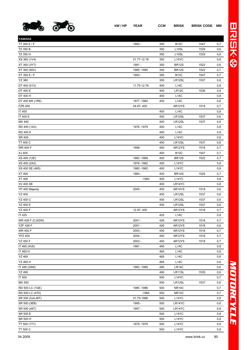

| YAMAHA           |                   |     |                    |      |     |
|------------------|-------------------|-----|--------------------|------|-----|
| TT 350 E / F     | 1993 -            | 350 | <b>B12C</b>        | 1547 | 0,7 |
| TZ 350 B         |                   | 350 | L <sub>10</sub> SL | 1529 | 0,6 |
| TZ 350 H         |                   | 350 | L <sub>10</sub> SL | 1529 | 0,6 |
| XS 360 (1V4)     | 01.77-12.78       | 350 | L15YC              |      | 0,8 |
| XT 350 (3YT)     | 1991 -            | 350 | <b>BR12S</b>       | 1522 | 0,6 |
| XT 350 (55V)     | 1985 - 1990       | 350 | <b>BR12S</b>       | 1522 | 0,7 |
| XT 350 E / F     | 1993 -            | 350 | <b>B12C</b>        | 1547 | 0,7 |
| <b>YZ 360</b>    |                   | 350 | LR12SL             | 1537 | 0,6 |
| DT 400 (513)     | 11.75-12.76       | 400 | L14C               |      | 0,8 |
| DT 400 E         |                   | 400 | LR12C              | 1536 | 0,8 |
| DT 400 H         |                   | 400 | <b>L14C</b>        |      | 0,8 |
| DT 400 MX (1R6)  | 1977-1980         | 400 | L14C               |      | 0,8 |
| <b>FZR 400</b>   | 04.87-400         |     | AR12YS             | 1518 | 0,7 |
| <b>IT 400</b>    |                   | 400 | <b>L14C</b>        |      | 0,8 |
| IT 400 E         |                   | 400 | LR12SL             | 1537 | 0,6 |
| MX 400           |                   | 400 | LR12SL             | 1537 | 0,6 |
| RD 400 (1A3)     | 1976 - 1979       | 400 | L14C               |      | 0,8 |
| RD 400 E         |                   | 400 | L14C               |      | 0,8 |
| SR 400           |                   | 400 | L14YC              |      | 0,8 |
| <b>TT 400 C</b>  |                   | 400 | LR12SL             | 1537 | 0,6 |
| <b>WR 400 F</b>  | 1998 -            | 400 | AR12YS             | 1518 | 0,7 |
| XJ 400           |                   | 400 | <b>B12C</b>        | 1547 | 0,7 |
| XS 400 (12E)     | 1982 - 1989       | 400 | <b>BR12S</b>       | 1522 | 0,7 |
| XS 400 (2A2)     | 1978 - 1982       | 400 | L14YC              |      | 0,8 |
|                  | 1980 - 1982       | 400 | L14YC              |      | 0,8 |
| XS 400 SE (465)  |                   |     |                    |      |     |
| XT 400           | 1984 -<br>$-1983$ | 400 | <b>BR14S</b>       | 1525 | 0,7 |
| <b>XT 400</b>    |                   | 400 | L14YC              |      | 0,8 |
| XV 400 SE        |                   | 400 | LR14YC             | 1519 | 0,8 |
| YP 400 Majesty   | $2005 -$          | 400 | AR14YS             |      | 0,6 |
| <b>YZ 400</b>    |                   | 400 | LR12SL             | 1537 | 0,6 |
| <b>YZ 400 C</b>  |                   | 400 | LR12SL             | 1537 | 0,6 |
| YZ 400 E         |                   | 400 | LR12SL             | 1537 | 0,6 |
| <b>YZ 400 F</b>  | 12.97-400         |     | AR12YS             | 1518 | 0,7 |
| IT 425           |                   | 425 | L14C               |      | 0,8 |
| WR 426 F (CJ02W) | $2001 -$          | 426 | AR12YS             | 1518 | 0,7 |
| <b>YZF 426 F</b> | $2001 -$          | 426 | AR12YS             | 1518 | 0,6 |
| <b>WR 450 F</b>  | $2003 -$          | 450 | AR12YS             | 1518 | 0,7 |
| <b>YFZ 450</b>   | $2004 -$          | 450 | AR12YS             | 1518 | 0,7 |
| <b>YZ 450 F</b>  | $2003 -$          | 450 | AR12YS             | 1518 | 0,7 |
| IT 465 (4V6)     | 1981 -            | 465 | L14C               |      | 0,8 |
| IT 465 H         |                   | 465 | L14C               |      | 0,8 |
| <b>YZ 465</b>    |                   | 465 | L14C               |      | 0,8 |
| YZ 465 H         |                   | 465 | L14C               |      | 0,8 |
| IT 490 (29W)     | 1983 - 1985       | 490 | LR14C              |      | 0,6 |
| <b>YZ 490</b>    |                   | 490 | LR11SL             | 1535 | 0,6 |
| IT 500           |                   | 500 | L14YC              |      | 0,7 |
| MX 500           |                   | 500 | LR12SL             | 1537 | 0,6 |
| RD 500 LC (1GE)  | 1985 - 1986       | 500 | NR <sub>14</sub> C |      | 0,7 |
| RD 500 LC (47X)  | $-1984$           | 500 | NR14C              |      | 0,7 |
| SR 500 (2J4,48T) | 01.79-1996        | 500 | L14YC              |      | 0,8 |
| SR 500 (3EB)     | 1995 -            | 500 | LR14YC             |      | 0,6 |
| SR 500 (48T)     | 1997 -            | 500 | LR14YC             |      | 0,8 |
| SR 500 E         |                   | 500 | L14YC              |      | 0,8 |
| SR 500 H         |                   | 500 | L14YC              |      | 0,8 |
| TT 500 (1T1)     | 1978-1979         | 500 | L14YC              |      | 0,8 |
| TT 500 C         |                   | 500 | L14YC              |      | 0,8 |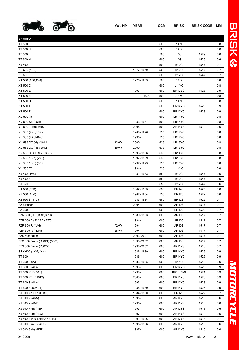

| YAMAHA                      |             |     |                    |      |     |
|-----------------------------|-------------|-----|--------------------|------|-----|
| TT 500 E                    |             | 500 | L <sub>14</sub> YC |      | 0,8 |
| TT 500 H                    |             | 500 | L14YC              |      | 0,8 |
| <b>TZ 500</b>               |             | 500 | L <sub>10</sub> SL | 1529 | 0,6 |
| TZ 500 H                    |             | 500 | L <sub>10</sub> SL | 1529 | 0,6 |
| XJ 500                      |             | 500 | <b>B12C</b>        | 1547 | 0,7 |
| XS 500 (1H2)                | 1977-1979   | 500 | <b>B12C</b>        | 1547 | 0,7 |
| XS 500 E                    |             | 500 | <b>B12C</b>        | 1547 | 0,7 |
| XT 500 (1E6,1V6)            | 1976 - 1989 | 500 | L14YC              |      | 0,8 |
| XT 500 C                    |             | 500 | L14YC              |      | 0,8 |
| XT 500 E                    | 1993 -      | 500 | BR12YC             | 1523 | 0,9 |
| XT 500 E                    | $-1992$     | 500 | L <sub>14</sub> YC |      | 0,8 |
| XT 500 H                    |             | 500 | L14YC              |      | 0,8 |
| XT 500 T                    |             | 500 | BR12YC             | 1523 | 0,9 |
| XT 500 Z                    |             | 500 | BR12YC             | 1523 | 0,9 |
| XV 500 (I)                  |             | 500 | LR14YC             |      | 0,8 |
| XV 500 SE (26R)             | 1983 - 1987 | 500 | LR14YC             |      | 0,8 |
| YP 500 T-Max ABS            | $2005 -$    | 500 | AR14YS             | 1519 | 0,6 |
| XV 535 (2YL, 3BR)           | 1988 - 1996 | 535 | LR14YC             |      | 0,8 |
| XV 535 (4KU,4MC)            | 1995 -      | 535 | LR14YC             |      | 0,8 |
| XV 535 DX (H) VJ011<br>32kW | $2000 -$    | 535 | LR15YC             |      | 0,8 |
| 25kW<br>XV 535 DX (N) VJ012 | $2000 -$    | 535 | LR15YC             |      | 0,8 |
| XV 535 S / SP (2YL, 3BR)    | 1993 - 1996 | 535 | LR14YC             |      | 0,8 |
| XV 535 / S(h) (2YL)         | 1997 - 1999 | 535 | LR15YC             |      | 0,8 |
| XV 535 / S(n) (3BR)         | 1997 - 1999 | 535 | LR15YC             |      | 0,8 |
| <b>YV 535 FC</b>            | 1994 -      | 535 | L14YC              |      | 0,8 |
| XJ 550 (4V8)                | 1981-1983   | 550 | <b>B12C</b>        | 1547 | 0,6 |
| XJ 550 H                    |             | 550 | <b>B12C</b>        | 1547 | 0,6 |
| XJ 550 RH                   |             | 550 | <b>B12C</b>        | 1547 | 0,6 |
| XT 550 (5Y3)                | 1982 - 1983 | 550 | <b>BR14S</b>       | 1525 | 0,6 |
| XZ 550 (11V)                | 1982 - 1984 | 550 | <b>BR12S</b>       | 1522 | 0,6 |
| XZ 550 S (11V)              | 1983 - 1984 | 550 | <b>BR12S</b>       | 1522 | 0,7 |
| FZ 6 Fazer                  | $2004 -$    | 600 | <b>AR10S</b>       | 1517 | 0,7 |
| FZ 600, -U                  |             | 600 | <b>BR12S</b>       | 1522 | 0,7 |
| FZR 600 (3HE, 3RG, 3RH)     | 1989 - 1993 | 600 | <b>AR10S</b>       | 1517 | 0,7 |
| FZR 600 F / R / RF / RFC    | 1994 -      | 600 | <b>AR10S</b>       | 1517 | 0,7 |
| 72kW<br>FZR 600 R (4JH)     | 1994 -      | 600 | AR <sub>10</sub> S | 1517 | 0,7 |
| 25kW<br>FZR 600 R (4MH)     | 1994 -      | 600 | <b>AR10S</b>       | 1517 | 0,7 |
| FZS 600 Fazer               | 2003 - 2004 | 600 | <b>AR10S</b>       | 1517 | 0,7 |
| FZS 600 Fazer (RJ021) (5DM) | 1998 - 2002 | 600 | <b>AR10S</b>       | 1517 | 0,7 |
| FZS 600 Fazer (RJ022)       | 1998 - 2002 | 600 | AR12YS             | 1518 | 0,7 |
| SRX 600 (1XM, 1XN)          | 1986 - 1989 | 600 | BR14YC             | 1526 | 0,9 |
| <b>TT 600</b>               | 1986 -      | 600 | BR14YC             | 1526 | 0,9 |
| TT 600 (36A)                | 1983 - 1985 | 600 | <b>B14C</b>        | 1548 | 0,6 |
| TT 600 E (4LW)              | 1993 -      | 600 | BR12YC             | 1523 | 0,9 |
| TT 600 R (DJ011)            | 1998 -      | 600 | <b>BR10YS-9</b>    | 1521 | 0,9 |
| TT 600 RE (DJ012)           | $2003 -$    | 600 | BR12YC             | 1523 | 0,9 |
| TT 600 S (4LW)              | 1993 -      | 600 | BR12YC             | 1523 | 0,9 |
| TT 600 S (59X) (I)          | 1985 - 1989 | 600 | BR14YC             | 1526 | 0,9 |
| XJ 600 (51J,3KM,3KN)        | 1984 - 1990 | 600 | <b>BR12S</b>       | 1522 | 0,7 |
| XJ 600 N (4KA)              | 1995 -      | 600 | AR12YS             | 1518 | 0,6 |
| XJ 600 N (4MB)              | 1995 -      | 600 | AR12YS             | 1518 | 0,6 |
| XJ 600 N (h) (4BR)          | 1997 -      | 600 | AR12YS             | 1518 | 0,6 |
| XJ 600 N (h) (4LX)          | 1997 -      | 600 | AR14YS             | 1519 | 0,6 |
| XJ 600 S (4BR,4BRA,4BRB)    | 1991 - 1996 | 600 | AR12YS             | 1518 | 0,7 |
| XJ 600 S (4EB /4LX)         | 1995 - 1996 | 600 | AR12YS             | 1518 | 0,6 |

XJ 600 S (h) (4BR) 1997 - 600 AR12YS 1518 0,6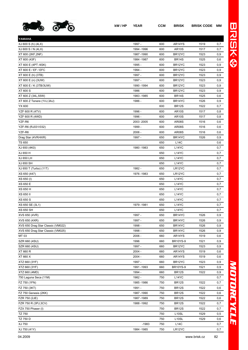

| YAMAHA                            |             |     |                    |      |              |
|-----------------------------------|-------------|-----|--------------------|------|--------------|
| XJ 600 S (h) (4LX)                | 1997 -      | 600 | AR14YS             | 1519 | 0,7          |
| XJ 600 S / N (4LX)                | 1994 - 1996 | 600 | <b>AR10S</b>       | 1517 | 0,7          |
| XT 600 (2KF, 2NF)                 | 1987-1990   | 600 | BR12YC             | 1523 | 0,9          |
| XT 600 (43F)                      | 1984 - 1987 | 600 | <b>BR14S</b>       | 1525 | 0,6          |
| XT 600 E (4PT /4SK)               | 1995 -      | 600 | BR12YC             | 1523 | 0,9          |
| XT 600 E / EF / EFC               | 1994 -      | 600 | BR12YC             | 1523 | 0,9          |
| XT 600 E (h) (3TB)                | 1997 -      | 600 | BR12YC             | 1523 | 0,9          |
| XT 600 E (n) (3UW)                | 1997 -      | 600 | BR12YC             | 1523 | 0,9          |
| XT 600 E / K (3TB/3UW)            | 1990 - 1994 | 600 | BR12YC             | 1523 | 0,9          |
| <b>XT 600 S</b>                   | 1986        | 600 | BR12YC             | 1523 | 0,9          |
| XT 600 Z (34L,55W)                | 1983 - 1985 | 600 | <b>BR14S</b>       | 1525 | 0,6          |
| XT 600 Z Tenere (1VJ,3AJ)         | 1986 -      | 600 | BR14YC             | 1526 | 0,9          |
| YX 600                            |             | 600 | <b>BR12S</b>       | 1522 | 0,7          |
| YZF 600 R (4TV)                   | 1996 -      | 600 | <b>AR10S</b>       | 1517 | 0,8          |
| YZF 600 R (4WD)                   | 1996 -      | 600 | <b>AR10S</b>       | 1517 | 0,8          |
| YZF-R6                            | 2003 - 2005 | 600 | <b>AR08S</b>       | 1516 | 0,6          |
| YZF-R6 (RJ031/032)                | 1999 -      | 600 | <b>AR08S</b>       | 1516 | 0,6          |
| YZF-R6                            | $2006 -$    | 600 | <b>AR08S</b>       | 1516 | 0,6          |
| Drag Star (4VR/4XR)               | 1997 -      | 650 | BR14YC             | 1526 | 0,9          |
| <b>TS 650</b>                     |             | 650 | <b>L14C</b>        |      | 0,6          |
| XJ 650 (4K0)                      | 1980 - 1983 | 650 | L14YC              |      | 0,7          |
| XJ 650 H                          |             | 650 | L14YC              |      | 0,7          |
| XJ 650 LH                         |             | 650 | L14YC              |      | 0,7          |
| XJ 650 SH                         |             | 650 | L14YC              |      | 0,7          |
| XJ 650 T (Turbo) (11T)            | 1982 -      | 650 | LR12YC             |      | 0,7          |
| XS 650 (447)                      | 1976 - 1983 | 650 | LR12YC             |      | 0,7          |
| XS 650 (I)                        |             | 650 | L14YC              |      | 0,7          |
| XS 650 E                          |             | 650 | L <sub>14</sub> YC |      | 0,7          |
| XS 650 H                          |             | 650 | L14YC              |      | 0,7          |
| XS 650 II                         |             | 650 | L14YC              |      | 0,7          |
| XS 650 S                          |             | 650 | L14YC              |      | 0,7          |
| XS 650 SE (3L1)                   | 1979 - 1981 | 650 | L14YC              |      | 0,7          |
| XS 650 SH                         |             | 650 | L14YC              |      | 0,7          |
| XVS 650 (4VR)                     | 1997 -      | 650 | BR14YC             | 1526 | 0,9          |
| XVS 650 (4XR)                     | 1997 -      | 650 | BR14YC             | 1526 | $_{\rm 0,9}$ |
| XVS 650 Drag Star Classic (VM022) | 1998 -      | 650 | BR14YC             | 1526 | 0,9          |
| XVS 650 Drag Star Classic (VM025) | 1998 -      | 650 | BR14YC             | 1526 | 0,9          |
| MT 03                             | $2006 -$    | 660 | AR14YS             | 1519 | 0,6          |
| SZR 660 (4SU)                     | 1996        | 660 | <b>BR10YS-9</b>    | 1521 | 0,9          |
| SZR 660 (4SU)                     | 1997 -      | 660 | BR12YC             | 1523 | 0,9          |
| XT 660 R                          | $2004 -$    | 660 | AR14YS             | 1519 | 0,6          |
| XT 660 X                          | $2004 -$    | 660 | AR14YS             | 1519 | 0,6          |
| XTZ 660 (3YF)                     | 1997 -      | 660 | BR12YC             | 1523 | 0,9          |
| XTZ 660 (3YF)                     | 1991-1993   | 660 | <b>BR10YS-9</b>    | 1521 | 0,9          |
| XTZ 660 (4MD)                     | 1994 -      | 660 | <b>BR12S</b>       | 1522 | 0,9          |
| 750 Laguna Seca (11M)             | 1982 -      | 750 | L14YC              |      | 0,7          |
| FZ 750 (1FN)                      | 1985 - 1986 | 750 | <b>BR12S</b>       | 1522 | 0,7          |
| FZ 750 (3KT)                      | 1991 -      | 750 | <b>BR12S</b>       | 1522 | 0,6          |
| FZ 750 Genesis (2KK)              | 1987-1990   | 750 | <b>BR12S</b>       | 1522 | 0,6          |
| FZR 750 (2JE)                     | 1987-1989   | 750 | <b>BR12S</b>       | 1522 | 0,6          |
| FZR 750 R (3PJ,3CV)               | 1988 - 1992 | 750 | <b>BR12S</b>       | 1522 | 0,7          |
| FZX 750 Phaser (I)                |             | 750 | <b>BR12S</b>       | 1522 | 0,7          |
| <b>TZ 750</b>                     |             | 750 | L <sub>10</sub> SL | 1529 | 0,5          |
| TZ 750 D                          |             | 750 | L <sub>10</sub> SL | 1529 | 0,6          |
| XJ 750                            | $-1983$     | 750 | L14C               |      | 0,7          |
| XJ 750 (41Y)                      | 1984 - 1985 | 750 | LR12YC             |      | 0,7          |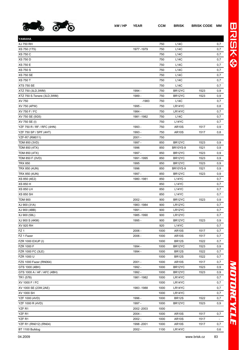

| YAMAHA                      |             |      |                 |      |        |
|-----------------------------|-------------|------|-----------------|------|--------|
| XJ 750 RH                   |             | 750  | <b>L14C</b>     |      | 0,7    |
| XS 750 (1T5)                | 1977-1979   | 750  | <b>L14C</b>     |      | 0,7    |
| <b>XS 750 C</b>             |             | 750  | <b>L14C</b>     |      | 0,7    |
| <b>XS 750 D</b>             |             | 750  | L14C            |      | 0,7    |
| <b>XS 750 E</b>             |             | 750  | <b>L14C</b>     |      | 0,7    |
| <b>XS 750 S</b>             |             | 750  | <b>L14C</b>     |      | 0,7    |
| <b>XS 750 SE</b>            |             | 750  | <b>L14C</b>     |      | 0,7    |
| <b>XS 750 T</b>             |             | 750  | <b>L14C</b>     |      | 0,7    |
| <b>XTS 750 SE</b>           |             | 750  | <b>L14C</b>     |      | 0,7    |
| XTZ 750 (3LD, 3WM)          | 1994 -      | 750  | BR12YC          | 1523 | 0,9    |
| XTZ 750 S.Tenere (3LD, 3WM) | 1989 -      | 750  | BR12YC          | 1523 | 0,9    |
| XV 750                      | $-1983$     | 750  | L14C            |      | 0,7    |
| XV 750 (4PW)                | 1995 -      | 750  | LR14YC          |      | 0,8    |
| XV 750 F / FC               | 1984 -      | 750  | LR14YC          |      | 0,7    |
| XV 750 SE (5G5)             | 1981 - 1982 | 750  | <b>L14C</b>     |      | 0,7    |
| XV 750 SE (I)               |             | 750  | L14YC           |      | 0,7    |
| YZF 750 R / RF / RFC (4HN)  | 1993 -      | 750  | <b>AR10S</b>    | 1517 | 0,9    |
| YZF 750 SP / SPF (4HT)      | 1993 -      | 750  | <b>AR10S</b>    | 1517 | 0,8    |
| <b>YZF-R7 (RM011)</b>       | $2001 -$    | 750  |                 |      |        |
| TDM 850 (3VD)               | 1997 -      | 850  | BR12YC          | 1523 | 0,9    |
| TDM 850 (4TX)               | 1996        | 850  | <b>BR10YS-9</b> | 1521 | 0,9    |
| TDM 850 (4TX)               | 1997 -      | 850  | BR12YC          | 1523 | 0,9    |
| TDM 850 F (3VD)             | 1991 - 1995 | 850  | BR12YC          | 1523 | 0,9    |
| <b>TRX 850</b>              | 1995        | 850  | BR12YC          | 1523 | 0,9    |
| TRX 850 (4UN)               | 1996        | 850  | <b>BR10YS-9</b> | 1521 | 0,9    |
| TRX 850 (4UN)               | 1997 -      | 850  | BR12YC          | 1523 | 0,9    |
| XS 850 (4E2)                | 1980 - 1981 | 850  | L14YC           |      | 0,7    |
| XS 850 H                    |             | 850  | L14YC           |      | 0,7    |
| <b>XS 850 LH</b>            |             | 850  | L14YC           |      | 0,7    |
| <b>XS 850 SH</b>            |             | 850  | L14YC           |      | 0,7    |
| <b>TDM 900</b>              | $2002 -$    | 900  | BR12YC          | 1523 | 0,9    |
| XJ 900 (31A)                | 1983-1984   | 900  | LR12YC          |      | 0,7    |
| XJ 900 (4BB)                | 1991 -      | 900  | LR12YC          |      | 0,7    |
| XJ 900 (58L)                | 1985 - 1990 | 900  | LR12YC          |      | 0,7    |
| XJ 900 S (4KM)              | 1995 -      | 900  | BR12YC          | 1523 | 0,9    |
| XV 920 RH                   |             | 920  | L14YC           |      | 0,7    |
| FZ <sub>1</sub>             | $2006 -$    | 1000 | <b>AR10S</b>    | 1517 | 0,7    |
| FZ 1 Fazer                  | 2006 -      | 1000 | <b>AR10S</b>    | 1517 | 0,7    |
| FZR 1000 EXUP (I)           |             | 1000 | <b>BR12S</b>    | 1522 | 0,7    |
| FZR 1000 F                  | 1994 -      | 1000 | BR12YC          | 1523 | 0,9    |
| FZR 1000 FC (3LE)           | 1994 -      | 1000 | <b>BR12S</b>    | 1522 | 0,7    |
| FZR 1000 U                  |             | 1000 | <b>BR12S</b>    | 1522 | 0,7    |
| FZS 1000 Fazer (RN064)      | $2001 -$    | 1000 | <b>AR10S</b>    | 1517 | 0,7    |
| GTS 1000 (4BH)              | 1992 -      | 1000 | BR12YC          | 1523 | 0,9    |
| GTS 1000 A / AF / AFC (4BH) | 1992 -      | 1000 | BR12YC          | 1523 | 0,9    |
| TR1 (578)                   | 1981 - 1982 | 1000 | LR14YC          |      | 0,7    |
| XV 1000 F / FC              |             | 1000 | LR14YC          |      | 0,7    |
| XV 1000 SE (23W, 2AE)       | 1983 - 1988 | 1000 | LR14YC          |      | 0,7    |
| XV 1000 SH                  |             | 1000 | LR14YC          |      | 0,7    |
| YZF 1000 (4VD)              | 1996 -      | 1000 | <b>BR12S</b>    | 1522 | 0,7    |
| YZF 1000 R (4VD)            | 1997 -      | 1000 | BR12YC          | 1523 | 0,9    |
| YZF <sub>R1</sub>           | 2002 - 2003 | 1000 |                 |      |        |
| YZF R1                      | $2004 -$    | 1000 | <b>AR10S</b>    | 1517 | 0,7    |
| YZF <sub>R1</sub>           | $2002 -$    | 1000 | <b>AR10S</b>    | 1517 | $\sim$ |
| YZF R1 (RN012) (RN04)       | 1998 - 2001 | 1000 | <b>AR10S</b>    | 1517 | 0,7    |
| BT 1100 Bulldog             | $2002 -$    | 1100 | LR14YC          |      | 0,6    |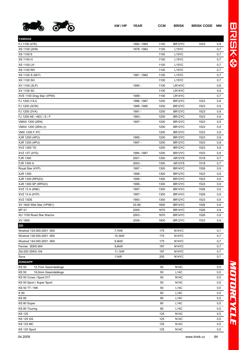

| YAMAHA                                      |                 |             |            |                                          |      |            |
|---------------------------------------------|-----------------|-------------|------------|------------------------------------------|------|------------|
| FJ 1100 (47E)                               |                 | 1984 - 1985 | 1100       | BR12YC                                   | 1523 | 0,9        |
| XS 1100 (2H9)                               |                 | 1978 - 1982 | 1100       | L15YC                                    |      | 0,7        |
| <b>XS 1100 E</b>                            |                 |             | 1100       | L <sub>15</sub> YC                       |      | 0,7        |
| XS 1100 H                                   |                 |             | 1100       | L <sub>15</sub> YC                       |      | 0,7        |
| <b>XS 1100 LH</b>                           |                 |             | 1100       | L <sub>15</sub> YC                       |      | 0,7        |
| <b>XS 1100 RH</b>                           |                 |             | 1100       | L <sub>15</sub> YC                       |      | 0,7        |
| XS 1100 S (5K7)                             |                 | 1981-1982   | 1100       | L <sub>15</sub> YC                       |      | 0,7        |
| <b>XS 1100 SH</b>                           |                 |             | 1100       | L <sub>15</sub> YC                       |      | 0,7        |
| XV 1100 (3LP)                               |                 | 1995 -      | 1100       | LR14YC                                   |      | 0,8        |
| XV 1100 SC                                  |                 |             | 1100       | LR14YC                                   |      | 0,8        |
| XVS 1100 Drag Star (VP05)                   |                 | 1999 -      | 1100       | LR14YC                                   |      | 0,7        |
| FJ 1200 (1XJ)                               |                 | 1986 - 1987 | 1200       | BR12YC                                   | 1523 | 0,9        |
| FJ 1200 (3CW)                               |                 | 1988 - 1990 | 1200       | BR12YC                                   | 1523 | 0,9        |
| FJ 1200 (3YA)                               |                 | 1991 -      | 1200       | BR12YC                                   | 1523 | 0,9        |
| FJ 1200 AE / AEC / E / F                    |                 | 1993 -      | 1200       | BR12YC                                   | 1523 | 0,9        |
| VMAX 1200 (2EN)                             |                 | 1997 -      | 1200       | BR12YC                                   | 1523 | 0,9        |
| VMAX 1200 (2EN) (I)                         |                 |             | 1200       | BR <sub>12</sub> YC                      | 1523 | 0,9        |
| <b>VMX 1200 F /FC</b>                       |                 |             | 1200       | BR12YC                                   | 1523 | 0,9        |
| XJR 1200 (4PU)                              |                 | 1995 -      | 1200       | BR <sub>12</sub> YC                      | 1523 | 0,9        |
| XJR 1200 (4PU)                              |                 | 1997 -      | 1200       | BR <sub>12</sub> YC                      | 1523 | 0,9        |
| XVZ 1200 TD                                 |                 |             | 1200       | BR12YC                                   | 1523 | 0,9        |
| XVZ 12T (47G)                               |                 | 1984 - 1987 | 1200       | BR12YC                                   | 1523 | 0,9        |
| FJR 1300                                    |                 | $2001 -$    | 1300       | AR12YS                                   | 1518 | 0,7        |
| FJR 1300 A                                  |                 | $2003 -$    | 1300       | AR12YS                                   | 1518 | 0,7        |
| Royal Star (4YP)                            |                 | 1997 -      | 1300       | BR <sub>14</sub> YC                      | 1526 | 0,9        |
| XJR 1300                                    |                 | 1998 -      | 1300       | BR12YC                                   | 1523 | 0,9        |
| XJR 1300 (RP022)                            |                 | 1999 -      | 1300       | BR12YC                                   | 1523 | 0,9        |
| XJR 1300 SP (RP022)                         |                 | 1999 -      | 1300       | BR12YC                                   | 1523 | 0,9        |
| XVZ 13 A (4NK)                              |                 | 1997 -      | 1300       | BR14YC                                   | 1526 | 0,9        |
| XVZ 13 A (4YP)                              |                 | 1997 -      | 1300       | BR14YC                                   | 1526 | 0,9        |
| XVZ 13DE                                    |                 | 1993 -      | 1300       | BR12YC                                   | 1523 | 0,9        |
| XV 1600 Wild Star (VP981)                   |                 | 03.99-      | 1600       | BR14YC                                   | 1526 | 0,9        |
| MT 01                                       |                 | $2005 -$    | 1670       | BR14YC                                   | 1526 | 0,9        |
| XU 1700 Road Star Warrior                   |                 | $2003 -$    | 1670       | BR14YC                                   | 1526 | 0,9        |
| XV 1900                                     |                 | 2006 -      | 1900       | BR12YC                                   | 1523 | 0,9        |
| <b>ZID</b>                                  |                 |             |            |                                          |      |            |
| Woshod 124.000-2001 -900                    | 7,7kW           |             | 175        | N <sub>14</sub> YC                       |      | 0,7        |
| Woshod 128.000-2001 -900                    | 10,3kW          |             | 175        | N <sub>14</sub> YC                       |      | 0,7<br>0,7 |
| Woshod 144.000-2001 -900<br>Fermer 3DK5.904 | 9,9kW           |             | 175        | N <sub>14</sub> YC                       |      |            |
|                                             | 9,6kW<br>11,1kW |             | 197        | N <sub>14</sub> YC                       |      | 0,7        |
| Zid-200 3DK5.104                            | 11kW            |             | 197<br>200 | N <sub>14</sub> YC<br>N <sub>14</sub> YC |      | 0,7<br>0,7 |
| Sova<br><b>ZÜNDAPP</b>                      |                 |             |            |                                          |      |            |
| 12,7mm Gewindelänge<br><b>KS 50</b>         |                 |             | 50         | <b>N14C</b>                              |      |            |
| <b>KS 50</b><br>19,0mm Gewindelänge         |                 |             | 50         | <b>L14C</b>                              |      | 0,5<br>0,5 |
| KS 50 Cross / Sport 517                     |                 |             | 50         | <b>N14C</b>                              |      | 0,5        |
| KS 50 Sport / Super Sport                   |                 |             | 50         | <b>N14C</b>                              |      | 0,5        |
| <b>KS 50 TT / WK</b>                        |                 |             | 50         | <b>L14C</b>                              |      | 0,5        |
| K 80                                        |                 |             | 80         | <b>L14C</b>                              |      | 0,5        |
| <b>KS 80</b>                                |                 |             | 80         | <b>L14C</b>                              |      | 0,5        |
| KS 80 Super                                 |                 |             | 80         | <b>L14C</b>                              |      | 0,5        |
| KS 80 Touring                               |                 |             | 80         | <b>L14C</b>                              |      | 0,5        |
| <b>KS 125</b>                               |                 |             | 125        | <b>N14C</b>                              |      | 0,5        |
| <b>KS 125 GS</b>                            |                 |             | 125        | <b>N14C</b>                              |      | 0,5        |
| <b>KS 125 MC</b>                            |                 |             | 125        | <b>N14C</b>                              |      | 0,5        |
| KS 125 Sport                                |                 |             | 125        | <b>N14C</b>                              |      | 0,5        |
|                                             |                 |             |            |                                          |      |            |